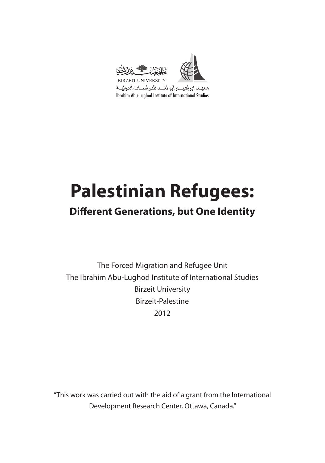

# **Palestinian Refugees:**

# **Different Generations, but One Identity**

The Forced Migration and Refugee Unit The Ibrahim Abu-Lughod Institute of International Studies Birzeit University Birzeit-Palestine 2012

"This work was carried out with the aid of a grant from the International Development Research Center, Ottawa, Canada."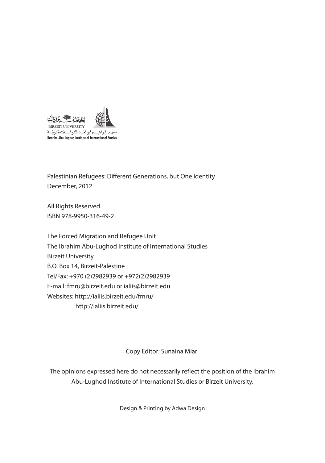

Palestinian Refugees: Different Generations, but One Identity December, 2012

All Rights Reserved ISBN 978-9950-316-49-2

The Forced Migration and Refugee Unit The Ibrahim Abu-Lughod Institute of International Studies Birzeit University B.O. Box 14, Birzeit-Palestine Tel/Fax: +970 (2)2982939 or +972(2)2982939 E-mail: fmru@birzeit.edu or ialiis@birzeit.edu Websites: http://ialiis.birzeit.edu/fmru/ http://ialiis.birzeit.edu/

Copy Editor: Sunaina Miari

The opinions expressed here do not necessarily reflect the position of the Ibrahim Abu-Lughod Institute of International Studies or Birzeit University.

Design & Printing by Adwa Design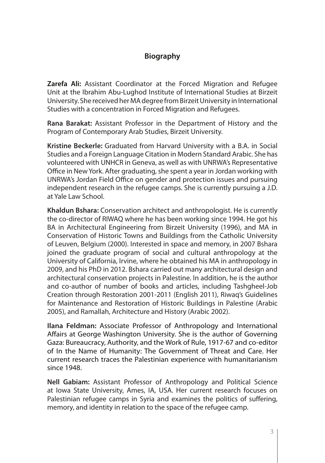# **Biography**

**Zarefa Ali:** Assistant Coordinator at the Forced Migration and Refugee Unit at the Ibrahim Abu-Lughod Institute of International Studies at Birzeit University. She received her MA degree from Birzeit University in International Studies with a concentration in Forced Migration and Refugees.

**Rana Barakat:** Assistant Professor in the Department of History and the Program of Contemporary Arab Studies, Birzeit University.

**Kristine Beckerle:** Graduated from Harvard University with a B.A. in Social Studies and a Foreign Language Citation in Modern Standard Arabic. She has volunteered with UNHCR in Geneva, as well as with UNRWA's Representative Office in New York. After graduating, she spent a year in Jordan working with UNRWA's Jordan Field Office on gender and protection issues and pursuing independent research in the refugee camps. She is currently pursuing a J.D. at Yale Law School.

**Khaldun Bshara:** Conservation architect and anthropologist. He is currently the co-director of RIWAQ where he has been working since 1994. He got his BA in Architectural Engineering from Birzeit University (1996), and MA in Conservation of Historic Towns and Buildings from the Catholic University of Leuven, Belgium (2000). Interested in space and memory, in 2007 Bshara joined the graduate program of social and cultural anthropology at the University of California, Irvine, where he obtained his MA in anthropology in 2009, and his PhD in 2012. Bshara carried out many architectural design and architectural conservation projects in Palestine. In addition, he is the author and co-author of number of books and articles, including Tashgheel-Job Creation through Restoration 2001-2011 (English 2011), Riwaq's Guidelines for Maintenance and Restoration of Historic Buildings in Palestine (Arabic 2005), and Ramallah, Architecture and History (Arabic 2002).

**Ilana Feldman:** Associate Professor of Anthropology and International Affairs at George Washington University. She is the author of Governing Gaza: Bureaucracy, Authority, and the Work of Rule, 1917-67 and co-editor of In the Name of Humanity: The Government of Threat and Care. Her current research traces the Palestinian experience with humanitarianism since 1948.

**Nell Gabiam:** Assistant Professor of Anthropology and Political Science at Iowa State University, Ames, IA, USA. Her current research focuses on Palestinian refugee camps in Syria and examines the politics of suffering, memory, and identity in relation to the space of the refugee camp.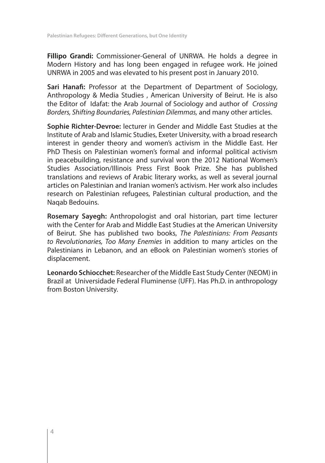**Fillipo Grandi:** Commissioner-General of UNRWA. He holds a degree in Modern History and has long been engaged in refugee work. He joined UNRWA in 2005 and was elevated to his present post in January 2010.

**Sari Hanafi:** Professor at the Department of Department of Sociology, Anthropology & Media Studies , American University of Beirut. He is also the Editor of Idafat: the Arab Journal of Sociology and author of *Crossing Borders, Shifting Boundaries, Palestinian Dilemmas,* and many other articles.

**Sophie Richter-Devroe:** lecturer in Gender and Middle East Studies at the Institute of Arab and Islamic Studies, Exeter University, with a broad research interest in gender theory and women's activism in the Middle East. Her PhD Thesis on Palestinian women's formal and informal political activism in peacebuilding, resistance and survival won the 2012 National Women's Studies Association/Illinois Press First Book Prize. She has published translations and reviews of Arabic literary works, as well as several journal articles on Palestinian and Iranian women's activism. Her work also includes research on Palestinian refugees, Palestinian cultural production, and the Naqab Bedouins.

**Rosemary Sayegh:** Anthropologist and oral historian, part time lecturer with the Center for Arab and Middle East Studies at the American University of Beirut. She has published two books, *The Palestinians: From Peasants to Revolutionaries, Too Many Enemies* in addition to many articles on the Palestinians in Lebanon, and an eBook on Palestinian women's stories of displacement.

**Leonardo Schiocchet:** Researcher of the Middle East Study Center (NEOM) in Brazil at Universidade Federal Fluminense (UFF). Has Ph.D. in anthropology from Boston University.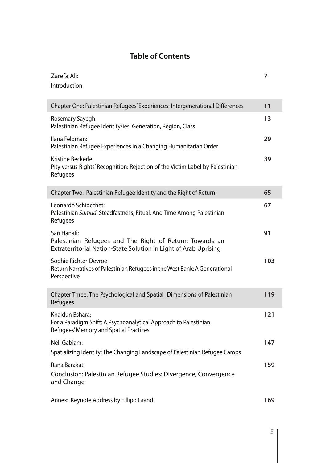# **Table of Contents**

| Zarefa Ali:<br>Introduction                                                                                                                  | 7   |
|----------------------------------------------------------------------------------------------------------------------------------------------|-----|
| Chapter One: Palestinian Refugees' Experiences: Intergenerational Differences                                                                | 11  |
| Rosemary Sayegh:<br>Palestinian Refugee Identity/ies: Generation, Region, Class                                                              | 13  |
| Ilana Feldman:<br>Palestinian Refugee Experiences in a Changing Humanitarian Order                                                           | 29  |
| Kristine Beckerle:<br>Pity versus Rights' Recognition: Rejection of the Victim Label by Palestinian<br>Refugees                              | 39  |
| Chapter Two: Palestinian Refugee Identity and the Right of Return                                                                            | 65  |
| Leonardo Schiocchet:<br>Palestinian Sumud: Steadfastness, Ritual, And Time Among Palestinian<br>Refugees                                     | 67  |
| Sari Hanafi:<br>Palestinian Refugees and The Right of Return: Towards an<br>Extraterritorial Nation-State Solution in Light of Arab Uprising | 91  |
| Sophie Richter-Devroe<br>Return Narratives of Palestinian Refugees in the West Bank: A Generational<br>Perspective                           | 103 |
| Chapter Three: The Psychological and Spatial Dimensions of Palestinian<br>Refugees                                                           | 119 |
| Khaldun Bshara:<br>For a Paradigm Shift: A Psychoanalytical Approach to Palestinian<br>Refugees' Memory and Spatial Practices                | 121 |
| Nell Gabiam:<br>Spatializing Identity: The Changing Landscape of Palestinian Refugee Camps                                                   | 147 |
| Rana Barakat:<br>Conclusion: Palestinian Refugee Studies: Divergence, Convergence<br>and Change                                              | 159 |

Annex: Keynote Address by Fillipo Grandi **169**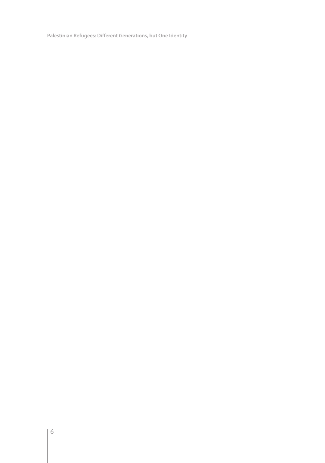**Palestinian Refugees: Different Generations, but One Identity**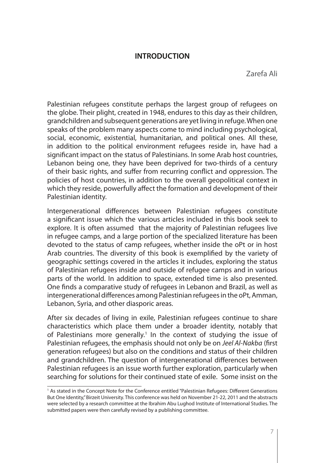### **INTRODUCTION**

Zarefa Ali

Palestinian refugees constitute perhaps the largest group of refugees on the globe. Their plight, created in 1948, endures to this day as their children, grandchildren and subsequent generations are yet living in refuge. When one speaks of the problem many aspects come to mind including psychological, social, economic, existential, humanitarian, and political ones. All these, in addition to the political environment refugees reside in, have had a significant impact on the status of Palestinians. In some Arab host countries, Lebanon being one, they have been deprived for two-thirds of a century of their basic rights, and suffer from recurring conflict and oppression. The policies of host countries, in addition to the overall geopolitical context in which they reside, powerfully affect the formation and development of their Palestinian identity.

Intergenerational differences between Palestinian refugees constitute a significant issue which the various articles included in this book seek to explore. It is often assumed that the majority of Palestinian refugees live in refugee camps, and a large portion of the specialized literature has been devoted to the status of camp refugees, whether inside the oPt or in host Arab countries. The diversity of this book is exemplified by the variety of geographic settings covered in the articles it includes, exploring the status of Palestinian refugees inside and outside of refugee camps and in various parts of the world. In addition to space, extended time is also presented. One finds a comparative study of refugees in Lebanon and Brazil, as well as intergenerational differences among Palestinian refugees in the oPt, Amman, Lebanon, Syria, and other diasporic areas.

After six decades of living in exile, Palestinian refugees continue to share characteristics which place them under a broader identity, notably that of Palestinians more generally.<sup>1</sup> In the context of studying the issue of Palestinian refugees, the emphasis should not only be on *Jeel Al-Nakba* (first generation refugees) but also on the conditions and status of their children and grandchildren. The question of intergenerational differences between Palestinian refugees is an issue worth further exploration, particularly when searching for solutions for their continued state of exile. Some insist on the

<sup>&</sup>lt;sup>1</sup> As stated in the Concept Note for the Conference entitled "Palestinian Refugees: Different Generations But One Identity," Birzeit University. This conference was held on November 21-22, 2011 and the abstracts were selected by a research committee at the Ibrahim Abu Lughod Institute of International Studies. The submitted papers were then carefully revised by a publishing committee.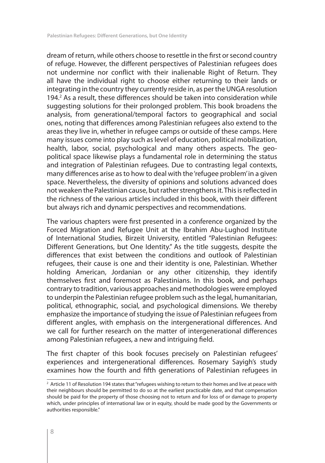dream of return, while others choose to resettle in the first or second country of refuge. However, the different perspectives of Palestinian refugees does not undermine nor conflict with their inalienable Right of Return. They all have the individual right to choose either returning to their lands or integrating in the country they currently reside in, as per the UNGA resolution 194.2 As a result, these differences should be taken into consideration while suggesting solutions for their prolonged problem. This book broadens the analysis, from generational/temporal factors to geographical and social ones, noting that differences among Palestinian refugees also extend to the areas they live in, whether in refugee camps or outside of these camps. Here many issues come into play such as level of education, political mobilization, health, labor, social, psychological and many others aspects. The geopolitical space likewise plays a fundamental role in determining the status and integration of Palestinian refugees. Due to contrasting legal contexts, many differences arise as to how to deal with the 'refugee problem' in a given space. Nevertheless, the diversity of opinions and solutions advanced does not weaken the Palestinian cause, but rather strengthens it. This is reflected in the richness of the various articles included in this book, with their different but always rich and dynamic perspectives and recommendations.

The various chapters were first presented in a conference organized by the Forced Migration and Refugee Unit at the Ibrahim Abu-Lughod Institute of International Studies, Birzeit University, entitled "Palestinian Refugees: Different Generations, but One Identity." As the title suggests, despite the differences that exist between the conditions and outlook of Palestinian refugees, their cause is one and their identity is one, Palestinian. Whether holding American, Jordanian or any other citizenship, they identify themselves first and foremost as Palestinians. In this book, and perhaps contrary to tradition, various approaches and methodologies were employed to underpin the Palestinian refugee problem such as the legal, humanitarian, political, ethnographic, social, and psychological dimensions. We thereby emphasize the importance of studying the issue of Palestinian refugees from different angles, with emphasis on the intergenerational differences. And we call for further research on the matter of intergenerational differences among Palestinian refugees, a new and intriguing field.

The first chapter of this book focuses precisely on Palestinian refugees' experiences and intergenerational differences. Rosemary Sayigh's study examines how the fourth and fifth generations of Palestinian refugees in

<sup>&</sup>lt;sup>2</sup> Article 11 of Resolution 194 states that "refugees wishing to return to their homes and live at peace with their neighbours should be permitted to do so at the earliest practicable date, and that compensation should be paid for the property of those choosing not to return and for loss of or damage to property which, under principles of international law or in equity, should be made good by the Governments or authorities responsible."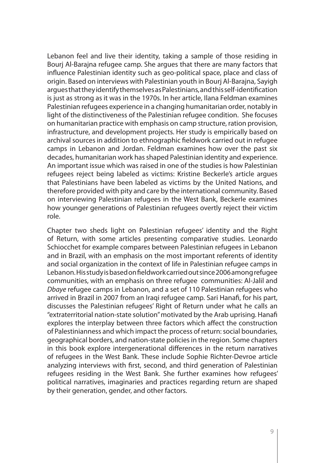Lebanon feel and live their identity, taking a sample of those residing in Bourj Al-Barajna refugee camp. She argues that there are many factors that influence Palestinian identity such as geo-political space, place and class of origin. Based on interviews with Palestinian youth in Bourj Al-Barajna, Sayigh argues that they identify themselves as Palestinians, and this self-identification is just as strong as it was in the 1970s. In her article, Ilana Feldman examines Palestinian refugees experience in a changing humanitarian order, notably in light of the distinctiveness of the Palestinian refugee condition. She focuses on humanitarian practice with emphasis on camp structure, ration provision, infrastructure, and development projects. Her study is empirically based on archival sources in addition to ethnographic fieldwork carried out in refugee camps in Lebanon and Jordan. Feldman examines how over the past six decades, humanitarian work has shaped Palestinian identity and experience. An important issue which was raised in one of the studies is how Palestinian refugees reject being labeled as victims: Kristine Beckerle's article argues that Palestinians have been labeled as victims by the United Nations, and therefore provided with pity and care by the international community. Based on interviewing Palestinian refugees in the West Bank, Beckerle examines how younger generations of Palestinian refugees overtly reject their victim role.

Chapter two sheds light on Palestinian refugees' identity and the Right of Return, with some articles presenting comparative studies. Leonardo Schiocchet for example compares between Palestinian refugees in Lebanon and in Brazil, with an emphasis on the most important referents of identity and social organization in the context of life in Palestinian refugee camps in Lebanon. His study is based on fieldwork carried out since 2006 among refugee communities, with an emphasis on three refugee communities: Al-Jalil and *Dbaye* refugee camps in Lebanon, and a set of 110 Palestinian refugees who arrived in Brazil in 2007 from an Iraqi refugee camp. Sari Hanafi, for his part, discusses the Palestinian refugees' Right of Return under what he calls an "extraterritorial nation-state solution" motivated by the Arab uprising. Hanafi explores the interplay between three factors which affect the construction of Palestinianness and which impact the process of return: social boundaries, geographical borders, and nation-state policies in the region. Some chapters in this book explore intergenerational differences in the return narratives of refugees in the West Bank. These include Sophie Richter-Devroe article analyzing interviews with first, second, and third generation of Palestinian refugees residing in the West Bank. She further examines how refugees' political narratives, imaginaries and practices regarding return are shaped by their generation, gender, and other factors.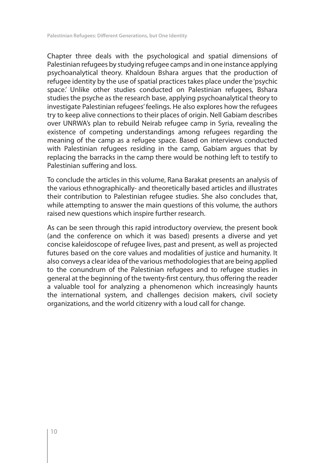Chapter three deals with the psychological and spatial dimensions of Palestinian refugees by studying refugee camps and in one instance applying psychoanalytical theory. Khaldoun Bshara argues that the production of refugee identity by the use of spatial practices takes place under the 'psychic space.' Unlike other studies conducted on Palestinian refugees, Bshara studies the psyche as the research base, applying psychoanalytical theory to investigate Palestinian refugees' feelings. He also explores how the refugees try to keep alive connections to their places of origin. Nell Gabiam describes over UNRWA's plan to rebuild Neirab refugee camp in Syria, revealing the existence of competing understandings among refugees regarding the meaning of the camp as a refugee space. Based on interviews conducted with Palestinian refugees residing in the camp, Gabiam argues that by replacing the barracks in the camp there would be nothing left to testify to Palestinian suffering and loss.

To conclude the articles in this volume, Rana Barakat presents an analysis of the various ethnographically- and theoretically based articles and illustrates their contribution to Palestinian refugee studies. She also concludes that, while attempting to answer the main questions of this volume, the authors raised new questions which inspire further research.

As can be seen through this rapid introductory overview, the present book (and the conference on which it was based) presents a diverse and yet concise kaleidoscope of refugee lives, past and present, as well as projected futures based on the core values and modalities of justice and humanity. It also conveys a clear idea of the various methodologies that are being applied to the conundrum of the Palestinian refugees and to refugee studies in general at the beginning of the twenty-first century, thus offering the reader a valuable tool for analyzing a phenomenon which increasingly haunts the international system, and challenges decision makers, civil society organizations, and the world citizenry with a loud call for change.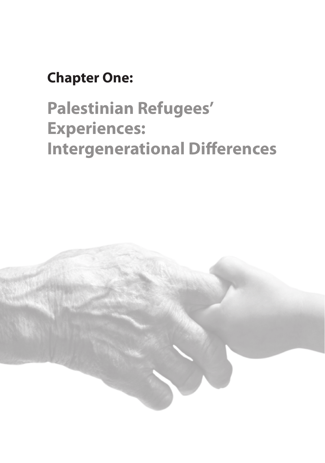# **Chapter One:**

# **Palestinian Refugees' Experiences: Intergenerational Differences**

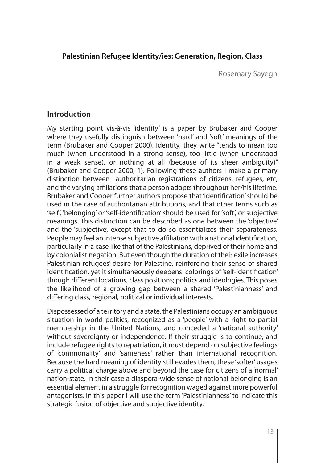# **Palestinian Refugee Identity/ies: Generation, Region, Class**

Rosemary Sayegh

# **Introduction**

My starting point vis-à-vis 'identity' is a paper by Brubaker and Cooper where they usefully distinguish between 'hard' and 'soft' meanings of the term (Brubaker and Cooper 2000). Identity, they write "tends to mean too much (when understood in a strong sense), too little (when understood in a weak sense), or nothing at all (because of its sheer ambiguity)" (Brubaker and Cooper 2000, 1). Following these authors I make a primary distinction between authoritarian registrations of citizens, refugees, etc, and the varying affiliations that a person adopts throughout her/his lifetime. Brubaker and Cooper further authors propose that 'identification' should be used in the case of authoritarian attributions, and that other terms such as 'self', 'belonging' or 'self-identification' should be used for 'soft', or subjective meanings. This distinction can be described as one between the 'objective' and the 'subjective', except that to do so essentializes their separateness. People may feel an intense subjective affiliation with a national identification, particularly in a case like that of the Palestinians, deprived of their homeland by colonialist negation. But even though the duration of their exile increases Palestinian refugees' desire for Palestine, reinforcing their sense of shared identification, yet it simultaneously deepens colorings of 'self-identification' though different locations, class positions; politics and ideologies. This poses the likelihood of a growing gap between a shared 'Palestinianness' and differing class, regional, political or individual interests.

Dispossessed of a territory and a state, the Palestinians occupy an ambiguous situation in world politics, recognized as a 'people' with a right to partial membership in the United Nations, and conceded a 'national authority' without sovereignty or independence. If their struggle is to continue, and include refugee rights to repatriation, it must depend on subjective feelings of 'commonality' and 'sameness' rather than international recognition. Because the hard meaning of identity still evades them, these 'softer' usages carry a political charge above and beyond the case for citizens of a 'normal' nation-state. In their case a diaspora-wide sense of national belonging is an essential element in a struggle for recognition waged against more powerful antagonists. In this paper I will use the term 'Palestinianness' to indicate this strategic fusion of objective and subjective identity.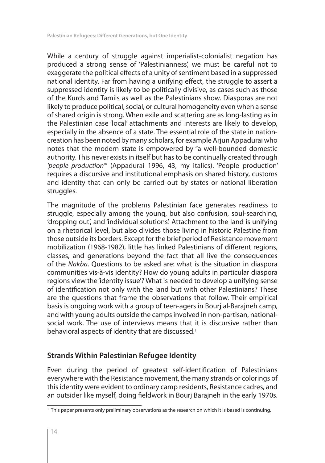While a century of struggle against imperialist-colonialist negation has produced a strong sense of 'Palestinianness', we must be careful not to exaggerate the political effects of a unity of sentiment based in a suppressed national identity. Far from having a unifying effect, the struggle to assert a suppressed identity is likely to be politically divisive, as cases such as those of the Kurds and Tamils as well as the Palestinians show. Diasporas are not likely to produce political, social, or cultural homogeneity even when a sense of shared origin is strong. When exile and scattering are as long-lasting as in the Palestinian case 'local' attachments and interests are likely to develop, especially in the absence of a state. The essential role of the state in nationcreation has been noted by many scholars, for example Arjun Appadurai who notes that the modern state is empowered by "a well-bounded domestic authority. This never exists in itself but has to be continually created through *'people production'*" (Appadurai 1996, 43, my italics). 'People production' requires a discursive and institutional emphasis on shared history, customs and identity that can only be carried out by states or national liberation struggles.

The magnitude of the problems Palestinian face generates readiness to struggle, especially among the young, but also confusion, soul-searching, 'dropping out', and 'individual solutions'. Attachment to the land is unifying on a rhetorical level, but also divides those living in historic Palestine from those outside its borders. Except for the brief period of Resistance movement mobilization (1968-1982), little has linked Palestinians of different regions, classes, and generations beyond the fact that all live the consequences of the *Nakba*. Questions to be asked are: what is the situation in diaspora communities vis-à-vis identity? How do young adults in particular diaspora regions view the 'identity issue'? What is needed to develop a unifying sense of identification not only with the land but with other Palestinians? These are the questions that frame the observations that follow. Their empirical basis is ongoing work with a group of teen-agers in Bourj al-Barajneh camp, and with young adults outside the camps involved in non-partisan, nationalsocial work. The use of interviews means that it is discursive rather than behavioral aspects of identity that are discussed.<sup>1</sup>

# **Strands Within Palestinian Refugee Identity**

Even during the period of greatest self-identification of Palestinians everywhere with the Resistance movement, the many strands or colorings of this identity were evident to ordinary camp residents, Resistance cadres, and an outsider like myself, doing fieldwork in Bourj Barajneh in the early 1970s.

<sup>1</sup> This paper presents only preliminary observations as the research on which it is based is continuing.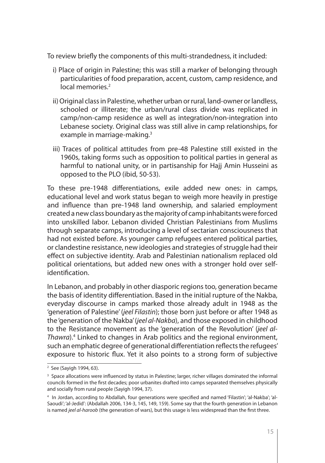To review briefly the components of this multi-strandedness, it included:

- i) Place of origin in Palestine; this was still a marker of belonging through particularities of food preparation, accent, custom, camp residence, and local memories.<sup>2</sup>
- ii) Original class in Palestine, whether urban or rural, land-owner or landless, schooled or illiterate; the urban/rural class divide was replicated in camp/non-camp residence as well as integration/non-integration into Lebanese society. Original class was still alive in camp relationships, for example in marriage-making.<sup>3</sup>
- iii) Traces of political attitudes from pre-48 Palestine still existed in the 1960s, taking forms such as opposition to political parties in general as harmful to national unity, or in partisanship for Hajj Amin Husseini as opposed to the PLO (ibid, 50-53).

To these pre-1948 differentiations, exile added new ones: in camps, educational level and work status began to weigh more heavily in prestige and influence than pre-1948 land ownership, and salaried employment created a new class boundary as the majority of camp inhabitants were forced into unskilled labor. Lebanon divided Christian Palestinians from Muslims through separate camps, introducing a level of sectarian consciousness that had not existed before. As younger camp refugees entered political parties, or clandestine resistance, new ideologies and strategies of struggle had their effect on subjective identity. Arab and Palestinian nationalism replaced old political orientations, but added new ones with a stronger hold over selfidentification.

In Lebanon, and probably in other diasporic regions too, generation became the basis of identity differentiation. Based in the initial rupture of the Nakba, everyday discourse in camps marked those already adult in 1948 as the 'generation of Palestine' (*jeel Filastin*); those born just before or after 1948 as the 'generation of the Nakba' (*jeel al-Nakba*), and those exposed in childhood to the Resistance movement as the 'generation of the Revolution' (*jeel al-*Thawra).<sup>4</sup> Linked to changes in Arab politics and the regional environment, such an emphatic degree of generational differentiation reflects the refugees' exposure to historic flux. Yet it also points to a strong form of subjective

<sup>2</sup> See (Sayigh 1994, 63).

<sup>&</sup>lt;sup>3</sup> Space allocations were influenced by status in Palestine; larger, richer villages dominated the informal councils formed in the first decades; poor urbanites drafted into camps separated themselves physically and socially from rural people (Sayigh 1994, 37).

<sup>4</sup> In Jordan, according to Abdallah, four generations were specified and named 'Filastin'; 'al-Nakba'; 'al-Saoudi'; 'al-Jedid': (Abdallah 2006, 134-3, 145, 149, 159). Some say that the fourth generation in Lebanon is named *jeel al-haroob* (the generation of wars), but this usage is less widespread than the first three.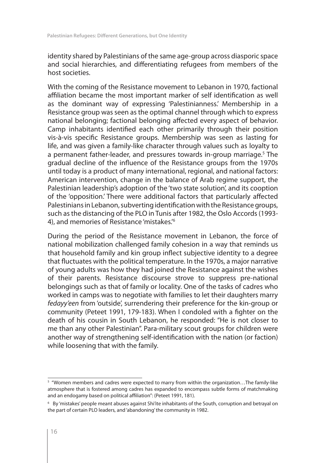identity shared by Palestinians of the same age-group across diasporic space and social hierarchies, and differentiating refugees from members of the host societies.

With the coming of the Resistance movement to Lebanon in 1970, factional affiliation became the most important marker of self identification as well as the dominant way of expressing 'Palestinianness.' Membership in a Resistance group was seen as the optimal channel through which to express national belonging; factional belonging affected every aspect of behavior. Camp inhabitants identified each other primarily through their position vis-à-vis specific Resistance groups. Membership was seen as lasting for life, and was given a family-like character through values such as loyalty to a permanent father-leader, and pressures towards in-group marriage.<sup>5</sup> The gradual decline of the influence of the Resistance groups from the 1970s until today is a product of many international, regional, and national factors: American intervention, change in the balance of Arab regime support, the Palestinian leadership's adoption of the 'two state solution', and its cooption of the 'opposition.' There were additional factors that particularly affected Palestinians in Lebanon, subverting identification with the Resistance groups, such as the distancing of the PLO in Tunis after 1982, the Oslo Accords (1993- 4), and memories of Resistance 'mistakes.'6

During the period of the Resistance movement in Lebanon, the force of national mobilization challenged family cohesion in a way that reminds us that household family and kin group inflect subjective identity to a degree that fluctuates with the political temperature. In the 1970s, a major narrative of young adults was how they had joined the Resistance against the wishes of their parents. Resistance discourse strove to suppress pre-national belongings such as that of family or locality. One of the tasks of cadres who worked in camps was to negotiate with families to let their daughters marry *fedayy'een* from 'outside', surrendering their preference for the kin-group or community (Peteet 1991, 179-183). When I condoled with a fighter on the death of his cousin in South Lebanon, he responded: "He is not closer to me than any other Palestinian". Para-military scout groups for children were another way of strengthening self-identification with the nation (or faction) while loosening that with the family.

<sup>5</sup> "Women members and cadres were expected to marry from within the organization…The family-like atmosphere that is fostered among cadres has expanded to encompass subtle forms of matchmaking and an endogamy based on political affiliation": (Peteet 1991, 181).

<sup>6</sup> By 'mistakes' people meant abuses against Shi'ite inhabitants of the South, corruption and betrayal on the part of certain PLO leaders, and 'abandoning' the community in 1982.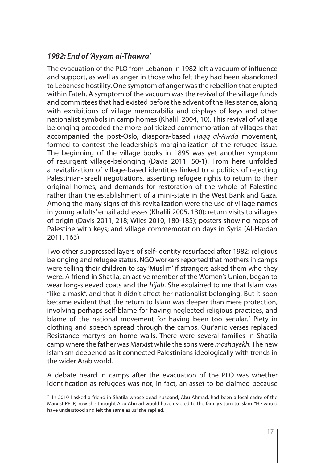# *1982: End of 'Ayyam al-Thawra'*

The evacuation of the PLO from Lebanon in 1982 left a vacuum of influence and support, as well as anger in those who felt they had been abandoned to Lebanese hostility. One symptom of anger was the rebellion that erupted within Fateh. A symptom of the vacuum was the revival of the village funds and committees that had existed before the advent of the Resistance, along with exhibitions of village memorabilia and displays of keys and other nationalist symbols in camp homes (Khalili 2004, 10). This revival of village belonging preceded the more politicized commemoration of villages that accompanied the post-Oslo, diaspora-based *Haqq al-Awda* movement, formed to contest the leadership's marginalization of the refugee issue. The beginning of the village books in 1895 was yet another symptom of resurgent village-belonging (Davis 2011, 50-1). From here unfolded a revitalization of village-based identities linked to a politics of rejecting Palestinian-Israeli negotiations, asserting refugee rights to return to their original homes, and demands for restoration of the whole of Palestine rather than the establishment of a mini-state in the West Bank and Gaza. Among the many signs of this revitalization were the use of village names in young adults' email addresses (Khalili 2005, 130); return visits to villages of origin (Davis 2011, 218; Wiles 2010, 180-185); posters showing maps of Palestine with keys; and village commemoration days in Syria (Al-Hardan 2011, 163).

Two other suppressed layers of self-identity resurfaced after 1982: religious belonging and refugee status. NGO workers reported that mothers in camps were telling their children to say 'Muslim' if strangers asked them who they were. A friend in Shatila, an active member of the Women's Union, began to wear long-sleeved coats and the *hijab*. She explained to me that Islam was "like a mask", and that it didn't affect her nationalist belonging. But it soon became evident that the return to Islam was deeper than mere protection, involving perhaps self-blame for having neglected religious practices, and blame of the national movement for having been too secular.<sup>7</sup> Piety in clothing and speech spread through the camps. Qur'anic verses replaced Resistance martyrs on home walls. There were several families in Shatila camp where the father was Marxist while the sons were *mashayekh*. The new Islamism deepened as it connected Palestinians ideologically with trends in the wider Arab world.

A debate heard in camps after the evacuation of the PLO was whether identification as refugees was not, in fact, an asset to be claimed because

<sup>7</sup> In 2010 I asked a friend in Shatila whose dead husband, Abu Ahmad, had been a local cadre of the Marxist PFLP, how she thought Abu Ahmad would have reacted to the family's turn to Islam. "He would have understood and felt the same as us" she replied.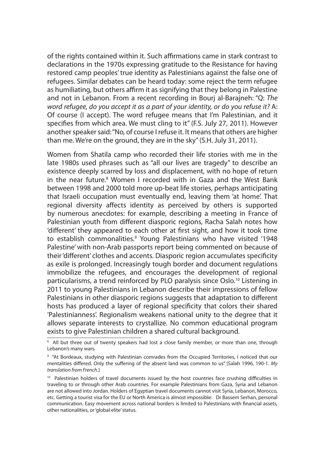of the rights contained within it. Such affirmations came in stark contrast to declarations in the 1970s expressing gratitude to the Resistance for having restored camp peoples' true identity as Palestinians against the false one of refugees. Similar debates can be heard today: some reject the term refugee as humiliating, but others affirm it as signifying that they belong in Palestine and not in Lebanon. From a recent recording in Bourj al-Barajneh: "Q: *The word refugee, do you accept it as a part of your identity, or do you refuse it?* A: Of course (I accept). The word refugee means that I'm Palestinian, and it specifies from which area. We must cling to it" (F.S. July 27, 2011). However another speaker said: "No, of course I refuse it. It means that others are higher than me. We're on the ground, they are in the sky" (S.H. July 31, 2011).

Women from Shatila camp who recorded their life stories with me in the late 1980s used phrases such as "all our lives are tragedy" to describe an existence deeply scarred by loss and displacement, with no hope of return in the near future.<sup>8</sup> Women I recorded with in Gaza and the West Bank between 1998 and 2000 told more up-beat life stories, perhaps anticipating that Israeli occupation must eventually end, leaving them 'at home'. That regional diversity affects identity as perceived by others is supported by numerous anecdotes: for example, describing a meeting in France of Palestinian youth from different diasporic regions, Racha Salah notes how 'different' they appeared to each other at first sight, and how it took time to establish commonalities.<sup>9</sup> Young Palestinians who have visited '1948 Palestine' with non-Arab passports report being commented on because of their 'different' clothes and accents. Diasporic region accumulates specificity as exile is prolonged. Increasingly tough border and document regulations immobilize the refugees, and encourages the development of regional particularisms, a trend reinforced by PLO paralysis since Oslo.10 Listening in 2011 to young Palestinians in Lebanon describe their impressions of fellow Palestinians in other diasporic regions suggests that adaptation to different hosts has produced a layer of regional specificity that colors their shared 'Palestinianness'. Regionalism weakens national unity to the degree that it allows separate interests to crystallize. No common educational program exists to give Palestinian children a shared cultural background.

<sup>&</sup>lt;sup>8</sup> All but three out of twenty speakers had lost a close family member, or more than one, through Lebanon's many wars.

<sup>9</sup> "At Bordeaux, studying with Palestinian comrades from the Occupied Territories, I noticed that our mentalities differed. Only the suffering of the absent land was common to us" [Salah 1996, 190-1. *My translation from French*.]

<sup>&</sup>lt;sup>10</sup> Palestinian holders of travel documents issued by the host countries face crushing difficulties in traveling to or through other Arab countries. For example Palestinians from Gaza, Syria and Lebanon are not allowed into Jordan. Holders of Egyptian travel documents cannot visit Syria, Lebanon, Morocco, etc. Getting a tourist visa for the EU or North America is almost impossible: Dr Bassem Serhan, personal communication. Easy movement across national borders is limited to Palestinians with financial assets, other nationalities, or 'global elite' status.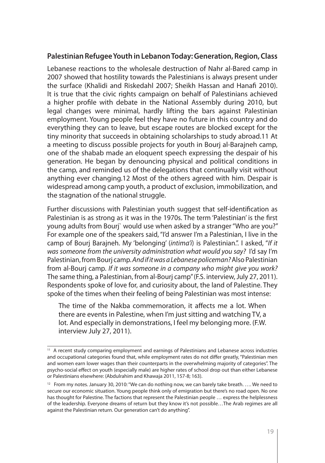# **Palestinian Refugee Youth in Lebanon Today: Generation, Region, Class**

Lebanese reactions to the wholesale destruction of Nahr al-Bared camp in 2007 showed that hostility towards the Palestinians is always present under the surface (Khalidi and Riskedahl 2007; Sheikh Hassan and Hanafi 2010). It is true that the civic rights campaign on behalf of Palestinians achieved a higher profile with debate in the National Assembly during 2010, but legal changes were minimal, hardly lifting the bars against Palestinian employment. Young people feel they have no future in this country and do everything they can to leave, but escape routes are blocked except for the tiny minority that succeeds in obtaining scholarships to study abroad.11 At a meeting to discuss possible projects for youth in Bourj al-Barajneh camp, one of the shabab made an eloquent speech expressing the despair of his generation. He began by denouncing physical and political conditions in the camp, and reminded us of the delegations that continually visit without anything ever changing.12 Most of the others agreed with him. Despair is widespread among camp youth, a product of exclusion, immobilization, and the stagnation of the national struggle.

Further discussions with Palestinian youth suggest that self-identification as Palestinian is as strong as it was in the 1970s. The term 'Palestinian' is the first young adults from Bourj` would use when asked by a stranger "Who are you?" For example one of the speakers said, "I'd answer I'm a Palestinian, I live in the camp of Bourj Barajneh. My 'belonging' (*intima'i*) is Palestinian.". I asked, "*If it was someone from the university administration what would you say?* I'd say I'm Palestinian, from Bourj camp. *And if it was a Lebanese policeman?* Also Palestinian from al-Bourj camp. *If it was someone in a company who might give you work?*  The same thing, a Palestinian, from al-Bourj camp" (F.S. interview, July 27, 2011). Respondents spoke of love for, and curiosity about, the land of Palestine. They spoke of the times when their feeling of being Palestinian was most intense:

The time of the Nakba commemoration, it affects me a lot. When there are events in Palestine, when I'm just sitting and watching TV, a lot. And especially in demonstrations, I feel my belonging more. (F.W. interview July 27, 2011).

<sup>11</sup> A recent study comparing employment and earnings of Palestinians and Lebanese across industries and occupational categories found that, while employment rates do not differ greatly, "Palestinian men and women earn lower wages than their counterparts in the overwhelming majority of categories". The psycho-social effect on youth (especially male) are higher rates of school drop out than either Lebanese or Palestinians elsewhere: (Abdulrahim and Khawaja 2011, 157-8; 163).

 $12$  From my notes. January 30, 2010: "We can do nothing now, we can barely take breath. .... We need to secure our economic situation. Young people think only of emigration but there's no road open. No one has thought for Palestine. The factions that represent the Palestinian people … express the helplessness of the leadership. Everyone dreams of return but they know it's not possible…The Arab regimes are all against the Palestinian return. Our generation can't do anything".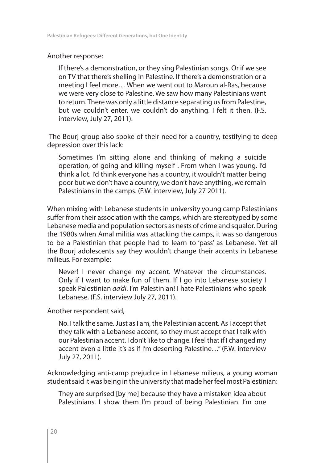#### Another response:

If there's a demonstration, or they sing Palestinian songs. Or if we see on TV that there's shelling in Palestine. If there's a demonstration or a meeting I feel more… When we went out to Maroun al-Ras, because we were very close to Palestine. We saw how many Palestinians want to return. There was only a little distance separating us from Palestine, but we couldn't enter, we couldn't do anything. I felt it then. (F.S. interview, July 27, 2011).

 The Bourj group also spoke of their need for a country, testifying to deep depression over this lack:

Sometimes I'm sitting alone and thinking of making a suicide operation, of going and killing myself . From when I was young. I'd think a lot. I'd think everyone has a country, it wouldn't matter being poor but we don't have a country, we don't have anything, we remain Palestinians in the camps. (F.W. interview, July 27 2011).

When mixing with Lebanese students in university young camp Palestinians suffer from their association with the camps, which are stereotyped by some Lebanese media and population sectors as nests of crime and squalor. During the 1980s when Amal militia was attacking the camps, it was so dangerous to be a Palestinian that people had to learn to 'pass' as Lebanese. Yet all the Bourj adolescents say they wouldn't change their accents in Lebanese milieus. For example:

Never! I never change my accent. Whatever the circumstances. Only if I want to make fun of them. If I go into Lebanese society I speak Palestinian *aa'di*. I'm Palestinian! I hate Palestinians who speak Lebanese. (F.S. interview July 27, 2011).

Another respondent said,

No. I talk the same. Just as I am, the Palestinian accent. As I accept that they talk with a Lebanese accent, so they must accept that I talk with our Palestinian accent. I don't like to change. I feel that if I changed my accent even a little it's as if I'm deserting Palestine…" (F.W. interview July 27, 2011).

Acknowledging anti-camp prejudice in Lebanese milieus, a young woman student said it was being in the university that made her feel most Palestinian:

They are surprised [by me] because they have a mistaken idea about Palestinians. I show them I'm proud of being Palestinian. I'm one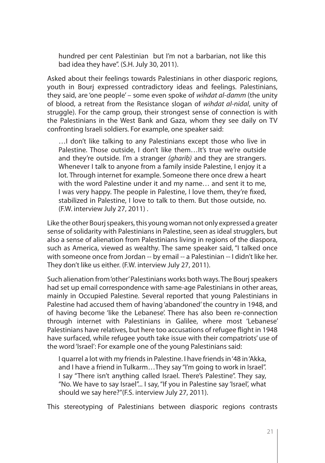hundred per cent Palestinian but I'm not a barbarian, not like this bad idea they have". (S.H. July 30, 2011).

Asked about their feelings towards Palestinians in other diasporic regions, youth in Bourj expressed contradictory ideas and feelings. Palestinians, they said, are 'one people' – some even spoke of *wihdat al-damm* (the unity of blood, a retreat from the Resistance slogan of *wihdat al-nidal*, unity of struggle). For the camp group, their strongest sense of connection is with the Palestinians in the West Bank and Gaza, whom they see daily on TV confronting Israeli soldiers. For example, one speaker said:

…I don't like talking to any Palestinians except those who live in Palestine. Those outside, I don't like them…It's true we're outside and they're outside. I'm a stranger *(gharib)* and they are strangers. Whenever I talk to anyone from a family inside Palestine, I enjoy it a lot. Through internet for example. Someone there once drew a heart with the word Palestine under it and my name… and sent it to me, I was very happy. The people in Palestine, I love them, they're fixed, stabilized in Palestine, I love to talk to them. But those outside, no. (F.W. interview July 27, 2011) .

Like the other Bourj speakers, this young woman not only expressed a greater sense of solidarity with Palestinians in Palestine, seen as ideal strugglers, but also a sense of alienation from Palestinians living in regions of the diaspora, such as America, viewed as wealthy. The same speaker said, "I talked once with someone once from Jordan -- by email -- a Palestinian -- I didn't like her. They don't like us either. (F.W. interview July 27, 2011).

Such alienation from 'other' Palestinians works both ways. The Bourj speakers had set up email correspondence with same-age Palestinians in other areas, mainly in Occupied Palestine. Several reported that young Palestinians in Palestine had accused them of having 'abandoned' the country in 1948, and of having become 'like the Lebanese'. There has also been re-connection through internet with Palestinians in Galilee, where most 'Lebanese' Palestinians have relatives, but here too accusations of refugee flight in 1948 have surfaced, while refugee youth take issue with their compatriots' use of the word 'Israel': For example one of the young Palestinians said:

I quarrel a lot with my friends in Palestine. I have friends in '48 in 'Akka, and I have a friend in Tulkarm…They say "I'm going to work in Israel". I say "There isn't anything called Israel. There's Palestine". They say, "No. We have to say Israel"... I say, "If you in Palestine say 'Israel', what should we say here?"(F.S. interview July 27, 2011).

This stereotyping of Palestinians between diasporic regions contrasts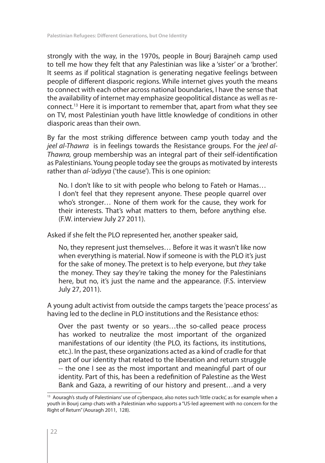strongly with the way, in the 1970s, people in Bourj Barajneh camp used to tell me how they felt that any Palestinian was like a 'sister' or a 'brother'. It seems as if political stagnation is generating negative feelings between people of different diasporic regions. While internet gives youth the means to connect with each other across national boundaries, I have the sense that the availability of internet may emphasize geopolitical distance as well as reconnect.13 Here it is important to remember that, apart from what they see on TV, most Palestinian youth have little knowledge of conditions in other diasporic areas than their own.

By far the most striking difference between camp youth today and the *jeel al-Thawra* is in feelings towards the Resistance groups. For the *jeel al-Thawra,* group membership was an integral part of their self-identification as Palestinians. Young people today see the groups as motivated by interests rather than *al-'adiyya* ('the cause'). This is one opinion:

No. I don't like to sit with people who belong to Fateh or Hamas… I don't feel that they represent anyone. These people quarrel over who's stronger… None of them work for the cause, they work for their interests. That's what matters to them, before anything else. (F.W. interview July 27 2011).

Asked if she felt the PLO represented her, another speaker said,

No, they represent just themselves… Before it was it wasn't like now when everything is material. Now if someone is with the PLO it's just for the sake of money. The pretext is to help everyone, but *they* take the money. They say they're taking the money for the Palestinians here, but no, it's just the name and the appearance. (F.S. interview July 27, 2011).

A young adult activist from outside the camps targets the 'peace process' as having led to the decline in PLO institutions and the Resistance ethos:

Over the past twenty or so years…the so-called peace process has worked to neutralize the most important of the organized manifestations of our identity (the PLO, its factions, its institutions, etc.). In the past, these organizations acted as a kind of cradle for that part of our identity that related to the liberation and return struggle -- the one I see as the most important and meaningful part of our identity. Part of this, has been a redefinition of Palestine as the West Bank and Gaza, a rewriting of our history and present…and a very

<sup>&</sup>lt;sup>13</sup> Aouragh's study of Palestinians' use of cyberspace, also notes such 'little cracks', as for example when a youth in Bourj camp chats with a Palestinian who supports a "US-led agreement with no concern for the Right of Return" (Aouragh 2011, 128).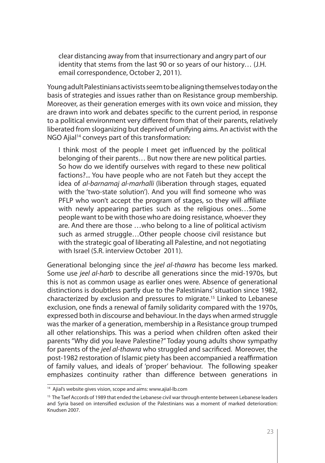clear distancing away from that insurrectionary and angry part of our identity that stems from the last 90 or so years of our history… (J.H. email correspondence, October 2, 2011).

Young adult Palestinians activists seem to be aligning themselves today on the basis of strategies and issues rather than on Resistance group membership. Moreover, as their generation emerges with its own voice and mission, they are drawn into work and debates specific to the current period, in response to a political environment very different from that of their parents, relatively liberated from sloganizing but deprived of unifying aims. An activist with the NGO Ajial<sup>14</sup> conveys part of this transformation:

I think most of the people I meet get influenced by the political belonging of their parents… But now there are new political parties. So how do we identify ourselves with regard to these new political factions?... You have people who are not Fateh but they accept the idea of *al-barnamaj al-marhalli* (liberation through stages, equated with the 'two-state solution'). And you will find someone who was PFLP who won't accept the program of stages, so they will affiliate with newly appearing parties such as the religious ones…Some people want to be with those who are doing resistance, whoever they are. And there are those …who belong to a line of political activism such as armed struggle…Other people choose civil resistance but with the strategic goal of liberating all Palestine, and not negotiating with Israel (S.R. interview October 2011).

Generational belonging since the *jeel al-thawra* has become less marked. Some use *jeel al-harb* to describe all generations since the mid-1970s, but this is not as common usage as earlier ones were. Absence of generational distinctions is doubtless partly due to the Palestinians' situation since 1982, characterized by exclusion and pressures to migrate.15 Linked to Lebanese exclusion, one finds a renewal of family solidarity compared with the 1970s, expressed both in discourse and behaviour. In the days when armed struggle was the marker of a generation, membership in a Resistance group trumped all other relationships. This was a period when children often asked their parents "Why did you leave Palestine?" Today young adults show sympathy for parents of the *jeel al-thawra* who struggled and sacrificed. Moreover, the post-1982 restoration of Islamic piety has been accompanied a reaffirmation of family values, and ideals of 'proper' behaviour. The following speaker emphasizes continuity rather than difference between generations in

<sup>14</sup> Ajial's website gives vision, scope and aims: www.ajial-lb.com

<sup>&</sup>lt;sup>15</sup> The Taef Accords of 1989 that ended the Lebanese civil war through entente between Lebanese leaders and Syria based on intensified exclusion of the Palestinians was a moment of marked deterioration: Knudsen 2007.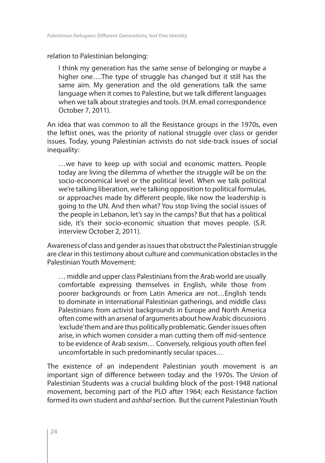#### relation to Palestinian belonging:

I think my generation has the same sense of belonging or maybe a higher one....The type of struggle has changed but it still has the same aim. My generation and the old generations talk the same language when it comes to Palestine, but we talk different languages when we talk about strategies and tools. (H.M. email correspondence October 7, 2011).

An idea that was common to all the Resistance groups in the 1970s, even the leftist ones, was the priority of national struggle over class or gender issues. Today, young Palestinian activists do not side-track issues of social inequality:

…we have to keep up with social and economic matters. People today are living the dilemma of whether the struggle will be on the socio-economical level or the political level. When we talk political we're talking liberation, we're talking opposition to political formulas, or approaches made by different people, like now the leadership is going to the UN. And then what? You stop living the social issues of the people in Lebanon, let's say in the camps? But that has a political side, it's their socio-economic situation that moves people. (S.R. interview October 2, 2011).

Awareness of class and gender as issues that obstruct the Palestinian struggle are clear in this testimony about culture and communication obstacles in the Palestinian Youth Movement:

… middle and upper class Palestinians from the Arab world are usually comfortable expressing themselves in English, while those from poorer backgrounds or from Latin America are not…English tends to dominate in international Palestinian gatherings, and middle class Palestinians from activist backgrounds in Europe and North America often come with an arsenal of arguments about how Arabic discussions 'exclude' them and are thus politically problematic. Gender issues often arise, in which women consider a man cutting them off mid-sentence to be evidence of Arab sexism… Conversely, religious youth often feel uncomfortable in such predominantly secular spaces…

The existence of an independent Palestinian youth movement is an important sign of difference between today and the 1970s. The Union of Palestinian Students was a crucial building block of the post-1948 national movement, becoming part of the PLO after 1964; each Resistance faction formed its own student and *ashbal* section. But the current Palestinian Youth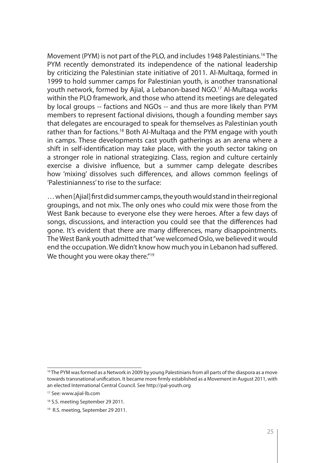Movement (PYM) is not part of the PLO, and includes 1948 Palestinians.<sup>16</sup> The PYM recently demonstrated its independence of the national leadership by criticizing the Palestinian state initiative of 2011. Al-Multaqa, formed in 1999 to hold summer camps for Palestinian youth, is another transnational youth network, formed by Ajial, a Lebanon-based NGO.17 Al-Multaqa works within the PLO framework, and those who attend its meetings are delegated by local groups -- factions and NGOs -- and thus are more likely than PYM members to represent factional divisions, though a founding member says that delegates are encouraged to speak for themselves as Palestinian youth rather than for factions.<sup>18</sup> Both Al-Multaga and the PYM engage with youth in camps. These developments cast youth gatherings as an arena where a shift in self-identification may take place, with the youth sector taking on a stronger role in national strategizing. Class, region and culture certainly exercise a divisive influence, but a summer camp delegate describes how 'mixing' dissolves such differences, and allows common feelings of 'Palestinianness' to rise to the surface:

… when [Ajial] first did summer camps, the youth would stand in their regional groupings, and not mix. The only ones who could mix were those from the West Bank because to everyone else they were heroes. After a few days of songs, discussions, and interaction you could see that the differences had gone. It's evident that there are many differences, many disappointments. The West Bank youth admitted that "we welcomed Oslo, we believed it would end the occupation. We didn't know how much you in Lebanon had suffered. We thought you were okay there."<sup>19</sup>

<sup>&</sup>lt;sup>16</sup> The PYM was formed as a Network in 2009 by young Palestinians from all parts of the diaspora as a move towards transnational unification. It became more firmly established as a Movement in August 2011, with an elected International Central Council. See http://pal-youth.org

<sup>&</sup>lt;sup>17</sup> See: www.aiial-lb.com

<sup>&</sup>lt;sup>18</sup> S.S. meeting September 29 2011.

<sup>19</sup> R.S. meeting, September 29 2011.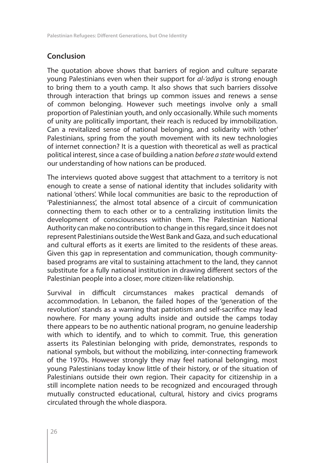# **Conclusion**

The quotation above shows that barriers of region and culture separate young Palestinians even when their support for *al-'adiya* is strong enough to bring them to a youth camp. It also shows that such barriers dissolve through interaction that brings up common issues and renews a sense of common belonging. However such meetings involve only a small proportion of Palestinian youth, and only occasionally. While such moments of unity are politically important, their reach is reduced by immobilization. Can a revitalized sense of national belonging, and solidarity with 'other' Palestinians, spring from the youth movement with its new technologies of internet connection? It is a question with theoretical as well as practical political interest, since a case of building a nation *before a state* would extend our understanding of how nations can be produced.

The interviews quoted above suggest that attachment to a territory is not enough to create a sense of national identity that includes solidarity with national 'others'. While local communities are basic to the reproduction of 'Palestinianness', the almost total absence of a circuit of communication connecting them to each other or to a centralizing institution limits the development of consciousness within them. The Palestinian National Authority can make no contribution to change in this regard, since it does not represent Palestinians outside the West Bank and Gaza, and such educational and cultural efforts as it exerts are limited to the residents of these areas. Given this gap in representation and communication, though communitybased programs are vital to sustaining attachment to the land, they cannot substitute for a fully national institution in drawing different sectors of the Palestinian people into a closer, more citizen-like relationship.

Survival in difficult circumstances makes practical demands of accommodation. In Lebanon, the failed hopes of the 'generation of the revolution' stands as a warning that patriotism and self-sacrifice may lead nowhere. For many young adults inside and outside the camps today there appears to be no authentic national program, no genuine leadership with which to identify, and to which to commit. True, this generation asserts its Palestinian belonging with pride, demonstrates, responds to national symbols, but without the mobilizing, inter-connecting framework of the 1970s. However strongly they may feel national belonging, most young Palestinians today know little of their history, or of the situation of Palestinians outside their own region. Their capacity for citizenship in a still incomplete nation needs to be recognized and encouraged through mutually constructed educational, cultural, history and civics programs circulated through the whole diaspora.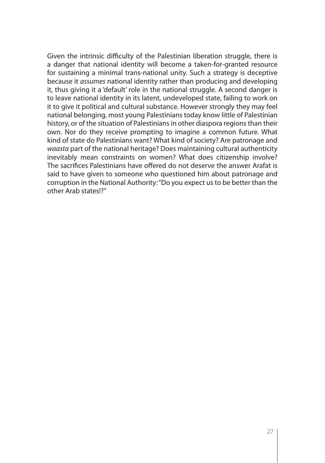Given the intrinsic difficulty of the Palestinian liberation struggle, there is a danger that national identity will become a taken-for-granted resource for sustaining a minimal trans-national unity. Such a strategy is deceptive because it *assumes* national identity rather than producing and developing it, thus giving it a 'default' role in the national struggle. A second danger is to leave national identity in its latent, undeveloped state, failing to work on it to give it political and cultural substance. However strongly they may feel national belonging, most young Palestinians today know little of Palestinian history, or of the situation of Palestinians in other diaspora regions than their own. Nor do they receive prompting to imagine a common future. What kind of state do Palestinians want? What kind of society? Are patronage and *waasta* part of the national heritage? Does maintaining cultural authenticity inevitably mean constraints on women? What does citizenship involve? The sacrifices Palestinians have offered do not deserve the answer Arafat is said to have given to someone who questioned him about patronage and corruption in the National Authority: "Do you expect us to be better than the other Arab states!?"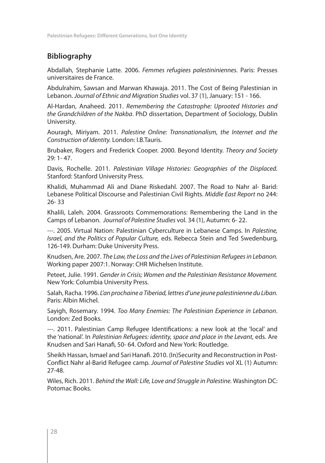# **Bibliography**

Abdallah, Stephanie Latte. 2006. *Femmes refugiees palestininiennes.* Paris: Presses universitaires de France.

Abdulrahim, Sawsan and Marwan Khawaja. 2011. The Cost of Being Palestinian in Lebanon. *Journal of Ethnic and Migration Studies* vol. 37 (1), January: 151 - 166.

Al-Hardan, Anaheed. 2011. *Remembering the Catastrophe: Uprooted Histories and the Grandchildren of the Nakba*. PhD dissertation, Department of Sociology, Dublin University.

Aouragh, Miriyam. 2011. *Palestine Online: Transnationalism, the Internet and the Construction of Identity.* London: I.B.Tauris.

Brubaker, Rogers and Frederick Cooper. 2000. Beyond Identity. *Theory and Society* 29: 1- 47.

Davis, Rochelle. 2011. *Palestinian Village Histories: Geographies of the Displaced.*  Stanford: Stanford University Press.

Khalidi, Muhammad Ali and Diane Riskedahl. 2007. The Road to Nahr al- Barid: Lebanese Political Discourse and Palestinian Civil Rights. *Middle East Report* no 244: 26- 33

Khalili, Laleh. 2004. Grassroots Commemorations: Remembering the Land in the Camps of Lebanon. *Journal of Palestine Studies* vol. 34 (1), Autumn: 6- 22.

---. 2005. Virtual Nation: Palestinian Cyberculture in Lebanese Camps. In *Palestine, Israel, and the Politics of Popular Culture,* eds. Rebecca Stein and Ted Swedenburg, 126-149. Durham: Duke University Press.

Knudsen, Are. 2007. *The Law, the Loss and the Lives of Palestinian Refugees in Lebanon.* Working paper 2007:1. Norway: CHR Michelsen Institute.

Peteet, Julie. 1991. *Gender in Crisis; Women and the Palestinian Resistance Movement.*  New York: Columbia University Press.

Salah, Racha. 1996. *L'an prochaine a Tiberiad, lettres d'une jeune palestinienne du Liban.*  Paris: Albin Michel.

Sayigh, Rosemary. 1994. *Too Many Enemies: The Palestinian Experience in Lebanon*. London: Zed Books.

---. 2011. Palestinian Camp Refugee Identifications: a new look at the 'local' and the 'national'. In *Palestinian Refugees: identity, space and place in the Levant,* eds. Are Knudsen and Sari Hanafi*,* 50- 64. Oxford and New York: Routledge.

Sheikh Hassan, Ismael and Sari Hanafi. 2010. (In)Security and Reconstruction in Post-Conflict Nahr al-Barid Refugee camp. *Journal of Palestine Studies* vol XL (1) Autumn: 27-48.

Wiles, Rich. 2011. *Behind the Wall: Life, Love and Struggle in Palestine.* Washington DC: Potomac Books.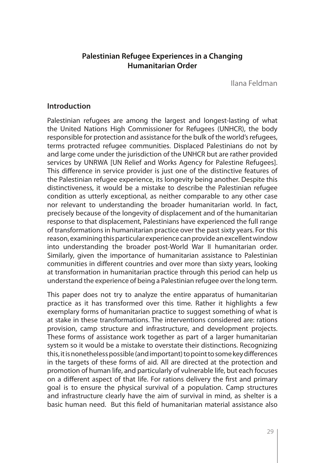# **Palestinian Refugee Experiences in a Changing Humanitarian Order**

Ilana Feldman

### **Introduction**

Palestinian refugees are among the largest and longest-lasting of what the United Nations High Commissioner for Refugees (UNHCR), the body responsible for protection and assistance for the bulk of the world's refugees, terms protracted refugee communities. Displaced Palestinians do not by and large come under the jurisdiction of the UNHCR but are rather provided services by UNRWA [UN Relief and Works Agency for Palestine Refugees]. This difference in service provider is just one of the distinctive features of the Palestinian refugee experience, its longevity being another. Despite this distinctiveness, it would be a mistake to describe the Palestinian refugee condition as utterly exceptional, as neither comparable to any other case nor relevant to understanding the broader humanitarian world. In fact, precisely because of the longevity of displacement and of the humanitarian response to that displacement, Palestinians have experienced the full range of transformations in humanitarian practice over the past sixty years. For this reason, examining this particular experience can provide an excellent window into understanding the broader post-World War II humanitarian order. Similarly, given the importance of humanitarian assistance to Palestinian communities in different countries and over more than sixty years, looking at transformation in humanitarian practice through this period can help us understand the experience of being a Palestinian refugee over the long term.

This paper does not try to analyze the entire apparatus of humanitarian practice as it has transformed over this time. Rather it highlights a few exemplary forms of humanitarian practice to suggest something of what is at stake in these transformations. The interventions considered are: rations provision, camp structure and infrastructure, and development projects. These forms of assistance work together as part of a larger humanitarian system so it would be a mistake to overstate their distinctions. Recognizing this, it is nonetheless possible (and important) to point to some key differences in the targets of these forms of aid. All are directed at the protection and promotion of human life, and particularly of vulnerable life, but each focuses on a different aspect of that life. For rations delivery the first and primary goal is to ensure the physical survival of a population. Camp structures and infrastructure clearly have the aim of survival in mind, as shelter is a basic human need. But this field of humanitarian material assistance also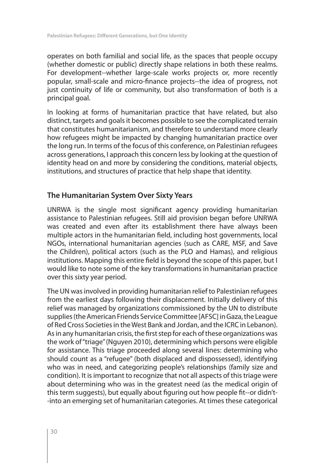operates on both familial and social life, as the spaces that people occupy (whether domestic or public) directly shape relations in both these realms. For development--whether large-scale works projects or, more recently popular, small-scale and micro-finance projects--the idea of progress, not just continuity of life or community, but also transformation of both is a principal goal.

In looking at forms of humanitarian practice that have related, but also distinct, targets and goals it becomes possible to see the complicated terrain that constitutes humanitarianism, and therefore to understand more clearly how refugees might be impacted by changing humanitarian practice over the long run. In terms of the focus of this conference, on Palestinian refugees across generations, I approach this concern less by looking at the question of identity head on and more by considering the conditions, material objects, institutions, and structures of practice that help shape that identity.

# **The Humanitarian System Over Sixty Years**

UNRWA is the single most significant agency providing humanitarian assistance to Palestinian refugees. Still aid provision began before UNRWA was created and even after its establishment there have always been multiple actors in the humanitarian field, including host governments, local NGOs, international humanitarian agencies (such as CARE, MSF, and Save the Children), political actors (such as the PLO and Hamas), and religious institutions. Mapping this entire field is beyond the scope of this paper, but I would like to note some of the key transformations in humanitarian practice over this sixty year period.

The UN was involved in providing humanitarian relief to Palestinian refugees from the earliest days following their displacement. Initially delivery of this relief was managed by organizations commissioned by the UN to distribute supplies (the American Friends Service Committee [AFSC] in Gaza, the League of Red Cross Societies in the West Bank and Jordan, and the ICRC in Lebanon). As in any humanitarian crisis, the first step for each of these organizations was the work of "triage" (Nguyen 2010), determining which persons were eligible for assistance. This triage proceeded along several lines: determining who should count as a "refugee" (both displaced and dispossessed), identifying who was in need, and categorizing people's relationships (family size and condition). It is important to recognize that not all aspects of this triage were about determining who was in the greatest need (as the medical origin of this term suggests), but equally about figuring out how people fit--or didn't- -into an emerging set of humanitarian categories. At times these categorical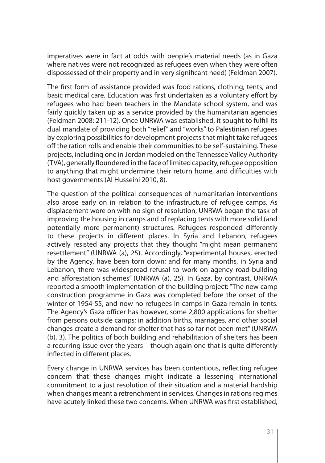imperatives were in fact at odds with people's material needs (as in Gaza where natives were not recognized as refugees even when they were often dispossessed of their property and in very significant need) (Feldman 2007).

The first form of assistance provided was food rations, clothing, tents, and basic medical care. Education was first undertaken as a voluntary effort by refugees who had been teachers in the Mandate school system, and was fairly quickly taken up as a service provided by the humanitarian agencies (Feldman 2008: 211-12). Once UNRWA was established, it sought to fulfill its dual mandate of providing both "relief" and "works" to Palestinian refugees by exploring possibilities for development projects that might take refugees off the ration rolls and enable their communities to be self-sustaining. These projects, including one in Jordan modeled on the Tennessee Valley Authority (TVA), generally floundered in the face of limited capacity, refugee opposition to anything that might undermine their return home, and difficulties with host governments (Al Husseini 2010, 8).

The question of the political consequences of humanitarian interventions also arose early on in relation to the infrastructure of refugee camps. As displacement wore on with no sign of resolution, UNRWA began the task of improving the housing in camps and of replacing tents with more solid (and potentially more permanent) structures. Refugees responded differently to these projects in different places. In Syria and Lebanon, refugees actively resisted any projects that they thought "might mean permanent resettlement" (UNRWA (a), 25). Accordingly, "experimental houses, erected by the Agency, have been torn down; and for many months, in Syria and Lebanon, there was widespread refusal to work on agency road-building and afforestation schemes" (UNRWA (a), 25). In Gaza, by contrast, UNRWA reported a smooth implementation of the building project: "The new camp construction programme in Gaza was completed before the onset of the winter of 1954-55, and now no refugees in camps in Gaza remain in tents. The Agency's Gaza officer has however, some 2,800 applications for shelter from persons outside camps; in addition births, marriages, and other social changes create a demand for shelter that has so far not been met" (UNRWA (b), 3). The politics of both building and rehabilitation of shelters has been a recurring issue over the years – though again one that is quite differently inflected in different places.

Every change in UNRWA services has been contentious, reflecting refugee concern that these changes might indicate a lessening international commitment to a just resolution of their situation and a material hardship when changes meant a retrenchment in services. Changes in rations regimes have acutely linked these two concerns. When UNRWA was first established,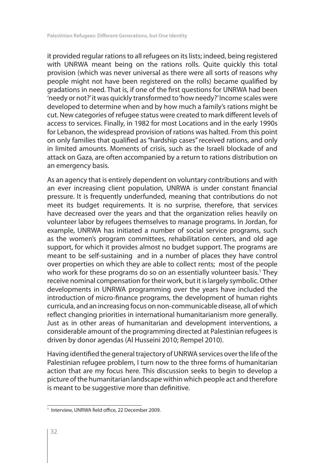it provided regular rations to all refugees on its lists; indeed, being registered with UNRWA meant being on the rations rolls. Quite quickly this total provision (which was never universal as there were all sorts of reasons why people might not have been registered on the rolls) became qualified by gradations in need. That is, if one of the first questions for UNRWA had been 'needy or not?' it was quickly transformed to 'how needy?' Income scales were developed to determine when and by how much a family's rations might be cut. New categories of refugee status were created to mark different levels of access to services. Finally, in 1982 for most Locations and in the early 1990s for Lebanon, the widespread provision of rations was halted. From this point on only families that qualified as "hardship cases" received rations, and only in limited amounts. Moments of crisis, such as the Israeli blockade of and attack on Gaza, are often accompanied by a return to rations distribution on an emergency basis.

As an agency that is entirely dependent on voluntary contributions and with an ever increasing client population, UNRWA is under constant financial pressure. It is frequently underfunded, meaning that contributions do not meet its budget requirements. It is no surprise, therefore, that services have decreased over the years and that the organization relies heavily on volunteer labor by refugees themselves to manage programs. In Jordan, for example, UNRWA has initiated a number of social service programs, such as the women's program committees, rehabilitation centers, and old age support, for which it provides almost no budget support. The programs are meant to be self-sustaining and in a number of places they have control over properties on which they are able to collect rents; most of the people who work for these programs do so on an essentially volunteer basis.<sup>1</sup> They receive nominal compensation for their work, but it is largely symbolic. Other developments in UNRWA programming over the years have included the introduction of micro-finance programs, the development of human rights curricula, and an increasing focus on non-communicable disease, all of which reflect changing priorities in international humanitarianism more generally. Just as in other areas of humanitarian and development interventions, a considerable amount of the programming directed at Palestinian refugees is driven by donor agendas (Al Husseini 2010; Rempel 2010).

Having identified the general trajectory of UNRWA services over the life of the Palestinian refugee problem, I turn now to the three forms of humanitarian action that are my focus here. This discussion seeks to begin to develop a picture of the humanitarian landscape within which people act and therefore is meant to be suggestive more than definitive.

<sup>1</sup> Interview, UNRWA field office, 22 December 2009.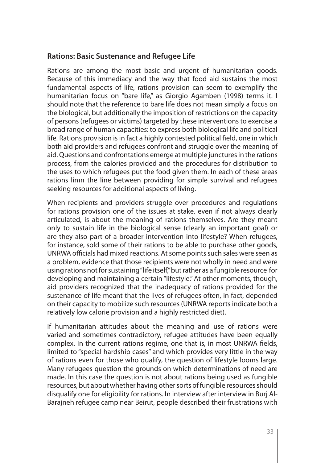# **Rations: Basic Sustenance and Refugee Life**

Rations are among the most basic and urgent of humanitarian goods. Because of this immediacy and the way that food aid sustains the most fundamental aspects of life, rations provision can seem to exemplify the humanitarian focus on "bare life," as Giorgio Agamben (1998) terms it. I should note that the reference to bare life does not mean simply a focus on the biological, but additionally the imposition of restrictions on the capacity of persons (refugees or victims) targeted by these interventions to exercise a broad range of human capacities: to express both biological life and political life. Rations provision is in fact a highly contested political field, one in which both aid providers and refugees confront and struggle over the meaning of aid. Questions and confrontations emerge at multiple junctures in the rations process, from the calories provided and the procedures for distribution to the uses to which refugees put the food given them. In each of these areas rations limn the line between providing for simple survival and refugees seeking resources for additional aspects of living.

When recipients and providers struggle over procedures and regulations for rations provision one of the issues at stake, even if not always clearly articulated, is about the meaning of rations themselves. Are they meant only to sustain life in the biological sense (clearly an important goal) or are they also part of a broader intervention into lifestyle? When refugees, for instance, sold some of their rations to be able to purchase other goods, UNRWA officials had mixed reactions. At some points such sales were seen as a problem, evidence that those recipients were not wholly in need and were using rations not for sustaining "life itself," but rather as a fungible resource for developing and maintaining a certain "lifestyle." At other moments, though, aid providers recognized that the inadequacy of rations provided for the sustenance of life meant that the lives of refugees often, in fact, depended on their capacity to mobilize such resources (UNRWA reports indicate both a relatively low calorie provision and a highly restricted diet).

If humanitarian attitudes about the meaning and use of rations were varied and sometimes contradictory, refugee attitudes have been equally complex. In the current rations regime, one that is, in most UNRWA fields, limited to "special hardship cases" and which provides very little in the way of rations even for those who qualify, the question of lifestyle looms large. Many refugees question the grounds on which determinations of need are made. In this case the question is not about rations being used as fungible resources, but about whether having other sorts of fungible resources should disqualify one for eligibility for rations. In interview after interview in Burj Al-Barajneh refugee camp near Beirut, people described their frustrations with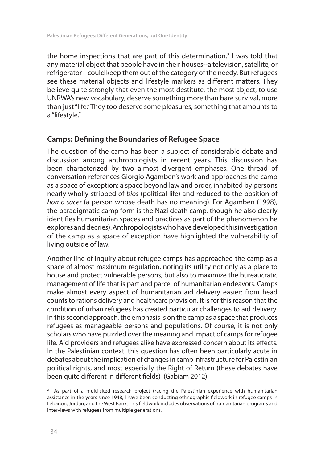the home inspections that are part of this determination.<sup>2</sup> I was told that any material object that people have in their houses--a television, satellite, or refrigerator-- could keep them out of the category of the needy. But refugees see these material objects and lifestyle markers as different matters. They believe quite strongly that even the most destitute, the most abject, to use UNRWA's new vocabulary, deserve something more than bare survival, more than just "life." They too deserve some pleasures, something that amounts to a "lifestyle."

# **Camps: Defining the Boundaries of Refugee Space**

The question of the camp has been a subject of considerable debate and discussion among anthropologists in recent years. This discussion has been characterized by two almost divergent emphases. One thread of conversation references Giorgio Agamben's work and approaches the camp as a space of exception: a space beyond law and order, inhabited by persons nearly wholly stripped of *bios* (political life) and reduced to the position of *homo sacer* (a person whose death has no meaning). For Agamben (1998), the paradigmatic camp form is the Nazi death camp, though he also clearly identifies humanitarian spaces and practices as part of the phenomenon he explores and decries). Anthropologists who have developed this investigation of the camp as a space of exception have highlighted the vulnerability of living outside of law.

Another line of inquiry about refugee camps has approached the camp as a space of almost maximum regulation, noting its utility not only as a place to house and protect vulnerable persons, but also to maximize the bureaucratic management of life that is part and parcel of humanitarian endeavors. Camps make almost every aspect of humanitarian aid delivery easier: from head counts to rations delivery and healthcare provision. It is for this reason that the condition of urban refugees has created particular challenges to aid delivery. In this second approach, the emphasis is on the camp as a space that produces refugees as manageable persons and populations. Of course, it is not only scholars who have puzzled over the meaning and impact of camps for refugee life. Aid providers and refugees alike have expressed concern about its effects. In the Palestinian context, this question has often been particularly acute in debates about the implication of changes in camp infrastructure for Palestinian political rights, and most especially the Right of Return (these debates have been quite different in different fields) (Gabiam 2012).

<sup>2</sup> As part of a multi-sited research project tracing the Palestinian experience with humanitarian assistance in the years since 1948, I have been conducting ethnographic fieldwork in refugee camps in Lebanon, Jordan, and the West Bank. This fieldwork includes observations of humanitarian programs and interviews with refugees from multiple generations.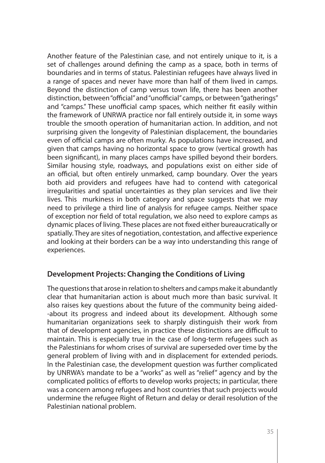Another feature of the Palestinian case, and not entirely unique to it, is a set of challenges around defining the camp as a space, both in terms of boundaries and in terms of status. Palestinian refugees have always lived in a range of spaces and never have more than half of them lived in camps. Beyond the distinction of camp versus town life, there has been another distinction, between "official" and "unofficial" camps, or between "gatherings" and "camps." These unofficial camp spaces, which neither fit easily within the framework of UNRWA practice nor fall entirely outside it, in some ways trouble the smooth operation of humanitarian action. In addition, and not surprising given the longevity of Palestinian displacement, the boundaries even of official camps are often murky. As populations have increased, and given that camps having no horizontal space to grow (vertical growth has been significant), in many places camps have spilled beyond their borders. Similar housing style, roadways, and populations exist on either side of an official, but often entirely unmarked, camp boundary. Over the years both aid providers and refugees have had to contend with categorical irregularities and spatial uncertainties as they plan services and live their lives. This murkiness in both category and space suggests that we may need to privilege a third line of analysis for refugee camps. Neither space of exception nor field of total regulation, we also need to explore camps as dynamic places of living. These places are not fixed either bureaucratically or spatially. They are sites of negotiation, contestation, and affective experience and looking at their borders can be a way into understanding this range of experiences.

# **Development Projects: Changing the Conditions of Living**

The questions that arose in relation to shelters and camps make it abundantly clear that humanitarian action is about much more than basic survival. It also raises key questions about the future of the community being aided- -about its progress and indeed about its development. Although some humanitarian organizations seek to sharply distinguish their work from that of development agencies, in practice these distinctions are difficult to maintain. This is especially true in the case of long-term refugees such as the Palestinians for whom crises of survival are superseded over time by the general problem of living with and in displacement for extended periods. In the Palestinian case, the development question was further complicated by UNRWA's mandate to be a "works" as well as "relief" agency and by the complicated politics of efforts to develop works projects; in particular, there was a concern among refugees and host countries that such projects would undermine the refugee Right of Return and delay or derail resolution of the Palestinian national problem.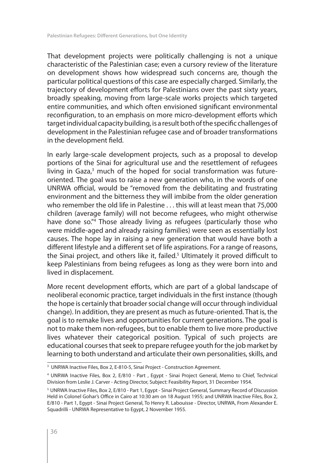That development projects were politically challenging is not a unique characteristic of the Palestinian case; even a cursory review of the literature on development shows how widespread such concerns are, though the particular political questions of this case are especially charged. Similarly, the trajectory of development efforts for Palestinians over the past sixty years, broadly speaking, moving from large-scale works projects which targeted entire communities, and which often envisioned significant environmental reconfiguration, to an emphasis on more micro-development efforts which target individual capacity building, is a result both of the specific challenges of development in the Palestinian refugee case and of broader transformations in the development field.

In early large-scale development projects, such as a proposal to develop portions of the Sinai for agricultural use and the resettlement of refugees living in Gaza,<sup>3</sup> much of the hoped for social transformation was futureoriented. The goal was to raise a new generation who, in the words of one UNRWA official, would be "removed from the debilitating and frustrating environment and the bitterness they will imbibe from the older generation who remember the old life in Palestine . . . this will at least mean that 75,000 children (average family) will not become refugees, who might otherwise have done so."4 Those already living as refugees (particularly those who were middle-aged and already raising families) were seen as essentially lost causes. The hope lay in raising a new generation that would have both a different lifestyle and a different set of life aspirations. For a range of reasons, the Sinai project, and others like it, failed.<sup>5</sup> Ultimately it proved difficult to keep Palestinians from being refugees as long as they were born into and lived in displacement.

More recent development efforts, which are part of a global landscape of neoliberal economic practice, target individuals in the first instance (though the hope is certainly that broader social change will occur through individual change). In addition, they are present as much as future-oriented. That is, the goal is to remake lives and opportunities for current generations. The goal is not to make them non-refugees, but to enable them to live more productive lives whatever their categorical position. Typical of such projects are educational courses that seek to prepare refugee youth for the job market by learning to both understand and articulate their own personalities, skills, and

<sup>&</sup>lt;sup>3</sup> UNRWA Inactive Files, Box 2, E-810-5, Sinai Project - Construction Agreement.

<sup>4</sup> UNRWA Inactive Files, Box 2, E/810 - Part , Egypt - Sinai Project General, Memo to Chief, Technical Division from Leslie J. Carver - Acting Director, Subject: Feasibility Report, 31 December 1954.

<sup>5</sup> UNRWA Inactive Files, Box 2, E/810 - Part 1, Egypt - Sinai Project General, Summary Record of Discussion Held in Colonel Gohar's Office in Cairo at 10:30 am on 18 August 1955; and UNRWA Inactive Files, Box 2, E/810 - Part 1, Egypt - Sinai Project General, To Henry R. Labouisse - Director, UNRWA, From Alexander E. Squadrilli - UNRWA Representative to Egypt, 2 November 1955.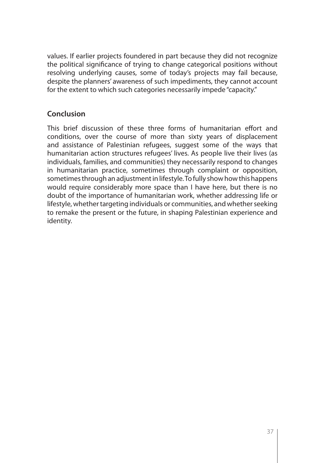values. If earlier projects foundered in part because they did not recognize the political significance of trying to change categorical positions without resolving underlying causes, some of today's projects may fail because, despite the planners' awareness of such impediments, they cannot account for the extent to which such categories necessarily impede "capacity."

# **Conclusion**

This brief discussion of these three forms of humanitarian effort and conditions, over the course of more than sixty years of displacement and assistance of Palestinian refugees, suggest some of the ways that humanitarian action structures refugees' lives. As people live their lives (as individuals, families, and communities) they necessarily respond to changes in humanitarian practice, sometimes through complaint or opposition, sometimes through an adjustment in lifestyle. To fully show how this happens would require considerably more space than I have here, but there is no doubt of the importance of humanitarian work, whether addressing life or lifestyle, whether targeting individuals or communities, and whether seeking to remake the present or the future, in shaping Palestinian experience and identity.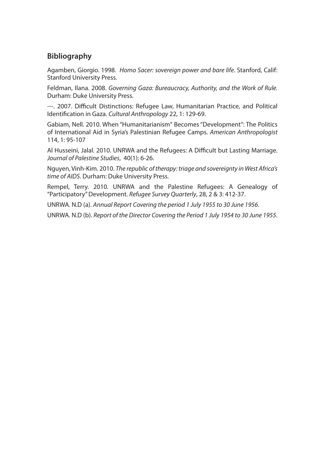# **Bibliography**

Agamben, Giorgio. 1998. *Homo Sacer: sovereign power and bare life*. Stanford, Calif: Stanford University Press.

Feldman, Ilana. 2008. *Governing Gaza: Bureaucracy, Authority, and the Work of Rule.* Durham: Duke University Press.

---. 2007. Difficult Distinctions: Refugee Law, Humanitarian Practice, and Political Identification in Gaza. *Cultural Anthropology* 22, 1: 129-69.

Gabiam, Nell. 2010. When "Humanitarianism" Becomes "Development": The Politics of International Aid in Syria's Palestinian Refugee Camps. *American Anthropologist* 114, 1: 95-107

Al Husseini, Jalal. 2010. UNRWA and the Refugees: A Difficult but Lasting Marriage. *Journal of Palestine Studies*, 40(1): 6-26.

Nguyen, Vinh-Kim. 2010. *The republic of therapy: triage and sovereignty in West Africa's time of AIDS*. Durham: Duke University Press.

Rempel, Terry. 2010. UNRWA and the Palestine Refugees: A Genealogy of "Participatory" Development. *Refugee Survey Quarterly*, 28, 2 & 3: 412-37.

UNRWA. N.D (a). *Annual Report Covering the period 1 July 1955 to 30 June 1956*.

UNRWA. N.D (b). *Report of the Director Covering the Period 1 July 1954 to 30 June 1955*.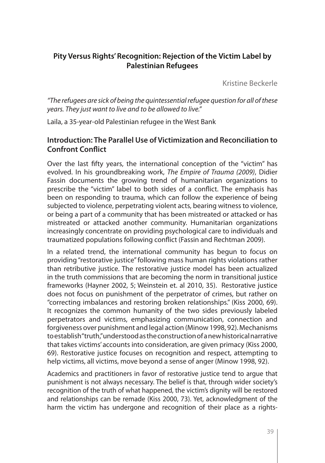# **Pity Versus Rights' Recognition: Rejection of the Victim Label by Palestinian Refugees**

Kristine Beckerle

*"The refugees are sick of being the quintessential refugee question for all of these years. They just want to live and to be allowed to live."*

Laila, a 35-year-old Palestinian refugee in the West Bank

#### **Introduction: The Parallel Use of Victimization and Reconciliation to Confront Conflict**

Over the last fifty years, the international conception of the "victim" has evolved. In his groundbreaking work, *The Empire of Trauma (2009)*, Didier Fassin documents the growing trend of humanitarian organizations to prescribe the "victim" label to both sides of a conflict. The emphasis has been on responding to trauma, which can follow the experience of being subjected to violence, perpetrating violent acts, bearing witness to violence, or being a part of a community that has been mistreated or attacked or has mistreated or attacked another community. Humanitarian organizations increasingly concentrate on providing psychological care to individuals and traumatized populations following conflict (Fassin and Rechtman 2009).

In a related trend, the international community has begun to focus on providing "restorative justice" following mass human rights violations rather than retributive justice. The restorative justice model has been actualized in the truth commissions that are becoming the norm in transitional justice frameworks (Hayner 2002, 5; Weinstein et. al 2010, 35). Restorative justice does not focus on punishment of the perpetrator of crimes, but rather on "correcting imbalances and restoring broken relationships." (Kiss 2000, 69). It recognizes the common humanity of the two sides previously labeled perpetrators and victims, emphasizing communication, connection and forgiveness over punishment and legal action (Minow 1998, 92). Mechanisms to establish "truth," understood as the construction of a new historical narrative that takes victims' accounts into consideration, are given primacy (Kiss 2000, 69). Restorative justice focuses on recognition and respect, attempting to help victims, all victims, move beyond a sense of anger (Minow 1998, 92).

Academics and practitioners in favor of restorative justice tend to argue that punishment is not always necessary. The belief is that, through wider society's recognition of the truth of what happened, the victim's dignity will be restored and relationships can be remade (Kiss 2000, 73). Yet, acknowledgment of the harm the victim has undergone and recognition of their place as a rights-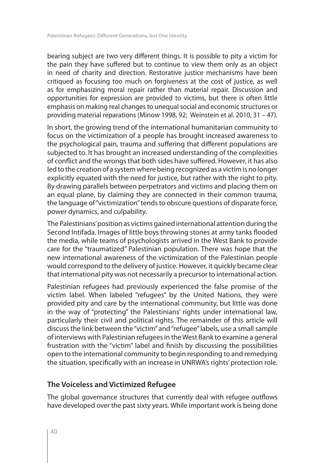bearing subject are two very different things. It is possible to pity a victim for the pain they have suffered but to continue to view them only as an object in need of charity and direction. Restorative justice mechanisms have been critiqued as focusing too much on forgiveness at the cost of justice, as well as for emphasizing moral repair rather than material repair. Discussion and opportunities for expression are provided to victims, but there is often little emphasis on making real changes to unequal social and economic structures or providing material reparations (Minow 1998, 92; Weinstein et al. 2010, 31 – 47).

In short, the growing trend of the international humanitarian community to focus on the victimization of a people has brought increased awareness to the psychological pain, trauma and suffering that different populations are subjected to. It has brought an increased understanding of the complexities of conflict and the wrongs that both sides have suffered. However, it has also led to the creation of a system where being recognized as a victim is no longer explicitly equated with the need for justice, but rather with the right to pity. By drawing parallels between perpetrators and victims and placing them on an equal plane, by claiming they are connected in their common trauma, the language of "victimization" tends to obscure questions of disparate force, power dynamics, and culpability.

The Palestinians' position as victims gained international attention during the Second Intifada. Images of little boys throwing stones at army tanks flooded the media, while teams of psychologists arrived in the West Bank to provide care for the "traumatized" Palestinian population. There was hope that the new international awareness of the victimization of the Palestinian people would correspond to the delivery of justice. However, it quickly became clear that international pity was not necessarily a precursor to international action.

Palestinian refugees had previously experienced the false promise of the victim label. When labeled "refugees" by the United Nations, they were provided pity and care by the international community, but little was done in the way of "protecting" the Palestinians' rights under international law, particularly their civil and political rights. The remainder of this article will discuss the link between the "victim" and "refugee" labels, use a small sample of interviews with Palestinian refugees in the West Bank to examine a general frustration with the "victim" label and finish by discussing the possibilities open to the international community to begin responding to and remedying the situation, specifically with an increase in UNRWA's rights' protection role.

#### **The Voiceless and Victimized Refugee**

The global governance structures that currently deal with refugee outflows have developed over the past sixty years. While important work is being done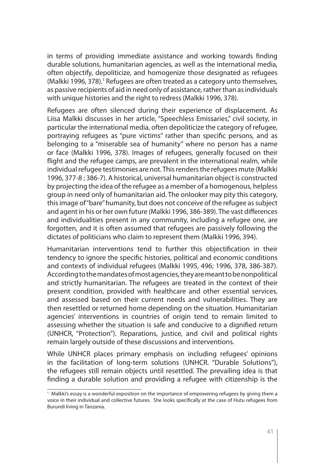in terms of providing immediate assistance and working towards finding durable solutions, humanitarian agencies, as well as the international media, often objectify, depoliticize, and homogenize those designated as refugees (Malkki 1996, 378).<sup>1</sup> Refugees are often treated as a category unto themselves, as passive recipients of aid in need only of assistance, rather than as individuals with unique histories and the right to redress (Malkki 1996, 378).

Refugees are often silenced during their experience of displacement. As Liisa Malkki discusses in her article, "Speechless Emissaries," civil society, in particular the international media, often depoliticize the category of refugee, portraying refugees as "pure victims" rather than specific persons, and as belonging to a "miserable sea of humanity" where no person has a name or face (Malkki 1996, 378). Images of refugees, generally focused on their flight and the refugee camps, are prevalent in the international realm, while individual refugee testimonies are not. This renders the refugees mute (Malkki 1996, 377-8 ; 386-7). A historical, universal humanitarian object is constructed by projecting the idea of the refugee as a member of a homogenous, helpless group in need only of humanitarian aid. The onlooker may pity this category, this image of "bare" humanity, but does not conceive of the refugee as subject and agent in his or her own future (Malkki 1996, 386-389). The vast differences and individualities present in any community, including a refugee one, are forgotten, and it is often assumed that refugees are passively following the dictates of politicians who claim to represent them (Malkki 1996, 394).

Humanitarian interventions tend to further this objectification in their tendency to ignore the specific histories, political and economic conditions and contexts of individual refugees (Malkki 1995, 496; 1996, 378, 386-387). According to the mandates of most agencies, they are meant to be nonpolitical and strictly humanitarian. The refugees are treated in the context of their present condition, provided with healthcare and other essential services, and assessed based on their current needs and vulnerabilities. They are then resettled or returned home depending on the situation. Humanitarian agencies' interventions in countries of origin tend to remain limited to assessing whether the situation is safe and conducive to a dignified return (UNHCR, "Protection"). Reparations, justice, and civil and political rights remain largely outside of these discussions and interventions.

While UNHCR places primary emphasis on including refugees' opinions in the facilitation of long-term solutions (UNHCR. "Durable Solutions"), the refugees still remain objects until resettled. The prevailing idea is that finding a durable solution and providing a refugee with citizenship is the

<sup>1</sup> Malkki's essay is a wonderful exposition on the importance of empowering refugees by giving them a voice in their individual and collective futures. She looks specifically at the case of Hutu refugees from Burundi living in Tanzania.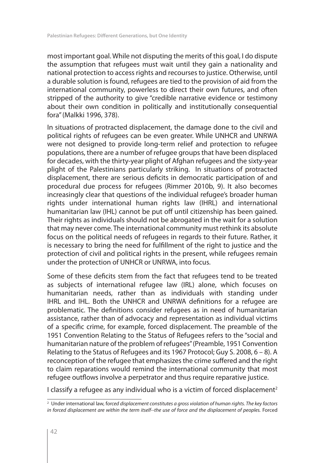most important goal. While not disputing the merits of this goal, I do dispute the assumption that refugees must wait until they gain a nationality and national protection to access rights and recourses to justice. Otherwise, until a durable solution is found, refugees are tied to the provision of aid from the international community, powerless to direct their own futures, and often stripped of the authority to give "credible narrative evidence or testimony about their own condition in politically and institutionally consequential fora" (Malkki 1996, 378).

In situations of protracted displacement, the damage done to the civil and political rights of refugees can be even greater. While UNHCR and UNRWA were not designed to provide long-term relief and protection to refugee populations, there are a number of refugee groups that have been displaced for decades, with the thirty-year plight of Afghan refugees and the sixty-year plight of the Palestinians particularly striking. In situations of protracted displacement, there are serious deficits in democratic participation of and procedural due process for refugees (Rimmer 2010b, 9). It also becomes increasingly clear that questions of the individual refugee's broader human rights under international human rights law (IHRL) and international humanitarian law (IHL) cannot be put off until citizenship has been gained. Their rights as individuals should not be abrogated in the wait for a solution that may never come. The international community must rethink its absolute focus on the political needs of refugees in regards to their future. Rather, it is necessary to bring the need for fulfillment of the right to justice and the protection of civil and political rights in the present, while refugees remain under the protection of UNHCR or UNRWA, into focus.

Some of these deficits stem from the fact that refugees tend to be treated as subjects of international refugee law (IRL) alone, which focuses on humanitarian needs, rather than as individuals with standing under IHRL and IHL. Both the UNHCR and UNRWA definitions for a refugee are problematic. The definitions consider refugees as in need of humanitarian assistance, rather than of advocacy and representation as individual victims of a specific crime, for example, forced displacement. The preamble of the 1951 Convention Relating to the Status of Refugees refers to the "social and humanitarian nature of the problem of refugees" (Preamble, 1951 Convention Relating to the Status of Refugees and its 1967 Protocol; Guy S. 2008, 6 – 8). A reconception of the refugee that emphasizes the crime suffered and the right to claim reparations would remind the international community that most refugee outflows involve a perpetrator and thus require reparative justice.

I classify a refugee as any individual who is a victim of forced displacement<sup>2</sup>

<sup>2</sup> Under international law, f*orced displacement constitutes a gross violation of human rights. The key factors in forced displacement are within the term itself--the use of force and the displacement of peoples.* Forced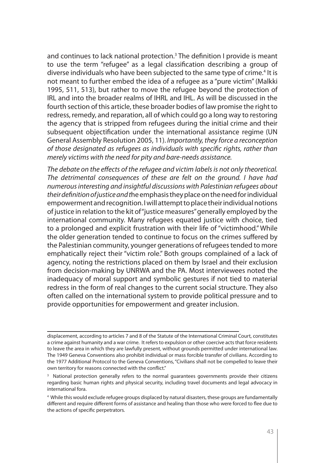and continues to lack national protection.<sup>3</sup> The definition I provide is meant to use the term "refugee" as a legal classification describing a group of diverse individuals who have been subjected to the same type of crime.<sup>4</sup> It is not meant to further embed the idea of a refugee as a "pure victim" (Malkki 1995, 511, 513), but rather to move the refugee beyond the protection of IRL and into the broader realms of IHRL and IHL. As will be discussed in the fourth section of this article, these broader bodies of law promise the right to redress, remedy, and reparation, all of which could go a long way to restoring the agency that is stripped from refugees during the initial crime and their subsequent objectification under the international assistance regime (UN General Assembly Resolution 2005, 11). *Importantly, they force a reconception of those designated as refugees as individuals with specific rights, rather than merely victims with the need for pity and bare-needs assistance.* 

*The debate on the effects of the refugee and victim labels is not only theoretical. The detrimental consequences of these are felt on the ground. I have had numerous interesting and insightful discussions with Palestinian refugees about their definition of justice and t*he emphasis they place on the need for individual empowerment and recognition. I will attempt to place their individual notions of justice in relation to the kit of "justice measures" generally employed by the international community. Many refugees equated justice with choice, tied to a prolonged and explicit frustration with their life of "victimhood." While the older generation tended to continue to focus on the crimes suffered by the Palestinian community, younger generations of refugees tended to more emphatically reject their "victim role." Both groups complained of a lack of agency, noting the restrictions placed on them by Israel and their exclusion from decision-making by UNRWA and the PA. Most interviewees noted the inadequacy of moral support and symbolic gestures if not tied to material redress in the form of real changes to the current social structure. They also often called on the international system to provide political pressure and to provide opportunities for empowerment and greater inclusion.

displacement, according to articles 7 and 8 of the Statute of the International Criminal Court, constitutes a crime against humanity and a war crime. It refers to expulsion or other coercive acts that force residents to leave the area in which they are lawfully present, without grounds permitted under international law. The 1949 Geneva Conventions also prohibit individual or mass forcible transfer of civilians. According to the 1977 Additional Protocol to the Geneva Conventions, "Civilians shall not be compelled to leave their own territory for reasons connected with the conflict."

<sup>&</sup>lt;sup>3</sup> National protection generally refers to the normal guarantees governments provide their citizens regarding basic human rights and physical security, including travel documents and legal advocacy in international fora.

<sup>4</sup> While this would exclude refugee groups displaced by natural disasters, these groups are fundamentally different and require different forms of assistance and healing than those who were forced to flee due to the actions of specific perpetrators.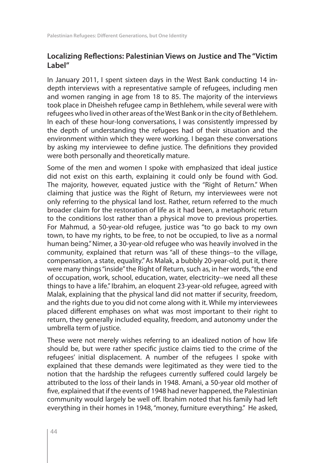#### **Localizing Reflections: Palestinian Views on Justice and The "Victim Label"**

In January 2011, I spent sixteen days in the West Bank conducting 14 indepth interviews with a representative sample of refugees, including men and women ranging in age from 18 to 85. The majority of the interviews took place in Dheisheh refugee camp in Bethlehem, while several were with refugees who lived in other areas of the West Bank or in the city of Bethlehem. In each of these hour-long conversations, I was consistently impressed by the depth of understanding the refugees had of their situation and the environment within which they were working. I began these conversations by asking my interviewee to define justice. The definitions they provided were both personally and theoretically mature.

Some of the men and women I spoke with emphasized that ideal justice did not exist on this earth, explaining it could only be found with God. The majority, however, equated justice with the "Right of Return." When claiming that justice was the Right of Return, my interviewees were not only referring to the physical land lost. Rather, return referred to the much broader claim for the restoration of life as it had been, a metaphoric return to the conditions lost rather than a physical move to previous properties. For Mahmud, a 50-year-old refugee, justice was "to go back to my own town, to have my rights, to be free, to not be occupied, to live as a normal human being." Nimer, a 30-year-old refugee who was heavily involved in the community, explained that return was "all of these things--to the village, compensation, a state, equality." As Malak, a bubbly 20-year-old, put it, there were many things "inside" the Right of Return, such as, in her words, "the end of occupation, work, school, education, water, electricity--we need all these things to have a life." Ibrahim, an eloquent 23-year-old refugee, agreed with Malak, explaining that the physical land did not matter if security, freedom, and the rights due to you did not come along with it. While my interviewees placed different emphases on what was most important to their right to return, they generally included equality, freedom, and autonomy under the umbrella term of justice.

These were not merely wishes referring to an idealized notion of how life should be, but were rather specific justice claims tied to the crime of the refugees' initial displacement. A number of the refugees I spoke with explained that these demands were legitimated as they were tied to the notion that the hardship the refugees currently suffered could largely be attributed to the loss of their lands in 1948. Amani, a 50-year old mother of five, explained that if the events of 1948 had never happened, the Palestinian community would largely be well off. Ibrahim noted that his family had left everything in their homes in 1948, "money, furniture everything." He asked,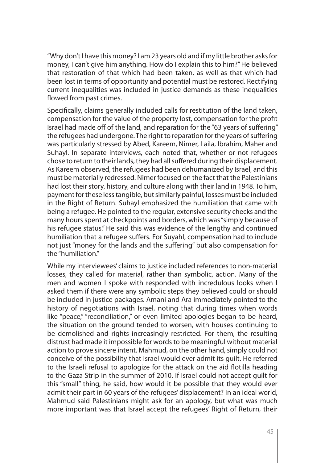"Why don't I have this money? I am 23 years old and if my little brother asks for money, I can't give him anything. How do I explain this to him?" He believed that restoration of that which had been taken, as well as that which had been lost in terms of opportunity and potential must be restored. Rectifying current inequalities was included in justice demands as these inequalities flowed from past crimes.

Specifically, claims generally included calls for restitution of the land taken, compensation for the value of the property lost, compensation for the profit Israel had made off of the land, and reparation for the "63 years of suffering" the refugees had undergone. The right to reparation for the years of suffering was particularly stressed by Abed, Kareem, Nimer, Laila, Ibrahim, Maher and Suhayl. In separate interviews, each noted that, whether or not refugees chose to return to their lands, they had all suffered during their displacement. As Kareem observed, the refugees had been dehumanized by Israel, and this must be materially redressed. Nimer focused on the fact that the Palestinians had lost their story, history, and culture along with their land in 1948. To him, payment for these less tangible, but similarly painful, losses must be included in the Right of Return. Suhayl emphasized the humiliation that came with being a refugee. He pointed to the regular, extensive security checks and the many hours spent at checkpoints and borders, which was "simply because of his refugee status." He said this was evidence of the lengthy and continued humiliation that a refugee suffers. For Suyahl, compensation had to include not just "money for the lands and the suffering" but also compensation for the "humiliation."

While my interviewees' claims to justice included references to non-material losses, they called for material, rather than symbolic, action. Many of the men and women I spoke with responded with incredulous looks when I asked them if there were any symbolic steps they believed could or should be included in justice packages. Amani and Ara immediately pointed to the history of negotiations with Israel, noting that during times when words like "peace," "reconciliation," or even limited apologies began to be heard, the situation on the ground tended to worsen, with houses continuing to be demolished and rights increasingly restricted. For them, the resulting distrust had made it impossible for words to be meaningful without material action to prove sincere intent. Mahmud, on the other hand, simply could not conceive of the possibility that Israel would ever admit its guilt. He referred to the Israeli refusal to apologize for the attack on the aid flotilla heading to the Gaza Strip in the summer of 2010. If Israel could not accept guilt for this "small" thing, he said, how would it be possible that they would ever admit their part in 60 years of the refugees' displacement? In an ideal world, Mahmud said Palestinians might ask for an apology, but what was much more important was that Israel accept the refugees' Right of Return, their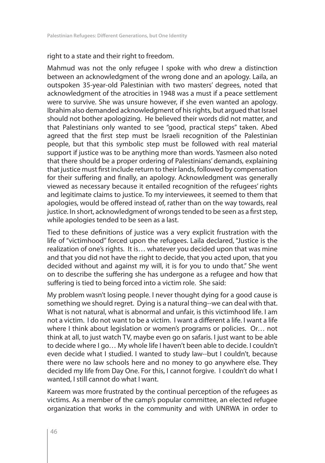right to a state and their right to freedom.

Mahmud was not the only refugee I spoke with who drew a distinction between an acknowledgment of the wrong done and an apology. Laila, an outspoken 35-year-old Palestinian with two masters' degrees, noted that acknowledgment of the atrocities in 1948 was a must if a peace settlement were to survive. She was unsure however, if she even wanted an apology. Ibrahim also demanded acknowledgment of his rights, but argued that Israel should not bother apologizing. He believed their words did not matter, and that Palestinians only wanted to see "good, practical steps" taken. Abed agreed that the first step must be Israeli recognition of the Palestinian people, but that this symbolic step must be followed with real material support if justice was to be anything more than words. Yasmeen also noted that there should be a proper ordering of Palestinians' demands, explaining that justice must first include return to their lands, followed by compensation for their suffering and finally, an apology. Acknowledgment was generally viewed as necessary because it entailed recognition of the refugees' rights and legitimate claims to justice. To my interviewees, it seemed to them that apologies, would be offered instead of, rather than on the way towards, real justice. In short, acknowledgment of wrongs tended to be seen as a first step, while apologies tended to be seen as a last.

Tied to these definitions of justice was a very explicit frustration with the life of "victimhood" forced upon the refugees. Laila declared, "Justice is the realization of one's rights. It is… whatever you decided upon that was mine and that you did not have the right to decide, that you acted upon, that you decided without and against my will, it is for you to undo that." She went on to describe the suffering she has undergone as a refugee and how that suffering is tied to being forced into a victim role. She said:

My problem wasn't losing people. I never thought dying for a good cause is something we should regret. Dying is a natural thing--we can deal with that. What is not natural, what is abnormal and unfair, is this victimhood life. I am not a victim. I do not want to be a victim. I want a different a life. I want a life where I think about legislation or women's programs or policies. Or… not think at all, to just watch TV, maybe even go on safaris. I just want to be able to decide where I go… My whole life I haven't been able to decide. I couldn't even decide what I studied. I wanted to study law--but I couldn't, because there were no law schools here and no money to go anywhere else. They decided my life from Day One. For this, I cannot forgive. I couldn't do what I wanted, I still cannot do what I want.

Kareem was more frustrated by the continual perception of the refugees as victims. As a member of the camp's popular committee, an elected refugee organization that works in the community and with UNRWA in order to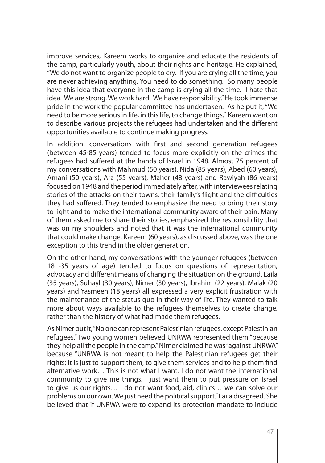improve services, Kareem works to organize and educate the residents of the camp, particularly youth, about their rights and heritage. He explained, "We do not want to organize people to cry. If you are crying all the time, you are never achieving anything. You need to do something. So many people have this idea that everyone in the camp is crying all the time. I hate that idea. We are strong. We work hard. We have responsibility." He took immense pride in the work the popular committee has undertaken. As he put it, "We need to be more serious in life, in this life, to change things." Kareem went on to describe various projects the refugees had undertaken and the different opportunities available to continue making progress.

In addition, conversations with first and second generation refugees (between 45-85 years) tended to focus more explicitly on the crimes the refugees had suffered at the hands of Israel in 1948. Almost 75 percent of my conversations with Mahmud (50 years), Nida (85 years), Abed (60 years), Amani (50 years), Ara (55 years), Maher (48 years) and Rawiyah (86 years) focused on 1948 and the period immediately after, with interviewees relating stories of the attacks on their towns, their family's flight and the difficulties they had suffered. They tended to emphasize the need to bring their story to light and to make the international community aware of their pain. Many of them asked me to share their stories, emphasized the responsibility that was on my shoulders and noted that it was the international community that could make change. Kareem (60 years), as discussed above, was the one exception to this trend in the older generation.

On the other hand, my conversations with the younger refugees (between 18 -35 years of age) tended to focus on questions of representation, advocacy and different means of changing the situation on the ground. Laila (35 years), Suhayl (30 years), Nimer (30 years), Ibrahim (22 years), Malak (20 years) and Yasmeen (18 years) all expressed a very explicit frustration with the maintenance of the status quo in their way of life. They wanted to talk more about ways available to the refugees themselves to create change, rather than the history of what had made them refugees.

As Nimer put it, "No one can represent Palestinian refugees, except Palestinian refugees." Two young women believed UNRWA represented them "because they help all the people in the camp." Nimer claimed he was "against UNRWA" because "UNRWA is not meant to help the Palestinian refugees get their rights; it is just to support them, to give them services and to help them find alternative work… This is not what I want. I do not want the international community to give me things. I just want them to put pressure on Israel to give us our rights… I do not want food, aid, clinics… we can solve our problems on our own. We just need the political support." Laila disagreed. She believed that if UNRWA were to expand its protection mandate to include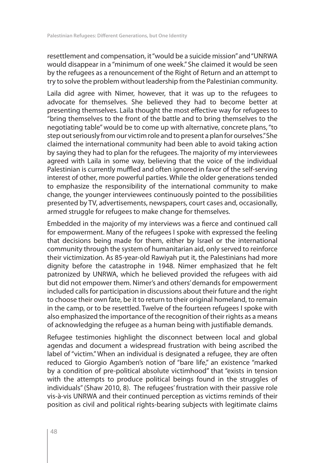resettlement and compensation, it "would be a suicide mission" and "UNRWA would disappear in a "minimum of one week." She claimed it would be seen by the refugees as a renouncement of the Right of Return and an attempt to try to solve the problem without leadership from the Palestinian community.

Laila did agree with Nimer, however, that it was up to the refugees to advocate for themselves. She believed they had to become better at presenting themselves. Laila thought the most effective way for refugees to "bring themselves to the front of the battle and to bring themselves to the negotiating table" would be to come up with alternative, concrete plans, "to step out seriously from our victim role and to present a plan for ourselves." She claimed the international community had been able to avoid taking action by saying they had to plan for the refugees. The majority of my interviewees agreed with Laila in some way, believing that the voice of the individual Palestinian is currently muffled and often ignored in favor of the self-serving interest of other, more powerful parties. While the older generations tended to emphasize the responsibility of the international community to make change, the younger interviewees continuously pointed to the possibilities presented by TV, advertisements, newspapers, court cases and, occasionally, armed struggle for refugees to make change for themselves.

Embedded in the majority of my interviews was a fierce and continued call for empowerment. Many of the refugees I spoke with expressed the feeling that decisions being made for them, either by Israel or the international community through the system of humanitarian aid, only served to reinforce their victimization. As 85-year-old Rawiyah put it, the Palestinians had more dignity before the catastrophe in 1948. Nimer emphasized that he felt patronized by UNRWA, which he believed provided the refugees with aid but did not empower them. Nimer's and others' demands for empowerment included calls for participation in discussions about their future and the right to choose their own fate, be it to return to their original homeland, to remain in the camp, or to be resettled. Twelve of the fourteen refugees I spoke with also emphasized the importance of the recognition of their rights as a means of acknowledging the refugee as a human being with justifiable demands.

Refugee testimonies highlight the disconnect between local and global agendas and document a widespread frustration with being ascribed the label of "victim." When an individual is designated a refugee, they are often reduced to Giorgio Agamben's notion of "bare life," an existence "marked by a condition of pre-political absolute victimhood" that "exists in tension with the attempts to produce political beings found in the struggles of individuals" (Shaw 2010, 8). The refugees' frustration with their passive role vis-à-vis UNRWA and their continued perception as victims reminds of their position as civil and political rights-bearing subjects with legitimate claims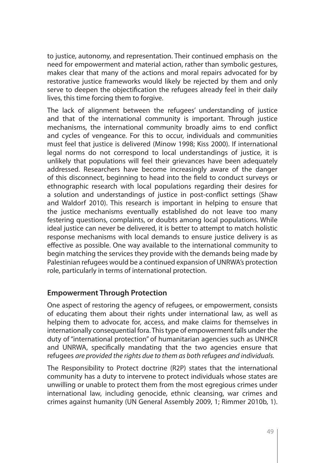to justice, autonomy, and representation. Their continued emphasis on the need for empowerment and material action, rather than symbolic gestures, makes clear that many of the actions and moral repairs advocated for by restorative justice frameworks would likely be rejected by them and only serve to deepen the objectification the refugees already feel in their daily lives, this time forcing them to forgive.

The lack of alignment between the refugees' understanding of justice and that of the international community is important. Through justice mechanisms, the international community broadly aims to end conflict and cycles of vengeance. For this to occur, individuals and communities must feel that justice is delivered (Minow 1998; Kiss 2000). If international legal norms do not correspond to local understandings of justice, it is unlikely that populations will feel their grievances have been adequately addressed. Researchers have become increasingly aware of the danger of this disconnect, beginning to head into the field to conduct surveys or ethnographic research with local populations regarding their desires for a solution and understandings of justice in post-conflict settings (Shaw and Waldorf 2010). This research is important in helping to ensure that the justice mechanisms eventually established do not leave too many festering questions, complaints, or doubts among local populations. While ideal justice can never be delivered, it is better to attempt to match holistic response mechanisms with local demands to ensure justice delivery is as effective as possible. One way available to the international community to begin matching the services they provide with the demands being made by Palestinian refugees would be a continued expansion of UNRWA's protection role, particularly in terms of international protection.

#### **Empowerment Through Protection**

One aspect of restoring the agency of refugees, or empowerment, consists of educating them about their rights under international law, as well as helping them to advocate for, access, and make claims for themselves in internationally consequential fora. This type of empowerment falls under the duty of "international protection" of humanitarian agencies such as UNHCR and UNRWA, specifically mandating that the two agencies ensure that refugees *are provided the rights due to them as both refugees and individuals.* 

The Responsibility to Protect doctrine (R2P) states that the international community has a duty to intervene to protect individuals whose states are unwilling or unable to protect them from the most egregious crimes under international law, including genocide, ethnic cleansing, war crimes and crimes against humanity (UN General Assembly 2009, 1; Rimmer 2010b, 1).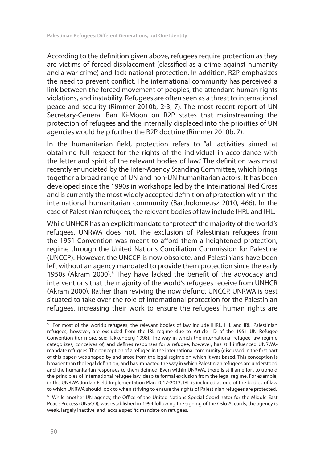According to the definition given above, refugees require protection as they are victims of forced displacement (classified as a crime against humanity and a war crime) and lack national protection. In addition, R2P emphasizes the need to prevent conflict. The international community has perceived a link between the forced movement of peoples, the attendant human rights violations, and instability. Refugees are often seen as a threat to international peace and security (Rimmer 2010b, 2-3, 7). The most recent report of UN Secretary-General Ban Ki-Moon on R2P states that mainstreaming the protection of refugees and the internally displaced into the priorities of UN agencies would help further the R2P doctrine (Rimmer 2010b, 7).

In the humanitarian field, protection refers to "all activities aimed at obtaining full respect for the rights of the individual in accordance with the letter and spirit of the relevant bodies of law." The definition was most recently enunciated by the Inter-Agency Standing Committee, which brings together a broad range of UN and non-UN humanitarian actors. It has been developed since the 1990s in workshops led by the International Red Cross and is currently the most widely accepted definition of protection within the international humanitarian community (Bartholomeusz 2010, 466). In the case of Palestinian refugees, the relevant bodies of law include IHRL and IHL.5

While UNHCR has an explicit mandate to "protect" the majority of the world's refugees, UNRWA does not. The exclusion of Palestinian refugees from the 1951 Convention was meant to afford them a heightened protection, regime through the United Nations Conciliation Commission for Palestine (UNCCP). However, the UNCCP is now obsolete, and Palestinians have been left without an agency mandated to provide them protection since the early 1950s (Akram 2000).<sup>6</sup> They have lacked the benefit of the advocacy and interventions that the majority of the world's refugees receive from UNHCR (Akram 2000). Rather than reviving the now defunct UNCCP, UNRWA is best situated to take over the role of international protection for the Palestinian refugees, increasing their work to ensure the refugees' human rights are

<sup>&</sup>lt;sup>5</sup> For most of the world's refugees, the relevant bodies of law include IHRL, IHL and IRL. Palestinian refugees, however, are excluded from the IRL regime due to Article 1D of the 1951 UN Refugee Convention (for more, see: Takkenberg 1998). The way in which the international refugee law regime categorizes, conceives of, and defines responses for a refugee, however, has still influenced UNRWAmandate refugees. The conception of a refugee in the international community (discussed in the first part of this paper) was shaped by and arose from the legal regime on which it was based. This conception is broader than the legal definition, and has impacted the way in which Palestinian refugees are understood and the humanitarian responses to them defined. Even within UNRWA, there is still an effort to uphold the principles of international refugee law, despite formal exclusion from the legal regime. For example, in the UNRWA Jordan Field Implementation Plan 2012-2013, IRL is included as one of the bodies of law to which UNRWA should look to when striving to ensure the rights of Palestinian refugees are protected.

<sup>&</sup>lt;sup>6</sup> While another UN agency, the Office of the United Nations Special Coordinator for the Middle East Peace Process (UNSCO), was established in 1994 following the signing of the Oslo Accords, the agency is weak, largely inactive, and lacks a specific mandate on refugees.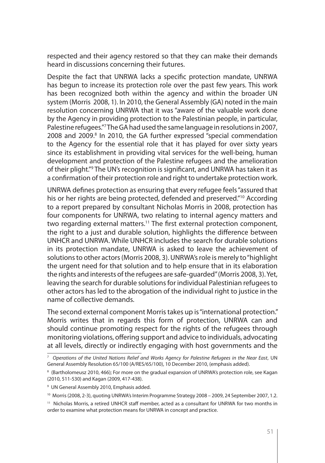respected and their agency restored so that they can make their demands heard in discussions concerning their futures.

Despite the fact that UNRWA lacks a specific protection mandate, UNRWA has begun to increase its protection role over the past few years. This work has been recognized both within the agency and within the broader UN system (Morris 2008, 1). In 2010, the General Assembly (GA) noted in the main resolution concerning UNRWA that it was "aware of the valuable work done by the Agency in providing protection to the Palestinian people, in particular, Palestine refugees."<sup>7</sup> The GA had used the same language in resolutions in 2007, 2008 and 2009.<sup>8</sup> In 2010, the GA further expressed "special commendation to the Agency for the essential role that it has played for over sixty years since its establishment in providing vital services for the well-being, human development and protection of the Palestine refugees and the amelioration of their plight."<sup>9</sup> The UN's recognition is significant, and UNRWA has taken it as a confirmation of their protection role and right to undertake protection work.

UNRWA defines protection as ensuring that every refugee feels "assured that his or her rights are being protected, defended and preserved."<sup>10</sup> According to a report prepared by consultant Nicholas Morris in 2008, protection has four components for UNRWA, two relating to internal agency matters and two regarding external matters.<sup>11</sup> The first external protection component, the right to a just and durable solution, highlights the difference between UNHCR and UNRWA. While UNHCR includes the search for durable solutions in its protection mandate, UNRWA is asked to leave the achievement of solutions to other actors (Morris 2008, 3). UNRWA's role is merely to "highlight the urgent need for that solution and to help ensure that in its elaboration the rights and interests of the refugees are safe-guarded" (Morris 2008, 3). Yet, leaving the search for durable solutions for individual Palestinian refugees to other actors has led to the abrogation of the individual right to justice in the name of collective demands.

The second external component Morris takes up is "international protection." Morris writes that in regards this form of protection, UNRWA can and should continue promoting respect for the rights of the refugees through monitoring violations, offering support and advice to individuals, advocating at all levels, directly or indirectly engaging with host governments and the

<sup>7</sup> *Operations of the United Nations Relief and Works Agency for Palestine Refugees in the Near East*, UN General Assembly Resolution 65/100 (A/RES/65/100), 10 December 2010, (emphasis added).

<sup>8</sup> (Bartholomeusz 2010, 466); For more on the gradual expansion of UNRWA's protection role, see Kagan (2010, 511-530) and Kagan (2009, 417-438).

<sup>9</sup> UN General Assembly 2010, Emphasis added.

<sup>&</sup>lt;sup>10</sup> Morris (2008, 2-3), quoting UNRWA's Interim Programme Strategy 2008 - 2009, 24 September 2007, 1.2.

<sup>11</sup> Nicholas Morris, a retired UNHCR staff member, acted as a consultant for UNRWA for two months in order to examine what protection means for UNRWA in concept and practice.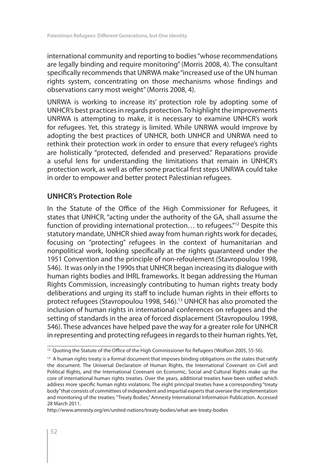international community and reporting to bodies "whose recommendations are legally binding and require monitoring" (Morris 2008, 4). The consultant specifically recommends that UNRWA make "increased use of the UN human rights system, concentrating on those mechanisms whose findings and observations carry most weight" (Morris 2008, 4).

UNRWA is working to increase its' protection role by adopting some of UNHCR's best practices in regards protection. To highlight the improvements UNRWA is attempting to make, it is necessary to examine UNHCR's work for refugees. Yet, this strategy is limited. While UNRWA would improve by adopting the best practices of UNHCR, both UNHCR and UNRWA need to rethink their protection work in order to ensure that every refugee's rights are holistically "protected, defended and preserved." Reparations provide a useful lens for understanding the limitations that remain in UNHCR's protection work, as well as offer some practical first steps UNRWA could take in order to empower and better protect Palestinian refugees.

# **UNHCR's Protection Role**

In the Statute of the Office of the High Commissioner for Refugees, it states that UNHCR, "acting under the authority of the GA, shall assume the function of providing international protection… to refugees."12 Despite this statutory mandate, UNHCR shied away from human rights work for decades, focusing on "protecting" refugees in the context of humanitarian and nonpolitical work, looking specifically at the rights guaranteed under the 1951 Convention and the principle of non-refoulement (Stavropoulou 1998, 546). It was only in the 1990s that UNHCR began increasing its dialogue with human rights bodies and IHRL frameworks. It began addressing the Human Rights Commission, increasingly contributing to human rights treaty body deliberations and urging its staff to include human rights in their efforts to protect refugees (Stavropoulou 1998, 546).<sup>13</sup> UNHCR has also promoted the inclusion of human rights in international conferences on refugees and the setting of standards in the area of forced displacement (Stavropoulou 1998, 546). These advances have helped pave the way for a greater role for UNHCR in representing and protecting refugees in regards to their human rights. Yet,

<sup>&</sup>lt;sup>12</sup> Quoting the Statute of the Office of the High Commissioner for Refugees (Wolfson 2005, 55-56).

<sup>&</sup>lt;sup>13</sup> A human rights treaty is a formal document that imposes binding obligations on the states that ratify the document. The Universal Declaration of Human Rights, the International Covenant on Civil and Political Rights, and the International Covenant on Economic, Social and Cultural Rights make up the core of international human rights treaties. Over the years, additional treaties have been ratified which address more specific human rights violations. The eight principal treaties have a corresponding "treaty body" that consists of committees of independent and impartial experts that oversee the implementation and monitoring of the treaties; "Treaty Bodies," Amnesty International Information Publication. Accessed 28 March 2011.

http://www.amnesty.org/en/united-nations/treaty-bodies/what-are-treaty-bodies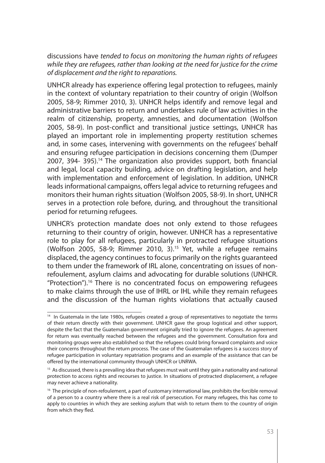discussions have *tended to focus on monitoring the human rights of refugees while they are refugees, rather than looking at the need for justice for the crime of displacement and the right to reparations.*

UNHCR already has experience offering legal protection to refugees, mainly in the context of voluntary repatriation to their country of origin (Wolfson 2005, 58-9; Rimmer 2010, 3). UNHCR helps identify and remove legal and administrative barriers to return and undertakes rule of law activities in the realm of citizenship, property, amnesties, and documentation (Wolfson 2005, 58-9). In post-conflict and transitional justice settings, UNHCR has played an important role in implementing property restitution schemes and, in some cases, intervening with governments on the refugees' behalf and ensuring refugee participation in decisions concerning them (Dumper 2007, 394- 395).<sup>14</sup> The organization also provides support, both financial and legal, local capacity building, advice on drafting legislation, and help with implementation and enforcement of legislation. In addition, UNHCR leads informational campaigns, offers legal advice to returning refugees and monitors their human rights situation (Wolfson 2005, 58-9). In short, UNHCR serves in a protection role before, during, and throughout the transitional period for returning refugees.

UNHCR's protection mandate does not only extend to those refugees returning to their country of origin, however. UNHCR has a representative role to play for all refugees, particularly in protracted refugee situations (Wolfson 2005, 58-9; Rimmer 2010, 3).<sup>15</sup> Yet, while a refugee remains displaced, the agency continues to focus primarily on the rights guaranteed to them under the framework of IRL alone, concentrating on issues of nonrefoulement, asylum claims and advocating for durable solutions (UNHCR. "Protection").16 There is no concentrated focus on empowering refugees to make claims through the use of IHRL or IHL while they remain refugees and the discussion of the human rights violations that actually caused

<sup>&</sup>lt;sup>14</sup> In Guatemala in the late 1980s, refugees created a group of representatives to negotiate the terms of their return directly with their government. UNHCR gave the group logistical and other support, despite the fact that the Guatemalan government originally tried to ignore the refugees. An agreement for return was eventually reached between the refugees and the government. Consultation fora and monitoring groups were also established so that the refugees could bring forward complaints and voice their concerns throughout the return process. The case of the Guatemalan refugees is a success story of refugee participation in voluntary repatriation programs and an example of the assistance that can be offered by the international community through UNHCR or UNRWA.

<sup>&</sup>lt;sup>15</sup> As discussed, there is a prevailing idea that refugees must wait until they gain a nationality and national protection to access rights and recourses to justice. In situations of protracted displacement, a refugee may never achieve a nationality.

<sup>&</sup>lt;sup>16</sup> The principle of non-refoulement, a part of customary international law, prohibits the forcible removal of a person to a country where there is a real risk of persecution. For many refugees, this has come to apply to countries in which they are seeking asylum that wish to return them to the country of origin from which they fled.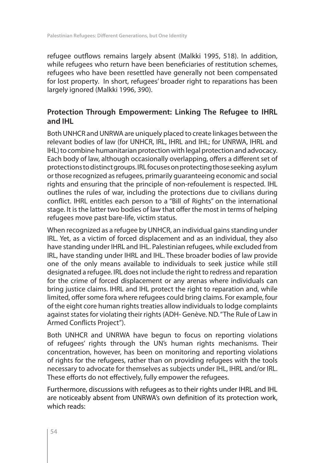refugee outflows remains largely absent (Malkki 1995, 518). In addition, while refugees who return have been beneficiaries of restitution schemes, refugees who have been resettled have generally not been compensated for lost property. In short, refugees' broader right to reparations has been largely ignored (Malkki 1996, 390).

# **Protection Through Empowerment: Linking The Refugee to IHRL and IHL**

Both UNHCR and UNRWA are uniquely placed to create linkages between the relevant bodies of law (for UNHCR, IRL, IHRL and IHL; for UNRWA, IHRL and IHL) to combine humanitarian protection with legal protection and advocacy. Each body of law, although occasionally overlapping, offers a different set of protections to distinct groups. IRL focuses on protecting those seeking asylum or those recognized as refugees, primarily guaranteeing economic and social rights and ensuring that the principle of non-refoulement is respected. IHL outlines the rules of war, including the protections due to civilians during conflict. IHRL entitles each person to a "Bill of Rights" on the international stage. It is the latter two bodies of law that offer the most in terms of helping refugees move past bare-life, victim status.

When recognized as a refugee by UNHCR, an individual gains standing under IRL. Yet, as a victim of forced displacement and as an individual, they also have standing under IHRL and IHL. Palestinian refugees, while excluded from IRL, have standing under IHRL and IHL. These broader bodies of law provide one of the only means available to individuals to seek justice while still designated a refugee. IRL does not include the right to redress and reparation for the crime of forced displacement or any arenas where individuals can bring justice claims. IHRL and IHL protect the right to reparation and, while limited, offer some fora where refugees could bring claims. For example, four of the eight core human rights treaties allow individuals to lodge complaints against states for violating their rights (ADH- Genève. ND. "The Rule of Law in Armed Conflicts Project").

Both UNHCR and UNRWA have begun to focus on reporting violations of refugees' rights through the UN's human rights mechanisms. Their concentration, however, has been on monitoring and reporting violations of rights for the refugees, rather than on providing refugees with the tools necessary to advocate for themselves as subjects under IHL, IHRL and/or IRL. These efforts do not effectively, fully empower the refugees.

Furthermore, discussions with refugees as to their rights under IHRL and IHL are noticeably absent from UNRWA's own definition of its protection work, which reads: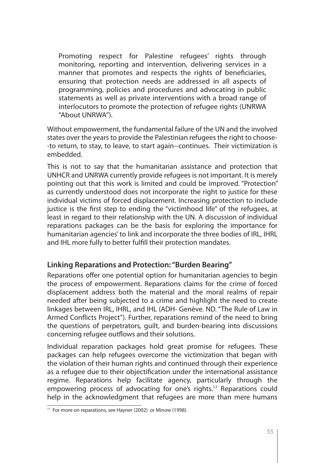Promoting respect for Palestine refugees' rights through monitoring, reporting and intervention, delivering services in a manner that promotes and respects the rights of beneficiaries, ensuring that protection needs are addressed in all aspects of programming, policies and procedures and advocating in public statements as well as private interventions with a broad range of interlocutors to promote the protection of refugee rights (UNRWA "About UNRWA").

Without empowerment, the fundamental failure of the UN and the involved states over the years to provide the Palestinian refugees the right to choose- -to return, to stay, to leave, to start again--continues. Their victimization is embedded.

This is not to say that the humanitarian assistance and protection that UNHCR and UNRWA currently provide refugees is not important. It is merely pointing out that this work is limited and could be improved. "Protection" as currently understood does not incorporate the right to justice for these individual victims of forced displacement. Increasing protection to include justice is the first step to ending the "victimhood life" of the refugees, at least in regard to their relationship with the UN. A discussion of individual reparations packages can be the basis for exploring the importance for humanitarian agencies' to link and incorporate the three bodies of IRL, IHRL and IHL more fully to better fulfill their protection mandates.

# **Linking Reparations and Protection: "Burden Bearing"**

Reparations offer one potential option for humanitarian agencies to begin the process of empowerment. Reparations claims for the crime of forced displacement address both the material and the moral realms of repair needed after being subjected to a crime and highlight the need to create linkages between IRL, IHRL, and IHL (ADH- Genève. ND. "The Rule of Law in Armed Conflicts Project"). Further, reparations remind of the need to bring the questions of perpetrators, guilt, and burden-bearing into discussions concerning refugee outflows and their solutions.

Individual reparation packages hold great promise for refugees. These packages can help refugees overcome the victimization that began with the violation of their human rights and continued through their experience as a refugee due to their objectification under the international assistance regime. Reparations help facilitate agency, particularly through the empowering process of advocating for one's rights.<sup>17</sup> Reparations could help in the acknowledgment that refugees are more than mere humans

<sup>&</sup>lt;sup>17</sup> For more on reparations, see Hayner (2002) or Minow (1998).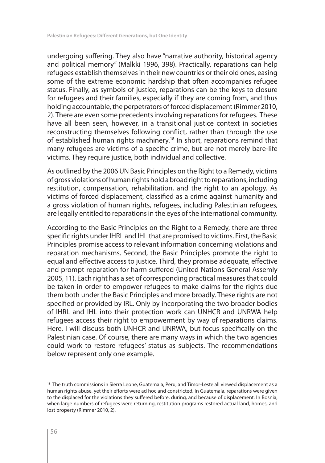undergoing suffering. They also have "narrative authority, historical agency and political memory" (Malkki 1996, 398). Practically, reparations can help refugees establish themselves in their new countries or their old ones, easing some of the extreme economic hardship that often accompanies refugee status. Finally, as symbols of justice, reparations can be the keys to closure for refugees and their families, especially if they are coming from, and thus holding accountable, the perpetrators of forced displacement (Rimmer 2010, 2). There are even some precedents involving reparations for refugees. These have all been seen, however, in a transitional justice context in societies reconstructing themselves following conflict, rather than through the use of established human rights machinery.<sup>18</sup> In short, reparations remind that many refugees are victims of a specific crime, but are not merely bare-life victims. They require justice, both individual and collective.

As outlined by the 2006 UN Basic Principles on the Right to a Remedy, victims of gross violations of human rights hold a broad right to reparations, including restitution, compensation, rehabilitation, and the right to an apology. As victims of forced displacement, classified as a crime against humanity and a gross violation of human rights, refugees, including Palestinian refugees, are legally entitled to reparations in the eyes of the international community.

According to the Basic Principles on the Right to a Remedy, there are three specific rights under IHRL and IHL that are promised to victims. First, the Basic Principles promise access to relevant information concerning violations and reparation mechanisms. Second, the Basic Principles promote the right to equal and effective access to justice. Third, they promise adequate, effective and prompt reparation for harm suffered (United Nations General Assemly 2005, 11). Each right has a set of corresponding practical measures that could be taken in order to empower refugees to make claims for the rights due them both under the Basic Principles and more broadly. These rights are not specified or provided by IRL. Only by incorporating the two broader bodies of IHRL and IHL into their protection work can UNHCR and UNRWA help refugees access their right to empowerment by way of reparations claims. Here, I will discuss both UNHCR and UNRWA, but focus specifically on the Palestinian case. Of course, there are many ways in which the two agencies could work to restore refugees' status as subjects. The recommendations below represent only one example.

<sup>&</sup>lt;sup>18</sup> The truth commissions in Sierra Leone, Guatemala, Peru, and Timor-Leste all viewed displacement as a human rights abuse, yet their efforts were ad hoc and constricted. In Guatemala, reparations were given to the displaced for the violations they suffered before, during, and because of displacement. In Bosnia, when large numbers of refugees were returning, restitution programs restored actual land, homes, and lost property (Rimmer 2010, 2).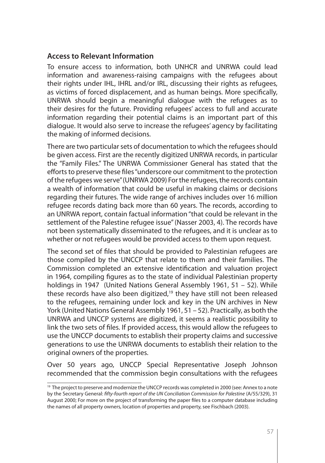# **Access to Relevant Information**

To ensure access to information, both UNHCR and UNRWA could lead information and awareness-raising campaigns with the refugees about their rights under IHL, IHRL and/or IRL, discussing their rights as refugees, as victims of forced displacement, and as human beings. More specifically, UNRWA should begin a meaningful dialogue with the refugees as to their desires for the future. Providing refugees' access to full and accurate information regarding their potential claims is an important part of this dialogue. It would also serve to increase the refugees' agency by facilitating the making of informed decisions.

There are two particular sets of documentation to which the refugees should be given access. First are the recently digitized UNRWA records, in particular the "Family Files." The UNRWA Commissioner General has stated that the efforts to preserve these files "underscore our commitment to the protection of the refugees we serve" (UNRWA 2009) For the refugees, the records contain a wealth of information that could be useful in making claims or decisions regarding their futures. The wide range of archives includes over 16 million refugee records dating back more than 60 years. The records, according to an UNRWA report, contain factual information "that could be relevant in the settlement of the Palestine refugee issue" (Nasser 2003, 4). The records have not been systematically disseminated to the refugees, and it is unclear as to whether or not refugees would be provided access to them upon request.

The second set of files that should be provided to Palestinian refugees are those compiled by the UNCCP that relate to them and their families. The Commission completed an extensive identification and valuation project in 1964, compiling figures as to the state of individual Palestinian property holdings in 1947 (United Nations General Assembly 1961, 51 – 52). While these records have also been digitized,<sup>19</sup> they have still not been released to the refugees, remaining under lock and key in the UN archives in New York (United Nations General Assembly 1961, 51 – 52). Practically, as both the UNRWA and UNCCP systems are digitized, it seems a realistic possibility to link the two sets of files. If provided access, this would allow the refugees to use the UNCCP documents to establish their property claims and successive generations to use the UNRWA documents to establish their relation to the original owners of the properties.

Over 50 years ago, UNCCP Special Representative Joseph Johnson recommended that the commission begin consultations with the refugees

<sup>&</sup>lt;sup>19</sup> The project to preserve and modernize the UNCCP records was completed in 2000 (see: Annex to a note by the Secretary General: *fifty-fourth report of the UN Conciliation Commission for Palestine* (A/55/329), 31 August 2000; For more on the project of transforming the paper files to a computer database including the names of all property owners, location of properties and property, see Fischbach (2003).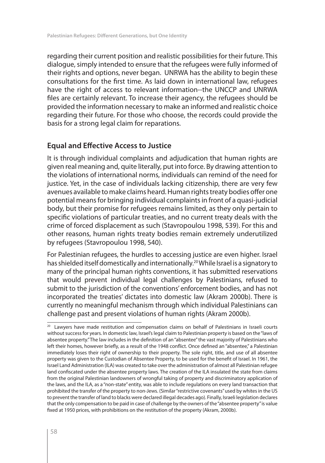regarding their current position and realistic possibilities for their future. This dialogue, simply intended to ensure that the refugees were fully informed of their rights and options, never began. UNRWA has the ability to begin these consultations for the first time. As laid down in international law, refugees have the right of access to relevant information--the UNCCP and UNRWA files are certainly relevant. To increase their agency, the refugees should be provided the information necessary to make an informed and realistic choice regarding their future. For those who choose, the records could provide the basis for a strong legal claim for reparations.

#### **Equal and Effective Access to Justice**

It is through individual complaints and adjudication that human rights are given real meaning and, quite literally, put into force. By drawing attention to the violations of international norms, individuals can remind of the need for justice. Yet, in the case of individuals lacking citizenship, there are very few avenues available to make claims heard. Human rights treaty bodies offer one potential means for bringing individual complaints in front of a quasi-judicial body, but their promise for refugees remains limited, as they only pertain to specific violations of particular treaties, and no current treaty deals with the crime of forced displacement as such (Stavropoulou 1998, 539). For this and other reasons, human rights treaty bodies remain extremely underutilized by refugees (Stavropoulou 1998, 540).

For Palestinian refugees, the hurdles to accessing justice are even higher. Israel has shielded itself domestically and internationally.<sup>20</sup> While Israel is a signatory to many of the principal human rights conventions, it has submitted reservations that would prevent individual legal challenges by Palestinians, refused to submit to the jurisdiction of the conventions' enforcement bodies, and has not incorporated the treaties' dictates into domestic law (Akram 2000b). There is currently no meaningful mechanism through which individual Palestinians can challenge past and present violations of human rights (Akram 2000b).

<sup>&</sup>lt;sup>20</sup> Lawyers have made restitution and compensation claims on behalf of Palestinians in Israeli courts without success for years. In domestic law, Israel's legal claim to Palestinian property is based on the "laws of absentee property." The law includes in the definition of an "absentee" the vast majority of Palestinians who left their homes, however briefly, as a result of the 1948 conflict. Once defined an "absentee," a Palestinian immediately loses their right of ownership to their property. The sole right, title, and use of all absentee property was given to the Custodian of Absentee Property, to be used for the benefit of Israel. In 1961, the Israel Land Administration (ILA) was created to take over the administration of almost all Palestinian refugee land confiscated under the absentee property laws. The creation of the ILA insulated the state from claims from the original Palestinian landowners of wrongful taking of property and discriminatory application of the laws, and the ILA, as a "non-state" entity, was able to include regulations on every land transaction that prohibited the transfer of the property to non-Jews. (Similar "restrictive covenants" used by whites in the US to prevent the transfer of land to blacks were declared illegal decades ago). Finally, Israeli legislation declares that the only compensation to be paid in case of challenge by the owners of the "absentee property" is value fixed at 1950 prices, with prohibitions on the restitution of the property (Akram, 2000b).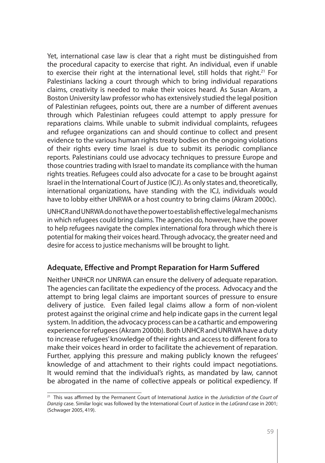Yet, international case law is clear that a right must be distinguished from the procedural capacity to exercise that right. An individual, even if unable to exercise their right at the international level, still holds that right.<sup>21</sup> For Palestinians lacking a court through which to bring individual reparations claims, creativity is needed to make their voices heard. As Susan Akram, a Boston University law professor who has extensively studied the legal position of Palestinian refugees, points out, there are a number of different avenues through which Palestinian refugees could attempt to apply pressure for reparations claims. While unable to submit individual complaints, refugees and refugee organizations can and should continue to collect and present evidence to the various human rights treaty bodies on the ongoing violations of their rights every time Israel is due to submit its periodic compliance reports. Palestinians could use advocacy techniques to pressure Europe and those countries trading with Israel to mandate its compliance with the human rights treaties. Refugees could also advocate for a case to be brought against Israel in the International Court of Justice (ICJ). As only states and, theoretically, international organizations, have standing with the ICJ, individuals would have to lobby either UNRWA or a host country to bring claims (Akram 2000c).

UNHCR and UNRWA do not have the power to establish effective legal mechanisms in which refugees could bring claims. The agencies do, however, have the power to help refugees navigate the complex international fora through which there is potential for making their voices heard. Through advocacy, the greater need and desire for access to justice mechanisms will be brought to light.

# **Adequate, Effective and Prompt Reparation for Harm Suffered**

Neither UNHCR nor UNRWA can ensure the delivery of adequate reparation. The agencies can facilitate the expediency of the process. Advocacy and the attempt to bring legal claims are important sources of pressure to ensure delivery of justice. Even failed legal claims allow a form of non-violent protest against the original crime and help indicate gaps in the current legal system. In addition, the advocacy process can be a cathartic and empowering experience for refugees (Akram 2000b). Both UNHCR and UNRWA have a duty to increase refugees' knowledge of their rights and access to different fora to make their voices heard in order to facilitate the achievement of reparation. Further, applying this pressure and making publicly known the refugees' knowledge of and attachment to their rights could impact negotiations. It would remind that the individual's rights, as mandated by law, cannot be abrogated in the name of collective appeals or political expediency. If

<sup>21</sup> This was affirmed by the Permanent Court of International Justice in the *Jurisdiction of the Court of Danzig* case. Similar logic was followed by the International Court of Justice in the *LaGrand* case in 2001; (Schwager 2005, 419).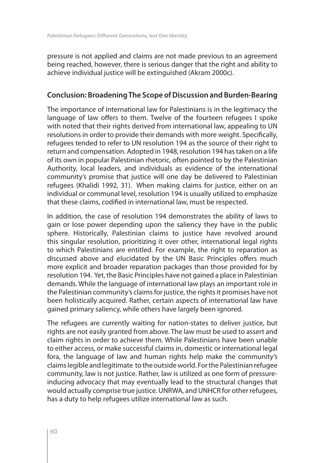pressure is not applied and claims are not made previous to an agreement being reached, however, there is serious danger that the right and ability to achieve individual justice will be extinguished (Akram 2000c).

#### **Conclusion: Broadening The Scope of Discussion and Burden-Bearing**

The importance of international law for Palestinians is in the legitimacy the language of law offers to them. Twelve of the fourteen refugees I spoke with noted that their rights derived from international law, appealing to UN resolutions in order to provide their demands with more weight. Specifically, refugees tended to refer to UN resolution 194 as the source of their right to return and compensation. Adopted in 1948, resolution 194 has taken on a life of its own in popular Palestinian rhetoric, often pointed to by the Palestinian Authority, local leaders, and individuals as evidence of the international community's promise that justice will one day be delivered to Palestinian refugees (Khalidi 1992, 31). When making claims for justice, either on an individual or communal level, resolution 194 is usually utilized to emphasize that these claims, codified in international law, must be respected.

In addition, the case of resolution 194 demonstrates the ability of laws to gain or lose power depending upon the saliency they have in the public sphere. Historically, Palestinian claims to justice have revolved around this singular resolution, prioritizing it over other, international legal rights to which Palestinians are entitled. For example, the right to reparation as discussed above and elucidated by the UN Basic Principles offers much more explicit and broader reparation packages than those provided for by resolution 194. Yet, the Basic Principles have not gained a place in Palestinian demands. While the language of international law plays an important role in the Palestinian community's claims for justice, the rights it promises have not been holistically acquired. Rather, certain aspects of international law have gained primary saliency, while others have largely been ignored.

The refugees are currently waiting for nation-states to deliver justice, but rights are not easily granted from above. The law must be used to assert and claim rights in order to achieve them. While Palestinians have been unable to either access, or make successful claims in, domestic or international legal fora, the language of law and human rights help make the community's claims legible and legitimate to the outside world. For the Palestinian refugee community, law is not justice. Rather, law is utilized as one form of pressureinducing advocacy that may eventually lead to the structural changes that would actually comprise true justice. UNRWA, and UNHCR for other refugees, has a duty to help refugees utilize international law as such.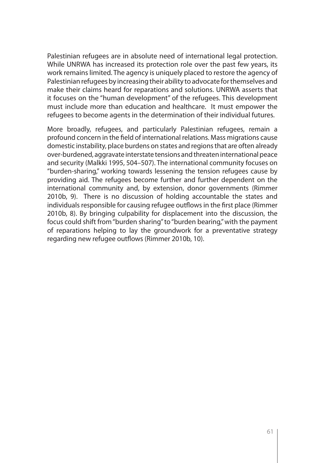Palestinian refugees are in absolute need of international legal protection. While UNRWA has increased its protection role over the past few years, its work remains limited. The agency is uniquely placed to restore the agency of Palestinian refugees by increasing their ability to advocate for themselves and make their claims heard for reparations and solutions. UNRWA asserts that it focuses on the "human development" of the refugees. This development must include more than education and healthcare. It must empower the refugees to become agents in the determination of their individual futures.

More broadly, refugees, and particularly Palestinian refugees, remain a profound concern in the field of international relations. Mass migrations cause domestic instability, place burdens on states and regions that are often already over-burdened, aggravate interstate tensions and threaten international peace and security (Malkki 1995, 504–507). The international community focuses on "burden-sharing," working towards lessening the tension refugees cause by providing aid. The refugees become further and further dependent on the international community and, by extension, donor governments (Rimmer 2010b, 9). There is no discussion of holding accountable the states and individuals responsible for causing refugee outflows in the first place (Rimmer 2010b, 8). By bringing culpability for displacement into the discussion, the focus could shift from "burden sharing" to "burden bearing," with the payment of reparations helping to lay the groundwork for a preventative strategy regarding new refugee outflows (Rimmer 2010b, 10).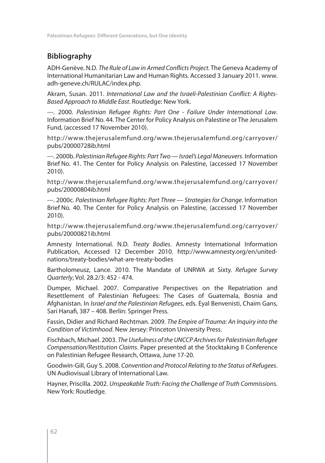# **Bibliography**

ADH-Genève. N.D. *The Rule of Law in Armed Conflicts Project.* The Geneva Academy of International Humanitarian Law and Human Rights. Accessed 3 January 2011. www. adh-geneve.ch/RULAC/index.php.

Akram, Susan. 2011. *International Law and the Israeli-Palestinian Conflict: A Rights-Based Approach to Middle East*. Routledge: New York.

---. 2000. *Palestinian Refugee Rights: Part One - Failure Under International Law*. Information Brief No. 44. The Center for Policy Analysis on Palestine or The Jerusalem Fund, (accessed 17 November 2010).

http://www.thejerusalemfund.org/www.thejerusalemfund.org/carryover/ pubs/20000728ib.html

---. 2000b. *Palestinian Refugee Rights: Part Two — Israel's Legal Maneuvers*. Information Brief No. 41. The Center for Policy Analysis on Palestine, (accessed 17 November 2010).

http://www.thejerusalemfund.org/www.thejerusalemfund.org/carryover/ pubs/20000804ib.html

---. 2000c. *Palestinian Refugee Rights: Part Three — Strategies for Change*. Information Brief No. 40. The Center for Policy Analysis on Palestine, (accessed 17 November 2010).

http://www.thejerusalemfund.org/www.thejerusalemfund.org/carryover/ pubs/20000821ib.html

Amnesty International. N.D. *Treaty Bodies*. Amnesty International Information Publication, Accessed 12 December 2010. http://www.amnesty.org/en/unitednations/treaty-bodies/what-are-treaty-bodies

Bartholomeusz, Lance. 2010. The Mandate of UNRWA at Sixty. *Refugee Survey Quarterly*, Vol. 28.2/3: 452 - 474.

Dumper, Michael. 2007. Comparative Perspectives on the Repatriation and Resettlement of Palestinian Refugees: The Cases of Guatemala, Bosnia and Afghanistan. In *Israel and the Palestinian Refugees*, eds. Eyal Benvenisti, Chaim Gans, Sari Hanafi, 387 – 408. Berlin: Springer Press.

Fassin, Didier and Richard Rechtman. 2009. *The Empire of Trauma: An Inquiry into the Condition of Victimhood*. New Jersey: Princeton University Press.

Fischbach, Michael. 2003. *The Usefulness of the UNCCP Archives for Palestinian Refugee Compensation/Restitution Claims*. Paper presented at the Stocktaking II Conference on Palestinian Refugee Research, Ottawa, June 17-20.

Goodwin-Gill, Guy S. 2008. *Convention and Protocol Relating to the Status of Refugees*. UN Audiovisual Library of International Law.

Hayner, Priscilla. 2002. *Unspeakable Truth: Facing the Challenge of Truth Commissions*. New York: Routledge.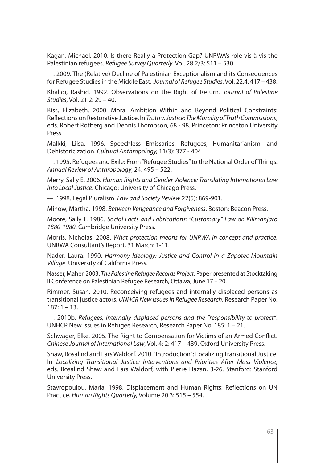Kagan, Michael. 2010. Is there Really a Protection Gap? UNRWA's role vis-à-vis the Palestinian refugees. *Refugee Survey Quarterly*, Vol. 28.2/3: 511 – 530.

---. 2009. The (Relative) Decline of Palestinian Exceptionalism and its Consequences for Refugee Studies in the Middle East. *Journal of Refugee Studies*, Vol. 22.4: 417 – 438.

Khalidi, Rashid. 1992. Observations on the Right of Return. *Journal of Palestine Studies*, Vol. 21.2: 29 – 40.

Kiss, Elizabeth. 2000. Moral Ambition Within and Beyond Political Constraints: Reflections on Restorative Justice. In *Truth v. Justice: The Morality of Truth Commissions*, eds. Robert Rotberg and Dennis Thompson, 68 - 98. Princeton: Princeton University Press.

Malkki, Liisa. 1996. Speechless Emissaries: Refugees, Humanitarianism, and Dehistoricization. *Cultural Anthropology,* 11(3): 377 - 404.

---. 1995. Refugees and Exile: From "Refugee Studies" to the National Order of Things. *Annual Review of Anthropology*, 24: 495 – 522.

Merry, Sally E. 2006. *Human Rights and Gender Violence: Translating International Law into Local Justice*. Chicago: University of Chicago Press.

---. 1998. Legal Pluralism. *Law and Society Review* 22(5): 869-901.

Minow, Martha. 1998. *Between Vengeance and Forgiveness*. Boston: Beacon Press.

Moore, Sally F. 1986. *Social Facts and Fabrications: "Customary" Law on Kilimanjaro 1880-1980*. Cambridge University Press.

Morris, Nicholas. 2008. *What protection means for UNRWA in concept and practice*. UNRWA Consultant's Report, 31 March: 1-11.

Nader, Laura. 1990. *Harmony Ideology: Justice and Control in a Zapotec Mountain Village*. University of California Press.

Nasser, Maher. 2003. *The Palestine Refugee Records Project*. Paper presented at Stocktaking II Conference on Palestinian Refugee Research, Ottawa, June 17 – 20.

Rimmer, Susan. 2010. Reconceiving refugees and internally displaced persons as transitional justice actors. *UNHCR New Issues in Refugee Research*, Research Paper No.  $187:1 - 13.$ 

---. 2010b. *Refugees, Internally displaced persons and the "responsibility to protect"*. UNHCR New Issues in Refugee Research, Research Paper No. 185: 1 – 21.

Schwager, Elke. 2005. The Right to Compensation for Victims of an Armed Conflict. *Chinese Journal of International Law*, Vol. 4: 2: 417 – 439. Oxford University Press.

Shaw, Rosalind and Lars Waldorf. 2010. "Introduction": Localizing Transitional Justice. In *Localizing Transitional Justice: Interventions and Priorities After Mass Violence*, eds. Rosalind Shaw and Lars Waldorf, with Pierre Hazan, 3-26. Stanford: Stanford University Press.

Stavropoulou, Maria. 1998. Displacement and Human Rights: Reflections on UN Practice. *Human Rights Quarterly,* Volume 20.3: 515 – 554.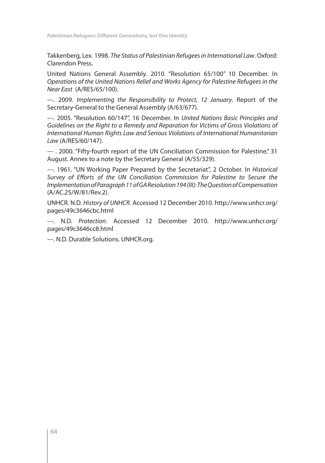Takkenberg, Lex. 1998. *The Status of Palestinian Refugees in International Law*. Oxford: Clarendon Press.

United Nations General Assembly. 2010. "Resolution 65/100" 10 December. In *Operations of the United Nations Relief and Works Agency for Palestine Refugees in the Near East* (A/RES/65/100).

---. 2009. *Implementing the Responsibility to Protect, 12 January*. Report of the Secretary-General to the General Assembly (A/63/677).

---. 2005. "Resolution 60/147", 16 December. In *United Nations Basic Principles and Guidelines on the Right to a Remedy and Reparation for Victims of Gross Violations of International Human Rights Law and Serious Violations of International Humanitarian Law* (A/RES/60/147).

--- . 2000. "Fifty-fourth report of the UN Conciliation Commission for Palestine," 31 August. Annex to a note by the Secretary General (A/55/329).

---. 1961. "UN Working Paper Prepared by the Secretariat", 2 October. In *Historical Survey of Efforts of the UN Conciliation Commission for Palestine to Secure the Implementation of Paragraph 11 of GA Resolution 194 (III): The Question of Compensation* (A/AC.25/W/81/Rev.2).

UNHCR. N.D. *History of UNHCR*. Accessed 12 December 2010. http://www.unhcr.org/ pages/49c3646cbc.html

---. N.D. *Protection*. Accessed 12 December 2010. http://www.unhcr.org/ pages/49c3646cc8.html

---. N.D. Durable Solutions. UNHCR.org.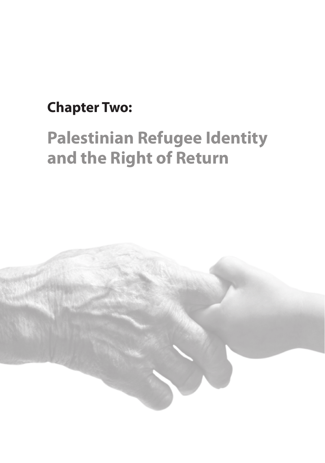# **Chapter Two:**

# **Palestinian Refugee Identity and the Right of Return**

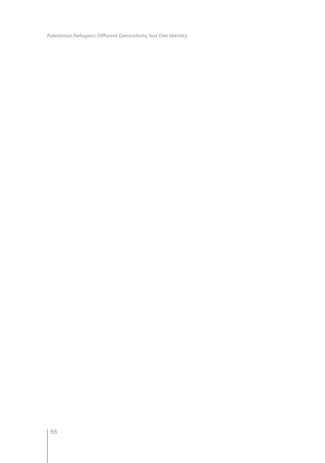**Palestinian Refugees: Different Generations, but One Identity**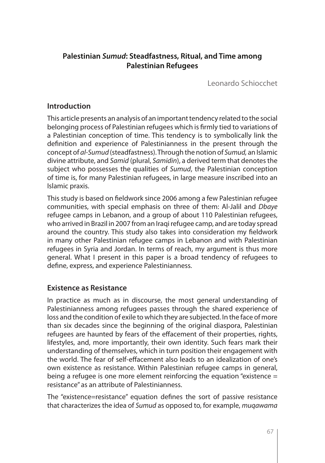# **Palestinian** *Sumud***: Steadfastness, Ritual, and Time among Palestinian Refugees**

Leonardo Schiocchet

#### **Introduction**

This article presents an analysis of an important tendency related to the social belonging process of Palestinian refugees which is firmly tied to variations of a Palestinian conception of time. This tendency is to symbolically link the definition and experience of Palestinianness in the present through the concept of *al-Sumud* (steadfastness). Through the notion of *Sumud,* an Islamic divine attribute, and *Samid* (plural, *Samidin*), a derived term that denotes the subject who possesses the qualities of *Sumud*, the Palestinian conception of time is, for many Palestinian refugees, in large measure inscribed into an Islamic praxis.

This study is based on fieldwork since 2006 among a few Palestinian refugee communities, with special emphasis on three of them: Al-Jalil and *Dbaye* refugee camps in Lebanon, and a group of about 110 Palestinian refugees, who arrived in Brazil in 2007 from an Iraqi refugee camp, and are today spread around the country. This study also takes into consideration my fieldwork in many other Palestinian refugee camps in Lebanon and with Palestinian refugees in Syria and Jordan. In terms of reach, my argument is thus more general. What I present in this paper is a broad tendency of refugees to define, express, and experience Palestinianness.

#### **Existence as Resistance**

In practice as much as in discourse, the most general understanding of Palestinianness among refugees passes through the shared experience of loss and the condition of exile to which they are subjected. In the face of more than six decades since the beginning of the original diaspora, Palestinian refugees are haunted by fears of the effacement of their properties, rights, lifestyles, and, more importantly, their own identity. Such fears mark their understanding of themselves, which in turn position their engagement with the world. The fear of self-effacement also leads to an idealization of one's own existence as resistance. Within Palestinian refugee camps in general, being a refugee is one more element reinforcing the equation "existence = resistance" as an attribute of Palestinianness.

The "existence=resistance" equation defines the sort of passive resistance that characterizes the idea of *Sumud* as opposed to, for example, *muqawama*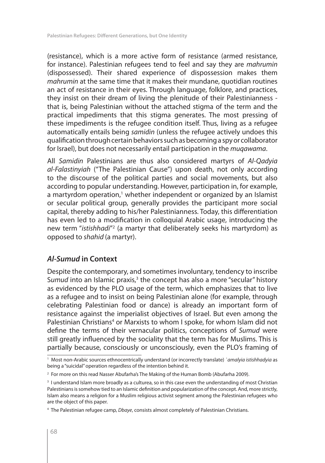(resistance), which is a more active form of resistance (armed resistance, for instance). Palestinian refugees tend to feel and say they are *mahrumin* (dispossessed). Their shared experience of dispossession makes them *mahrumin* at the same time that it makes their mundane, quotidian routines an act of resistance in their eyes. Through language, folklore, and practices, they insist on their dream of living the plenitude of their Palestinianness that is, being Palestinian without the attached stigma of the term and the practical impediments that this stigma generates. The most pressing of these impediments is the refugee condition itself. Thus, living as a refugee automatically entails being *samidin* (unless the refugee actively undoes this qualification through certain behaviors such as becoming a spy or collaborator for Israel), but does not necessarily entail participation in the *muqawama*.

All *Samidin* Palestinians are thus also considered martyrs of *Al-Qadyia al-Falastinyiah* ("The Palestinian Cause") upon death, not only according to the discourse of the political parties and social movements, but also according to popular understanding. However, participation in, for example, a martyrdom operation,<sup>1</sup> whether independent or organized by an Islamist or secular political group, generally provides the participant more social capital, thereby adding to his/her Palestinianness. Today, this differentiation has even led to a modification in colloquial Arabic usage, introducing the new term "*istishhadi*"2 (a martyr that deliberately seeks his martyrdom) as opposed to *shahid* (a martyr).

#### *Al-Sumud* **in Context**

Despite the contemporary, and sometimes involuntary, tendency to inscribe Sumud into an Islamic praxis,<sup>3</sup> the concept has also a more "secular" history as evidenced by the PLO usage of the term, which emphasizes that to live as a refugee and to insist on being Palestinian alone (for example, through celebrating Palestinian food or dance) is already an important form of resistance against the imperialist objectives of Israel. But even among the Palestinian Christians<sup>4</sup> or Marxists to whom I spoke, for whom Islam did not define the terms of their vernacular politics, conceptions of *Sumud* were still greatly influenced by the sociality that the term has for Muslims. This is partially because, consciously or unconsciously, even the PLO's framing of

<sup>&</sup>lt;sup>1</sup> Most non-Arabic sources ethnocentrically understand (or incorrectly translate) `amalyia istishhadyia as being a "suicidal" operation regardless of the intention behind it.

<sup>2</sup> For more on this read Nasser Abufarha's The Making of the Human Bomb (Abufarha 2009).

<sup>&</sup>lt;sup>3</sup> I understand Islam more broadly as a culturea, so in this case even the understanding of most Christian Palestinians is somehow tied to an Islamic definition and popularization of the concept. And, more strictly, Islam also means a religion for a Muslim religious activist segment among the Palestinian refugees who are the object of this paper.

<sup>4</sup> The Palestinian refugee camp, *Dbaye*, consists almost completely of Palestinian Christians.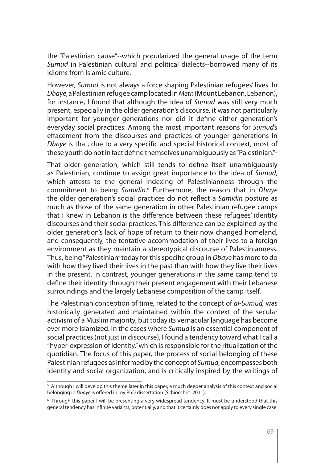the "Palestinian cause"--which popularized the general usage of the term *Sumud* in Palestinian cultural and political dialects--borrowed many of its idioms from Islamic culture.

However, *Sumud* is not always a force shaping Palestinian refugees' lives. In *Dbaye*, a Palestinian refugee camp located in *Metn* (Mount Lebanon, Lebanon), for instance, I found that although the idea of *Sumud* was still very much present, especially in the older generation's discourse, it was not particularly important for younger generations nor did it define either generation's everyday social practices. Among the most important reasons for *Sumud's* effacement from the discourses and practices of younger generations in *Dbaye* is that, due to a very specific and special historical context, most of these youth do not in fact define themselves unambiguously as "Palestinian."5

That older generation, which still tends to define itself unambiguously as Palestinian, continue to assign great importance to the idea of *Sumud*, which attests to the general indexing of Palestinianness through the commitment to being *Samidin.*<sup>6</sup> Furthermore, the reason that in *Dbaye* the older generation's social practices do not reflect a *Samidin* posture as much as those of the same generation in other Palestinian refugee camps that I knew in Lebanon is the difference between these refugees' identity discourses and their social practices. This difference can be explained by the older generation's lack of hope of return to their now changed homeland, and consequently, the tentative accommodation of their lives to a foreign environment as they maintain a stereotypical discourse of Palestinianness. Thus, being "Palestinian" today for this specific group in *Dbaye* has more to do with how they lived their lives in the past than with how they live their lives in the present. In contrast, younger generations in the same camp tend to define their identity through their present engagement with their Lebanese surroundings and the largely Lebanese composition of the camp itself.

The Palestinian conception of time, related to the concept of *al-*S*umud,* was historically generated and maintained within the context of the secular activism of a Muslim majority, but today its vernacular language has become ever more Islamized. In the cases where *Sumud* is an essential component of social practices (not just in discourse), I found a tendency toward what I call a "hyper-expression of identity," which is responsible for the ritualization of the quotidian. The focus of this paper, the process of social belonging of these Palestinian refugees as informed by the concept of *Sumud*, encompasses both identity and social organization, and is critically inspired by the writings of

<sup>5</sup> Although I will develop this theme later in this paper, a much deeper analysis of this context and social belonging in *Dbaye* is offered in my PhD dissertation (Schiocchet 2011).

<sup>6</sup> Through this paper I will be presenting a very widespread tendency. It must be understood that this general tendency has infinite variants, potentially, and that it certainly does not apply to every single case.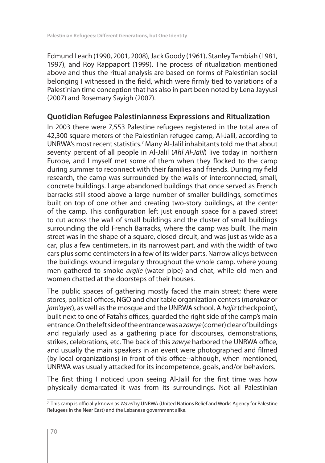Edmund Leach (1990, 2001, 2008), Jack Goody (1961), Stanley Tambiah (1981, 1997), and Roy Rappaport (1999). The process of ritualization mentioned above and thus the ritual analysis are based on forms of Palestinian social belonging I witnessed in the field, which were firmly tied to variations of a Palestinian time conception that has also in part been noted by Lena Jayyusi (2007) and Rosemary Sayigh (2007).

#### **Quotidian Refugee Palestinianness Expressions and Ritualization**

In 2003 there were 7,553 Palestine refugees registered in the total area of 42,300 square meters of the Palestinian refugee camp, Al-Jalil, according to UNRWA's most recent statistics.<sup>7</sup> Many Al-Jalil inhabitants told me that about seventy percent of all people in Al-Jalil (*Ahl Al-Jalil*) live today in northern Europe, and I myself met some of them when they flocked to the camp during summer to reconnect with their families and friends. During my field research, the camp was surrounded by the walls of interconnected, small, concrete buildings. Large abandoned buildings that once served as French barracks still stood above a large number of smaller buildings, sometimes built on top of one other and creating two-story buildings, at the center of the camp. This configuration left just enough space for a paved street to cut across the wall of small buildings and the cluster of small buildings surrounding the old French Barracks, where the camp was built. The main street was in the shape of a square, closed circuit, and was just as wide as a car, plus a few centimeters, in its narrowest part, and with the width of two cars plus some centimeters in a few of its wider parts. Narrow alleys between the buildings wound irregularly throughout the whole camp, where young men gathered to smoke *argile* (water pipe) and chat, while old men and women chatted at the doorsteps of their houses.

The public spaces of gathering mostly faced the main street; there were stores, political offices, NGO and charitable organization centers (*marakaz* or *jam'ayet*), as well as the mosque and the UNRWA school. A *hajiz* (checkpoint)*,* built next to one of Fataĥ's offices, guarded the right side of the camp's main entrance. On the left side of the entrance was a *zawye* (corner) clear of buildings and regularly used as a gathering place for discourses, demonstrations, strikes, celebrations, etc. The back of this *zawye* harbored the UNRWA office, and usually the main speakers in an event were photographed and filmed (by local organizations) in front of this office--although, when mentioned, UNRWA was usually attacked for its incompetence, goals, and/or behaviors.

The first thing I noticed upon seeing Al-Jalil for the first time was how physically demarcated it was from its surroundings. Not all Palestinian

<sup>7</sup> This camp is officially known as *Wavel* by UNRWA (United Nations Relief and Works Agency for Palestine Refugees in the Near East) and the Lebanese government alike.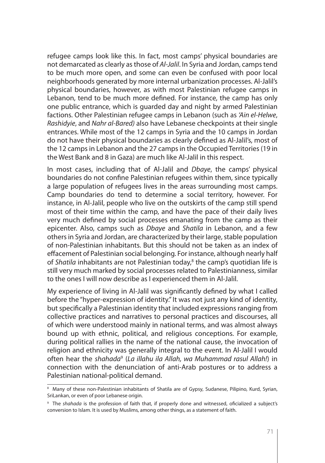refugee camps look like this. In fact, most camps' physical boundaries are not demarcated as clearly as those of *Al-Jalil*. In Syria and Jordan, camps tend to be much more open, and some can even be confused with poor local neighborhoods generated by more internal urbanization processes. Al-Jalil's physical boundaries, however, as with most Palestinian refugee camps in Lebanon, tend to be much more defined. For instance, the camp has only one public entrance, which is guarded day and night by armed Palestinian factions. Other Palestinian refugee camps in Lebanon (such as *'Ain el-Helwe*, *Rashidyie*, and *Nahr al-Bared)* also have Lebanese checkpoints at their single entrances. While most of the 12 camps in Syria and the 10 camps in Jordan do not have their physical boundaries as clearly defined as Al-Jalil's, most of the 12 camps in Lebanon and the 27 camps in the Occupied Territories (19 in the West Bank and 8 in Gaza) are much like Al-Jalil in this respect.

In most cases, including that of Al-Jalil and *Dbaye*, the camps' physical boundaries do not confine Palestinian refugees within them, since typically a large population of refugees lives in the areas surrounding most camps. Camp boundaries do tend to determine a social territory, however. For instance, in Al-Jalil, people who live on the outskirts of the camp still spend most of their time within the camp, and have the pace of their daily lives very much defined by social processes emanating from the camp as their epicenter. Also, camps such as *Dbaye* and *Shatila* in Lebanon, and a few others in Syria and Jordan, are characterized by their large, stable population of non-Palestinian inhabitants. But this should not be taken as an index of effacement of Palestinian social belonging. For instance, although nearly half of Shatila inhabitants are not Palestinian today,<sup>8</sup> the camp's quotidian life is still very much marked by social processes related to Palestinianness, similar to the ones I will now describe as I experienced them in Al-Jalil.

My experience of living in Al-Jalil was significantly defined by what I called before the "hyper-expression of identity." It was not just any kind of identity, but specifically a Palestinian identity that included expressions ranging from collective practices and narratives to personal practices and discourses, all of which were understood mainly in national terms, and was almost always bound up with ethnic, political, and religious conceptions. For example, during political rallies in the name of the national cause, the invocation of religion and ethnicity was generally integral to the event. In Al-Jalil I would often hear the *shahada*<sup>9</sup> (*La illahu ila Allah, wa Muhammad rasul Allah!*) in connection with the denunciation of anti-Arab postures or to address a Palestinian national-political demand.

<sup>&</sup>lt;sup>8</sup> Many of these non-Palestinian inhabitants of Shatila are of Gypsy, Sudanese, Pilipino, Kurd, Syrian, SriLankan, or even of poor Lebanese origin.

<sup>9</sup> The *shahada* is the profession of faith that, if properly done and witnessed, oficialized a subject's conversion to Islam. It is used by Muslims, among other things, as a statement of faith.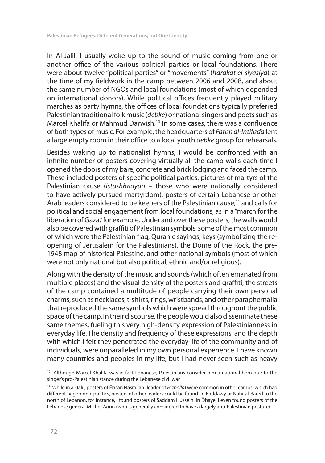In Al-Jalil, I usually woke up to the sound of music coming from one or another office of the various political parties or local foundations. There were about twelve "political parties" or "movements" (*harakat el-siyasiya*) at the time of my fieldwork in the camp between 2006 and 2008, and about the same number of NGOs and local foundations (most of which depended on international donors). While political offices frequently played military marches as party hymns, the offices of local foundations typically preferred Palestinian traditional folk music (*debke*) or national singers and poets such as Marcel Khalifa or Mahmud Darwish.<sup>10</sup> In some cases, there was a confluence of both types of music. For example, the headquarters of *Fatah al-Intifaďa* lent a large empty room in their office to a local youth *debke* group for rehearsals.

Besides waking up to nationalist hymns, I would be confronted with an infinite number of posters covering virtually all the camp walls each time I opened the doors of my bare, concrete and brick lodging and faced the camp. These included posters of specific political parties, pictures of martyrs of the Palestinian cause (*istashhadyun* – those who were nationally considered to have actively pursued martyrdom), posters of certain Lebanese or other Arab leaders considered to be keepers of the Palestinian cause,<sup>11</sup> and calls for political and social engagement from local foundations, as in a "march for the liberation of Gaza," for example. Under and over these posters, the walls would also be covered with graffiti of Palestinian symbols, some of the most common of which were the Palestinian flag, Quranic sayings, keys (symbolizing the reopening of Jerusalem for the Palestinians), the Dome of the Rock, the pre-1948 map of historical Palestine, and other national symbols (most of which were not only national but also political, ethnic and/or religious).

Along with the density of the music and sounds (which often emanated from multiple places) and the visual density of the posters and graffiti, the streets of the camp contained a multitude of people carrying their own personal charms, such as necklaces, t-shirts, rings, wristbands, and other paraphernalia that reproduced the same symbols which were spread throughout the public space of the camp. In their discourse, the people would also disseminate these same themes, fueling this very high-density expression of Palestinianness in everyday life. The density and frequency of these expressions, and the depth with which I felt they penetrated the everyday life of the community and of individuals, were unparalleled in my own personal experience. I have known many countries and peoples in my life, but I had never seen such as heavy

<sup>&</sup>lt;sup>10</sup> Although Marcel Khalifa was in fact Lebanese, Palestinians consider him a national hero due to the singer's pro-Palestinian stance during the Lebanese civil war.

<sup>11</sup> While in al-Jalil, posters of Ĥasan Nasrallah (leader of *Hizbolla*) were common in other camps, which had different hegemonic politics, posters of other leaders could be found. In Baddawy or Nahr al-Bared to the north of Lebanon, for instance, I found posters of Saddam Hussein. In Ďbaye, I even found posters of the Lebanese general Michel 'Aoun (who is generally considered to have a largely anti-Palestinian posture).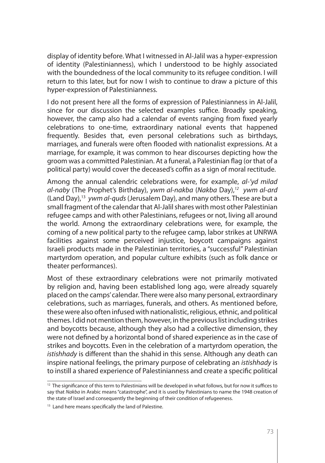display of identity before. What I witnessed in Al-Jalil was a hyper-expression of identity (Palestinianness), which I understood to be highly associated with the boundedness of the local community to its refugee condition. I will return to this later, but for now I wish to continue to draw a picture of this hyper-expression of Palestinianness.

I do not present here all the forms of expression of Palestinianness in Al-Jalil, since for our discussion the selected examples suffice. Broadly speaking, however, the camp also had a calendar of events ranging from fixed yearly celebrations to one-time, extraordinary national events that happened frequently. Besides that, even personal celebrations such as birthdays, marriages, and funerals were often flooded with nationalist expressions. At a marriage, for example, it was common to hear discourses depicting how the groom was a committed Palestinian. At a funeral, a Palestinian flag (or that of a political party) would cover the deceased's coffin as a sign of moral rectitude.

Among the annual calendric celebrations were, for example, *al-'yd milad al-naby* (The Prophet's Birthday), *ywm al-nakba* (*Nakba* Day),*<sup>12</sup> ywm al-ard* (Land Day),13 *ywm al-quds* (Jerusalem Day), and many others. These are but a small fragment of the calendar that Al-Jalil shares with most other Palestinian refugee camps and with other Palestinians, refugees or not, living all around the world. Among the extraordinary celebrations were, for example, the coming of a new political party to the refugee camp, labor strikes at UNRWA facilities against some perceived injustice, boycott campaigns against Israeli products made in the Palestinian territories, a "successful" Palestinian martyrdom operation, and popular culture exhibits (such as folk dance or theater performances).

Most of these extraordinary celebrations were not primarily motivated by religion and, having been established long ago, were already squarely placed on the camps' calendar. There were also many personal, extraordinary celebrations, such as marriages, funerals, and others. As mentioned before, these were also often infused with nationalistic, religious, ethnic, and political themes. I did not mention them, however, in the previous list including strikes and boycotts because, although they also had a collective dimension, they were not defined by a horizontal bond of shared experience as in the case of strikes and boycotts. Even in the celebration of a martyrdom operation, the *istishhady* is different than the shahid in this sense. Although any death can inspire national feelings, the primary purpose of celebrating an *istishhady* is to instill a shared experience of Palestinianness and create a specific political

<sup>&</sup>lt;sup>12</sup> The significance of this term to Palestinians will be developed in what follows, but for now it suffices to say that *Nakba* in Arabic means "catastrophe", and it is used by Palestinians to name the 1948 creation of the state of Israel and consequently the beginning of their condition of refugeeness.

<sup>&</sup>lt;sup>13</sup> Land here means specifically the land of Palestine.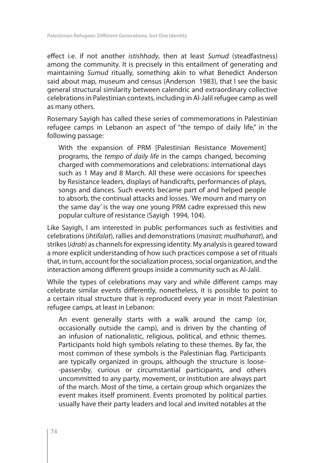effect i.e. if not another *istishhady*, then at least *Sumud* (steadfastness) among the community. It is precisely in this entailment of generating and maintaining *Sumud* ritually, something akin to what Benedict Anderson said about map, museum and census (Anderson 1983), that I see the basic general structural similarity between calendric and extraordinary collective celebrations in Palestinian contexts, including in Al-Jalil refugee camp as well as many others.

Rosemary Sayigh has called these series of commemorations in Palestinian refugee camps in Lebanon an aspect of "the tempo of daily life," in the following passage:

With the expansion of PRM [Palestinian Resistance Movement] programs, the *tempo of daily life* in the camps changed, becoming charged with commemorations and celebrations: international days such as 1 May and 8 March. All these were occasions for speeches by Resistance leaders, displays of handicrafts, performances of plays, songs and dances. Such events became part of and helped people to absorb, the continual attacks and losses. 'We mourn and marry on the same day' is the way one young PRM cadre expressed this new popular culture of resistance (Sayigh 1994, 104).

Like Sayigh, I am interested in public performances such as festivities and celebrations (*ihtifalat*), rallies and demonstrations (*masirat*; *mudhaharat*), and strikes (*idrab*) as channels for expressing identity. My analysis is geared toward a more explicit understanding of how such practices compose a set of rituals that, in turn, account for the socialization process, social organization, and the interaction among different groups inside a community such as Al-Jalil.

While the types of celebrations may vary and while different camps may celebrate similar events differently, nonetheless, it is possible to point to a certain ritual structure that is reproduced every year in most Palestinian refugee camps, at least in Lebanon:

An event generally starts with a walk around the camp (or, occasionally outside the camp), and is driven by the chanting of an infusion of nationalistic, religious, political, and ethnic themes. Participants hold high symbols relating to these themes. By far, the most common of these symbols is the Palestinian flag. Participants are typically organized in groups, although the structure is loose- -passersby, curious or circumstantial participants, and others uncommitted to any party, movement, or institution are always part of the march. Most of the time, a certain group which organizes the event makes itself prominent. Events promoted by political parties usually have their party leaders and local and invited notables at the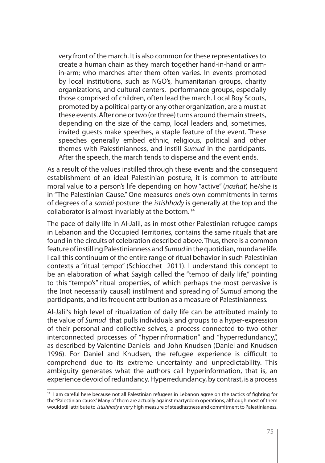very front of the march. It is also common for these representatives to create a human chain as they march together hand-in-hand or armin-arm; who marches after them often varies. In events promoted by local institutions, such as NGO's, humanitarian groups, charity organizations, and cultural centers, performance groups, especially those comprised of children, often lead the march. Local Boy Scouts, promoted by a political party or any other organization, are a must at these events. After one or two (or three) turns around the main streets, depending on the size of the camp, local leaders and, sometimes, invited guests make speeches, a staple feature of the event. These speeches generally embed ethnic, religious, political and other themes with Palestinianness, and instill *Sumud* in the participants. After the speech, the march tends to disperse and the event ends.

As a result of the values instilled through these events and the consequent establishment of an ideal Palestinian posture, it is common to attribute moral value to a person's life depending on how "active" (*nashat*) he/she is in "The Palestinian Cause." One measures one's own commitments in terms of degrees of a *samidi* posture: the *istishhady* is generally at the top and the collaborator is almost invariably at the bottom. <sup>14</sup>

The pace of daily life in Al-Jalil, as in most other Palestinian refugee camps in Lebanon and the Occupied Territories, contains the same rituals that are found in the circuits of celebration described above. Thus, there is a common feature of instilling Palestinianness and *Sumud* in the quotidian, mundane life. I call this continuum of the entire range of ritual behavior in such Palestinian contexts a "ritual tempo" (Schiocchet 2011). I understand this concept to be an elaboration of what Sayigh called the "tempo of daily life," pointing to this "tempo's" ritual properties, of which perhaps the most pervasive is the (not necessarily causal) instilment and spreading of *Sumud* among the participants, and its frequent attribution as a measure of Palestinianness.

Al-Jalil's high level of ritualization of daily life can be attributed mainly to the value of *Sumud* that pulls individuals and groups to a hyper-expression of their personal and collective selves, a process connected to two other interconnected processes of "hyperinfrormation" and "hyperredundancy", as described by Valentine Daniels and John Knudsen (Daniel and Knudsen 1996). For Daniel and Knudsen, the refugee experience is difficult to comprehend due to its extreme uncertainty and unpredictability. This ambiguity generates what the authors call hyperinformation, that is, an experience devoid of redundancy. Hyperredundancy, by contrast, is a process

<sup>&</sup>lt;sup>14</sup> I am careful here because not all Palestinian refugees in Lebanon agree on the tactics of fighting for the "Palestinian cause." Many of them are actually against martyrdom operations, although most of them would still attribute to *istishhady* a very high measure of steadfastness and commitment to Palestinianess.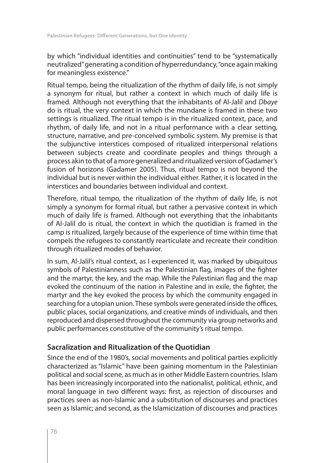by which "individual identities and continuities" tend to be "systematically neutralized" generating a condition of hyperredundancy, "once again making for meaningless existence."

Ritual tempo, being the ritualization of the rhythm of daily life, is not simply a synonym for ritual, but rather a context in which much of daily life is framed. Although not everything that the inhabitants of Al-Jalil and *Dbaye*  do is ritual, the very context in which the mundane is framed in these two settings is ritualized. The ritual tempo is in the ritualized context, pace, and rhythm, of daily life, and not in a ritual performance with a clear setting, structure, narrative, and pre-conceived symbolic system. My premise is that the subjunctive interstices composed of ritualized interpersonal relations between subjects create and coordinate peoples and things through a process akin to that of a more generalized and ritualized version of Gadamer's fusion of horizons (Gadamer 2005). Thus, ritual tempo is not beyond the individual but is never within the individual either. Rather, it is located in the interstices and boundaries between individual and context.

Therefore, ritual tempo, the ritualization of the rhythm of daily life, is not simply a synonym for formal ritual, but rather a pervasive context in which much of daily life is framed. Although not everything that the inhabitants of Al-Jalil do is ritual, the context in which the quotidian is framed in the camp is ritualized, largely because of the experience of time within time that compels the refugees to constantly rearticulate and recreate their condition through ritualized modes of behavior.

In sum, Al-Jalil's ritual context, as I experienced it, was marked by ubiquitous symbols of Palestinianness such as the Palestinian flag, images of the fighter and the martyr, the key, and the map. While the Palestinian flag and the map evoked the continuum of the nation in Palestine and in exile, the fighter, the martyr and the key evoked the process by which the community engaged in searching for a utopian union. These symbols were generated inside the offices, public places, social organizations, and creative minds of individuals, and then reproduced and dispersed throughout the community via group networks and public performances constitutive of the community's ritual tempo.

# **Sacralization and Ritualization of the Quotidian**

Since the end of the 1980's, social movements and political parties explicitly characterized as "Islamic" have been gaining momentum in the Palestinian political and social scene, as much as in other Middle Eastern countries. Islam has been increasingly incorporated into the nationalist, political, ethnic, and moral language in two different ways: first, as rejection of discourses and practices seen as non-Islamic and a substitution of discourses and practices seen as Islamic; and second, as the Islamicization of discourses and practices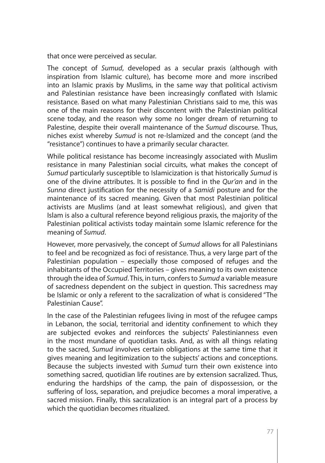that once were perceived as secular.

The concept of *Sumud*, developed as a secular praxis (although with inspiration from Islamic culture), has become more and more inscribed into an Islamic praxis by Muslims, in the same way that political activism and Palestinian resistance have been increasingly conflated with Islamic resistance. Based on what many Palestinian Christians said to me, this was one of the main reasons for their discontent with the Palestinian political scene today, and the reason why some no longer dream of returning to Palestine, despite their overall maintenance of the *Sumud* discourse. Thus, niches exist whereby *Sumud* is not re-Islamized and the concept (and the "resistance") continues to have a primarily secular character.

While political resistance has become increasingly associated with Muslim resistance in many Palestinian social circuits, what makes the concept of *Sumud* particularly susceptible to Islamicization is that historically *Sumud* is one of the divine attributes. It is possible to find in the *Qur'an* and in the *Sunna* direct justification for the necessity of a *Samidi* posture and for the maintenance of its sacred meaning. Given that most Palestinian political activists are Muslims (and at least somewhat religious), and given that Islam is also a cultural reference beyond religious praxis, the majority of the Palestinian political activists today maintain some Islamic reference for the meaning of *Sumud*.

However, more pervasively, the concept of *Sumud* allows for all Palestinians to feel and be recognized as foci of resistance. Thus, a very large part of the Palestinian population – especially those composed of refuges and the inhabitants of the Occupied Territories – gives meaning to its own existence through the idea of *Sumud*. This, in turn, confers to *Sumud* a variable measure of sacredness dependent on the subject in question. This sacredness may be Islamic or only a referent to the sacralization of what is considered "The Palestinian Cause".

In the case of the Palestinian refugees living in most of the refugee camps in Lebanon, the social, territorial and identity confinement to which they are subjected evokes and reinforces the subjects' Palestinianness even in the most mundane of quotidian tasks. And, as with all things relating to the sacred, *Sumud* involves certain obligations at the same time that it gives meaning and legitimization to the subjects' actions and conceptions. Because the subjects invested with *Sumud* turn their own existence into something sacred, quotidian life routines are by extension sacralized. Thus, enduring the hardships of the camp, the pain of dispossession, or the suffering of loss, separation, and prejudice becomes a moral imperative, a sacred mission. Finally, this sacralization is an integral part of a process by which the quotidian becomes ritualized.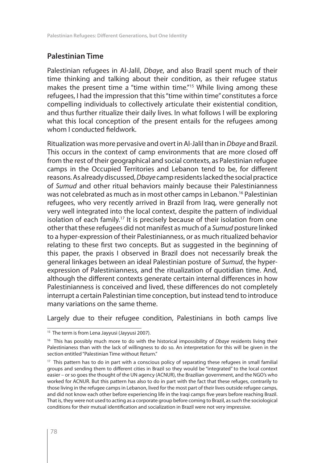### **Palestinian Time**

Palestinian refugees in Al-Jalil, *Dbaye*, and also Brazil spent much of their time thinking and talking about their condition, as their refugee status makes the present time a "time within time."<sup>15</sup> While living among these refugees, I had the impression that this "time within time" constitutes a force compelling individuals to collectively articulate their existential condition, and thus further ritualize their daily lives. In what follows I will be exploring what this local conception of the present entails for the refugees among whom I conducted fieldwork.

Ritualization was more pervasive and overt in Al-Jalil than in *Dbaye* and Brazil. This occurs in the context of camp environments that are more closed off from the rest of their geographical and social contexts, as Palestinian refugee camps in the Occupied Territories and Lebanon tend to be, for different reasons. As already discussed, *Dbaye* camp residents lacked the social practice of *Sumud* and other ritual behaviors mainly because their Palestinianness was not celebrated as much as in most other camps in Lebanon.<sup>16</sup> Palestinian refugees, who very recently arrived in Brazil from Iraq, were generally not very well integrated into the local context, despite the pattern of individual isolation of each family.<sup>17</sup> It is precisely because of their isolation from one other that these refugees did not manifest as much of a *Sumud* posture linked to a hyper-expression of their Palestinianness, or as much ritualized behavior relating to these first two concepts. But as suggested in the beginning of this paper, the praxis I observed in Brazil does not necessarily break the general linkages between an ideal Palestinian postureof *Sumud*, the hyperexpression of Palestinianness, and the ritualization of quotidian time. And, although the different contexts generate certain internal differences in how Palestinianness is conceived and lived, these differences do not completely interrupt a certain Palestinian time conception, but instead tend to introduce many variations on the same theme.

Largely due to their refugee condition, Palestinians in both camps live

<sup>&</sup>lt;sup>15</sup> The term is from Lena Jayyusi (Jayyusi 2007).

<sup>16</sup> This has possibly much more to do with the historical impossibility of *Dbaye* residents living their Palestinianess than with the lack of willingness to do so. An interpretation for this will be given in the section entitled "Palestinian Time without Return."

<sup>&</sup>lt;sup>17</sup> This pattern has to do in part with a conscious policy of separating these refugees in small familial groups and sending them to different cities in Brazil so they would be "integrated" to the local context easier – or so goes the thought of the UN agency (ACNUR), the Brazilian government, and the NGO's who worked for ACNUR. But this pattern has also to do in part with the fact that these refuges, contrarily to those living in the refugee camps in Lebanon, lived for the most part of their lives outside refugee camps, and did not know each other before experiencing life in the Iraqi camps five years before reaching Brazil. That is, they were not used to acting as a corporate group before coming to Brazil, as such the sociological conditions for their mutual identification and socialization in Brazil were not very impressive.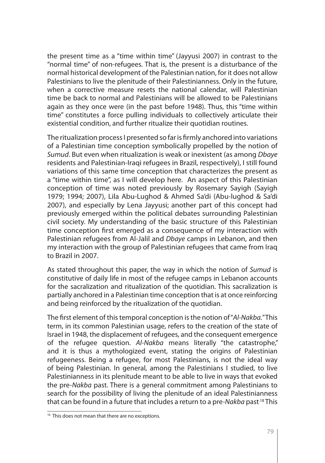the present time as a "time within time" (Jayyusi 2007) in contrast to the "normal time" of non-refugees. That is, the present is a disturbance of the normal historical development of the Palestinian nation, for it does not allow Palestinians to live the plenitude of their Palestinianness. Only in the future, when a corrective measure resets the national calendar, will Palestinian time be back to normal and Palestinians will be allowed to be Palestinians again as they once were (in the past before 1948). Thus, this "time within time" constitutes a force pulling individuals to collectively articulate their existential condition, and further ritualize their quotidian routines.

The ritualization process I presented so far is firmly anchored into variations of a Palestinian time conception symbolically propelled by the notion of *Sumud*. But even when ritualization is weak or inexistent (as among *Dbaye* residents and Palestinian-Iraqi refugees in Brazil, respectively), I still found variations of this same time conception that characterizes the present as a "time within time", as I will develop here. An aspect of this Palestinian conception of time was noted previously by Rosemary Sayigh (Sayigh 1979; 1994; 2007), Lila Abu-Lughod & Ahmed Sa'di (Abu-lughod & Sa'di 2007), and especially by Lena Jayyusi; another part of this concept had previously emerged within the political debates surrounding Palestinian civil society. My understanding of the basic structure of this Palestinian time conception first emerged as a consequence of my interaction with Palestinian refugees from Al-Jalil and *Dbaye* camps in Lebanon, and then my interaction with the group of Palestinian refugees that came from Iraq to Brazil in 2007.

As stated throughout this paper, the way in which the notion of *Sumud* is constitutive of daily life in most of the refugee camps in Lebanon accounts for the sacralization and ritualization of the quotidian. This sacralization is partially anchored in a Palestinian time conception that is at once reinforcing and being reinforced by the ritualization of the quotidian.

The first element of this temporal conception is the notion of "*Al-Nakba.*" This term, in its common Palestinian usage, refers to the creation of the state of Israel in 1948, the displacement of refugees, and the consequent emergence of the refugee question. *Al-Nakba* means literally "the catastrophe," and it is thus a mythologized event, stating the origins of Palestinian refugeeness. Being a refugee, for most Palestinians, is not the ideal way of being Palestinian. In general, among the Palestinians I studied, to live Palestinianness in its plenitude meant to be able to live in ways that evoked the pre-*Nakba* past. There is a general commitment among Palestinians to search for the possibility of living the plenitude of an ideal Palestinianness that can be found in a future that includes a return to a pre-*Nakba* past.18 This

<sup>&</sup>lt;sup>18</sup> This does not mean that there are no exceptions.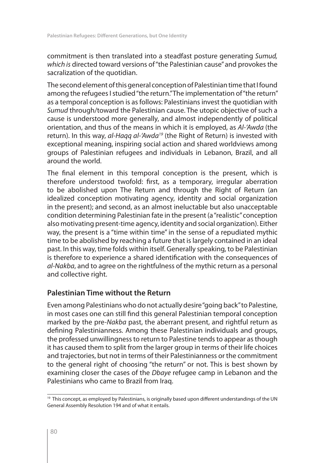commitment is then translated into a steadfast posture generating *Sumud, which is* directed toward versions of "the Palestinian cause" and provokes the sacralization of the quotidian.

The second element of this general conception of Palestinian time that I found among the refugees I studied "the return." The implementation of "the return" as a temporal conception is as follows: Palestinians invest the quotidian with *Sumud* through/toward the Palestinian cause. The utopic objective of such a cause is understood more generally, and almost independently of political orientation, and thus of the means in which it is employed, as *Al-'Awda* (the return). In this way, *al-Haqq al-'Awda19* (the Right of Return) is invested with exceptional meaning, inspiring social action and shared worldviews among groups of Palestinian refugees and individuals in Lebanon, Brazil, and all around the world.

The final element in this temporal conception is the present, which is therefore understood twofold: first, as a temporary, irregular aberration to be abolished upon The Return and through the Right of Return (an idealized conception motivating agency, identity and social organization in the present); and second, as an almost ineluctable but also unacceptable condition determining Palestinian fate in the present (a "realistic" conception also motivating present-time agency, identity and social organization). Either way, the present is a "time within time" in the sense of a repudiated mythic time to be abolished by reaching a future that is largely contained in an ideal past. In this way, time folds within itself. Generally speaking, to be Palestinian is therefore to experience a shared identification with the consequences of *al-Nakba*, and to agree on the rightfulness of the mythic return as a personal and collective right.

# **Palestinian Time without the Return**

Even among Palestinians who do not actually desire "going back" to Palestine, in most cases one can still find this general Palestinian temporal conception marked by the pre-*Nakba* past, the aberrant present, and rightful return as defining Palestinianness. Among these Palestinian individuals and groups, the professed unwillingness to return to Palestine tends to appear as though it has caused them to split from the larger group in terms of their life choices and trajectories, but not in terms of their Palestinianness or the commitment to the general right of choosing "the return" or not. This is best shown by examining closer the cases of the *Dbaye* refugee camp in Lebanon and the Palestinians who came to Brazil from Iraq.

<sup>&</sup>lt;sup>19</sup> This concept, as employed by Palestinians, is originally based upon different understandings of the UN General Assembly Resolution 194 and of what it entails.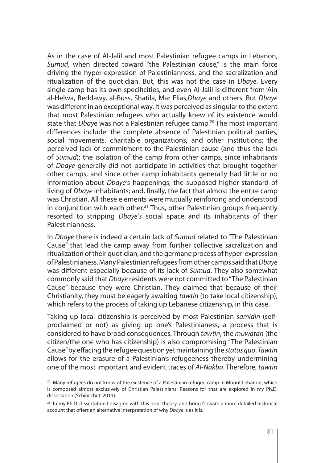As in the case of Al-Jalil and most Palestinian refugee camps in Lebanon, *Sumud*, when directed toward "the Palestinian cause," is the main force driving the hyper-expression of Palestinianness, and the sacralization and ritualization of the quotidian. But, this was not the case in *Dbaye*. Every single camp has its own specificities, and even Al-Jalil is different from 'Ain al-Helwa, Beddawy, al-Buss, Shatila, Mar Elias,*Dbaye* and others. But *Dbaye* was different in an exceptional way. It was perceived as singular to the extent that most Palestinian refugees who actually knew of its existence would state that *Dbaye* was not a Palestinian refugee camp.<sup>20</sup> The most important differences include: the complete absence of Palestinian political parties, social movements, charitable organizations, and other institutions; the perceived lack of commitment to the Palestinian cause (and thus the lack of *Sumud*); the isolation of the camp from other camps, since inhabitants of *Dbaye* generally did not participate in activities that brought together other camps, and since other camp inhabitants generally had little or no information about *Dbaye'*s happenings; the supposed higher standard of living of *Dbaye* inhabitants; and, finally, the fact that almost the entire camp was Christian. All these elements were mutually reinforcing and understood in conjunction with each other.<sup>21</sup> Thus, other Palestinian groups frequently resorted to stripping *Dbaye*'*s* social space and its inhabitants of their Palestinianness.

In *Dbaye* there is indeed a certain lack of *Sumud* related to "The Palestinian Cause" that lead the camp away from further collective sacralization and ritualization of their quotidian, and the germane process of hyper-expression of Palestinianess. Many Palestinian refugees from other camps said that *Dbaye* was different especially because of its lack of *Sumud*. They also somewhat commonly said that *Dbaye* residents were not committed to "The Palestinian Cause" because they were Christian. They claimed that because of their Christianity, they must be eagerly awaiting *tawtin* (to take local citizenship), which refers to the process of taking up Lebanese citizenship, in this case.

Taking up local citizenship is perceived by most Palestinian *samidin* (selfproclaimed or not) as giving up one's Palestinianess, a process that is considered to have broad consequences. Through *tawtin*, the *muwatan* (the citizen/the one who has citizenship) is also compromising "The Palestinian Cause" by effacing the refugee question yet maintaining the *status quo*. *Tawtin*  allows for the erasure of a Palestinian's refugeeness thereby undermining one of the most important and evident traces of *Al-Nakba*. Therefore, *tawtin*

<sup>&</sup>lt;sup>20</sup> Many refugees do not know of the existence of a Palestinian refugee camp in Mount Lebanon, which is composed almost exclusively of Christian Palestinians. Reasons for that are explored in my Ph.D. dissertation (Schiocchet 2011).

<sup>&</sup>lt;sup>21</sup> In my Ph.D. dissertation I disagree with this local theory, and bring forward a more detailed historical account that offers an alternative interpretation of why *Dbaye* is as it is.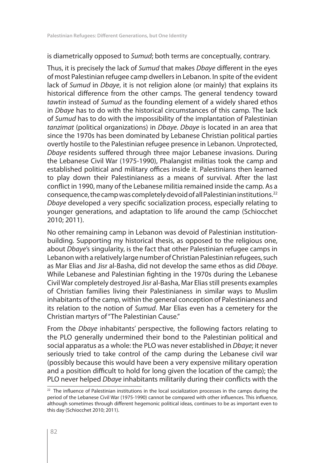#### is diametrically opposed to *Sumud*; both terms are conceptually, contrary.

Thus, it is precisely the lack of *Sumud* that makes *Dbaye* different in the eyes of most Palestinian refugee camp dwellers in Lebanon. In spite of the evident lack of *Sumud* in *Dbaye*, it is not religion alone (or mainly) that explains its historical difference from the other camps. The general tendency toward *tawtin* instead of *Sumud* as the founding element of a widely shared ethos in *Dbaye* has to do with the historical circumstances of this camp. The lack of *Sumud* has to do with the impossibility of the implantation of Palestinian *tanzimat* (political organizations) in *Dbaye*. *Dbaye* is located in an area that since the 1970s has been dominated by Lebanese Christian political parties overtly hostile to the Palestinian refugee presence in Lebanon. Unprotected, *Dbaye* residents suffered through three major Lebanese invasions. During the Lebanese Civil War (1975-1990), Phalangist militias took the camp and established political and military offices inside it. Palestinians then learned to play down their Palestinianess as a means of survival. After the last conflict in 1990, many of the Lebanese militia remained inside the camp. As a consequence, the camp was completely devoid of all Palestinian institutions.22 *Dbaye* developed a very specific socialization process, especially relating to younger generations, and adaptation to life around the camp (Schiocchet 2010; 2011).

No other remaining camp in Lebanon was devoid of Palestinian institutionbuilding. Supporting my historical thesis, as opposed to the religious one, about *Dbaye*'s singularity, is the fact that other Palestinian refugee camps in Lebanon with a relatively large number of Christian Palestinian refugees, such as Mar Elias and Jisr al-Basha, did not develop the same ethos as did *Dbaye*. While Lebanese and Palestinian fighting in the 1970s during the Lebanese Civil War completely destroyed Jisr al-Basha, Mar Elias still presents examples of Christian families living their Palestinianess in similar ways to Muslim inhabitants of the camp, within the general conception of Palestinianess and its relation to the notion of *Sumud*. Mar Elias even has a cemetery for the Christian martyrs of "The Palestinian Cause."

From the *Dbaye* inhabitants' perspective, the following factors relating to the PLO generally undermined their bond to the Palestinian political and social apparatus as a whole: the PLO was never established in *Dbaye*; it never seriously tried to take control of the camp during the Lebanese civil war (possibly because this would have been a very expensive military operation and a position difficult to hold for long given the location of the camp); the PLO never helped *Dbaye* inhabitants militarily during their conflicts with the

 $22$  The influence of Palestinian institutions in the local socialization processes in the camps during the period of the Lebanese Civil War (1975-1990) cannot be compared with other influences. This influence, although sometimes through different hegemonic political ideas, continues to be as important even to this day (Schiocchet 2010; 2011).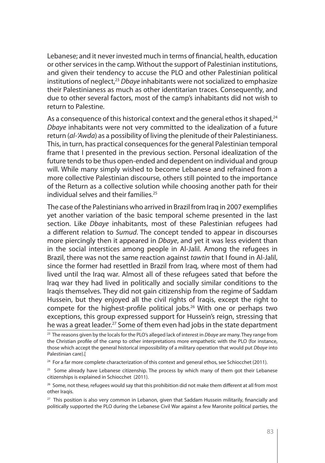Lebanese; and it never invested much in terms of financial, health, education or other services in the camp. Without the support of Palestinian institutions, and given their tendency to accuse the PLO and other Palestinian political institutions of neglect,<sup>23</sup> *Dbaye* inhabitants were not socialized to emphasize their Palestinianess as much as other identitarian traces. Consequently, and due to other several factors, most of the camp's inhabitants did not wish to return to Palestine.

As a consequence of this historical context and the general ethos it shaped, $24$ *Dbaye* inhabitants were not very committed to the idealization of a future return (*al-'Awda*) as a possibility of living the plenitude of their Palestinianess. This, in turn, has practical consequences for the general Palestinian temporal frame that I presented in the previous section. Personal idealization of the future tends to be thus open-ended and dependent on individual and group will. While many simply wished to become Lebanese and refrained from a more collective Palestinian discourse, others still pointed to the importance of the Return as a collective solution while choosing another path for their individual selves and their families.25

The case of the Palestinians who arrived in Brazil from Iraq in 2007 exemplifies yet another variation of the basic temporal scheme presented in the last section. Like *Dbaye* inhabitants, most of these Palestinian refugees had a different relation to *Sumud*. The concept tended to appear in discourses more piercingly then it appeared in *Dbaye*, and yet it was less evident than in the social interstices among people in Al-Jalil. Among the refugees in Brazil, there was not the same reaction against *tawtin* that I found in Al-Jalil, since the former had resettled in Brazil from Iraq, where most of them had lived until the Iraq war. Almost all of these refugees sated that before the Iraq war they had lived in politically and socially similar conditions to the Iraqis themselves. They did not gain citizenship from the regime of Saddam Hussein, but they enjoyed all the civil rights of Iraqis, except the right to compete for the highest-profile political jobs.26 With one or perhaps two exceptions, this group expressed support for Hussein's reign, stressing that he was a great leader.<sup>27</sup> Some of them even had jobs in the state department

<sup>23</sup> The reasons given by the locals for the PLO's alleged lack of interest in *Dbaye* are many. They range from the Christian profile of the camp to other interpretations more empathetic with the PLO (for instance, those which accept the general historical impossibility of a military operation that would put *Dbaye* into Palestinian care).[

 $24$  For a far more complete characterization of this context and general ethos, see Schiocchet (2011).

 $25$  Some already have Lebanese citizenship. The process by which many of them got their Lebanese citizenships is explained in Schiocchet (2011).

<sup>&</sup>lt;sup>26</sup> Some, not these, refugees would say that this prohibition did not make them different at all from most other Iraqis.

 $27$  This position is also very common in Lebanon, given that Saddam Hussein militarily, financially and politically supported the PLO during the Lebanese Civil War against a few Maronite political parties, the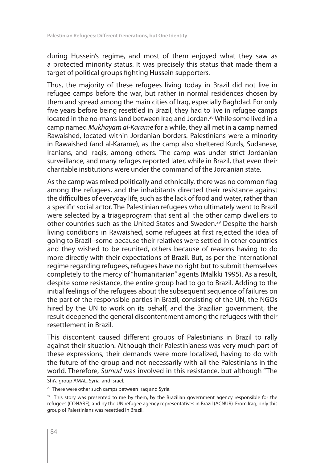during Hussein's regime, and most of them enjoyed what they saw as a protected minority status. It was precisely this status that made them a target of political groups fighting Hussein supporters.

Thus, the majority of these refugees living today in Brazil did not live in refugee camps before the war, but rather in normal residences chosen by them and spread among the main cities of Iraq, especially Baghdad. For only five years before being resettled in Brazil, they had to live in refugee camps located in the no-man's land between Iraq and Jordan.<sup>28</sup> While some lived in a camp named *Mukhayam al-Karame* for a while, they all met in a camp named Rawaished, located within Jordanian borders. Palestinians were a minority in Rawaished (and al-Karame), as the camp also sheltered Kurds, Sudanese, Iranians, and Iraqis, among others. The camp was under strict Jordanian surveillance, and many refuges reported later, while in Brazil, that even their charitable institutions were under the command of the Jordanian state.

As the camp was mixed politically and ethnically, there was no common flag among the refugees, and the inhabitants directed their resistance against the difficulties of everyday life, such as the lack of food and water, rather than a specific social actor. The Palestinian refugees who ultimately went to Brazil were selected by a triageprogram that sent all the other camp dwellers to other countries such as the United States and Sweden.<sup>29</sup> Despite the harsh living conditions in Rawaished, some refugees at first rejected the idea of going to Brazil--some because their relatives were settled in other countries and they wished to be reunited, others because of reasons having to do more directly with their expectations of Brazil. But, as per the international regime regarding refugees, refugees have no right but to submit themselves completely to the mercy of "humanitarian" agents (Malkki 1995). As a result, despite some resistance, the entire group had to go to Brazil. Adding to the initial feelings of the refugees about the subsequent sequence of failures on the part of the responsible parties in Brazil, consisting of the UN, the NGOs hired by the UN to work on its behalf, and the Brazilian government, the result deepened the general discontentment among the refugees with their resettlement in Brazil.

This discontent caused different groups of Palestinians in Brazil to rally against their situation. Although their Palestinianess was very much part of these expressions, their demands were more localized, having to do with the future of the group and not necessarily with all the Palestinians in the world. Therefore, *Sumud* was involved in this resistance, but although "The

Shi'a group AMAL, Syria, and Israel.

<sup>&</sup>lt;sup>28</sup> There were other such camps between Iraq and Syria.

<sup>&</sup>lt;sup>29</sup> This story was presented to me by them, by the Brazilian government agency responsible for the refugees (CONARE), and by the UN refugee agency representatives in Brazil (ACNUR). From Iraq, only this group of Palestinians was resettled in Brazil.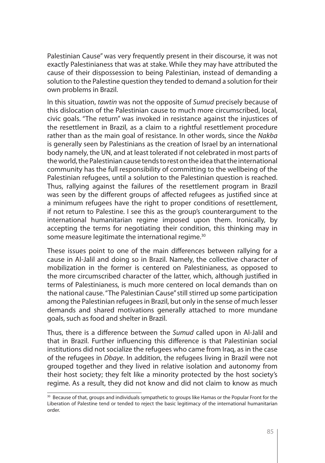Palestinian Cause" was very frequently present in their discourse, it was not exactly Palestinianess that was at stake. While they may have attributed the cause of their dispossession to being Palestinian, instead of demanding a solution to the Palestine question they tended to demand a solution for their own problems in Brazil.

In this situation, *tawtin* was not the opposite of *Sumud* precisely because of this dislocation of the Palestinian cause to much more circumscribed, local, civic goals. "The return" was invoked in resistance against the injustices of the resettlement in Brazil, as a claim to a rightful resettlement procedure rather than as the main goal of resistance. In other words, since the *Nakba* is generally seen by Palestinians as the creation of Israel by an international body namely, the UN, and at least tolerated if not celebrated in most parts of the world, the Palestinian cause tends to rest on the idea that the international community has the full responsibility of committing to the wellbeing of the Palestinian refugees, until a solution to the Palestinian question is reached. Thus, rallying against the failures of the resettlement program in Brazil was seen by the different groups of affected refugees as justified since at a minimum refugees have the right to proper conditions of resettlement, if not return to Palestine. I see this as the group's counterargument to the international humanitarian regime imposed upon them. Ironically, by accepting the terms for negotiating their condition, this thinking may in some measure legitimate the international regime.<sup>30</sup>

These issues point to one of the main differences between rallying for a cause in Al-Jalil and doing so in Brazil. Namely, the collective character of mobilization in the former is centered on Palestinianess, as opposed to the more circumscribed character of the latter, which, although justified in terms of Palestinianess, is much more centered on local demands than on the national cause. "The Palestinian Cause" still stirred up some participation among the Palestinian refugees in Brazil, but only in the sense of much lesser demands and shared motivations generally attached to more mundane goals, such as food and shelter in Brazil.

Thus, there is a difference between the *Sumud* called upon in Al-Jalil and that in Brazil. Further influencing this difference is that Palestinian social institutions did not socialize the refugees who came from Iraq, as in the case of the refugees in *Dbaye*. In addition, the refugees living in Brazil were not grouped together and they lived in relative isolation and autonomy from their host society; they felt like a minority protected by the host society's regime. As a result, they did not know and did not claim to know as much

<sup>&</sup>lt;sup>30</sup> Because of that, groups and individuals sympathetic to groups like Hamas or the Popular Front for the Liberation of Palestine tend or tended to reject the basic legitimacy of the international humanitarian order.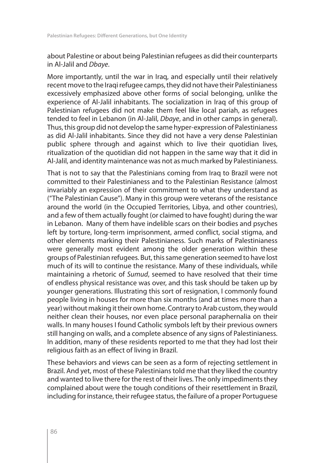about Palestine or about being Palestinian refugees as did their counterparts in Al-Jalil and *Dbaye*.

More importantly, until the war in Iraq, and especially until their relatively recent move to the Iraqi refugee camps, they did not have their Palestinianess excessively emphasized above other forms of social belonging, unlike the experience of Al-Jalil inhabitants. The socialization in Iraq of this group of Palestinian refugees did not make them feel like local pariah, as refugees tended to feel in Lebanon (in Al-Jalil, *Dbaye*, and in other camps in general). Thus, this group did not develop the same hyper-expression of Palestinianess as did Al-Jalil inhabitants. Since they did not have a very dense Palestinian public sphere through and against which to live their quotidian lives, ritualization of the quotidian did not happen in the same way that it did in Al-Jalil, and identity maintenance was not as much marked by Palestinianess.

That is not to say that the Palestinians coming from Iraq to Brazil were not committed to their Palestinianess and to the Palestinian Resistance (almost invariably an expression of their commitment to what they understand as ("The Palestinian Cause"). Many in this group were veterans of the resistance around the world (in the Occupied Territories, Libya, and other countries), and a few of them actually fought (or claimed to have fought) during the war in Lebanon. Many of them have indelible scars on their bodies and psyches left by torture, long-term imprisonment, armed conflict, social stigma, and other elements marking their Palestinianess. Such marks of Palestinianess were generally most evident among the older generation within these groups of Palestinian refugees. But, this same generation seemed to have lost much of its will to continue the resistance. Many of these individuals, while maintaining a rhetoric of *Sumud*, seemed to have resolved that their time of endless physical resistance was over, and this task should be taken up by younger generations. Illustrating this sort of resignation, I commonly found people living in houses for more than six months (and at times more than a year) without making it their own home. Contrary to Arab custom, they would neither clean their houses, nor even place personal paraphernalia on their walls. In many houses I found Catholic symbols left by their previous owners still hanging on walls, and a complete absence of any signs of Palestinianess. In addition, many of these residents reported to me that they had lost their religious faith as an effect of living in Brazil.

These behaviors and views can be seen as a form of rejecting settlement in Brazil. And yet, most of these Palestinians told me that they liked the country and wanted to live there for the rest of their lives. The only impediments they complained about were the tough conditions of their resettlement in Brazil, including for instance, their refugee status, the failure of a proper Portuguese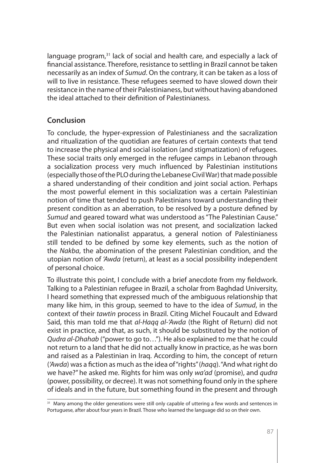language program,<sup>31</sup> lack of social and health care, and especially a lack of financial assistance. Therefore, resistance to settling in Brazil cannot be taken necessarily as an index of *Sumud*. On the contrary, it can be taken as a loss of will to live in resistance. These refugees seemed to have slowed down their resistance in the name of their Palestinianess, but without having abandoned the ideal attached to their definition of Palestinianess.

# **Conclusion**

To conclude, the hyper-expression of Palestinianess and the sacralization and ritualization of the quotidian are features of certain contexts that tend to increase the physical and social isolation (and stigmatization) of refugees. These social traits only emerged in the refugee camps in Lebanon through a socialization process very much influenced by Palestinian institutions (especially those of the PLO during the Lebanese Civil War) that made possible a shared understanding of their condition and joint social action. Perhaps the most powerful element in this socialization was a certain Palestinian notion of time that tended to push Palestinians toward understanding their present condition as an aberration, to be resolved by a posture defined by *Sumud* and geared toward what was understood as "The Palestinian Cause." But even when social isolation was not present, and socialization lacked the Palestinian nationalist apparatus, a general notion of Palestinianess still tended to be defined by some key elements, such as the notion of the *Nakba*, the abomination of the present Palestinian condition, and the utopian notion of *'Awda* (return), at least as a social possibility independent of personal choice.

To illustrate this point, I conclude with a brief anecdote from my fieldwork. Talking to a Palestinian refugee in Brazil, a scholar from Baghdad University, I heard something that expressed much of the ambiguous relationship that many like him, in this group, seemed to have to the idea of *Sumud*, in the context of their *tawtin* process in Brazil. Citing Michel Foucault and Edward Said, this man told me that *al-Haqq al-'Awda* (the Right of Return) did not exist in practice, and that, as such, it should be substituted by the notion of *Qudra al-Dhahab* ("power to go to…"). He also explained to me that he could not return to a land that he did not actually know in practice, as he was born and raised as a Palestinian in Iraq. According to him, the concept of return (*'Awda*) was a fiction as much as the idea of "rights" (*haqq*). "And what right do we have?" he asked me. Rights for him was only *wa'ad* (promise), and *qudra* (power, possibility, or decree). It was not something found only in the sphere of ideals and in the future, but something found in the present and through

<sup>&</sup>lt;sup>31</sup> Many among the older generations were still only capable of uttering a few words and sentences in Portuguese, after about four years in Brazil. Those who learned the language did so on their own.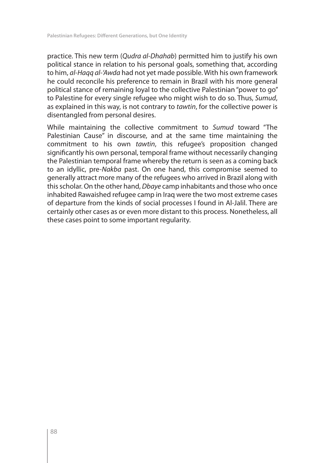practice. This new term (*Qudra al-Dhahab*) permitted him to justify his own political stance in relation to his personal goals, something that, according to him, *al-Haqq al-'Awda* had not yet made possible. With his own framework he could reconcile his preference to remain in Brazil with his more general political stance of remaining loyal to the collective Palestinian "power to go" to Palestine for every single refugee who might wish to do so. Thus, *Sumud*, as explained in this way, is not contrary to *tawtin*, for the collective power is disentangled from personal desires.

While maintaining the collective commitment to *Sumud* toward "The Palestinian Cause" in discourse, and at the same time maintaining the commitment to his own *tawtin*, this refugee's proposition changed significantly his own personal, temporal frame without necessarily changing the Palestinian temporal frame whereby the return is seen as a coming back to an idyllic, pre-*Nakba* past. On one hand, this compromise seemed to generally attract more many of the refugees who arrived in Brazil along with this scholar. On the other hand, *Dbaye* camp inhabitants and those who once inhabited Rawaished refugee camp in Iraq were the two most extreme cases of departure from the kinds of social processes I found in Al-Jalil. There are certainly other cases as or even more distant to this process. Nonetheless, all these cases point to some important regularity.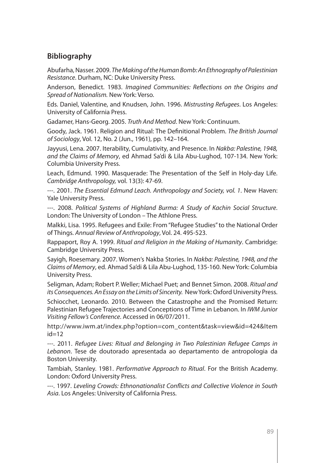# **Bibliography**

Abufarha, Nasser. 2009. *The Making of the Human Bomb: An Ethnography of Palestinian Resistance*. Durham, NC: Duke University Press.

Anderson, Benedict. 1983. *Imagined Communities: Reflections on the Origins and Spread of Nationalism.* New York: Verso.

Eds. Daniel, Valentine, and Knudsen, John. 1996. *Mistrusting Refugees*. Los Angeles: University of California Press.

Gadamer, Hans-Georg. 2005. *Truth And Method*. New York: Continuum.

Goody, Jack. 1961. Religion and Ritual: The Definitional Problem. *The British Journal of Sociology*, Vol. 12, No. 2 (Jun., 1961), pp. 142–164.

Jayyusi, Lena. 2007. Iterability, Cumulativity, and Presence. In *Nakba: Palestine, 1948, and the Claims of Memory*, ed Ahmad Sa'di & Lila Abu-Lughod, 107-134. New York: Columbia University Press.

Leach, Edmund. 1990. Masquerade: The Presentation of the Self in Holy-day Life. *Cambridge Anthropology,* vol. 13(3): 47-69.

---. 2001. *The Essential Edmund Leach. Anthropology and Society, vol. 1*. New Haven: Yale University Press.

---. 2008. *Political Systems of Highland Burma: A Study of Kachin Social Structure*. London: The University of London – The Athlone Press.

Malkki, Lisa. 1995. Refugees and Exile: From "Refugee Studies" to the National Order of Things. *Annual Review of Anthropology*, Vol. 24. 495-523.

Rappaport, Roy A. 1999. *Ritual and Religion in the Making of Humanity*. Cambridge: Cambridge University Press.

Sayigh, Roesemary. 2007. Women's Nakba Stories. In *Nakba: Palestine, 1948, and the Claims of Memory*, ed. Ahmad Sa'di & Lila Abu-Lughod, 135-160. New York: Columbia University Press.

Seligman, Adam; Robert P. Weller; Michael Puet; and Bennet Simon. 2008. *Ritual and its Consequences. An Essay on the Limits of Sincerity.* New York: Oxford University Press.

Schiocchet, Leonardo. 2010. Between the Catastrophe and the Promised Return: Palestinian Refugee Trajectories and Conceptions of Time in Lebanon. In *IWM Junior Visiting Fellow's Conference*. Accessed in 06/07/2011.

http://www.iwm.at/index.php?option=com\_content&task=view&id=424&Item  $id=12$ 

---. 2011. *Refugee Lives: Ritual and Belonging in Two Palestinian Refugee Camps in Lebanon*. Tese de doutorado apresentada ao departamento de antropologia da Boston University.

Tambiah, Stanley. 1981. *Performative Approach to Ritual*. For the British Academy. London: Oxford University Press.

---. 1997. *Leveling Crowds: Ethnonationalist Conflicts and Collective Violence in South Asia*. Los Angeles: University of California Press.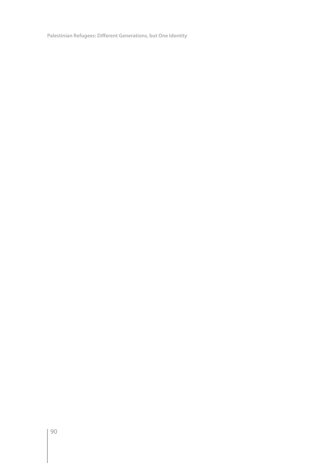**Palestinian Refugees: Different Generations, but One Identity**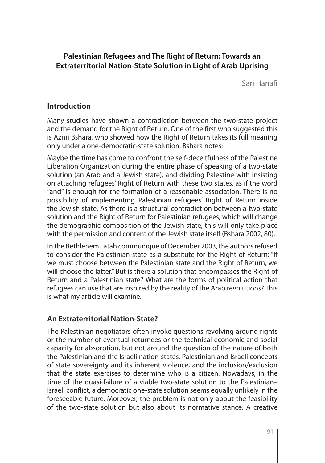# **Palestinian Refugees and The Right of Return: Towards an Extraterritorial Nation-State Solution in Light of Arab Uprising**

Sari Hanafi

### **Introduction**

Many studies have shown a contradiction between the two-state project and the demand for the Right of Return. One of the first who suggested this is Azmi Bshara, who showed how the Right of Return takes its full meaning only under a one-democratic-state solution. Bshara notes:

Maybe the time has come to confront the self-deceitfulness of the Palestine Liberation Organization during the entire phase of speaking of a two-state solution (an Arab and a Jewish state), and dividing Palestine with insisting on attaching refugees' Right of Return with these two states, as if the word "and" is enough for the formation of a reasonable association. There is no possibility of implementing Palestinian refugees' Right of Return inside the Jewish state. As there is a structural contradiction between a two-state solution and the Right of Return for Palestinian refugees, which will change the demographic composition of the Jewish state, this will only take place with the permission and content of the Jewish state itself (Bshara 2002, 80).

In the Bethlehem Fatah communiqué of December 2003, the authors refused to consider the Palestinian state as a substitute for the Right of Return: "If we must choose between the Palestinian state and the Right of Return, we will choose the latter." But is there a solution that encompasses the Right of Return and a Palestinian state? What are the forms of political action that refugees can use that are inspired by the reality of the Arab revolutions? This is what my article will examine.

# **An Extraterritorial Nation-State?**

The Palestinian negotiators often invoke questions revolving around rights or the number of eventual returnees or the technical economic and social capacity for absorption, but not around the question of the nature of both the Palestinian and the Israeli nation-states, Palestinian and Israeli concepts of state sovereignty and its inherent violence, and the inclusion/exclusion that the state exercises to determine who is a citizen. Nowadays, in the time of the quasi-failure of a viable two-state solution to the Palestinian– Israeli conflict, a democratic one-state solution seems equally unlikely in the foreseeable future. Moreover, the problem is not only about the feasibility of the two-state solution but also about its normative stance. A creative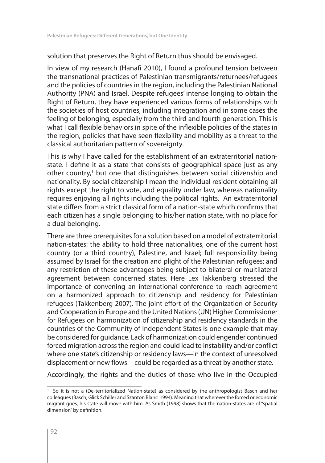#### solution that preserves the Right of Return thus should be envisaged.

In view of my research (Hanafi 2010), I found a profound tension between the transnational practices of Palestinian transmigrants/returnees/refugees and the policies of countries in the region, including the Palestinian National Authority (PNA) and Israel. Despite refugees' intense longing to obtain the Right of Return, they have experienced various forms of relationships with the societies of host countries, including integration and in some cases the feeling of belonging, especially from the third and fourth generation. This is what I call flexible behaviors in spite of the inflexible policies of the states in the region, policies that have seen flexibility and mobility as a threat to the classical authoritarian pattern of sovereignty.

This is why I have called for the establishment of an extraterritorial nationstate. I define it as a state that consists of geographical space just as any other country,<sup>1</sup> but one that distinguishes between social citizenship and nationality. By social citizenship I mean the individual resident obtaining all rights except the right to vote, and equality under law, whereas nationality requires enjoying all rights including the political rights. An extraterritorial state differs from a strict classical form of a nation-state which confirms that each citizen has a single belonging to his/her nation state, with no place for a dual belonging.

There are three prerequisites for a solution based on a model of extraterritorial nation-states: the ability to hold three nationalities, one of the current host country (or a third country), Palestine, and Israel; full responsibility being assumed by Israel for the creation and plight of the Palestinian refugees; and any restriction of these advantages being subject to bilateral or multilateral agreement between concerned states. Here Lex Takkenberg stressed the importance of convening an international conference to reach agreement on a harmonized approach to citizenship and residency for Palestinian refugees (Takkenberg 2007). The joint effort of the Organization of Security and Cooperation in Europe and the United Nations (UN) Higher Commissioner for Refugees on harmonization of citizenship and residency standards in the countries of the Community of Independent States is one example that may be considered for guidance. Lack of harmonization could engender continued forced migration across the region and could lead to instability and/or conflict where one state's citizenship or residency laws—in the context of unresolved displacement or new flows—could be regarded as a threat by another state.

Accordingly, the rights and the duties of those who live in the Occupied

<sup>&</sup>lt;sup>1</sup> So it is not a (De-territorialized Nation-state) as considered by the anthropologist Basch and her colleagues (Basch, Glick Schiller and Szanton Blanc 1994). Meaning that wherever the forced or economic migrant goes, his state will move with him. As Smith (1998) shows that the nation-states are of "spatial dimension" by definition.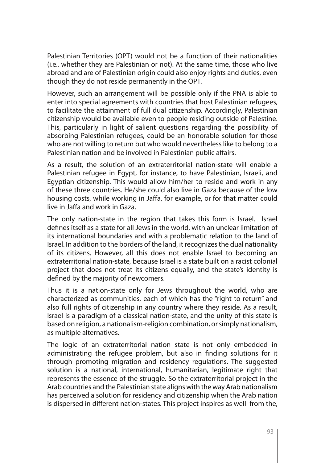Palestinian Territories (OPT) would not be a function of their nationalities (i.e., whether they are Palestinian or not). At the same time, those who live abroad and are of Palestinian origin could also enjoy rights and duties, even though they do not reside permanently in the OPT.

However, such an arrangement will be possible only if the PNA is able to enter into special agreements with countries that host Palestinian refugees, to facilitate the attainment of full dual citizenship. Accordingly, Palestinian citizenship would be available even to people residing outside of Palestine. This, particularly in light of salient questions regarding the possibility of absorbing Palestinian refugees, could be an honorable solution for those who are not willing to return but who would nevertheless like to belong to a Palestinian nation and be involved in Palestinian public affairs.

As a result, the solution of an extraterritorial nation-state will enable a Palestinian refugee in Egypt, for instance, to have Palestinian, Israeli, and Egyptian citizenship. This would allow him/her to reside and work in any of these three countries. He/she could also live in Gaza because of the low housing costs, while working in Jaffa, for example, or for that matter could live in Jaffa and work in Gaza.

The only nation-state in the region that takes this form is Israel. Israel defines itself as a state for all Jews in the world, with an unclear limitation of its international boundaries and with a problematic relation to the land of Israel. In addition to the borders of the land, it recognizes the dual nationality of its citizens. However, all this does not enable Israel to becoming an extraterritorial nation-state, because Israel is a state built on a racist colonial project that does not treat its citizens equally, and the state's identity is defined by the majority of newcomers.

Thus it is a nation-state only for Jews throughout the world, who are characterized as communities, each of which has the "right to return" and also full rights of citizenship in any country where they reside. As a result, Israel is a paradigm of a classical nation-state, and the unity of this state is based on religion, a nationalism-religion combination, or simply nationalism, as multiple alternatives.

The logic of an extraterritorial nation state is not only embedded in administrating the refugee problem, but also in finding solutions for it through promoting migration and residency regulations. The suggested solution is a national, international, humanitarian, legitimate right that represents the essence of the struggle. So the extraterritorial project in the Arab countries and the Palestinian state aligns with the way Arab nationalism has perceived a solution for residency and citizenship when the Arab nation is dispersed in different nation-states. This project inspires as well from the,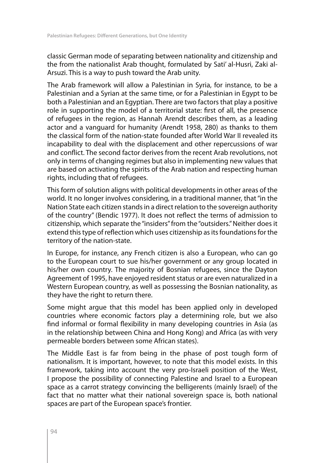classic German mode of separating between nationality and citizenship and the from the nationalist Arab thought, formulated by Sati' al-Husri, Zaki al-Arsuzi. This is a way to push toward the Arab unity.

The Arab framework will allow a Palestinian in Syria, for instance, to be a Palestinian and a Syrian at the same time, or for a Palestinian in Egypt to be both a Palestinian and an Egyptian. There are two factors that play a positive role in supporting the model of a territorial state: first of all, the presence of refugees in the region, as Hannah Arendt describes them, as a leading actor and a vanguard for humanity (Arendt 1958, 280) as thanks to them the classical form of the nation-state founded after World War II revealed its incapability to deal with the displacement and other repercussions of war and conflict. The second factor derives from the recent Arab revolutions, not only in terms of changing regimes but also in implementing new values that are based on activating the spirits of the Arab nation and respecting human rights, including that of refugees.

This form of solution aligns with political developments in other areas of the world. It no longer involves considering, in a traditional manner, that "in the Nation State each citizen stands in a direct relation to the sovereign authority of the country" (Bendic 1977). It does not reflect the terms of admission to citizenship, which separate the "insiders" from the "outsiders." Neither does it extend this type of reflection which uses citizenship as its foundations for the territory of the nation-state.

In Europe, for instance, any French citizen is also a European, who can go to the European court to sue his/her government or any group located in his/her own country. The majority of Bosnian refugees, since the Dayton Agreement of 1995, have enjoyed resident status or are even naturalized in a Western European country, as well as possessing the Bosnian nationality, as they have the right to return there.

Some might argue that this model has been applied only in developed countries where economic factors play a determining role, but we also find informal or formal flexibility in many developing countries in Asia (as in the relationship between China and Hong Kong) and Africa (as with very permeable borders between some African states).

The Middle East is far from being in the phase of post tough form of nationalism. It is important, however, to note that this model exists. In this framework, taking into account the very pro-Israeli position of the West, I propose the possibility of connecting Palestine and Israel to a European space as a carrot strategy convincing the belligerents (mainly Israel) of the fact that no matter what their national sovereign space is, both national spaces are part of the European space's frontier.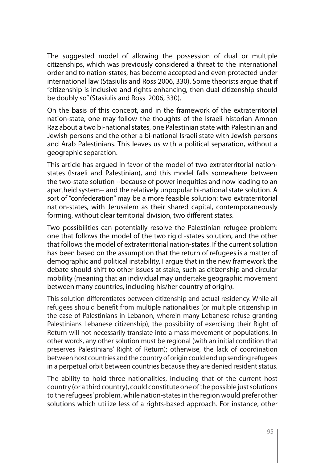The suggested model of allowing the possession of dual or multiple citizenships, which was previously considered a threat to the international order and to nation-states, has become accepted and even protected under international law (Stasiulis and Ross 2006, 330). Some theorists argue that if "citizenship is inclusive and rights-enhancing, then dual citizenship should be doubly so" (Stasiulis and Ross 2006, 330).

On the basis of this concept, and in the framework of the extraterritorial nation-state, one may follow the thoughts of the Israeli historian Amnon Raz about a two bi-national states, one Palestinian state with Palestinian and Jewish persons and the other a bi-national Israeli state with Jewish persons and Arab Palestinians. This leaves us with a political separation, without a geographic separation.

This article has argued in favor of the model of two extraterritorial nationstates (Israeli and Palestinian), and this model falls somewhere between the two-state solution --because of power inequities and now leading to an apartheid system-- and the relatively unpopular bi-national state solution. A sort of "confederation" may be a more feasible solution: two extraterritorial nation-states, with Jerusalem as their shared capital, contemporaneously forming, without clear territorial division, two different states.

Two possibilities can potentially resolve the Palestinian refugee problem: one that follows the model of the two rigid -states solution, and the other that follows the model of extraterritorial nation-states. If the current solution has been based on the assumption that the return of refugees is a matter of demographic and political instability, I argue that in the new framework the debate should shift to other issues at stake, such as citizenship and circular mobility (meaning that an individual may undertake geographic movement between many countries, including his/her country of origin).

This solution differentiates between citizenship and actual residency. While all refugees should benefit from multiple nationalities (or multiple citizenship in the case of Palestinians in Lebanon, wherein many Lebanese refuse granting Palestinians Lebanese citizenship), the possibility of exercising their Right of Return will not necessarily translate into a mass movement of populations. In other words, any other solution must be regional (with an initial condition that preserves Palestinians' Right of Return); otherwise, the lack of coordination between host countries and the country of origin could end up sending refugees in a perpetual orbit between countries because they are denied resident status.

The ability to hold three nationalities, including that of the current host country (or a third country), could constitute one of the possible just solutions to the refugees' problem, while nation-states in the region would prefer other solutions which utilize less of a rights-based approach. For instance, other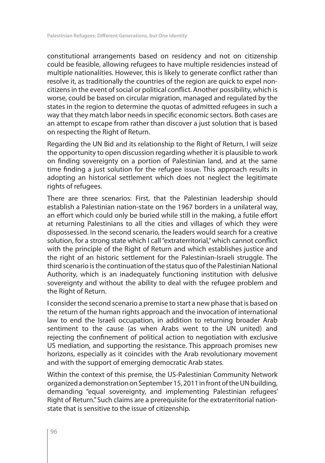constitutional arrangements based on residency and not on citizenship could be feasible, allowing refugees to have multiple residencies instead of multiple nationalities. However, this is likely to generate conflict rather than resolve it, as traditionally the countries of the region are quick to expel noncitizens in the event of social or political conflict. Another possibility, which is worse, could be based on circular migration, managed and regulated by the states in the region to determine the quotas of admitted refugees in such a way that they match labor needs in specific economic sectors. Both cases are an attempt to escape from rather than discover a just solution that is based on respecting the Right of Return.

Regarding the UN Bid and its relationship to the Right of Return, I will seize the opportunity to open discussion regarding whether it is plausible to work on finding sovereignty on a portion of Palestinian land, and at the same time finding a just solution for the refugee issue. This approach results in adopting an historical settlement which does not neglect the legitimate rights of refugees.

There are three scenarios: First, that the Palestinian leadership should establish a Palestinian nation-state on the 1967 borders in a unilateral way, an effort which could only be buried while still in the making, a futile effort at returning Palestinians to all the cities and villages of which they were dispossessed. In the second scenario, the leaders would search for a creative solution, for a strong state which I call "extraterritorial," which cannot conflict with the principle of the Right of Return and which establishes justice and the right of an historic settlement for the Palestinian-Israeli struggle. The third scenario is the continuation of the status quo of the Palestinian National Authority, which is an inadequately functioning institution with delusive sovereignty and without the ability to deal with the refugee problem and the Right of Return.

I consider the second scenario a premise to start a new phase that is based on the return of the human rights approach and the invocation of international law to end the Israeli occupation, in addition to returning broader Arab sentiment to the cause (as when Arabs went to the UN united) and rejecting the confinement of political action to negotiation with exclusive US mediation, and supporting the resistance. This approach promises new horizons, especially as it coincides with the Arab revolutionary movement and with the support of emerging democratic Arab states.

Within the context of this premise, the US-Palestinian Community Network organized a demonstration on September 15, 2011 in front of the UN building, demanding "equal sovereignty, and implementing Palestinian refugees' Right of Return." Such claims are a prerequisite for the extraterritorial nationstate that is sensitive to the issue of citizenship.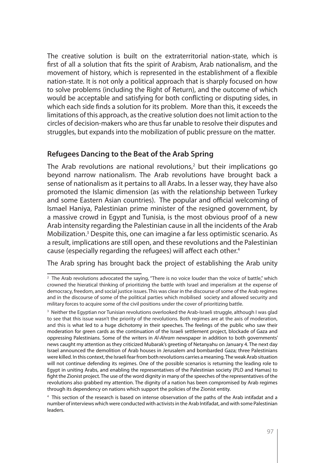The creative solution is built on the extraterritorial nation-state, which is first of all a solution that fits the spirit of Arabism, Arab nationalism, and the movement of history, which is represented in the establishment of a flexible nation-state. It is not only a political approach that is sharply focused on how to solve problems (including the Right of Return), and the outcome of which would be acceptable and satisfying for both conflicting or disputing sides, in which each side finds a solution for its problem. More than this, it exceeds the limitations of this approach, as the creative solution does not limit action to the circles of decision-makers who are thus far unable to resolve their disputes and struggles, but expands into the mobilization of public pressure on the matter.

### **Refugees Dancing to the Beat of the Arab Spring**

The Arab revolutions are national revolutions, $<sup>2</sup>$  but their implications go</sup> beyond narrow nationalism. The Arab revolutions have brought back a sense of nationalism as it pertains to all Arabs. In a lesser way, they have also promoted the Islamic dimension (as with the relationship between Turkey and some Eastern Asian countries). The popular and official welcoming of Ismael Haniya, Palestinian prime minister of the resigned government, by a massive crowd in Egypt and Tunisia, is the most obvious proof of a new Arab intensity regarding the Palestinian cause in all the incidents of the Arab Mobilization.3 Despite this, one can imagine a far less optimistic scenario. As a result, implications are still open, and these revolutions and the Palestinian cause (especially regarding the refugees) will affect each other.<sup>4</sup>

The Arab spring has brought back the project of establishing the Arab unity

<sup>&</sup>lt;sup>2</sup> The Arab revolutions advocated the saying, "There is no voice louder than the voice of battle," which crowned the hieratical thinking of prioritizing the battle with Israel and imperialism at the expense of democracy, freedom, and social justice issues. This was clear in the discourse of some of the Arab regimes and in the discourse of some of the political parties which mobilised society and allowed security and military forces to acquire some of the civil positions under the cover of prioritizing battle.

<sup>3</sup> Neither the Egyptian nor Tunisian revolutions overlooked the Arab-Israeli struggle, although I was glad to see that this issue wasn't the priority of the revolutions. Both regimes are at the axis of moderation, and this is what led to a huge dichotomy in their speeches. The feelings of the public who saw their moderation for green cards as the continuation of the Israeli settlement project, blockade of Gaza and oppressing Palestinians. Some of the writers in *Al-Ahram* newspaper in addition to both governments' news caught my attention as they criticized Mubarak's greeting of Netanyahu on January 4. The next day Israel announced the demolition of Arab houses in Jerusalem and bombarded Gaza; three Palestinians were killed. In this context, the Israeli fear from both revolutions carries a meaning. The weak Arab situation will not continue defending its regimes. One of the possible scenarios is returning the leading role to Egypt in uniting Arabs, and enabling the representatives of the Palestinian society (PLO and Hamas) to fight the Zionist project. The use of the word dignity in many of the speeches of the representatives of the revolutions also grabbed my attention. The dignity of a nation has been compromised by Arab regimes through its dependency on nations which support the policies of the Zionist entity.

<sup>4</sup> This section of the research is based on intense observation of the paths of the Arab intifadat and a number of interviews which were conducted with activists in the Arab Intifadat, and with some Palestinian leaders.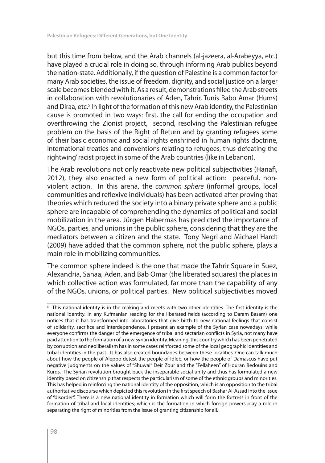but this time from below, and the Arab channels (al-jazeera, al-Arabeyya, etc.) have played a crucial role in doing so, through informing Arab publics beyond the nation-state. Additionally, if the question of Palestine is a common factor for many Arab societies, the issue of freedom, dignity, and social justice on a larger scale becomes blended with it. As a result, demonstrations filled the Arab streets in collaboration with revolutionaries of Aden, Tahrir, Tunis Babo Amar (Hums) and Diraa, etc.<sup>5</sup> In light of the formation of this new Arab identity, the Palestinian cause is promoted in two ways: first, the call for ending the occupation and overthrowing the Zionist project, second, resolving the Palestinian refugee problem on the basis of the Right of Return and by granting refugees some of their basic economic and social rights enshrined in human rights doctrine, international treaties and conventions relating to refugees, thus defeating the rightwing' racist project in some of the Arab countries (like in Lebanon).

The Arab revolutions not only reactivate new political subjectivities (Hanafi, 2012), they also enacted a new form of political action: peaceful, nonviolent action. In this arena, the *common sphere* (informal groups, local communities and reflexive individuals) has been activated after proving that theories which reduced the society into a binary private sphere and a public sphere are incapable of comprehending the dynamics of political and social mobilization in the area. Jürgen Habermas has predicted the importance of NGOs, parties, and unions in the public sphere, considering that they are the mediators between a citizen and the state. Tony Negri and Michael Hardt (2009) have added that the common sphere, not the public sphere, plays a main role in mobilizing communities.

The common sphere indeed is the one that made the Tahrir Square in Suez, Alexandria, Sanaa, Aden, and Bab Omar (the liberated squares) the places in which collective action was formulated, far more than the capability of any of the NGOs, unions, or political parties. New political subjectivities moved

<sup>&</sup>lt;sup>5</sup> This national identity is in the making and meets with two other identities. The first identity is the national identity. In any Kufmanian reading for the liberated fields (according to Daram Basam) one notices that it has transformed into laboratories that give birth to new national feelings that consist of solidarity, sacrifice and interdependence. I present an example of the Syrian case nowadays: while everyone confirms the danger of the emergence of tribal and sectarian conflicts in Syria, not many have paid attention to the formation of a new Syrian identity. Meaning, this country which has been penetrated by corruption and neoliberalism has in some cases reinforced some of the local geographic identities and tribal identities in the past. It has also created boundaries between these localities. One can talk much about how the people of Aleppo detest the people of Idleb, or how the people of Damascus have put negative judgments on the values of "Shuwai" Deir Zour and the "Fellaheen" of Houran Bedouins and Kurds. The Syrian revolution brought back the inseparable social unity and thus has formulated a new identity based on citizenship that respects the particularism of some of the ethnic groups and minorities. This has helped in reinforcing the national identity of the opposition, which is an opposition to the tribal authoritative discourse which depicted this revolution in the first speech of Bashar Al-Assad into the issue of "disorder". There is a new national identity in formation which will form the fortress in front of the formation of tribal and local identities; which is the formation in which foreign powers play a role in separating the right of minorities from the issue of granting citizenship for all.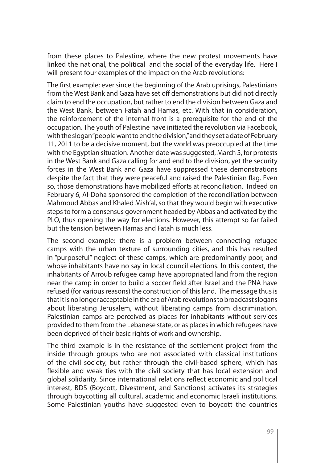from these places to Palestine, where the new protest movements have linked the national, the political and the social of the everyday life. Here I will present four examples of the impact on the Arab revolutions:

The first example: ever since the beginning of the Arab uprisings, Palestinians from the West Bank and Gaza have set off demonstrations but did not directly claim to end the occupation, but rather to end the division between Gaza and the West Bank, between Fatah and Hamas, etc. With that in consideration, the reinforcement of the internal front is a prerequisite for the end of the occupation. The youth of Palestine have initiated the revolution via Facebook, with the slogan "people want to end the division," and they set a date of February 11, 2011 to be a decisive moment, but the world was preoccupied at the time with the Egyptian situation. Another date was suggested, March 5, for protests in the West Bank and Gaza calling for and end to the division, yet the security forces in the West Bank and Gaza have suppressed these demonstrations despite the fact that they were peaceful and raised the Palestinian flag. Even so, those demonstrations have mobilized efforts at reconciliation. Indeed on February 6, Al-Doha sponsored the completion of the reconciliation between Mahmoud Abbas and Khaled Mish'al, so that they would begin with executive steps to form a consensus government headed by Abbas and activated by the PLO, thus opening the way for elections. However, this attempt so far failed but the tension between Hamas and Fatah is much less.

The second example: there is a problem between connecting refugee camps with the urban texture of surrounding cities, and this has resulted in "purposeful" neglect of these camps, which are predominantly poor, and whose inhabitants have no say in local council elections. In this context, the inhabitants of Arroub refugee camp have appropriated land from the region near the camp in order to build a soccer field after Israel and the PNA have refused (for various reasons) the construction of this land. The message thus is that it is no longer acceptable in the era of Arab revolutions to broadcast slogans about liberating Jerusalem, without liberating camps from discrimination. Palestinian camps are perceived as places for inhabitants without services provided to them from the Lebanese state, or as places in which refugees have been deprived of their basic rights of work and ownership.

The third example is in the resistance of the settlement project from the inside through groups who are not associated with classical institutions of the civil society, but rather through the civil-based sphere, which has flexible and weak ties with the civil society that has local extension and global solidarity. Since international relations reflect economic and political interest, BDS (Boycott, Divestment, and Sanctions) activates its strategies through boycotting all cultural, academic and economic Israeli institutions. Some Palestinian youths have suggested even to boycott the countries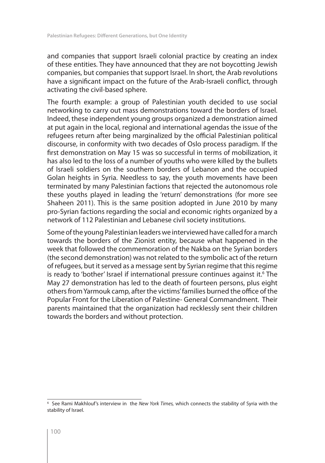and companies that support Israeli colonial practice by creating an index of these entities. They have announced that they are not boycotting Jewish companies, but companies that support Israel. In short, the Arab revolutions have a significant impact on the future of the Arab-Israeli conflict, through activating the civil-based sphere.

The fourth example: a group of Palestinian youth decided to use social networking to carry out mass demonstrations toward the borders of Israel. Indeed, these independent young groups organized a demonstration aimed at put again in the local, regional and international agendas the issue of the refugees return after being marginalized by the official Palestinian political discourse, in conformity with two decades of Oslo process paradigm. If the first demonstration on May 15 was so successful in terms of mobilization, it has also led to the loss of a number of youths who were killed by the bullets of Israeli soldiers on the southern borders of Lebanon and the occupied Golan heights in Syria. Needless to say, the youth movements have been terminated by many Palestinian factions that rejected the autonomous role these youths played in leading the 'return' demonstrations (for more see Shaheen 2011). This is the same position adopted in June 2010 by many pro-Syrian factions regarding the social and economic rights organized by a network of 112 Palestinian and Lebanese civil society institutions.

Some of the young Palestinian leaders we interviewed have called for a march towards the borders of the Zionist entity, because what happened in the week that followed the commemoration of the Nakba on the Syrian borders (the second demonstration) was not related to the symbolic act of the return of refugees, but it served as a message sent by Syrian regime that this regime is ready to 'bother' Israel if international pressure continues against it.<sup>6</sup> The May 27 demonstration has led to the death of fourteen persons, plus eight others from Yarmouk camp, after the victims' families burned the office of the Popular Front for the Liberation of Palestine- General Commandment. Their parents maintained that the organization had recklessly sent their children towards the borders and without protection.

<sup>6</sup> See Rami Makhlouf's interview in the *New York Times,* which connects the stability of Syria with the stability of Israel.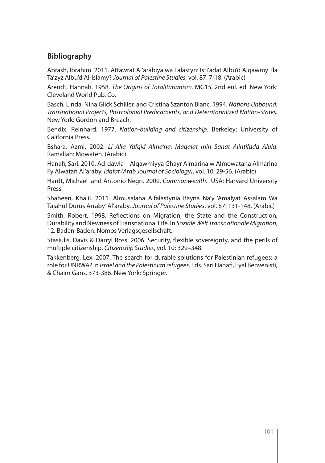# **Bibliography**

Abrash, Ibrahim. 2011. Attawrat Al'arabiya wa Falastyn: Isti'adat Albu'd Alqawmy īla Ta'zyz Albu'd Al-Islamy? *Journal of Palestine Studies*, vol. 87: 7-18. (Arabic)

Arendt, Hannah. 1958. *The Origins of Totalitarianism.* MG15, 2nd enl. ed. New York: Cleveland World Pub. Co.

Basch, Linda, Nina Glick Schiller, and Cristina Szanton Blanc. 1994. *Nations Unbound: Transnational Projects, Postcolonial Predicaments, and Deterritorialized Nation-States.* New York: Gordon and Breach.

Bendix, Reinhard. 1977. *Nation-building and citizenship*. Berkeley: University of California Press.

Bshara, Azmi. 2002. *Li Alla Yafqid Alma'na: Maqalat min Sanat Alintifada Alula*. Ramallah: Mowaten. (Arabic)

Hanafi, Sari. 2010. Ad-dawla – Alqawmiyya Ghayr Almarina w Almowatana Almarina Fy Alwatan Al'araby. *Idafat (Arab Journal of Sociology)*, vol. 10: 29-56. (Arabic)

Hardt, Michael and Antonio Negri. 2009. *Commonwealth*. USA: Harvard University Press.

Shaheen, Khalil. 2011. Almusalaha Alfalastynia Bayna Na'y 'Amalyat Assalam Wa Tajahul Durūs Arraby' Al'araby. *Journal of Palestine Studies*, vol. 87: 131-148. (Arabic)

Smith, Robert. 1998. Reflections on Migration, the State and the Construction, Durability and Newness of Transnational Life. In *Soziale Welt Transnationale Migration*, 12. Baden-Baden: Nomos Verlagsgesellschaft.

Stasiulis, Davis & Darryl Ross. 2006. Security, flexible sovereignty, and the perils of multiple citizenship. *Citizenship Studies*, vol. 10: 329–348.

Takkenberg, Lex. 2007. The search for durable solutions for Palestinian refugees: a role for UNRWA? In *Israel and the Palestinian refugees*. Eds. Sari Hanafi, Eyal Benvenisti, & Chaim Gans, 373-386. New York: Springer.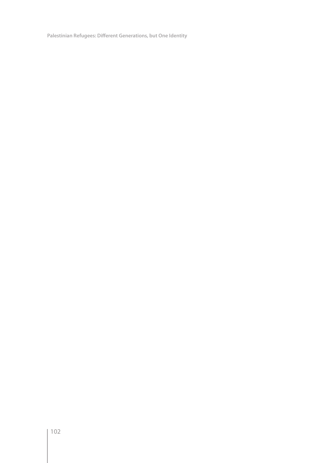**Palestinian Refugees: Different Generations, but One Identity**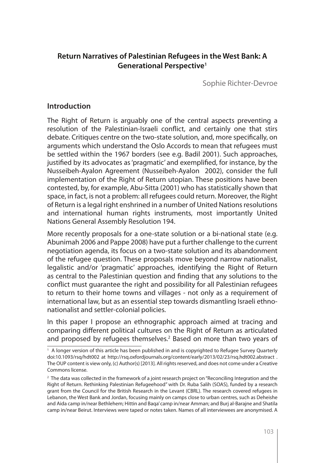# **Return Narratives of Palestinian Refugees in the West Bank: A Generational Perspective1**

Sophie Richter-Devroe

### **Introduction**

The Right of Return is arguably one of the central aspects preventing a resolution of the Palestinian-Israeli conflict, and certainly one that stirs debate. Critiques centre on the two-state solution, and, more specifically, on arguments which understand the Oslo Accords to mean that refugees must be settled within the 1967 borders (see e.g. Badil 2001). Such approaches, justified by its advocates as 'pragmatic' and exemplified, for instance, by the Nusseibeh-Ayalon Agreement (Nusseibeh-Ayalon 2002), consider the full implementation of the Right of Return utopian. These positions have been contested, by, for example, Abu-Sitta (2001) who has statistically shown that space, in fact, is not a problem: all refugees could return. Moreover, the Right of Return is a legal right enshrined in a number of United Nations resolutions and international human rights instruments, most importantly United Nations General Assembly Resolution 194.

More recently proposals for a one-state solution or a bi-national state (e.g. Abunimah 2006 and Pappe 2008) have put a further challenge to the current negotiation agenda, its focus on a two-state solution and its abandonment of the refugee question. These proposals move beyond narrow nationalist, legalistic and/or 'pragmatic' approaches, identifying the Right of Return as central to the Palestinian question and finding that any solutions to the conflict must guarantee the right and possibility for all Palestinian refugees to return to their home towns and villages - not only as a requirement of international law, but as an essential step towards dismantling Israeli ethnonationalist and settler-colonial policies.

In this paper I propose an ethnographic approach aimed at tracing and comparing different political cultures on the Right of Return as articulated and proposed by refugees themselves.<sup>2</sup> Based on more than two years of

<sup>&</sup>lt;sup>1</sup> A longer version of this article has been published in and is copyrighted to Refugee Survey Quarterly doi:10.1093/rsq/hdt002 at http://rsq.oxfordjournals.org/content/early/2013/02/23/rsq.hdt002.abstract . The OUP content is view only, (c) Author(s) [2013]. All rights reserved, and does not come under a Creative Commons license.

<sup>&</sup>lt;sup>2</sup> The data was collected in the framework of a joint research project on "Reconciling Integration and the Right of Return. Rethinking Palestinian Refugeehood" with Dr. Ruba Salih (SOAS), funded by a research grant from the Council for the British Research in the Levant (CBRL). The research covered refugees in Lebanon, the West Bank and Jordan, focusing mainly on camps close to urban centres, such as Deheishe and Aida camp in/near Bethlehem; Hittin and Baqa' camp in/near Amman; and Burj al-Barajne and Shatila camp in/near Beirut. Interviews were taped or notes taken. Names of all interviewees are anonymised. A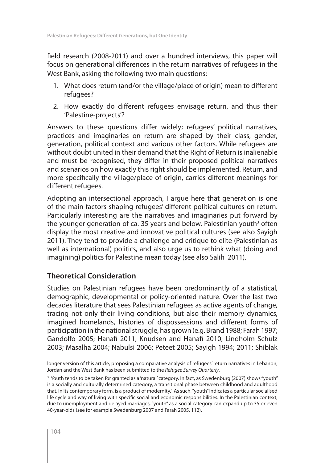field research (2008-2011) and over a hundred interviews, this paper will focus on generational differences in the return narratives of refugees in the West Bank, asking the following two main questions:

- 1. What does return (and/or the village/place of origin) mean to different refugees?
- 2. How exactly do different refugees envisage return, and thus their 'Palestine-projects'?

Answers to these questions differ widely; refugees' political narratives, practices and imaginaries on return are shaped by their class, gender, generation, political context and various other factors. While refugees are without doubt united in their demand that the Right of Return is inalienable and must be recognised, they differ in their proposed political narratives and scenarios on how exactly this right should be implemented. Return, and more specifically the village/place of origin, carries different meanings for different refugees.

Adopting an intersectional approach, I argue here that generation is one of the main factors shaping refugees' different political cultures on return. Particularly interesting are the narratives and imaginaries put forward by the younger generation of ca. 35 years and below. Palestinian youth<sup>3</sup> often display the most creative and innovative political cultures (see also Sayigh 2011). They tend to provide a challenge and critique to elite (Palestinian as well as international) politics, and also urge us to rethink what (doing and imagining) politics for Palestine mean today (see also Salih 2011).

# **Theoretical Consideration**

Studies on Palestinian refugees have been predominantly of a statistical, demographic, developmental or policy-oriented nature. Over the last two decades literature that sees Palestinian refugees as active agents of change, tracing not only their living conditions, but also their memory dynamics, imagined homelands, histories of dispossessions and different forms of participation in the national struggle, has grown (e.g. Brand 1988; Farah 1997; Gandolfo 2005; Hanafi 2011; Knudsen and Hanafi 2010; Lindholm Schulz 2003; Masalha 2004; Nabulsi 2006; Peteet 2005; Sayigh 1994; 2011; Shiblak

longer version of this article, proposing a comparative analysis of refugees' return narratives in Lebanon, Jordan and the West Bank has been submitted to the *Refugee Survey Quarterly*.

<sup>3</sup> Youth tends to be taken for granted as a 'natural' category. In fact, as Swedenburg (2007) shows "youth" is a socially and culturally determined category, a transitional phase between childhood and adulthood that, in its contemporary form, is a product of modernity." As such, "youth" indicates a particular socialised life cycle and way of living with specific social and economic responsibilities. In the Palestinian context, due to unemployment and delayed marriages, "youth" as a social category can expand up to 35 or even 40-year-olds (see for example Swedenburg 2007 and Farah 2005, 112).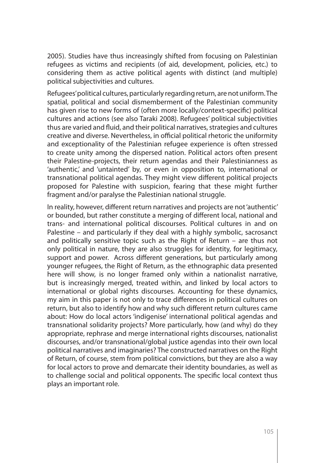2005). Studies have thus increasingly shifted from focusing on Palestinian refugees as victims and recipients (of aid, development, policies, etc.) to considering them as active political agents with distinct (and multiple) political subjectivities and cultures.

Refugees' political cultures, particularly regarding return, are not uniform. The spatial, political and social dismemberment of the Palestinian community has given rise to new forms of (often more locally/context-specific) political cultures and actions (see also Taraki 2008). Refugees' political subjectivities thus are varied and fluid, and their political narratives, strategies and cultures creative and diverse. Nevertheless, in official political rhetoric the uniformity and exceptionality of the Palestinian refugee experience is often stressed to create unity among the dispersed nation. Political actors often present their Palestine-projects, their return agendas and their Palestinianness as 'authentic,' and 'untainted' by, or even in opposition to, international or transnational political agendas. They might view different political projects proposed for Palestine with suspicion, fearing that these might further fragment and/or paralyse the Palestinian national struggle.

In reality, however, different return narratives and projects are not 'authentic' or bounded, but rather constitute a merging of different local, national and trans- and international political discourses. Political cultures in and on Palestine – and particularly if they deal with a highly symbolic, sacrosanct and politically sensitive topic such as the Right of Return – are thus not only political in nature, they are also struggles for identity, for legitimacy, support and power. Across different generations, but particularly among younger refugees, the Right of Return, as the ethnographic data presented here will show, is no longer framed only within a nationalist narrative, but is increasingly merged, treated within, and linked by local actors to international or global rights discourses. Accounting for these dynamics, my aim in this paper is not only to trace differences in political cultures on return, but also to identify how and why such different return cultures came about: How do local actors 'indigenise' international political agendas and transnational solidarity projects? More particularly, how (and why) do they appropriate, rephrase and merge international rights discourses, nationalist discourses, and/or transnational/global justice agendas into their own local political narratives and imaginaries? The constructed narratives on the Right of Return, of course, stem from political convictions, but they are also a way for local actors to prove and demarcate their identity boundaries, as well as to challenge social and political opponents. The specific local context thus plays an important role.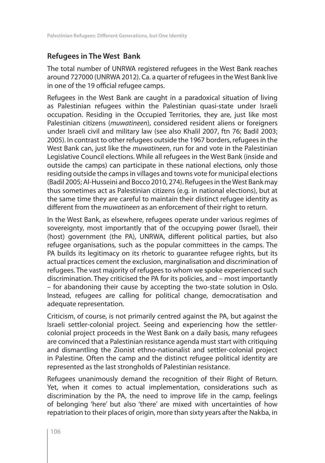# **Refugees in The West Bank**

The total number of UNRWA registered refugees in the West Bank reaches around 727000 (UNRWA 2012). Ca. a quarter of refugees in the West Bank live in one of the 19 official refugee camps.

Refugees in the West Bank are caught in a paradoxical situation of living as Palestinian refugees within the Palestinian quasi-state under Israeli occupation. Residing in the Occupied Territories, they are, just like most Palestinian citizens (*muwatineen*), considered resident aliens or foreigners under Israeli civil and military law (see also Khalil 2007, ftn 76; Badil 2003; 2005). In contrast to other refugees outside the 1967 borders, refugees in the West Bank can, just like the *muwatineen*, run for and vote in the Palestinian Legislative Council elections. While all refugees in the West Bank (inside and outside the camps) can participate in these national elections, only those residing outside the camps in villages and towns vote for municipal elections (Badil 2005; Al-Husseini and Bocco 2010, 274). Refugees in the West Bank may thus sometimes act as Palestinian citizens (e.g. in national elections), but at the same time they are careful to maintain their distinct refugee identity as different from the *muwatineen* as an enforcement of their right to return.

In the West Bank, as elsewhere, refugees operate under various regimes of sovereignty, most importantly that of the occupying power (Israel), their (host) government (the PA), UNRWA, different political parties, but also refugee organisations, such as the popular committees in the camps. The PA builds its legitimacy on its rhetoric to guarantee refugee rights, but its actual practices cement the exclusion, marginalisation and discrimination of refugees. The vast majority of refugees to whom we spoke experienced such discrimination. They criticised the PA for its policies, and – most importantly – for abandoning their cause by accepting the two-state solution in Oslo. Instead, refugees are calling for political change, democratisation and adequate representation.

Criticism, of course, is not primarily centred against the PA, but against the Israeli settler-colonial project. Seeing and experiencing how the settlercolonial project proceeds in the West Bank on a daily basis, many refugees are convinced that a Palestinian resistance agenda must start with critiquing and dismantling the Zionist ethno-nationalist and settler-colonial project in Palestine. Often the camp and the distinct refugee political identity are represented as the last strongholds of Palestinian resistance.

Refugees unanimously demand the recognition of their Right of Return. Yet, when it comes to actual implementation, considerations such as discrimination by the PA, the need to improve life in the camp, feelings of belonging 'here' but also 'there' are mixed with uncertainties of how repatriation to their places of origin, more than sixty years after the Nakba, in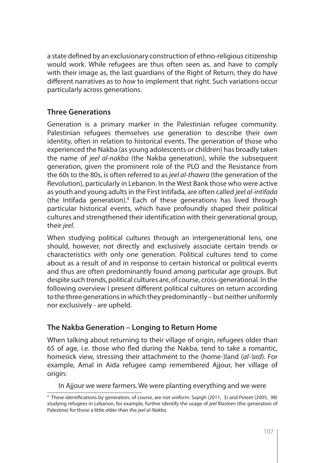a state defined by an exclusionary construction of ethno-religious citizenship would work. While refugees are thus often seen as, and have to comply with their image as, the last guardians of the Right of Return, they do have different narratives as to *how* to implement that right. Such variations occur particularly across generations.

# **Three Generations**

Generation is a primary marker in the Palestinian refugee community. Palestinian refugees themselves use generation to describe their own identity, often in relation to historical events. The generation of those who experienced the Nakba (as young adolescents or children) has broadly taken the name of *jeel al-nakba* (the Nakba generation), while the subsequent generation, given the prominent role of the PLO and the Resistance from the 60s to the 80s, is often referred to as *jeel al-thawra* (the generation of the Revolution), particularly in Lebanon. In the West Bank those who were active as youth and young adults in the First Intifada, are often called *jeel al-intifada* (the Intifada generation).4 Each of these generations has lived through particular historical events, which have profoundly shaped their political cultures and strengthened their identification with their generational group, their *jeel*.

When studying political cultures through an intergenerational lens, one should, however, not directly and exclusively associate certain trends or characteristics with only one generation. Political cultures tend to come about as a result of and in response to certain historical or political events and thus are often predominantly found among particular age groups. But despite such trends, political cultures are, of course, cross-generational. In the following overview I present different political cultures on return according to the three generations in which they predominantly – but neither uniformly nor exclusively - are upheld.

# **The Nakba Generation – Longing to Return Home**

When talking about returning to their village of origin, refugees older than 65 of age, i.e. those who fled during the Nakba, tend to take a romantic, homesick view, stressing their attachment to the (home-)land (*al-'ard*). For example, Amal in Aida refugee camp remembered Ajjour, her village of origin:

In Ajjour we were farmers. We were planting everything and we were

<sup>4</sup> These identifications by generation, of course, are not uniform. Sayigh (2011, 3) and Peteet (2005, 98) studying refugees in Lebanon, for example, further identify the usage of *jeel filasteen* (the generation of Palestine) for those a little older than the *jeel al-Nakba*.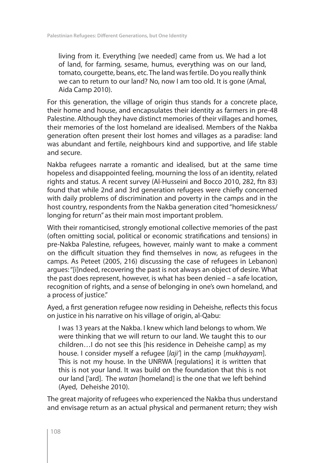living from it. Everything [we needed] came from us. We had a lot of land, for farming, sesame, humus, everything was on our land, tomato, courgette, beans, etc. The land was fertile. Do you really think we can to return to our land? No, now I am too old. It is gone (Amal, Aida Camp 2010).

For this generation, the village of origin thus stands for a concrete place, their home and house, and encapsulates their identity as farmers in pre-48 Palestine. Although they have distinct memories of their villages and homes, their memories of the lost homeland are idealised. Members of the Nakba generation often present their lost homes and villages as a paradise: land was abundant and fertile, neighbours kind and supportive, and life stable and secure.

Nakba refugees narrate a romantic and idealised, but at the same time hopeless and disappointed feeling, mourning the loss of an identity, related rights and status. A recent survey (Al-Husseini and Bocco 2010, 282, ftn 83) found that while 2nd and 3rd generation refugees were chiefly concerned with daily problems of discrimination and poverty in the camps and in the host country, respondents from the Nakba generation cited "homesickness/ longing for return" as their main most important problem.

With their romanticised, strongly emotional collective memories of the past (often omitting social, political or economic stratifications and tensions) in pre-Nakba Palestine, refugees, however, mainly want to make a comment on the difficult situation they find themselves in now, as refugees in the camps. As Peteet (2005, 216) discussing the case of refugees in Lebanon) argues: "[i]ndeed, recovering the past is not always an object of desire. What the past does represent, however, is what has been denied – a safe location, recognition of rights, and a sense of belonging in one's own homeland, and a process of justice."

Ayed, a first generation refugee now residing in Deheishe, reflects this focus on justice in his narrative on his village of origin, al-Qabu:

I was 13 years at the Nakba. I knew which land belongs to whom. We were thinking that we will return to our land. We taught this to our children…I do not see this [his residence in Deheishe camp] as my house. I consider myself a refugee [*laji'*] in the camp [*mukhayyam*]. This is not my house. In the UNRWA [regulations] it is written that this is not your land. It was build on the foundation that this is not our land ['ard]. The *watan* [homeland] is the one that we left behind (Ayed, Deheishe 2010).

The great majority of refugees who experienced the Nakba thus understand and envisage return as an actual physical and permanent return; they wish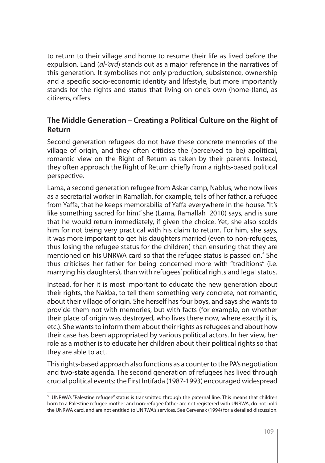to return to their village and home to resume their life as lived before the expulsion. Land (*al-'ard*) stands out as a major reference in the narratives of this generation. It symbolises not only production, subsistence, ownership and a specific socio-economic identity and lifestyle, but more importantly stands for the rights and status that living on one's own (home-)land, as citizens, offers.

# **The Middle Generation – Creating a Political Culture on the Right of Return**

Second generation refugees do not have these concrete memories of the village of origin, and they often criticise the (perceived to be) apolitical, romantic view on the Right of Return as taken by their parents. Instead, they often approach the Right of Return chiefly from a rights-based political perspective.

Lama, a second generation refugee from Askar camp, Nablus, who now lives as a secretarial worker in Ramallah, for example, tells of her father, a refugee from Yaffa, that he keeps memorabilia of Yaffa everywhere in the house. "It's like something sacred for him," she (Lama, Ramallah 2010) says, and is sure that he would return immediately, if given the choice. Yet, she also scolds him for not being very practical with his claim to return. For him, she says, it was more important to get his daughters married (even to non-refugees, thus losing the refugee status for the children) than ensuring that they are mentioned on his UNRWA card so that the refugee status is passed on.<sup>5</sup> She thus criticises her father for being concerned more with "traditions" (i.e. marrying his daughters), than with refugees' political rights and legal status.

Instead, for her it is most important to educate the new generation about their rights, the Nakba, to tell them something very concrete, not romantic, about their village of origin. She herself has four boys, and says she wants to provide them not with memories, but with facts (for example, on whether their place of origin was destroyed, who lives there now, where exactly it is, etc.). She wants to inform them about their rights as refugees and about how their case has been appropriated by various political actors. In her view, her role as a mother is to educate her children about their political rights so that they are able to act.

This rights-based approach also functions as a counter to the PA's negotiation and two-state agenda. The second generation of refugees has lived through crucial political events: the First Intifada (1987-1993) encouraged widespread

<sup>&</sup>lt;sup>5</sup> UNRWA's "Palestine refugee" status is transmitted through the paternal line. This means that children born to a Palestine refugee mother and non-refugee father are not registered with UNRWA, do not hold the UNRWA card, and are not entitled to UNRWA's services. See Cervenak (1994) for a detailed discussion.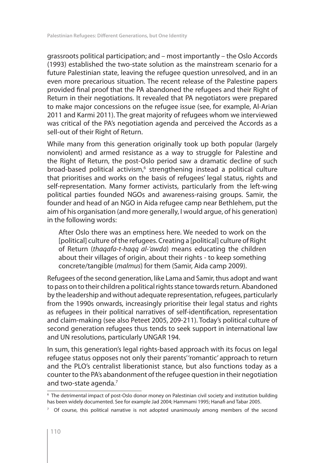grassroots political participation; and – most importantly – the Oslo Accords (1993) established the two-state solution as the mainstream scenario for a future Palestinian state, leaving the refugee question unresolved, and in an even more precarious situation. The recent release of the Palestine papers provided final proof that the PA abandoned the refugees and their Right of Return in their negotiations. It revealed that PA negotiators were prepared to make major concessions on the refugee issue (see, for example, Al-Arian 2011 and Karmi 2011). The great majority of refugees whom we interviewed was critical of the PA's negotiation agenda and perceived the Accords as a sell-out of their Right of Return.

While many from this generation originally took up both popular (largely nonviolent) and armed resistance as a way to struggle for Palestine and the Right of Return, the post-Oslo period saw a dramatic decline of such broad-based political activism,<sup>6</sup> strengthening instead a political culture that prioritises and works on the basis of refugees' legal status, rights and self-representation. Many former activists, particularly from the left-wing political parties founded NGOs and awareness-raising groups. Samir, the founder and head of an NGO in Aida refugee camp near Bethlehem, put the aim of his organisation (and more generally, I would argue, of his generation) in the following words:

After Oslo there was an emptiness here. We needed to work on the [political] culture of the refugees. Creating a [political] culture of Right of Return (*thaqafa-t-haqq al-'awda*) means educating the children about their villages of origin, about their rights - to keep something concrete/tangible (*malmus*) for them (Samir, Aida camp 2009).

Refugees of the second generation, like Lama and Samir, thus adopt and want to pass on to their children a political rights stance towards return. Abandoned by the leadership and without adequate representation, refugees, particularly from the 1990s onwards, increasingly prioritise their legal status and rights as refugees in their political narratives of self-identification, representation and claim-making (see also Peteet 2005, 209-211). Today's political culture of second generation refugees thus tends to seek support in international law and UN resolutions, particularly UNGAR 194.

In sum, this generation's legal rights-based approach with its focus on legal refugee status opposes not only their parents' 'romantic' approach to return and the PLO's centralist liberationist stance, but also functions today as a counter to the PA's abandonment of the refugee question in their negotiation and two-state agenda.<sup>7</sup>

<sup>6</sup> The detrimental impact of post-Oslo donor money on Palestinian civil society and institution building has been widely documented. See for example Jad 2004; Hammami 1995; Hanafi and Tabar 2005.

<sup>&</sup>lt;sup>7</sup> Of course, this political narrative is not adopted unanimously among members of the second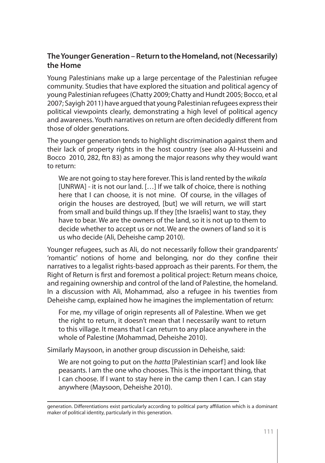# **The Younger Generation – Return to the Homeland, not (Necessarily) the Home**

Young Palestinians make up a large percentage of the Palestinian refugee community. Studies that have explored the situation and political agency of young Palestinian refugees (Chatty 2009; Chatty and Hundt 2005; Bocco, et al 2007; Sayigh 2011) have argued that young Palestinian refugees express their political viewpoints clearly, demonstrating a high level of political agency and awareness. Youth narratives on return are often decidedly different from those of older generations.

The younger generation tends to highlight discrimination against them and their lack of property rights in the host country (see also Al-Husseini and Bocco 2010, 282, ftn 83) as among the major reasons why they would want to return:

We are not going to stay here forever. This is land rented by the *wikala* [UNRWA] - it is not our land. [...] If we talk of choice, there is nothing here that I can choose, it is not mine. Of course, in the villages of origin the houses are destroyed, [but] we will return, we will start from small and build things up. If they [the Israelis] want to stay, they have to bear. We are the owners of the land, so it is not up to them to decide whether to accept us or not. We are the owners of land so it is us who decide (Ali, Deheishe camp 2010).

Younger refugees, such as Ali, do not necessarily follow their grandparents' 'romantic' notions of home and belonging, nor do they confine their narratives to a legalist rights-based approach as their parents. For them, the Right of Return is first and foremost a political project: Return means choice, and regaining ownership and control of the land of Palestine, the homeland. In a discussion with Ali, Mohammad, also a refugee in his twenties from Deheishe camp, explained how he imagines the implementation of return:

For me, my village of origin represents all of Palestine. When we get the right to return, it doesn't mean that I necessarily want to return to this village. It means that I can return to any place anywhere in the whole of Palestine (Mohammad, Deheishe 2010).

Similarly Maysoon, in another group discussion in Deheishe, said:

We are not going to put on the *hatta* [Palestinian scarf] and look like peasants. I am the one who chooses. This is the important thing, that I can choose. If I want to stay here in the camp then I can. I can stay anywhere (Maysoon, Deheishe 2010).

generation. Differentiations exist particularly according to political party affiliation which is a dominant maker of political identity, particularly in this generation.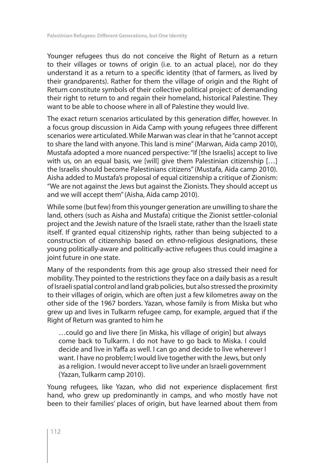Younger refugees thus do not conceive the Right of Return as a return to their villages or towns of origin (i.e. to an actual place), nor do they understand it as a return to a specific identity (that of farmers, as lived by their grandparents). Rather for them the village of origin and the Right of Return constitute symbols of their collective political project: of demanding their right to return to and regain their homeland, historical Palestine. They want to be able to choose where in all of Palestine they would live.

The exact return scenarios articulated by this generation differ, however. In a focus group discussion in Aida Camp with young refugees three different scenarios were articulated. While Marwan was clear in that he "cannot accept to share the land with anyone. This land is mine" (Marwan, Aida camp 2010), Mustafa adopted a more nuanced perspective: "If [the Israelis] accept to live with us, on an equal basis, we [will] give them Palestinian citizenship [...] the Israelis should become Palestinians citizens" (Mustafa, Aida camp 2010). Aisha added to Mustafa's proposal of equal citizenship a critique of Zionism: "We are not against the Jews but against the Zionists. They should accept us and we will accept them" (Aisha, Aida camp 2010).

While some (but few) from this younger generation are unwilling to share the land, others (such as Aisha and Mustafa) critique the Zionist settler-colonial project and the Jewish nature of the Israeli state, rather than the Israeli state itself. If granted equal citizenship rights, rather than being subjected to a construction of citizenship based on ethno-religious designations, these young politically-aware and politically-active refugees thus could imagine a joint future in one state.

Many of the respondents from this age group also stressed their need for mobility. They pointed to the restrictions they face on a daily basis as a result of Israeli spatial control and land grab policies, but also stressed the proximity to their villages of origin, which are often just a few kilometres away on the other side of the 1967 borders. Yazan, whose family is from Miska but who grew up and lives in Tulkarm refugee camp, for example, argued that if the Right of Return was granted to him he

…could go and live there [in Miska, his village of origin] but always come back to Tulkarm. I do not have to go back to Miska. I could decide and live in Yaffa as well. I can go and decide to live wherever I want. I have no problem; I would live together with the Jews, but only as a religion. I would never accept to live under an Israeli government (Yazan, Tulkarm camp 2010).

Young refugees, like Yazan, who did not experience displacement first hand, who grew up predominantly in camps, and who mostly have not been to their families' places of origin, but have learned about them from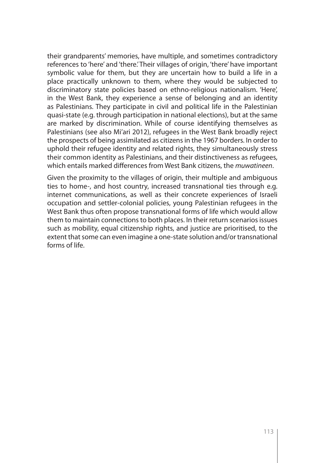their grandparents' memories, have multiple, and sometimes contradictory references to 'here' and 'there.' Their villages of origin, 'there' have important symbolic value for them, but they are uncertain how to build a life in a place practically unknown to them, where they would be subjected to discriminatory state policies based on ethno-religious nationalism. 'Here', in the West Bank, they experience a sense of belonging and an identity as Palestinians. They participate in civil and political life in the Palestinian quasi-state (e.g. through participation in national elections), but at the same are marked by discrimination. While of course identifying themselves as Palestinians (see also Mi'ari 2012), refugees in the West Bank broadly reject the prospects of being assimilated as citizens in the 1967 borders. In order to uphold their refugee identity and related rights, they simultaneously stress their common identity as Palestinians, and their distinctiveness as refugees, which entails marked differences from West Bank citizens, the *muwatineen*.

Given the proximity to the villages of origin, their multiple and ambiguous ties to home-, and host country, increased transnational ties through e.g. internet communications, as well as their concrete experiences of Israeli occupation and settler-colonial policies, young Palestinian refugees in the West Bank thus often propose transnational forms of life which would allow them to maintain connections to both places. In their return scenarios issues such as mobility, equal citizenship rights, and justice are prioritised, to the extent that some can even imagine a one-state solution and/or transnational forms of life.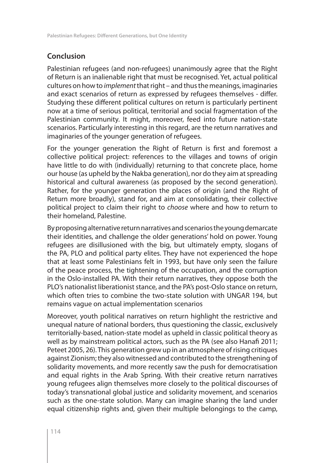## **Conclusion**

Palestinian refugees (and non-refugees) unanimously agree that the Right of Return is an inalienable right that must be recognised. Yet, actual political cultures on how to *implement* that right – and thus the meanings, imaginaries and exact scenarios of return as expressed by refugees themselves - differ. Studying these different political cultures on return is particularly pertinent now at a time of serious political, territorial and social fragmentation of the Palestinian community. It might, moreover, feed into future nation-state scenarios. Particularly interesting in this regard, are the return narratives and imaginaries of the younger generation of refugees.

For the younger generation the Right of Return is first and foremost a collective political project: references to the villages and towns of origin have little to do with (individually) returning to that concrete place, home our house (as upheld by the Nakba generation), nor do they aim at spreading historical and cultural awareness (as proposed by the second generation). Rather, for the younger generation the places of origin (and the Right of Return more broadly), stand for, and aim at consolidating, their collective political project to claim their right to *choose* where and how to return to their homeland, Palestine.

By proposing alternative return narratives and scenarios the young demarcate their identities, and challenge the older generations' hold on power. Young refugees are disillusioned with the big, but ultimately empty, slogans of the PA, PLO and political party elites. They have not experienced the hope that at least some Palestinians felt in 1993, but have only seen the failure of the peace process, the tightening of the occupation, and the corruption in the Oslo-installed PA. With their return narratives, they oppose both the PLO's nationalist liberationist stance, and the PA's post-Oslo stance on return, which often tries to combine the two-state solution with UNGAR 194, but remains vague on actual implementation scenarios

Moreover, youth political narratives on return highlight the restrictive and unequal nature of national borders, thus questioning the classic, exclusively territorially-based, nation-state model as upheld in classic political theory as well as by mainstream political actors, such as the PA (see also Hanafi 2011; Peteet 2005, 26). This generation grew up in an atmosphere of rising critiques against Zionism; they also witnessed and contributed to the strengthening of solidarity movements, and more recently saw the push for democratisation and equal rights in the Arab Spring. With their creative return narratives young refugees align themselves more closely to the political discourses of today's transnational global justice and solidarity movement, and scenarios such as the one-state solution. Many can imagine sharing the land under equal citizenship rights and, given their multiple belongings to the camp,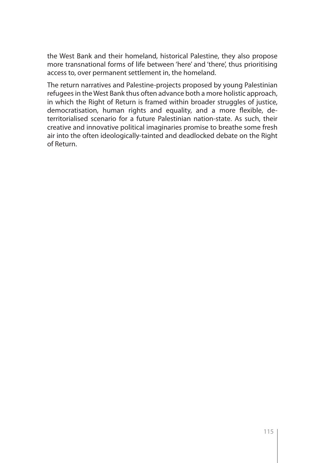the West Bank and their homeland, historical Palestine, they also propose more transnational forms of life between 'here' and 'there', thus prioritising access to, over permanent settlement in, the homeland.

The return narratives and Palestine-projects proposed by young Palestinian refugees in the West Bank thus often advance both a more holistic approach, in which the Right of Return is framed within broader struggles of justice, democratisation, human rights and equality, and a more flexible, deterritorialised scenario for a future Palestinian nation-state. As such, their creative and innovative political imaginaries promise to breathe some fresh air into the often ideologically-tainted and deadlocked debate on the Right of Return.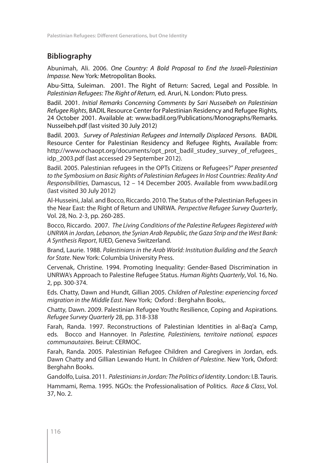# **Bibliography**

Abunimah, Ali. 2006. *One Country: A Bold Proposal to End the Israeli-Palestinian Impasse.* New York*:* Metropolitan Books.

Abu-Sitta, Suleiman. 2001. The Right of Return: Sacred, Legal and Possible. In *Palestinian Refugees: The Right of Return,* ed. Aruri, N. London: Pluto press.

Badil. 2001. *Initial Remarks Concerning Comments by Sari Nusseibeh on Palestinian Refugee Rights*, BADIL Resource Center for Palestinian Residency and Refugee Rights, 24 October 2001. Available at: www.badil.org/Publications/Monographs/Remarks. Nusseibeh.pdf (last visited 30 July 2012)

Badil. 2003. *Survey of Palestinian Refugees and Internally Displaced Persons*. BADIL Resource Center for Palestinian Residency and Refugee Rights, Available from: http://www.ochaopt.org/documents/opt\_prot\_badil\_studey\_survey\_of\_refugees idp\_2003.pdf (last accessed 29 September 2012).

Badil. 2005. Palestinian refugees in the OPTs Citizens or Refugees?" *Paper presented to the Symbosium on Basic Rights of Palestinian Refugees In Host Countries: Reality And Responsibilities*, Damascus, 12 – 14 December 2005. Available from www.badil.org (last visited 30 July 2012)

Al-Husseini, Jalal. and Bocco, Riccardo. 2010. The Status of the Palestinian Refugees in the Near East: the Right of Return and UNRWA. *Perspective Refugee Survey Quarterly*, Vol. 28, No. 2-3, pp. 260-285.

Bocco, Riccardo. 2007. *The Living Conditions of the Palestine Refugees Registered with UNRWA in Jordan, Lebanon, the Syrian Arab Republic, the Gaza Strip and the West Bank: A Synthesis Report*, IUED, Geneva Switzerland.

Brand, Laurie. 1988. *Palestinians in the Arab World: Institution Building and the Search for State*. New York: Columbia University Press.

Cervenak, Christine. 1994. Promoting Inequality: Gender-Based Discrimination in UNRWA's Approach to Palestine Refugee Status. *Human Rights Quarterly*, Vol. 16, No. 2, pp. 300-374.

Eds. Chatty, Dawn and Hundt, Gillian 2005. *Children of Palestine: experiencing forced migration in the Middle East*. New York; Oxford : Berghahn Books,.

Chatty, Dawn. 2009. Palestinian Refugee Youth**:** Resilience, Coping and Aspirations. *Refugee Survey Quarterly* 28, pp. 318-338

Farah, Randa. 1997. Reconstructions of Palestinian Identities in al-Baq'a Camp, eds. Bocco and Hannoyer. In *Palestine, Palestiniens, territoire national, espaces communautaires*. Beirut: CERMOC.

Farah, Randa. 2005. Palestinian Refugee Children and Caregivers in Jordan, eds. Dawn Chatty and Gillian Lewando Hunt. In *Children of Palestine*. New York, Oxford: Berghahn Books.

Gandolfo, Luisa. 2011. *Palestinians in Jordan: The Politics of Identity*. London: I.B. Tauris. Hammami, Rema. 1995. NGOs: the Professionalisation of Politics. *Race & Class*, Vol. 37, No. 2.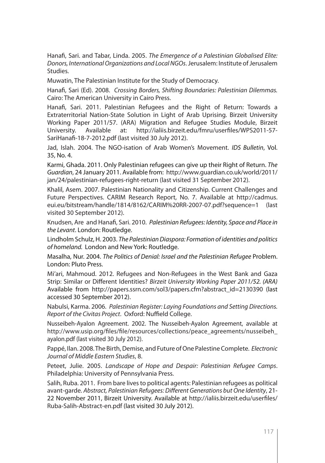Hanafi, Sari. and Tabar, Linda. 2005. *The Emergence of a Palestinian Globalised Elite: Donors, International Organizations and Local NGOs*. Jerusalem: Institute of Jerusalem Studies.

Muwatin, The Palestinian Institute for the Study of Democracy.

Hanafi, Sari (Ed). 2008. *Crossing Borders, Shifting Boundaries: Palestinian Dilemmas.* Cairo: The American University in Cairo Press.

Hanafi, Sari. 2011. Palestinian Refugees and the Right of Return: Towards a Extraterritorial Nation-State Solution in Light of Arab Uprising. Birzeit University Working Paper 2011/57. (ARA) Migration and Refugee Studies Module, Birzeit<br>University. Available at: http://ialiis.birzeit.edu/fmru/userfiles/WPS2011-57-Available at: http://ialiis.birzeit.edu/fmru/userfiles/WPS2011-57-SariHanafi-18-7-2012.pdf (last visited 30 July 2012).

Jad, Islah. 2004. The NGO-isation of Arab Women's Movement. *IDS Bulletin*, Vol. 35, No. 4.

Karmi, Ghada. 2011. Only Palestinian refugees can give up their Right of Return. *The Guardian*, 24 January 2011. Available from: http://www.guardian.co.uk/world/2011/ jan/24/palestinian-refugees-right-return (last visited 31 September 2012).

Khalil, Asem. 2007. Palestinian Nationality and Citizenship. Current Challenges and Future Perspectives. CARIM Research Report, No. 7. Available at http://cadmus. eui.eu/bitstream/handle/1814/8162/CARIM%20RR-2007-07.pdf?sequence=1 (last visited 30 September 2012).

Knudsen, Are and Hanafi, Sari. 2010. *Palestinian Refugees: Identity, Space and Place in the Levant*. London: Routledge.

Lindholm Schulz, H. 2003. *The Palestinian Diaspora: Formation of identities and politics of homeland.* London and New York: Routledge.

Masalha, Nur. 2004. *The Politics of Denial: Israel and the Palestinian Refugee* Problem. London: Pluto Press.

Mi'ari, Mahmoud. 2012. Refugees and Non-Refugees in the West Bank and Gaza Strip: Similar or Different Identities? *Birzeit University Working Paper 2011/52. (ARA)*  Available from http://papers.ssrn.com/sol3/papers.cfm?abstract\_id=2130390 (last accessed 30 September 2012).

Nabulsi, Karma. 2006. *Palestinian Register: Laying Foundations and Setting Directions. Report of the Civitas Project*. Oxford: Nuffield College.

Nusseibeh-Ayalon Agreement. 2002. The Nusseibeh-Ayalon Agreement, available at http://www.usip.org/files/file/resources/collections/peace\_agreements/nusseibeh\_ ayalon.pdf (last visited 30 July 2012).

Pappé, Ilan. 2008. The Birth, Demise, and Future of One Palestine Complete. *Electronic Journal of Middle Eastern Studies*, 8.

Peteet, Julie. 2005. *Landscape of Hope and Despair: Palestinian Refugee Camps*. Philadelphia: University of Pennsylvania Press.

Salih, Ruba. 2011. From bare lives to political agents: Palestinian refugees as political avant-garde. *Abstract, Palestinian Refugees: Different Generations but One Identity*, 21- 22 November 2011, Birzeit University. Available at http://ialiis.birzeit.edu/userfiles/ Ruba-Salih-Abstract-en.pdf (last visited 30 July 2012).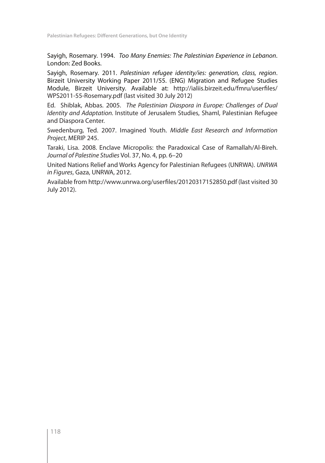Sayigh, Rosemary. 1994. *Too Many Enemies: The Palestinian Experience in Lebanon*. London: Zed Books.

Sayigh, Rosemary. 2011. *Palestinian refugee identity/ies: generation, class, region*. Birzeit University Working Paper 2011/55. (ENG) Migration and Refugee Studies Module, Birzeit University. Available at: http://ialiis.birzeit.edu/fmru/userfiles/ WPS2011-55-Rosemary.pdf (last visited 30 July 2012)

Ed. Shiblak, Abbas. 2005. *The Palestinian Diaspora in Europe: Challenges of Dual Identity and Adaptation.* Institute of Jerusalem Studies, Shaml, Palestinian Refugee and Diaspora Center.

Swedenburg, Ted. 2007. Imagined Youth. *Middle East Research and Information Project*, MERIP 245.

Taraki, Lisa. 2008. Enclave Micropolis: the Paradoxical Case of Ramallah/Al-Bireh. *Journal of Palestine Studies* Vol. 37, No. 4, pp. 6–20

United Nations Relief and Works Agency for Palestinian Refugees (UNRWA). *UNRWA in Figures*, Gaza, UNRWA, 2012.

Available from http://www.unrwa.org/userfiles/20120317152850.pdf (last visited 30 July 2012).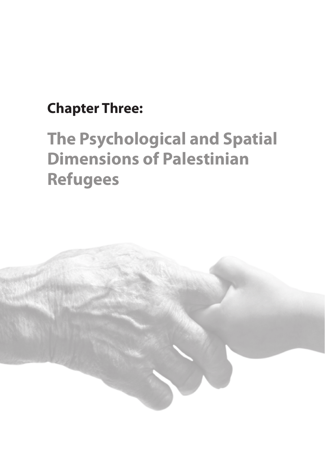# **Chapter Three:**

# **The Psychological and Spatial Dimensions of Palestinian Refugees**

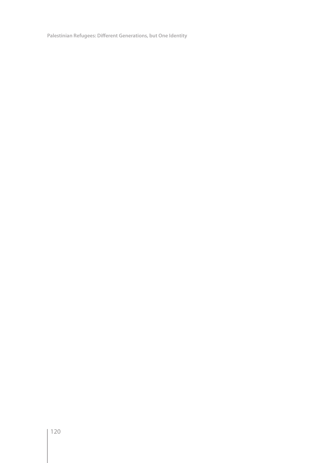**Palestinian Refugees: Different Generations, but One Identity**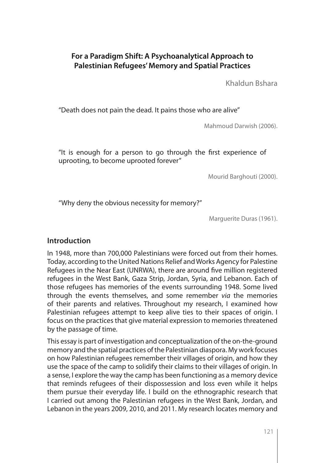# **For a Paradigm Shift: A Psychoanalytical Approach to Palestinian Refugees' Memory and Spatial Practices**

Khaldun Bshara

"Death does not pain the dead. It pains those who are alive"

Mahmoud Darwish (2006).

"It is enough for a person to go through the first experience of uprooting, to become uprooted forever"

Mourid Barghouti (2000).

"Why deny the obvious necessity for memory?"

Marguerite Duras (1961).

#### **Introduction**

In 1948, more than 700,000 Palestinians were forced out from their homes. Today, according to the United Nations Relief and Works Agency for Palestine Refugees in the Near East (UNRWA), there are around five million registered refugees in the West Bank, Gaza Strip, Jordan, Syria, and Lebanon. Each of those refugees has memories of the events surrounding 1948. Some lived through the events themselves, and some remember *via* the memories of their parents and relatives. Throughout my research, I examined how Palestinian refugees attempt to keep alive ties to their spaces of origin. I focus on the practices that give material expression to memories threatened by the passage of time.

This essay is part of investigation and conceptualization of the on-the-ground memory and the spatial practices of the Palestinian diaspora. My work focuses on how Palestinian refugees remember their villages of origin, and how they use the space of the camp to solidify their claims to their villages of origin. In a sense, I explore the way the camp has been functioning as a memory device that reminds refugees of their dispossession and loss even while it helps them pursue their everyday life. I build on the ethnographic research that I carried out among the Palestinian refugees in the West Bank, Jordan, and Lebanon in the years 2009, 2010, and 2011. My research locates memory and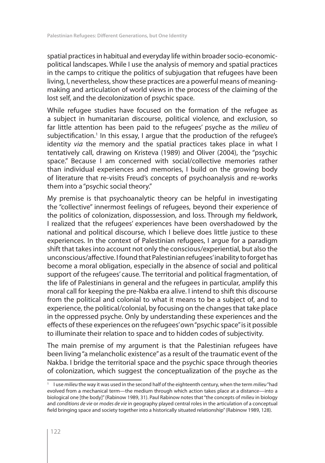spatial practices in habitual and everyday life within broader socio-economicpolitical landscapes. While I use the analysis of memory and spatial practices in the camps to critique the politics of subjugation that refugees have been living, I, nevertheless, show these practices are a powerful means of meaningmaking and articulation of world views in the process of the claiming of the lost self, and the decolonization of psychic space.

While refugee studies have focused on the formation of the refugee as a subject in humanitarian discourse, political violence, and exclusion, so far little attention has been paid to the refugees' psyche as the *milieu* of subjectification.<sup>1</sup> In this essay, I argue that the production of the refugee's identity *via* the memory and the spatial practices takes place in what I tentatively call, drawing on Kristeva (1989) and Oliver (2004), the "psychic space." Because I am concerned with social/collective memories rather than individual experiences and memories, I build on the growing body of literature that re-visits Freud's concepts of psychoanalysis and re-works them into a "psychic social theory."

My premise is that psychoanalytic theory can be helpful in investigating the "collective" innermost feelings of refugees, beyond their experience of the politics of colonization, dispossession, and loss. Through my fieldwork, I realized that the refugees' experiences have been overshadowed by the national and political discourse, which I believe does little justice to these experiences. In the context of Palestinian refugees, I argue for a paradigm shift that takes into account not only the conscious/experiential, but also the unconscious/affective. I found that Palestinian refugees' inability to forget has become a moral obligation, especially in the absence of social and political support of the refugees' cause. The territorial and political fragmentation, of the life of Palestinians in general and the refugees in particular, amplify this moral call for keeping the pre-Nakba era alive. I intend to shift this discourse from the political and colonial to what it means to be a subject of, and to experience, the political/colonial, by focusing on the changes that take place in the oppressed psyche. Only by understanding these experiences and the effects of these experiences on the refugees' own "psychic space" is it possible to illuminate their relation to space and to hidden codes of subjectivity.

The main premise of my argument is that the Palestinian refugees have been living "a melancholic existence" as a result of the traumatic event of the Nakba. I bridge the territorial space and the psychic space through theories of colonization, which suggest the conceptualization of the psyche as the

<sup>&</sup>lt;sup>1</sup> I use *milieu* the way it was used in the second half of the eighteenth century, when the term *milieu* "had evolved from a mechanical term—the medium through which action takes place at a distance—into a biological one [the body]" (Rabinow 1989, 31). Paul Rabinow notes that "the concepts of *milieu* in biology and *conditions de vie* or *modes de vie* in geography played central roles in the articulation of a conceptual field bringing space and society together into a historically situated relationship" (Rabinow 1989, 128).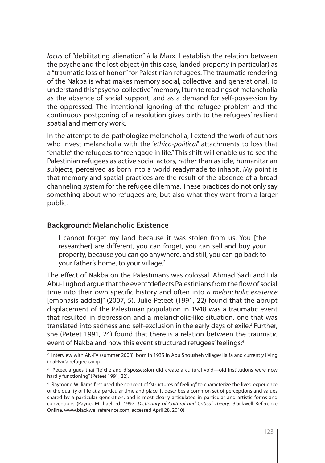*locus* of "debilitating alienation" á la Marx. I establish the relation between the psyche and the lost object (in this case, landed property in particular) as a "traumatic loss of honor" for Palestinian refugees. The traumatic rendering of the Nakba is what makes memory social, collective, and generational. To understand this "psycho-collective" memory, I turn to readings of melancholia as the absence of social support, and as a demand for self-possession by the oppressed. The intentional ignoring of the refugee problem and the continuous postponing of a resolution gives birth to the refugees' resilient spatial and memory work.

In the attempt to de-pathologize melancholia, I extend the work of authors who invest melancholia with the '*ethico-political*' attachments to loss that "enable" the refugees to "reengage in life." This shift will enable us to see the Palestinian refugees as active social actors, rather than as idle, humanitarian subjects, perceived as born into a world readymade to inhabit. My point is that memory and spatial practices are the result of the absence of a broad channeling system for the refugee dilemma. These practices do not only say something about who refugees are, but also what they want from a larger public.

#### **Background: Melancholic Existence**

I cannot forget my land because it was stolen from us. You [the researcher] are different, you can forget, you can sell and buy your property, because you can go anywhere, and still, you can go back to your father's home, to your village.<sup>2</sup>

The effect of Nakba on the Palestinians was colossal. Ahmad Sa'di and Lila Abu-Lughod argue that the event "deflects Palestinians from the flow of social time into their own specific history and often into *a melancholic existence*  [emphasis added]" (2007, 5). Julie Peteet (1991, 22) found that the abrupt displacement of the Palestinian population in 1948 was a traumatic event that resulted in depression and a melancholic-like situation, one that was translated into sadness and self-exclusion in the early days of exile.<sup>3</sup> Further, she (Peteet 1991, 24) found that there is a relation between the traumatic event of Nakba and how this event structured refugees' feelings:<sup>4</sup>

<sup>2</sup> Interview with AN-FA (summer 2008), born in 1935 in Abu Shousheh village/Haifa and currently living in al-Far'a refugee camp.

<sup>&</sup>lt;sup>3</sup> Peteet argues that "[e]xile and dispossession did create a cultural void—old institutions were now hardly functioning" (Peteet 1991, 22).

<sup>4</sup> Raymond Williams first used the concept of "structures of feeling" to characterize the lived experience of the quality of life at a particular time and place. It describes a common set of perceptions and values shared by a particular generation, and is most clearly articulated in particular and artistic forms and conventions (Payne, Michael ed. 1997. *Dictionary of Cultural and Critical Theory*. Blackwell Reference Online. www.blackwellreference.com, accessed April 28, 2010).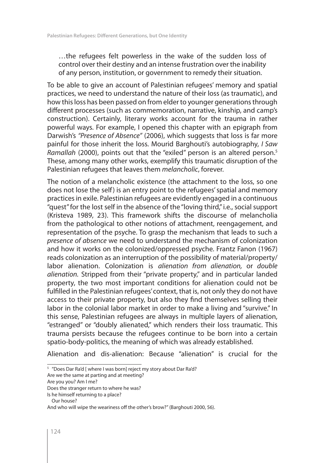…the refugees felt powerless in the wake of the sudden loss of control over their destiny and an intense frustration over the inability of any person, institution, or government to remedy their situation.

To be able to give an account of Palestinian refugees' memory and spatial practices, we need to understand the nature of their loss (as traumatic), and how this loss has been passed on from elder to younger generations through different processes (such as commemoration, narrative, kinship, and camp's construction). Certainly, literary works account for the trauma in rather powerful ways. For example, I opened this chapter with an epigraph from Darwish's *"Presence of Absence"* (2006), which suggests that loss is far more painful for those inherit the loss. Mourid Barghouti's autobiography, *I Saw Ramallah* (2000), points out that the "exiled" person is an altered person.<sup>5</sup> These, among many other works, exemplify this traumatic disruption of the Palestinian refugees that leaves them *melancholic*, forever.

The notion of a melancholic existence (the attachment to the loss, so one does not lose the self) is an entry point to the refugees' spatial and memory practices in exile. Palestinian refugees are evidently engaged in a continuous "quest" for the lost self in the absence of the "loving third," i.e., social support (Kristeva 1989, 23). This framework shifts the discourse of melancholia from the pathological to other notions of attachment, reengagement, and representation of the psyche. To grasp the mechanism that leads to such a *presence of absence* we need to understand the mechanism of colonization and how it works on the colonized/oppressed psyche. Frantz Fanon (1967) reads colonization as an interruption of the possibility of material/property/ labor alienation. Colonization is *alienation from alienation,* or *double alienation.* Stripped from their "private property," and in particular landed property, the two most important conditions for alienation could not be fulfilled in the Palestinian refugees' context, that is, not only they do not have access to their private property, but also they find themselves selling their labor in the colonial labor market in order to make a living and "survive." In this sense, Palestinian refugees are always in multiple layers of alienation, "estranged" or "doubly alienated," which renders their loss traumatic. This trauma persists because the refugees continue to be born into a certain spatio-body-politics, the meaning of which was already established.

Alienation and dis-alienation: Because "alienation" is crucial for the

<sup>&</sup>lt;sup>5</sup> "Does Dar Ra'd [ where I was born] reject my story about Dar Ra'd?

Are we the same at parting and at meeting?

Are you you? Am I me?

Does the stranger return to where he was?

Is he himself returning to a place?

Our house?

And who will wipe the weariness off the other's brow?" (Barghouti 2000, 56).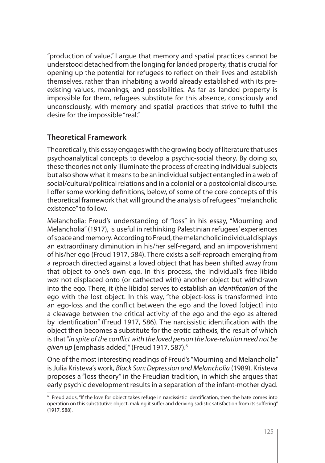"production of value," I argue that memory and spatial practices cannot be understood detached from the longing for landed property, that is crucial for opening up the potential for refugees to reflect on their lives and establish themselves, rather than inhabiting a world already established with its preexisting values, meanings, and possibilities. As far as landed property is impossible for them, refugees substitute for this absence, consciously and unconsciously, with memory and spatial practices that strive to fulfill the desire for the impossible "real."

# **Theoretical Framework**

Theoretically, this essay engages with the growing body of literature that uses psychoanalytical concepts to develop a psychic-social theory. By doing so, these theories not only illuminate the process of creating individual subjects but also show what it means to be an individual subject entangled in a web of social/cultural/political relations and in a colonial or a postcolonial discourse. I offer some working definitions, below, of some of the core concepts of this theoretical framework that will ground the analysis of refugees' "melancholic existence" to follow.

Melancholia: Freud's understanding of "loss" in his essay, "Mourning and Melancholia" (1917), is useful in rethinking Palestinian refugees' experiences of space and memory. According to Freud, the melancholic individual displays an extraordinary diminution in his/her self-regard, and an impoverishment of his/her ego (Freud 1917, 584). There exists a self-reproach emerging from a reproach directed against a loved object that has been shifted away from that object to one's own ego. In this process, the individual's free libido *was* not displaced onto (or cathected with) another object but withdrawn into the ego. There, it (the libido) serves to establish an *identification* of the ego with the lost object. In this way, "the object-loss is transformed into an ego-loss and the conflict between the ego and the loved [object] into a cleavage between the critical activity of the ego and the ego as altered by identification" (Freud 1917, 586). The narcissistic identification with the object then becomes a substitute for the erotic cathexis, the result of which is that "*in spite of the conflict with the loved person the love-relation need not be given up* [emphasis added]" (Freud 1917, 587).6

One of the most interesting readings of Freud's "Mourning and Melancholia" is Julia Kristeva's work, *Black Sun: Depression and Melancholia* (1989). Kristeva proposes a "loss theory" in the Freudian tradition, in which she argues that early psychic development results in a separation of the infant-mother dyad.

<sup>6</sup> Freud adds, "If the love for object takes refuge in narcissistic identification, then the hate comes into operation on this substitutive object, making it suffer and deriving sadistic satisfaction from its suffering" (1917, 588).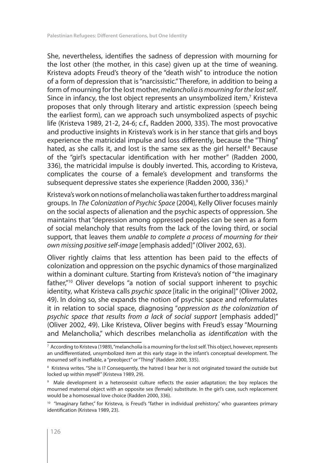She, nevertheless, identifies the sadness of depression with mourning for the lost other (the mother, in this case) given up at the time of weaning. Kristeva adopts Freud's theory of the "death wish" to introduce the notion of a form of depression that is "narcissistic." Therefore, in addition to being a form of mourning for the lost mother, *melancholia is mourning for the lost self*. Since in infancy, the lost object represents an unsymbolized item,<sup>7</sup> Kristeva proposes that only through literary and artistic expression (speech being the earliest form), can we approach such unsymbolized aspects of psychic life (Kristeva 1989, 21-2, 24-6; c.f., Radden 2000, 335). The most provocative and productive insights in Kristeva's work is in her stance that girls and boys experience the matricidal impulse and loss differently, because the "Thing" hated, as she calls it, and lost is the same sex as the girl herself.<sup>8</sup> Because of the "girl's spectacular identification with her mother" (Radden 2000, 336), the matricidal impulse is doubly inverted. This, according to Kristeva, complicates the course of a female's development and transforms the subsequent depressive states she experience (Radden 2000, 336).<sup>9</sup>

Kristeva's work on notions of melancholia was taken further to address marginal groups. In *The Colonization of Psychic Space* (2004), Kelly Oliver focuses mainly on the social aspects of alienation and the psychic aspects of oppression. She maintains that "depression among oppressed peoples can be seen as a form of social melancholy that results from the lack of the loving third, or social support, that leaves them *unable to complete a process of mourning for their own missing positive self-image* [emphasis added]" (Oliver 2002, 63).

Oliver rightly claims that less attention has been paid to the effects of colonization and oppression on the psychic dynamics of those marginalized within a dominant culture. Starting from Kristeva's notion of "the imaginary father,"10 Oliver develops "a notion of social support inherent to psychic identity, what Kristeva calls *psychic space* [italic in the original]" (Oliver 2002, 49). In doing so, she expands the notion of psychic space and reformulates it in relation to social space, diagnosing "*oppression as the colonization of psychic space that results from a lack of social support* [emphasis added]" (Oliver 2002, 49). Like Kristeva, Oliver begins with Freud's essay "Mourning and Melancholia," which describes melancholia as *identification* with the

<sup>7</sup> According to Kristeva (1989), "melancholia is a mourning for the lost self. This object, however, represents an undifferentiated, unsymbolized item at this early stage in the infant's conceptual development. The mourned self is ineffable, a "preobject" or "Thing" (Radden 2000, 335).

<sup>&</sup>lt;sup>8</sup> Kristeva writes. "She is I? Consequently, the hatred I bear her is not originated toward the outside but locked up within myself" (Kristeva 1989, 29).

<sup>9</sup> Male development in a heterosexist culture reflects the easier adaptation; the boy replaces the mourned maternal object with an opposite sex (female) substitute. In the girl's case, such replacement would be a homosexual love choice (Radden 2000, 336).

<sup>&</sup>lt;sup>10</sup> "Imaginary father," for Kristeva, is Freud's "father in individual prehistory," who guarantees primary identification (Kristeva 1989, 23).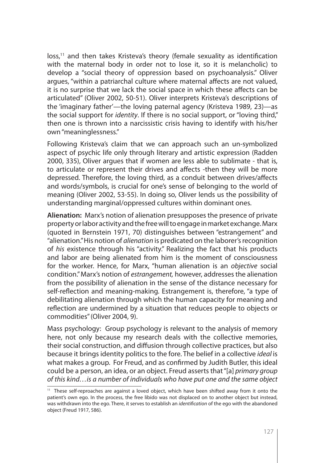loss,<sup>11</sup> and then takes Kristeva's theory (female sexuality as identification with the maternal body in order not to lose it, so it is melancholic) to develop a "social theory of oppression based on psychoanalysis." Oliver argues, "within a patriarchal culture where maternal affects are not valued, it is no surprise that we lack the social space in which these affects can be articulated" (Oliver 2002, 50-51). Oliver interprets Kristeva's descriptions of the 'imaginary father'—the loving paternal agency (Kristeva 1989, 23)—as the social support for *identity*. If there is no social support, or "loving third," then one is thrown into a narcissistic crisis having to identify with his/her own "meaninglessness."

Following Kristeva's claim that we can approach such an un-symbolized aspect of psychic life only through literary and artistic expression (Radden 2000, 335), Oliver argues that if women are less able to sublimate - that is, to articulate or represent their drives and affects -then they will be more depressed. Therefore, the loving third, as a conduit between drives/affects and words/symbols, is crucial for one's sense of belonging to the world of meaning (Oliver 2002, 53-55). In doing so, Oliver lends us the possibility of understanding marginal/oppressed cultures within dominant ones.

**Alienation:** Marx's notion of alienation presupposes the presence of private property or labor activity and the free will to engage in market exchange. Marx (quoted in Bernstein 1971, 70) distinguishes between "estrangement" and "alienation." His notion of *alienation* is predicated on the laborer's recognition of *his* existence through his "activity." Realizing the fact that his products and labor are being alienated from him is the moment of consciousness for the worker. Hence, for Marx, "human alienation is an *objective* social condition." Marx's notion of *estrangement,* however, addresses the alienation from the possibility of alienation in the sense of the distance necessary for self-reflection and meaning-making. Estrangement is, therefore, "a type of debilitating alienation through which the human capacity for meaning and reflection are undermined by a situation that reduces people to objects or commodities" (Oliver 2004, 9).

Mass psychology: Group psychology is relevant to the analysis of memory here, not only because my research deals with the collective memories, their social construction, and diffusion through collective practices, but also because it brings identity politics to the fore. The belief in a collective *ideal* is what makes a group. For Freud, and as confirmed by Judith Butler, this ideal could be a person, an idea, or an object. Freud asserts that "[a] *primary group of this kind…is a number of individuals who have put one and the same object* 

<sup>&</sup>lt;sup>11</sup> These self-reproaches are against a loved object, which have been shifted away from it onto the patient's own ego. In the process, the free libido was not displaced on to another object but instead, was withdrawn into the ego. There, it serves to establish an *identification* of the ego with the abandoned object (Freud 1917, 586).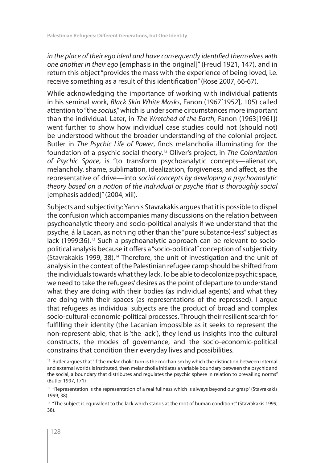*in the place of their ego ideal and have consequently identified themselves with one another in their ego* [emphasis in the original]" (Freud 1921, 147), and in return this object "provides the mass with the experience of being loved, i.e. receive something as a result of this identification" (Rose 2007, 66-67).

While acknowledging the importance of working with individual patients in his seminal work, *Black Skin White Masks*, Fanon (1967[1952], 105) called attention to "the *socius*," which is under some circumstances more important than the individual. Later, in *The Wretched of the Earth*, Fanon (1963[1961]) went further to show how individual case studies could not (should not) be understood without the broader understanding of the colonial project. Butler in *The Psychic Life of Power*, finds melancholia illuminating for the foundation of a psychic social theory.12 Oliver's project, in *The Colonization of Psychic Space*, is "to transform psychoanalytic concepts—alienation, melancholy, shame, sublimation, idealization, forgiveness, and affect, as the representative of drive—into *social concepts by developing a psychoanalytic theory based on a notion of the individual or psyche that is thoroughly social* [emphasis added]" (2004, xiii).

Subjects and subjectivity: Yannis Stavrakakis argues that it is possible to dispel the confusion which accompanies many discussions on the relation between psychoanalytic theory and socio-political analysis if we understand that the psyche, á la Lacan, as nothing other than the "pure substance-less" subject as lack (1999:36).<sup>13</sup> Such a psychoanalytic approach can be relevant to sociopolitical analysis because it offers a "socio-political" conception of subjectivity (Stavrakakis 1999, 38).14 Therefore, the unit of investigation and the unit of analysis in the context of the Palestinian refugee camp should be shifted from the individuals towards what they lack. To be able to decolonize psychic space, we need to take the refugees' desires as the point of departure to understand what they are doing with their bodies (as individual agents) and what they are doing with their spaces (as representations of the **r**epressed). I argue that refugees as individual subjects are the product of broad and complex socio-cultural-economic-political processes. Through their resilient search for fulfilling their identity (the Lacanian impossible as it seeks to represent the non-represent-able, that is 'the lack'), they lend us insights into the cultural constructs, the modes of governance, and the socio-economic-political constrains that condition their everyday lives and possibilities.

 $12$  Butler argues that "if the melancholic turn is the mechanism by which the distinction between internal and external worlds is instituted, then melancholia initiates a variable boundary between the psychic and the social, a boundary that distributes and regulates the psychic sphere in relation to prevailing norms" (Butler 1997, 171)

<sup>&</sup>lt;sup>13</sup> "Representation is the representation of a real fullness which is always beyond our grasp" (Stavrakakis 1999, 38).

<sup>&</sup>lt;sup>14</sup> "The subject is equivalent to the lack which stands at the root of human conditions" (Stavrakakis 1999, 38).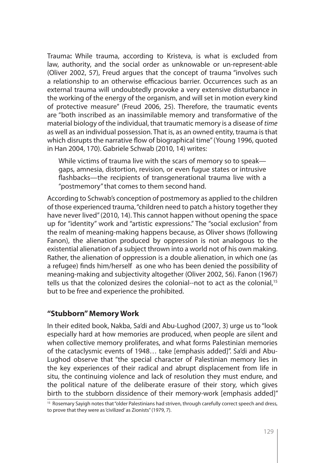Trauma**:** While trauma, according to Kristeva, is what is excluded from law, authority, and the social order as unknowable or un-represent-able (Oliver 2002, 57), Freud argues that the concept of trauma "involves such a relationship to an otherwise efficacious barrier. Occurrences such as an external trauma will undoubtedly provoke a very extensive disturbance in the working of the energy of the organism, and will set in motion every kind of protective measure" (Freud 2006, 25). Therefore, the traumatic events are "both inscribed as an inassimilable memory and transformative of the material biology of the individual, that traumatic memory is a disease of *time*  as well as an individual possession. That is, as an owned entity, trauma is that which disrupts the narrative flow of biographical time" (Young 1996, quoted in Han 2004, 170). Gabriele Schwab (2010, 14) writes:

While victims of trauma live with the scars of memory so to speak gaps, amnesia, distortion, revision, or even fugue states or intrusive flashbacks—the recipients of transgenerational trauma live with a "postmemory" that comes to them second hand.

According to Schwab's conception of postmemory as applied to the children of those experienced trauma, "children need to patch a history together they have never lived" (2010, 14). This cannot happen without opening the space up for "identity" work and "artistic expressions." The "social exclusion" from the realm of meaning-making happens because, as Oliver shows (following Fanon), the alienation produced by oppression is not analogous to the existential alienation of a subject thrown into a world not of his own making. Rather, the alienation of oppression is a double alienation, in which one (as a refugee) finds him/herself as one who has been denied the possibility of meaning-making and subjectivity altogether (Oliver 2002, 56). Fanon (1967) tells us that the colonized desires the colonial--not to act as the colonial,<sup>15</sup> but to be free and experience the prohibited.

#### **"Stubborn" Memory Work**

In their edited book, Nakba, Sa'di and Abu-Lughod (2007, 3) urge us to "look especially hard at how memories are produced, when people are silent and when collective memory proliferates, and what forms Palestinian memories of the cataclysmic events of 1948… take [emphasis added]". Sa'di and Abu-Lughod observe that "the special character of Palestinian memory lies in the key experiences of their radical and abrupt displacement from life in situ, the continuing violence and lack of resolution they must endure, and the political nature of the deliberate erasure of their story, which gives birth to the stubborn dissidence of their memory-work [emphasis added]"

<sup>&</sup>lt;sup>15</sup> Rosemary Sayigh notes that "older Palestinians had striven, through carefully correct speech and dress, to prove that they were as 'civilized' as Zionists" (1979, 7).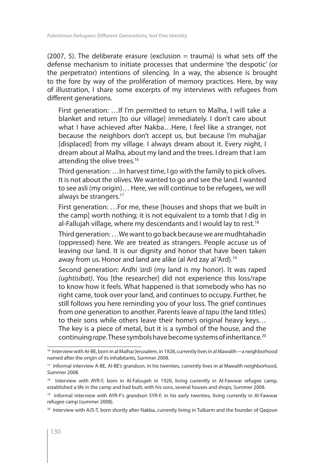(2007, 5). The deliberate erasure (exclusion  $=$  trauma) is what sets off the defense mechanism to initiate processes that undermine 'the despotic' (or the perpetrator) intentions of silencing. In a way, the absence is brought to the fore by way of the proliferation of memory practices. Here, by way of illustration, I share some excerpts of my interviews with refugees from different generations.

First generation: …If I'm permitted to return to Malha, I will take a blanket and return [to our village] immediately. I don't care about what I have achieved after Nakba…Here, I feel like a stranger, not because the neighbors don't accept us, but because I'm muhajjar [displaced] from my village. I always dream about it. Every night, I dream about al Malha, about my land and the trees. I dream that I am attending the olive trees.<sup>16</sup>

Third generation: …In harvest time, I go with the family to pick olives. It is not about the olives. We wanted to go and see the land. I wanted to see asli (my origin)… Here, we will continue to be refugees, we will always be strangers.<sup>17</sup>

First generation: …For me, these [houses and shops that we built in the camp] worth nothing; it is not equivalent to a tomb that I dig in al-Fallujah village, where my descendants and I would lay to rest.<sup>18</sup>

Third generation: …We want to go back because we are mudhtahadin (oppressed) here. We are treated as strangers. People accuse us of leaving our land. It is our dignity and honor that have been taken away from us. Honor and land are alike (al Ard zay al 'Ard).19

Second generation: *Ardhi 'ardi* (my land is my honor). It was raped *(ughtisibat)*. You [the researcher] did not experience this loss/rape to know how it feels. What happened is that somebody who has no right came, took over your land, and continues to occupy. Further, he still follows you here reminding you of your loss. The grief continues from one generation to another. Parents leave *al tapu* (the land titles) to their sons while others leave their home's original heavy keys… The key is a piece of metal, but it is a symbol of the house, and the continuing *rape*. These symbols have become systems of inheritance.20

<sup>16</sup> Interview with AI-BE, born in al Malha/Jerusalem, in 1928, currently lives in al Mawalih—a neighborhood named after the origin of its inhabitants, Summer 2008.

<sup>&</sup>lt;sup>17</sup> Informal interview A-BE, AI-BE's grandson, in his twenties, currently lives in al Mawalih neighborhood, Summer 2008.

<sup>&</sup>lt;sup>18</sup> Interview with AYR-F, born in Al-Faloujeh in 1920, living currently in Al-Fawwar refugee camp, established a life in the camp and had built, with his sons, several houses and shops, Summer 2008.

<sup>&</sup>lt;sup>19</sup> Informal interview with AYR-F's grandson SYR-F, in his early twenties, living currently in Al-Fawwar refugee camp (summer 2008).

<sup>&</sup>lt;sup>20</sup> Interview with AJS-T, born shortly after Nakba, currently living in Tulkarm and the founder of Qaqoun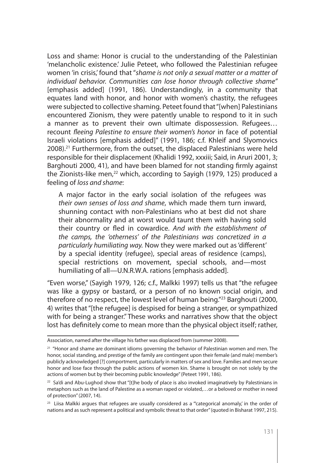Loss and shame: Honor is crucial to the understanding of the Palestinian 'melancholic existence.' Julie Peteet, who followed the Palestinian refugee women 'in crisis,' found that "*shame is not only a sexual matter or a matter of individual behavior. Communities can lose honor through collective shame"*  [emphasis added] (1991, 186). Understandingly, in a community that equates land with honor, and honor with women's chastity, the refugees were subjected to collective shaming. Peteet found that "[when] Palestinians encountered Zionism, they were patently unable to respond to it in such a manner as to prevent their own ultimate dispossession. Refugees… recount *fleeing Palestine to ensure their women's honor* in face of potential Israeli violations [emphasis added]" (1991, 186; c.f. Khleif and Slyomovics 2008).21 Furthermore, from the outset, the displaced Palestinians were held responsible for their displacement (Khalidi 1992, xxxiii; Said, in Aruri 2001, 3; Barghouti 2000, 41), and have been blamed for not standing firmly against the Zionists-like men,<sup>22</sup> which, according to Sayigh (1979, 125) produced a feeling of *loss and shame*:

A major factor in the early social isolation of the refugees was *their own senses of loss and shame*, which made them turn inward, shunning contact with non-Palestinians who at best did not share their abnormality and at worst would taunt them with having sold their country or fled in cowardice. *And with the establishment of the camps, the 'otherness' of the Palestinians was concretized in a particularly humiliating way.* Now they were marked out as 'different' by a special identity (refugee), special areas of residence (camps), special restrictions on movement, special schools, and—most humiliating of all—U.N.R.W.A. rations [emphasis added].

"Even worse," (Sayigh 1979, 126; c.f., Malkki 1997) tells us that "the refugee was like a gypsy or bastard, or a person of no known social origin, and therefore of no respect, the lowest level of human being."23 Barghouti (2000, 4) writes that "[the refugee] is despised for being a stranger, or sympathized with for being a stranger." These works and narratives show that the object lost has definitely come to mean more than the physical object itself; rather,

Association, named after the village his father was displaced from (summer 2008).

<sup>&</sup>lt;sup>21</sup> "Honor and shame are dominant idioms governing the behavior of Palestinian women and men. The honor, social standing, and prestige of the family are contingent upon their female (and male) member's publicly acknowledged [?] comportment, particularly in matters of sex and love. Families and men secure honor and lose face through the public actions of women kin. Shame is brought on not solely by the actions of women but by their becoming public knowledge" (Peteet 1991, 186).

 $22$  Sa'di and Abu-Lughod show that "[t]he body of place is also invoked imaginatively by Palestinians in metaphors such as the land of Palestine as a woman raped or violated,…or a beloved or mother in need of protection" (2007, 14).

 $23$  Liisa Malkki argues that refugees are usually considered as a "categorical anomaly, in the order of nations and as such represent a political and symbolic threat to that order" (quoted in Bisharat 1997, 215).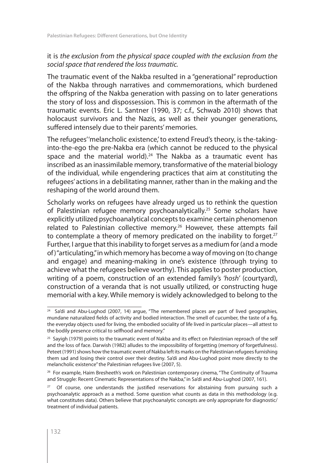#### it is *the exclusion from the physical space coupled with the exclusion from the social space that rendered the loss traumatic.*

The traumatic event of the Nakba resulted in a "generational" reproduction of the Nakba through narratives and commemorations, which burdened the offspring of the Nakba generation with passing on to later generations the story of loss and dispossession. This is common in the aftermath of the traumatic events. Eric L. Santner (1990, 37; c.f., Schwab 2010) shows that holocaust survivors and the Nazis, as well as their younger generations, suffered intensely due to their parents' memories.

The refugees' 'melancholic existence,' to extend Freud's theory, is the-takinginto-the-ego the pre-Nakba era (which cannot be reduced to the physical space and the material world).<sup>24</sup> The Nakba as a traumatic event has inscribed as an inassimilable memory, transformative of the material biology of the individual, while engendering practices that aim at constituting the refugees' actions in a debilitating manner, rather than in the making and the reshaping of the world around them.

Scholarly works on refugees have already urged us to rethink the question of Palestinian refugee memory psychoanalytically.25 Some scholars have explicitly utilized psychoanalytical concepts to examine certain phenomenon related to Palestinian collective memory.<sup>26</sup> However, these attempts fail to contemplate a theory of memory predicated on the inability to forget. $27$ Further, I argue that this inability to forget serves as a medium for (and a mode of) "articulating," in which memory has become a way of moving on (to change and engage) and meaning-making in one's existence (through trying to achieve what the refugees believe worthy). This applies to poster production, writing of a poem, construction of an extended family's *'hosh'* (courtyard), construction of a veranda that is not usually utilized, or constructing huge memorial with a key. While memory is widely acknowledged to belong to the

 $24$  Sa'di and Abu-Lughod (2007, 14) argue, "The remembered places are part of lived geographies, mundane naturalized fields of activity and bodied interaction. The smell of cucumber, the taste of a fig, the everyday objects used for living, the embodied sociality of life lived in particular places—all attest to the bodily presence critical to selfhood and memory."

<sup>&</sup>lt;sup>25</sup> Sayigh (1979) points to the traumatic event of Nakba and its effect on Palestinian reproach of the self and the loss of face. Darwish (1982) alludes to the impossibility of forgetting (memory of forgetfulness). Peteet (1991) shows how the traumatic event of Nakba left its marks on the Palestinian refugees furnishing them sad and losing their control over their destiny. Sa'di and Abu-Lughod point more directly to the melancholic existence" the Palestinian refugees live (2007, 5).

<sup>&</sup>lt;sup>26</sup> For example, Haim Bresheeth's work on Palestinian contemporary cinema, "The Continuity of Trauma and Struggle: Recent Cinematic Representations of the Nakba," in Sa'di and Abu-Lughod (2007, 161).

 $27$  Of course, one understands the justified reservations for abstaining from pursuing such a psychoanalytic approach as a method. Some question what counts as data in this methodology (e.g. what constitutes data). Others believe that psychoanalytic concepts are only appropriate for diagnostic/ treatment of individual patients.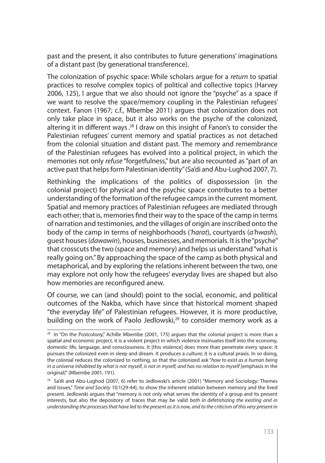past and the present, it also contributes to future generations' imaginations of a distant past (by generational transference).

The colonization of psychic space: While scholars argue for a *return* to spatial practices to resolve complex topics of political and collective topics (Harvey 2006, 125), I argue that we also should not ignore the "psyche" as a space if we want to resolve the space/memory coupling in the Palestinian refugees' context. Fanon (1967; c.f., Mbembe 2011) argues that colonization does not only take place in space, but it also works on the psyche of the colonized, altering it in different ways. 28 I draw on this insight of Fanon's to consider the Palestinian refugees' current memory and spatial practices as not detached from the colonial situation and distant past. The memory and remembrance of the Palestinian refugees has evolved into a political project, in which the memories not only *refuse* "forgetfulness," but are also recounted as "part of an active past that helps form Palestinian identity" (Sa'di and Abu-Lughod 2007, 7).

Rethinking the implications of the politics of dispossession (in the colonial project) for physical and the psychic space contributes to a better understanding of the formation of the refugee camps in the current moment. Spatial and memory practices of Palestinian refugees are mediated through each other; that is, memories find their way to the space of the camp in terms of narration and testimonies, and the villages of origin are inscribed onto the body of the camp in terms of neighborhoods (*'harat*), courtyards (*a'hwash*), guest houses (*dawawin*), houses, businesses, and memorials. It is the "psyche" that crosscuts the two (space and memory) and helps us understand "what is really going on." By approaching the space of the camp as both physical and metaphorical, and by exploring the relations inherent between the two, one may explore not only how the refugees' everyday lives are shaped but also how memories are reconfigured anew.

Of course, we can (and should) point to the social, economic, and political outcomes of the Nakba, which have since that historical moment shaped "the everyday life" of Palestinian refugees. However, it is more productive, building on the work of Paolo Jedlowski,<sup>29</sup> to consider memory work as a

<sup>&</sup>lt;sup>28</sup> In "On the Postcolony," Achille Mbembe (2001, 175) argues that the colonial project is more than a spatial and economic project, it is a violent project in which violence insinuates itself into the economy, domestic life, language, and consciousness. It [this violence] does more than penetrate every space: it pursues the colonized even in sleep and dream. It produces a culture; it is a cultural praxis. In so doing, the colonial reduces the colonized to nothing, so that the colonized ask "*how to exist as a human being in a universe inhabited by what is not myself, is not in myself, and has no relation to myself* [emphasis in the original]" (Mbembe 2001, 191).

 $29$  Sa'di and Abu-Lughod (2007, 6) refer to Jedlowski's article (2001) "Memory and Sociology: Themes and Issues," *Time and Society* 10:1(29-44), to show the inherent relation between memory and the lived present. Jedlowski argues that "memory is not only what serves the identity of a group and its present interests, but also the depository of traces that may be valid *both in defetishizing the existing and in understanding the processes that have led to the present as it is now, and to the criticism of this very present in*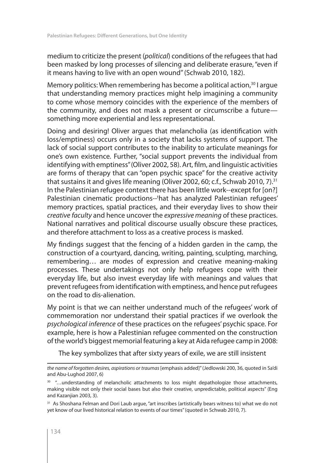medium to criticize the present (*political*) conditions of the refugees that had been masked by long processes of silencing and deliberate erasure, "even if it means having to live with an open wound" (Schwab 2010, 182).

Memory politics: When remembering has become a political action, $30$  I argue that understanding memory practices might help imagining a community to come whose memory coincides with the experience of the members of the community, and does not mask a present or circumscribe a future something more experiential and less representational.

Doing and desiring! Oliver argues that melancholia (as identification with loss/emptiness) occurs only in a society that lacks systems of support. The lack of social support contributes to the inability to articulate meanings for one's own existence. Further, "social support prevents the individual from identifying with emptiness" (Oliver 2002, 58). Art, film, and linguistic activities are forms of therapy that can "open psychic space" for the creative activity that sustains it and gives life meaning (Oliver 2002, 60; c.f., Schwab 2010, 7).<sup>31</sup> In the Palestinian refugee context there has been little work--except for [on?] Palestinian cinematic productions--that has analyzed Palestinian refugees' memory practices, spatial practices, and their everyday lives to show their *creative faculty* and hence uncover the *expressive meaning* of these practices. National narratives and political discourse usually obscure these practices, and therefore attachment to loss as a creative process is masked.

My findings suggest that the fencing of a hidden garden in the camp, the construction of a courtyard, dancing, writing, painting, sculpting, marching, remembering… are modes of expression and creative meaning-making processes. These undertakings not only help refugees cope with their everyday life, but also invest everyday life with meanings and values that prevent refugees from identification with emptiness, and hence put refugees on the road to dis-alienation.

My point is that we can neither understand much of the refugees' work of commemoration nor understand their spatial practices if we overlook the *psychological inference* of these practices on the refugees' psychic space. For example, here is how a Palestinian refugee commented on the construction of the world's biggest memorial featuring a key at Aida refugee camp in 2008:

The key symbolizes that after sixty years of exile, we are still insistent

*the name of forgotten desires, aspirations or traumas* [emphasis added]" (Jedlowski 200, 36, quoted in Sa'di and Abu-Lughod 2007, 6)

<sup>30 &</sup>quot;…understanding of melancholic attachments to loss might depathologize those attachments, making visible not only their social bases but also their creative, unpredictable, political aspects" (Eng and Kazanjian 2003, 3).

<sup>&</sup>lt;sup>31</sup> As Shoshana Felman and Dori Laub argue, "art inscribes (artistically bears witness to) what we do not yet know of our lived historical relation to events of our times" (quoted in Schwab 2010, 7).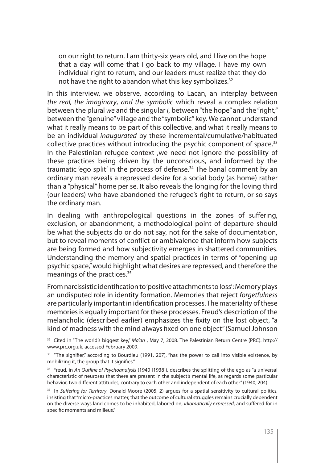on our right to return. I am thirty-six years old, and I live on the hope that a day will come that I go back to my village. I have my own individual right to return, and our leaders must realize that they do not have the right to abandon what this key symbolizes.<sup>32</sup>

In this interview, we observe, according to Lacan, an interplay between *the real, the imaginary*, *and the symbolic* which reveal a complex relation between the plural *we* and the singular *I*, between "the hope" and the "right*,"* between the "genuine" village and the "symbolic" key*.* We cannot understand what it really means to be part of this collective, and what it really means to be an individual *inaugurated* by these incremental/cumulative/habituated collective practices without introducing the psychic component of space.<sup>33</sup> In the Palestinian refugee context ,we need not ignore the possibility of these practices being driven by the unconscious, and informed by the traumatic 'ego split' in the process of defense.34 The banal comment by an ordinary man reveals a repressed desire for a social body (as home) rather than a "physical" home per se. It also reveals the longing for the loving third (our leaders) who have abandoned the refugee's right to return, or so says the ordinary man.

In dealing with anthropological questions in the zones of suffering, exclusion, or abandonment, a methodological point of departure should be what the subjects do or do not say, not for the sake of documentation, but to reveal moments of conflict or ambivalence that inform how subjects are being formed and how subjectivity emerges in shattered communities. Understanding the memory and spatial practices in terms of "opening up psychic space," would highlight what desires are repressed, and therefore the meanings of the practices.35

From narcissistic identification to 'positive attachments to loss': Memory plays an undisputed role in identity formation. Memories that reject *forgetfulness*  are particularly important in identification processes. The materiality of these memories is equally important for these processes. Freud's description of the melancholic (described earlier) emphasizes the fixity on the lost object, "a kind of madness with the mind always fixed on one object" (Samuel Johnson

<sup>&</sup>lt;sup>32</sup> Cited in "The world's biggest key," *Ma'an*, May 7, 2008. The Palestinian Return Centre (PRC). http:// www.prc.org.uk, accessed February 2009.

<sup>&</sup>lt;sup>33</sup> "The signifier," according to Bourdieu (1991, 207), "has the power to call into visible existence, by mobilizing it, the group that it signifies."

<sup>34</sup> Freud, in *An Outline of Psychoanalysis* (1940 [1938]), describes the splitting of the ego as "a universal characteristic of neuroses that there are present in the subject's mental life, as regards some particular behavior, two different attitudes, contrary to each other and independent of each other" (1940, 204).

<sup>35</sup> In *Suffering for Territory*, Donald Moore (2005, 2) argues for a spatial sensitivity to cultural politics, insisting that "micro-practices matter, that the outcome of cultural struggles remains crucially dependent on the diverse ways land comes to be inhabited, labored on, *idiomatically expressed*, and suffered for in specific moments and milieus."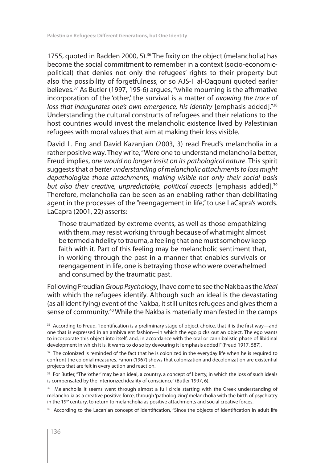1755, quoted in Radden 2000, 5).<sup>36</sup> The fixity on the object (melancholia) has become the social commitment to remember in a context (socio-economicpolitical) that denies not only the refugees' rights to their property but also the possibility of forgetfulness, or so AJS-T al-Qaqouni quoted earlier believes.37 As Butler (1997, 195-6) argues, "while mourning is the affirmative incorporation of the 'other,' the survival is a matter of *avowing the trace of loss that inaugurates one's own emergence, his identity* [emphasis added]."38 Understanding the cultural constructs of refugees and their relations to the host countries would invest the melancholic existence lived by Palestinian refugees with moral values that aim at making their loss visible.

David L. Eng and David Kazanjian (2003, 3) read Freud's melancholia in a rather positive way. They write, "Were one to understand melancholia better, Freud implies, *one would no longer insist on its pathological nature*. This spirit suggests that *a better understanding of melancholic attachments to loss might depathologize those attachments, making visible not only their social basis*  but also their creative, unpredictable, political aspects [emphasis added].<sup>39</sup> Therefore, melancholia can be seen as an enabling rather than debilitating agent in the processes of the "reengagement in life," to use LaCapra's words. LaCapra (2001, 22) asserts:

Those traumatized by extreme events, as well as those empathizing with them, may resist working through because of what might almost be termed a fidelity to trauma, a feeling that one must somehow keep faith with it. Part of this feeling may be melancholic sentiment that, in working through the past in a manner that enables survivals or reengagement in life, one is betraying those who were overwhelmed and consumed by the traumatic past.

Following Freudian *Group Psychology*, I have come to see the Nakba as the *ideal* with which the refugees identify. Although such an ideal is the devastating (as all identifying) event of the Nakba, it still unites refugees and gives them a sense of community.40 While the Nakba is materially manifested in the camps

<sup>&</sup>lt;sup>36</sup> According to Freud, "Identification is a preliminary stage of object-choice, that it is the first way—and one that is expressed in an ambivalent fashion—in which the ego picks out an object. The ego wants to incorporate this object into itself, and, in accordance with the oral or cannibalistic phase of libidinal development in which it is, it wants to do so by devouring it [emphasis added]" (Freud 1917, 587).

<sup>&</sup>lt;sup>37</sup> The colonized is reminded of the fact that he is colonized in the everyday life when he is required to confront the colonial measures. Fanon (1967) shows that colonization and decolonization are existential projects that are felt in every action and reaction.

<sup>&</sup>lt;sup>38</sup> For Butler, "The 'other' may be an ideal, a country, a concept of liberty, in which the loss of such ideals is compensated by the interiorized ideality of conscience" (Butler 1997, 6).

<sup>&</sup>lt;sup>39</sup> Melancholia it seems went through almost a full circle starting with the Greek understanding of melancholia as a creative positive force, through 'pathologizing' melancholia with the birth of psychiatry in the 19<sup>th</sup> century, to return to melancholia as positive attachments and social creative forces.

<sup>40</sup> According to the Lacanian concept of identification, "Since the objects of identification in adult life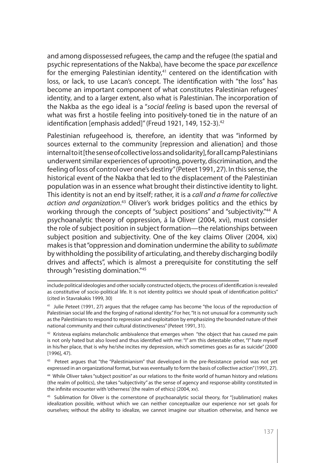and among dispossessed refugees, the camp and the refugee (the spatial and psychic representations of the Nakba), have become the space *par excellence* for the emerging Palestinian identity, $41$  centered on the identification with loss, or lack, to use Lacan's concept. The identification with "the loss" has become an important component of what constitutes Palestinian refugees' identity, and to a larger extent, also what is Palestinian. The incorporation of the Nakba as the ego ideal is a "*social feeling* is based upon the reversal of what was first a hostile feeling into positively-toned tie in the nature of an identification [emphasis added]" (Freud 1921, 149, 152-3).<sup>42</sup>

Palestinian refugeehood is, therefore, an identity that was "informed by sources external to the community [repression and alienation] and those internal to it [the sense of collective loss and solidarity], for all camp Palestinians underwent similar experiences of uprooting, poverty, discrimination, and the feeling of loss of control over one's destiny" (Peteet 1991, 27). In this sense, the historical event of the Nakba that led to the displacement of the Palestinian population was in an essence what brought their distinctive identity to light. This identity is not an end by itself; rather, it is a *call and a frame for collective action and organization*. 43 Oliver's work bridges politics and the ethics by working through the concepts of "subject positions" and "subjectivity."44 A psychoanalytic theory of oppression, á la Oliver (2004, xvi), must consider the role of subject position in subject formation—the relationships between subject position and subjectivity. One of the key claims Oliver (2004, xix) makes is that "oppression and domination undermine the ability to *sublimate*  by withholding the possibility of articulating, and thereby discharging bodily drives and affects", which is almost a prerequisite for constituting the self through "resisting domination."45

include political ideologies and other socially constructed objects, the process of identification is revealed as constitutive of socio-political life. It is not identity politics we should speak of identification politics" (cited in Stavrakakis 1999, 30)

<sup>41</sup> Julie Peteet (1991, 27) argues that the refugee camp has become "the locus of the reproduction of Palestinian social life and the forging of national identity." For her, "It is not unusual for a community such as the Palestinians to respond to repression and exploitation by emphasizing the bounded nature of their national community and their cultural distinctiveness" (Peteet 1991, 31).

 $42$  Kristeva explains melancholic ambivalence that emerges when "the object that has caused me pain is not only hated but also loved and thus identified with me: "I" am this detestable other, "I" hate myself in his/her place, that is why he/she incites my depression, which sometimes goes as far as suicide" (2000 [1996], 47).

<sup>&</sup>lt;sup>43</sup> Peteet argues that "the "Palestinianism" that developed in the pre-Resistance period was not yet expressed in an organizational format, but was eventually to form the basis of collective action" (1991, 27).

<sup>44</sup> While Oliver takes "subject position" as our relations to the finite world of human history and relations (the realm of politics), she takes "subjectivity" as the sense of agency and response-ability constituted in the infinite encounter with 'otherness' (the realm of ethics) (2004, xv).

<sup>&</sup>lt;sup>45</sup> Sublimation for Oliver is the cornerstone of psychoanalytic social theory, for "[sublimation] makes idealization possible, without which we can neither conceptualize our experience nor set goals for ourselves; without the ability to idealize, we cannot imagine our situation otherwise, and hence we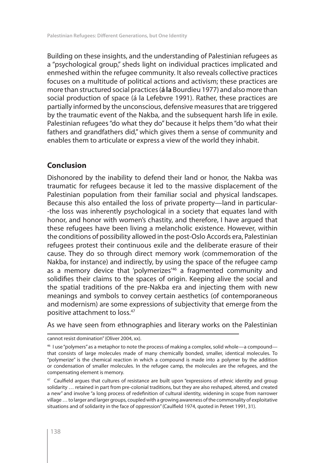Building on these insights, and the understanding of Palestinian refugees as a "psychological group," sheds light on individual practices implicated and enmeshed within the refugee community. It also reveals collective practices focuses on a multitude of political actions and activism; these practices are more than structured social practices (**á la** Bourdieu 1977) and also more than social production of space (á la Lefebvre 1991). Rather, these practices are partially informed by the unconscious, defensive measures that are triggered by the traumatic event of the Nakba, and the subsequent harsh life in exile. Palestinian refugees "do what they do" because it helps them "do what their fathers and grandfathers did," which gives them a sense of community and enables them to articulate or express a view of the world they inhabit.

### **Conclusion**

Dishonored by the inability to defend their land or honor, the Nakba was traumatic for refugees because it led to the massive displacement of the Palestinian population from their familiar social and physical landscapes. Because this also entailed the loss of private property—land in particular- -the loss was inherently psychological in a society that equates land with honor, and honor with women's chastity, and therefore, I have argued that these refugees have been living a melancholic existence. However, within the conditions of possibility allowed in the post-Oslo Accords era, Palestinian refugees protest their continuous exile and the deliberate erasure of their cause. They do so through direct memory work (commemoration of the Nakba, for instance) and indirectly, by using the space of the refugee camp as a memory device that 'polymerizes'46 a fragmented community and solidifies their claims to the spaces of origin. Keeping alive the social and the spatial traditions of the pre-Nakba era and injecting them with new meanings and symbols to convey certain aesthetics (of contemporaneous and modernism) are some expressions of subjectivity that emerge from the positive attachment to loss.47

As we have seen from ethnographies and literary works on the Palestinian

cannot resist domination" (Oliver 2004, xx).

<sup>&</sup>lt;sup>46</sup> I use "polymers" as a metaphor to note the process of making a complex, solid whole—a compound that consists of large molecules made of many chemically bonded, smaller, identical molecules. To "polymerize" is the chemical reaction in which a compound is made into a polymer by the addition or condensation of smaller molecules. In the refugee camp, the molecules are the refugees, and the compensating element is memory.

<sup>&</sup>lt;sup>47</sup> Caulfield argues that cultures of resistance are built upon "expressions of ethnic identity and group solidarity … retained in part from pre-colonial traditions, but they are also reshaped, altered, and created a new" and involve "a long process of redefinition of cultural identity, widening in scope from narrower village … to larger and larger groups, coupled with a growing awareness of the commonality of exploitative situations and of solidarity in the face of oppression" (Caulfield 1974, quoted in Peteet 1991, 31).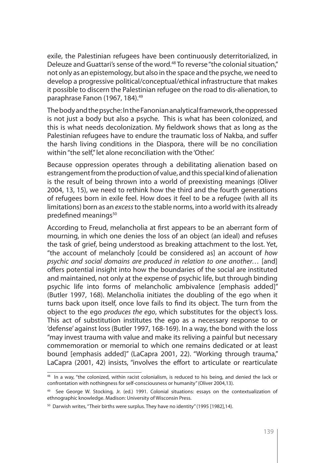exile, the Palestinian refugees have been continuously deterritorialized, in Deleuze and Guattari's sense of the word.<sup>48</sup> To reverse "the colonial situation," not only as an epistemology, but also in the space and the psyche, we need to develop a progressive political/conceptual/ethical infrastructure that makes it possible to discern the Palestinian refugee on the road to dis-alienation, to paraphrase Fanon (1967, 184).<sup>49</sup>

The body and the psyche: In the Fanonian analytical framework, the oppressed is not just a body but also a psyche. This is what has been colonized, and this is what needs decolonization. My fieldwork shows that as long as the Palestinian refugees have to endure the traumatic loss of Nakba, and suffer the harsh living conditions in the Diaspora, there will be no conciliation within "the self" let alone reconciliation with the 'Other.'

Because oppression operates through a debilitating alienation based on estrangement from the production of value, and this special kind of alienation is the result of being thrown into a world of preexisting meanings (Oliver 2004, 13, 15), we need to rethink how the third and the fourth generations of refugees born in exile feel. How does it feel to be a refugee (with all its limitations) born as an *excess* to the stable norms, into a world with its already predefined meanings<sup>50</sup>

According to Freud, melancholia at first appears to be an aberrant form of mourning, in which one denies the loss of an object (an ideal) and refuses the task of grief, being understood as breaking attachment to the lost. Yet, "the account of melancholy [could be considered as] an account of *how psychic and social domains are produced in relation to one another…* [and] offers potential insight into how the boundaries of the social are instituted and maintained, not only at the expense of psychic life, but through binding psychic life into forms of melancholic ambivalence [emphasis added]" (Butler 1997, 168). Melancholia initiates the doubling of the ego when it turns back upon itself, once love fails to find its object. The turn from the object to the ego *produces the ego*, which substitutes for the object's loss. This act of substitution institutes the ego as a necessary response to or 'defense' against loss (Butler 1997, 168-169). In a way, the bond with the loss "may invest trauma with value and make its reliving a painful but necessary commemoration or memorial to which one remains dedicated or at least bound [emphasis added]" (LaCapra 2001, 22). "Working through trauma," LaCapra (2001, 42) insists, "involves the effort to articulate or rearticulate

<sup>48</sup> In a way, "the colonized, within racist colonialism, is reduced to his being, and denied the lack or confrontation with nothingness for self-consciousness or humanity" (Oliver 2004,13).

<sup>&</sup>lt;sup>49</sup> See George W. Stocking, Jr. (ed.) 1991. Colonial situations: essays on the contextualization of ethnographic knowledge. Madison: University of Wisconsin Press.

<sup>&</sup>lt;sup>50</sup> Darwish writes, "Their births were surplus. They have no identity" (1995 [1982], 14).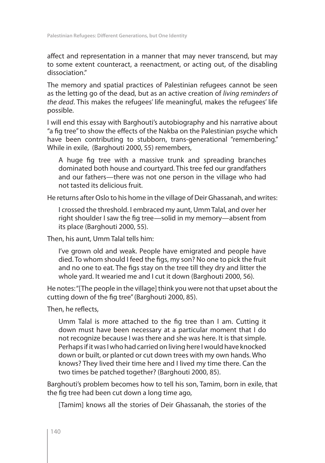affect and representation in a manner that may never transcend, but may to some extent counteract, a reenactment, or acting out, of the disabling dissociation."

The memory and spatial practices of Palestinian refugees cannot be seen as the letting go of the dead, but as an active creation of *living reminders of the dead*. This makes the refugees' life meaningful, makes the refugees' life possible.

I will end this essay with Barghouti's autobiography and his narrative about "a fig tree" to show the effects of the Nakba on the Palestinian psyche which have been contributing to stubborn, trans-generational "remembering." While in exile, (Barghouti 2000, 55) remembers,

A huge fig tree with a massive trunk and spreading branches dominated both house and courtyard. This tree fed our grandfathers and our fathers—there was not one person in the village who had not tasted its delicious fruit.

He returns after Oslo to his home in the village of Deir Ghassanah, and writes:

I crossed the threshold. I embraced my aunt, Umm Talal, and over her right shoulder I saw the fig tree—solid in my memory—absent from its place (Barghouti 2000, 55).

Then, his aunt, Umm Talal tells him:

I've grown old and weak. People have emigrated and people have died. To whom should I feed the figs, my son? No one to pick the fruit and no one to eat. The figs stay on the tree till they dry and litter the whole yard. It wearied me and I cut it down (Barghouti 2000, 56).

He notes: "[The people in the village] think you were not that upset about the cutting down of the fig tree" (Barghouti 2000, 85).

Then, he reflects,

Umm Talal is more attached to the fig tree than I am. Cutting it down must have been necessary at a particular moment that I do not recognize because I was there and she was here. It is that simple. Perhaps if it was I who had carried on living here I would have knocked down or built, or planted or cut down trees with my own hands. Who knows? They lived their time here and I lived my time there. Can the two times be patched together? (Barghouti 2000, 85).

Barghouti's problem becomes how to tell his son, Tamim, born in exile, that the fig tree had been cut down a long time ago,

[Tamim] knows all the stories of Deir Ghassanah, the stories of the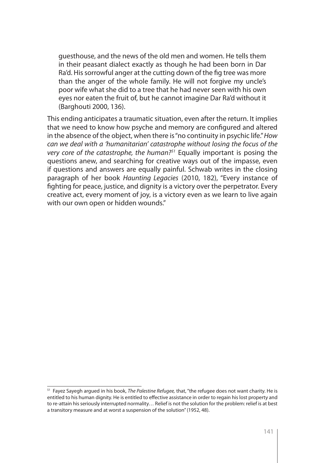guesthouse, and the news of the old men and women. He tells them in their peasant dialect exactly as though he had been born in Dar Ra'd. His sorrowful anger at the cutting down of the fig tree was more than the anger of the whole family. He will not forgive my uncle's poor wife what she did to a tree that he had never seen with his own eyes nor eaten the fruit of, but he cannot imagine Dar Ra'd without it (Barghouti 2000, 136).

This ending anticipates a traumatic situation, even after the return. It implies that we need to know how psyche and memory are configured and altered in the absence of the object, when there is "no continuity in psychic life." *How can we deal with a 'humanitarian' catastrophe without losing the focus of the very core of the catastrophe, the human?51* Equally important is posing the questions anew, and searching for creative ways out of the impasse, even if questions and answers are equally painful. Schwab writes in the closing paragraph of her book *Haunting Legacies* (2010, 182), "Every instance of fighting for peace, justice, and dignity is a victory over the perpetrator. Every creative act, every moment of joy, is a victory even as we learn to live again with our own open or hidden wounds."

<sup>51</sup> Fayez Sayegh argued in his book, *The Palestine Refugee,* that, "the refugee does not want charity. He is entitled to his human dignity. He is entitled to effective assistance in order to regain his lost property and to re-attain his seriously interrupted normality… Relief is not the solution for the problem: relief is at best a transitory measure and at worst a suspension of the solution" (1952, 48).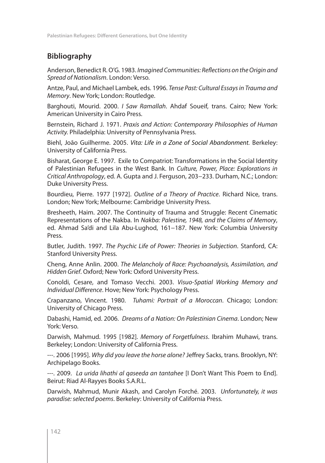# **Bibliography**

Anderson, Benedict R. O'G. 1983. *Imagined Communities: Reflections on the Origin and Spread of Nationalism*. London: Verso.

Antze, Paul, and Michael Lambek, eds. 1996. *Tense Past: Cultural Essays in Trauma and Memory*. New York; London: Routledge.

Barghouti, Mourid. 2000. *I Saw Ramallah*. Ahdaf Soueif, trans. Cairo; New York: American University in Cairo Press.

Bernstein, Richard J. 1971. *Praxis and Action: Contemporary Philosophies of Human Activity.* Philadelphia: University of Pennsylvania Press.

Biehl, João Guilherme. 2005. *Vita: Life in a Zone of Social Abandonment.* Berkeley: University of California Press.

Bisharat, George E. 1997. Exile to Compatriot: Transformations in the Social Identity of Palestinian Refugees in the West Bank. In *Culture, Power, Place: Explorations in Critical Anthropology*, ed. A. Gupta and J. Ferguson, 203−233. Durham, N.C.; London: Duke University Press.

Bourdieu, Pierre. 1977 [1972]. *Outline of a Theory of Practice*. Richard Nice, trans. London; New York; Melbourne: Cambridge University Press.

Bresheeth, Haim. 2007. The Continuity of Trauma and Struggle: Recent Cinematic Representations of the Nakba. In *Nakba: Palestine, 1948, and the Claims of Memory*, ed. Ahmad Sa'di and Lila Abu-Lughod, 161−187. New York: Columbia University Press.

Butler, Judith. 1997. *The Psychic Life of Power: Theories in Subjection*. Stanford, CA: Stanford University Press.

Cheng, Anne Anlin. 2000. *The Melancholy of Race: Psychoanalysis, Assimilation, and Hidden Grief*. Oxford; New York: Oxford University Press.

Conoldi, Cesare, and Tomaso Vecchi. 2003. *Visuo-Spatial Working Memory and Individual Difference*. Hove; New York: Psychology Press.

Crapanzano, Vincent. 1980. *Tuhami: Portrait of a Moroccan*. Chicago; London: University of Chicago Press.

Dabashi, Hamid, ed. 2006. *Dreams of a Nation: On Palestinian Cinema*. London; New York: Verso.

Darwish, Mahmud. 1995 [1982]. *Memory of Forgetfulness*. Ibrahim Muhawi, trans. Berkeley; London: University of California Press.

---. 2006 [1995]. *Why did you leave the horse alone?* Jeffrey Sacks, trans. Brooklyn, NY: Archipelago Books.

---. 2009. *La urida lihathi al qaseeda an tantahee* [I Don't Want This Poem to End]. Beirut: Riad Al-Rayyes Books S.A.R.L.

Darwish, Mahmud, Munir Akash, and Carolyn Forché. 2003. *Unfortunately, it was paradise: selected poems*. Berkeley: University of California Press.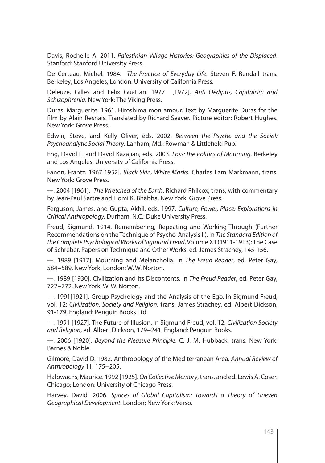Davis, Rochelle A. 2011. *Palestinian Village Histories: Geographies of the Displaced*. Stanford: Stanford University Press.

De Certeau, Michel. 1984. *The Practice of Everyday Life*. Steven F. Rendall trans. Berkeley; Los Angeles; London: University of California Press.

Deleuze, Gilles and Felix Guattari. 1977 [1972]. *Anti Oedipus, Capitalism and Schizophrenia*. New York: The Viking Press.

Duras, Marguerite. 1961. Hiroshima mon amour. Text by Marguerite Duras for the film by Alain Resnais. Translated by Richard Seaver. Picture editor: Robert Hughes. New York: Grove Press.

Edwin, Steve, and Kelly Oliver, eds. 2002. *Between the Psyche and the Social: Psychoanalytic Social Theory*. Lanham, Md.: Rowman & Littlefield Pub.

Eng, David L. and David Kazajian, eds. 2003. *Loss: the Politics of Mourning*. Berkeley and Los Angeles: University of California Press.

Fanon, Frantz. 1967[1952]. *Black Skin, White Masks*. Charles Lam Markmann, trans. New York: Grove Press.

---. 2004 [1961]. *The Wretched of the Earth*. Richard Philcox, trans; with commentary by Jean-Paul Sartre and Homi K. Bhabha. New York: Grove Press.

Ferguson, James, and Gupta, Akhil, eds. 1997. *Culture, Power, Place: Explorations in Critical Anthropology.* Durham, N.C.: Duke University Press.

Freud, Sigmund. 1914. Remembering, Repeating and Working-Through (Further Recommendations on the Technique of Psycho-Analysis II). In *The Standard Edition of the Complete Psychological Works of Sigmund Freud*, Volume XII (1911-1913): The Case of Schreber, Papers on Technique and Other Works, ed. James Strachey, 145-156.

---. 1989 [1917]. Mourning and Melancholia. In *The Freud Reader*, ed. Peter Gay, 584−589. New York; London: W. W. Norton.

---. 1989 [1930]. Civilization and Its Discontents. In *The Freud Reader*, ed. Peter Gay, 722−772. New York: W. W. Norton.

---. 1991[1921]. Group Psychology and the Analysis of the Ego. In Sigmund Freud, vol. 12: *Civilization, Society and Religion*, trans. James Strachey, ed. Albert Dickson, 91-179. England: Penguin Books Ltd.

---. 1991 [1927]. The Future of Illusion. In Sigmund Freud, vol. 12: *Civilization Society and Religion*, ed. Albert Dickson, 179−241. England: Penguin Books.

---. 2006 [1920]. *Beyond the Pleasure Principle*. C. J. M. Hubback, trans. New York: Barnes & Noble.

Gilmore, David D. 1982. Anthropology of the Mediterranean Area. *Annual Review of Anthropology* 11: 175−205.

Halbwachs, Maurice. 1992 [1925]. *On Collective Memory*, trans. and ed. Lewis A. Coser. Chicago; London: University of Chicago Press.

Harvey, David. 2006. *Spaces of Global Capitalism: Towards a Theory of Uneven Geographical Development*. London; New York: Verso.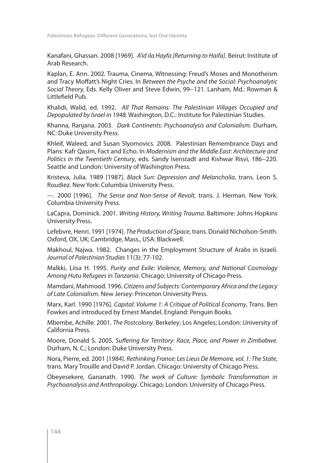Kanafani, Ghassan. 2008 [1969]. *A'id ila Hayfa [Returning to Haifa].* Beirut: Institute of Arab Research.

Kaplan, E. Ann. 2002. Trauma, Cinema, Witnessing: Freud's Moses and Monotheism and Tracy Moffatt's Night Cries. In *Between the Psyche and the Social: Psychoanalytic Social Theory,* Eds. Kelly Oliver and Steve Edwin, 99−121. Lanham, Md.: Rowman & Littlefield Pub.

Khalidi, Walid, ed. 1992. *All That Remains: The Palestinian Villages Occupied and Depopulated by Israel in 1948.* Washington, D.C.: Institute for Palestinian Studies.

Khanna, Ranjana. 2003. *Dark Continents: Psychoanalysis and Colonialism.* Durham, NC: Duke University Press.

Khleif, Waleed, and Susan Slyomovics. 2008. Palestinian Remembrance Days and Plans: Kafr Qasim, Fact and Echo. In *Modernism and the Middle East: Architecture and Politics in the Twentieth Century*, eds. Sandy Isenstadt and Kishwar Risvi, 186−220. Seattle and London: University of Washington Press.

Kristeva, Julia. 1989 [1987]. *Black Sun: Depression and Melancholia*, trans. Leon S. Roudiez. New York: Columbia University Press.

---. 2000 [1996]. *The Sense and Non-Sense of Revolt,* trans. J. Herman. New York: Columbia University Press.

LaCapra, Dominick. 2001. *Writing History, Writing Trauma*. Baltimore: Johns Hopkins University Press.

Lefebvre, Henri. 1991 [1974]. *The Production of Space*, trans. Donald Nicholson-Smith. Oxford, OX, UK; Cambridge, Mass., USA: Blackwell.

Makhoul, Najwa. 1982. Changes in the Employment Structure of Arabs in Israeli. *Journal of Palestinian Studies* 11(3): 77-102.

Malkki, Liisa H. 1995. *Purity and Exile: Violence, Memory, and National Cosmology Among Hutu Refugees in Tanzania*. Chicago: University of Chicago Press.

Mamdani, Mahmood. 1996. *Citizens and Subjects: Contemporary Africa and the Legacy of Late Colonialism*. New Jersey: Princeton University Press.

Marx, Karl. 1990 [1976]. *Capital: Volume 1: A Critique of Political Economy*, Trans. Ben Fowkes and introduced by Ernest Mandel. England: Penguin Books.

Mbembe, Achille. 2001. *The Postcolony*. Berkeley; Los Angeles; London: University of California Press.

Moore, Donald S. 2005. *Suffering for Territory: Race, Place, and Power in Zimbabwe*. Durham, N. C.; London: Duke University Press.

Nora, Pierre, ed. 2001 [1984]. *Rethinking France: Les Lieus De Memoire, vol. 1: The State*, trans. Mary Trouille and David P. Jordan. Chicago: University of Chicago Press.

Obeyesekere, Gananath. 1990. *The work of Culture: Symbolic Transformation in Psychoanalysis and Anthropology*. Chicago; London: University of Chicago Press.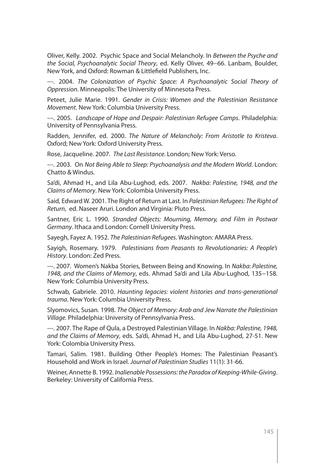Oliver, Kelly. 2002. Psychic Space and Social Melancholy. In *Between the Psyche and the Social, Psychoanalytic Social Theory*, ed. Kelly Oliver, 49−66. Lanbam, Boulder, New York, and Oxford: Rowman & Littlefield Publishers, Inc.

---. 2004. *The Colonization of Psychic Space: A Psychoanalytic Social Theory of Oppression*. Minneapolis: The University of Minnesota Press.

Peteet, Julie Marie. 1991. *Gender in Crisis: Women and the Palestinian Resistance Movement.* New York: Columbia University Press.

---. 2005. *Landscape of Hope and Despair: Palestinian Refugee Camps*. Philadelphia: University of Pennsylvania Press.

Radden, Jennifer, ed. 2000. *The Nature of Melancholy: From Aristotle to Kristeva*. Oxford; New York: Oxford University Press.

Rose, Jacqueline. 2007. *The Last Resistance*. London; New York: Verso.

---. 2003. On *Not Being Able to Sleep: Psychoanalysis and the Modern World*. London: Chatto & Windus.

Sa'di, Ahmad H., and Lila Abu-Lughod, eds. 2007. *Nakba: Palestine, 1948, and the Claims of Memory*. New York: Colombia University Press.

Said, Edward W. 2001. The Right of Return at Last. In *Palestinian Refugees: The Right of Return*, ed. Naseer Aruri. London and Virginia: Pluto Press.

Santner, Eric L. 1990. *Stranded Objects: Mourning, Memory, and Film in Postwar Germany*. Ithaca and London: Cornell University Press.

Sayegh, Fayez A. 1952. *The Palestinian Refugees*. Washington: AMARA Press.

Sayigh, Rosemary. 1979. *Palestinians from Peasants to Revolutionaries: A People's History*. London: Zed Press.

---. 2007. Women's Nakba Stories, Between Being and Knowing. In *Nakba: Palestine, 1948, and the Claims of Memory*, eds. Ahmad Sa'di and Lila Abu-Lughod, 135−158. New York: Columbia University Press.

Schwab, Gabriele. 2010. *Haunting legacies: violent histories and trans-generational trauma*. New York: Columbia University Press.

Slyomovics, Susan. 1998. *The Object of Memory: Arab and Jew Narrate the Palestinian Village.* Philadelphia: University of Pennsylvania Press.

---. 2007. The Rape of Qula, a Destroyed Palestinian Village. In *Nakba: Palestine, 1948, and the Claims of Memory*, eds. Sa'di, Ahmad H., and Lila Abu-Lughod, 27-51. New York: Colombia University Press.

Tamari, Salim. 1981. Building Other People's Homes: The Palestinian Peasant's Household and Work in Israel. *Journal of Palestinian Studies* 11(1): 31-66.

Weiner, Annette B. 1992. *Inalienable Possessions: the Paradox of Keeping-While-Giving*. Berkeley: University of California Press.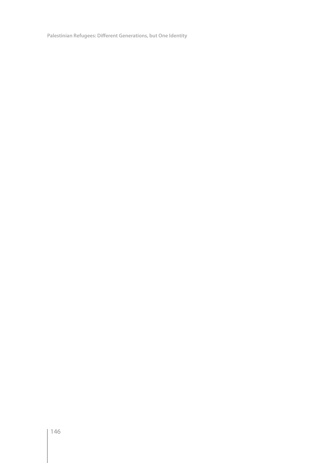**Palestinian Refugees: Different Generations, but One Identity**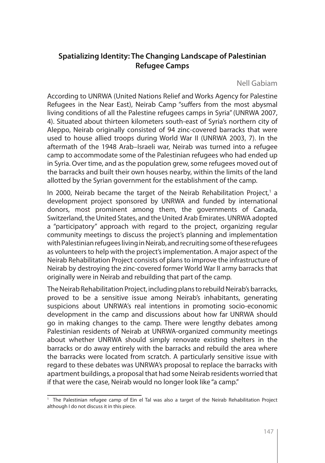# **Spatializing Identity: The Changing Landscape of Palestinian Refugee Camps**

#### Nell Gabiam

According to UNRWA (United Nations Relief and Works Agency for Palestine Refugees in the Near East), Neirab Camp "suffers from the most abysmal living conditions of all the Palestine refugees camps in Syria" (UNRWA 2007, 4). Situated about thirteen kilometers south-east of Syria's northern city of Aleppo, Neirab originally consisted of 94 zinc-covered barracks that were used to house allied troops during World War II (UNRWA 2003, 7). In the aftermath of the 1948 Arab–Israeli war, Neirab was turned into a refugee camp to accommodate some of the Palestinian refugees who had ended up in Syria. Over time, and as the population grew, some refugees moved out of the barracks and built their own houses nearby, within the limits of the land allotted by the Syrian government for the establishment of the camp.

In 2000, Neirab became the target of the Neirab Rehabilitation Project,<sup>1</sup> a development project sponsored by UNRWA and funded by international donors, most prominent among them, the governments of Canada, Switzerland, the United States, and the United Arab Emirates. UNRWA adopted a "participatory" approach with regard to the project, organizing regular community meetings to discuss the project's planning and implementation with Palestinian refugees living in Neirab, and recruiting some of these refugees as volunteers to help with the project's implementation. A major aspect of the Neirab Rehabilitation Project consists of plans to improve the infrastructure of Neirab by destroying the zinc-covered former World War II army barracks that originally were in Neirab and rebuilding that part of the camp.

The Neirab Rehabilitation Project, including plans to rebuild Neirab's barracks, proved to be a sensitive issue among Neirab's inhabitants, generating suspicions about UNRWA's real intentions in promoting socio-economic development in the camp and discussions about how far UNRWA should go in making changes to the camp. There were lengthy debates among Palestinian residents of Neirab at UNRWA-organized community meetings about whether UNRWA should simply renovate existing shelters in the barracks or do away entirely with the barracks and rebuild the area where the barracks were located from scratch. A particularly sensitive issue with regard to these debates was UNRWA's proposal to replace the barracks with apartment buildings, a proposal that had some Neirab residents worried that if that were the case, Neirab would no longer look like "a camp."

<sup>1</sup> The Palestinian refugee camp of Ein el Tal was also a target of the Neirab Rehabilitation Project although I do not discuss it in this piece.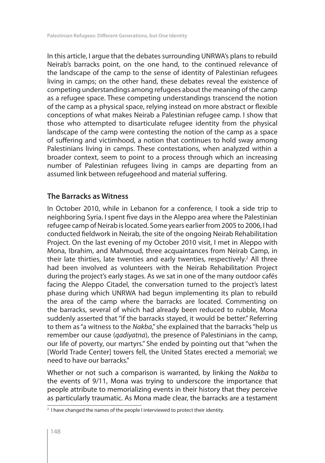In this article, I argue that the debates surrounding UNRWA's plans to rebuild Neirab's barracks point, on the one hand, to the continued relevance of the landscape of the camp to the sense of identity of Palestinian refugees living in camps; on the other hand, these debates reveal the existence of competing understandings among refugees about the meaning of the camp as a refugee space. These competing understandings transcend the notion of the camp as a physical space, relying instead on more abstract or flexible conceptions of what makes Neirab a Palestinian refugee camp. I show that those who attempted to disarticulate refugee identity from the physical landscape of the camp were contesting the notion of the camp as a space of suffering and victimhood, a notion that continues to hold sway among Palestinians living in camps. These contestations, when analyzed within a broader context, seem to point to a process through which an increasing number of Palestinian refugees living in camps are departing from an assumed link between refugeehood and material suffering.

### **The Barracks as Witness**

In October 2010, while in Lebanon for a conference, I took a side trip to neighboring Syria. I spent five days in the Aleppo area where the Palestinian refugee camp of Neirab is located. Some years earlier from 2005 to 2006, I had conducted fieldwork in Neirab, the site of the ongoing Neirab Rehabilitation Project. On the last evening of my October 2010 visit, I met in Aleppo with Mona, Ibrahim, and Mahmoud, three acquaintances from Neirab Camp, in their late thirties, late twenties and early twenties, respectively.<sup>2</sup> All three had been involved as volunteers with the Neirab Rehabilitation Project during the project's early stages. As we sat in one of the many outdoor cafés facing the Aleppo Citadel, the conversation turned to the project's latest phase during which UNRWA had begun implementing its plan to rebuild the area of the camp where the barracks are located. Commenting on the barracks, several of which had already been reduced to rubble, Mona suddenly asserted that "if the barracks stayed, it would be better." Referring to them as "a witness to the *Nakba*," she explained that the barracks "help us remember our cause (*qadiyatna*), the presence of Palestinians in the camp, our life of poverty, our martyrs." She ended by pointing out that "when the [World Trade Center] towers fell, the United States erected a memorial; we need to have our barracks."

Whether or not such a comparison is warranted, by linking the *Nakba* to the events of 9/11, Mona was trying to underscore the importance that people attribute to memorializing events in their history that they perceive as particularly traumatic. As Mona made clear, the barracks are a testament

<sup>&</sup>lt;sup>2</sup> I have changed the names of the people I interviewed to protect their identity.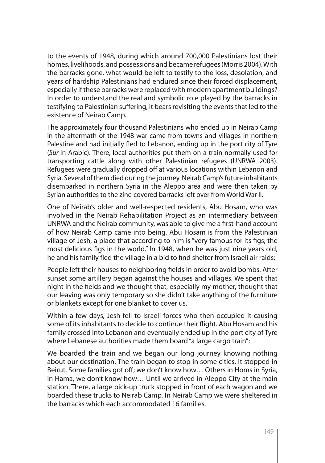to the events of 1948, during which around 700,000 Palestinians lost their homes, livelihoods, and possessions and became refugees (Morris 2004). With the barracks gone, what would be left to testify to the loss, desolation, and years of hardship Palestinians had endured since their forced displacement, especially if these barracks were replaced with modern apartment buildings? In order to understand the real and symbolic role played by the barracks in testifying to Palestinian suffering, it bears revisiting the events that led to the existence of Neirab Camp.

The approximately four thousand Palestinians who ended up in Neirab Camp in the aftermath of the 1948 war came from towns and villages in northern Palestine and had initially fled to Lebanon, ending up in the port city of Tyre (*Sur* in Arabic). There, local authorities put them on a train normally used for transporting cattle along with other Palestinian refugees (UNRWA 2003). Refugees were gradually dropped off at various locations within Lebanon and Syria. Several of them died during the journey. Neirab Camp's future inhabitants disembarked in northern Syria in the Aleppo area and were then taken by Syrian authorities to the zinc-covered barracks left over from World War II.

One of Neirab's older and well-respected residents, Abu Hosam, who was involved in the Neirab Rehabilitation Project as an intermediary between UNRWA and the Neirab community, was able to give me a first-hand account of how Neirab Camp came into being. Abu Hosam is from the Palestinian village of Jesh, a place that according to him is "very famous for its figs, the most delicious figs in the world." In 1948, when he was just nine years old, he and his family fled the village in a bid to find shelter from Israeli air raids:

People left their houses to neighboring fields in order to avoid bombs. After sunset some artillery began against the houses and villages. We spent that night in the fields and we thought that, especially my mother, thought that our leaving was only temporary so she didn't take anything of the furniture or blankets except for one blanket to cover us.

Within a few days, Jesh fell to Israeli forces who then occupied it causing some of its inhabitants to decide to continue their flight. Abu Hosam and his family crossed into Lebanon and eventually ended up in the port city of Tyre where Lebanese authorities made them board "a large cargo train":

We boarded the train and we began our long journey knowing nothing about our destination. The train began to stop in some cities. It stopped in Beirut. Some families got off; we don't know how… Others in Homs in Syria, in Hama, we don't know how… Until we arrived in Aleppo City at the main station. There, a large pick-up truck stopped in front of each wagon and we boarded these trucks to Neirab Camp. In Neirab Camp we were sheltered in the barracks which each accommodated 16 families.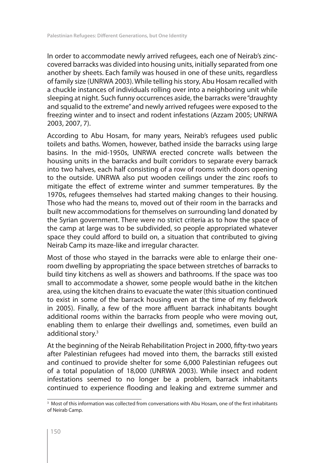In order to accommodate newly arrived refugees, each one of Neirab's zinccovered barracks was divided into housing units, initially separated from one another by sheets. Each family was housed in one of these units, regardless of family size (UNRWA 2003). While telling his story, Abu Hosam recalled with a chuckle instances of individuals rolling over into a neighboring unit while sleeping at night. Such funny occurrences aside, the barracks were "draughty and squalid to the extreme" and newly arrived refugees were exposed to the freezing winter and to insect and rodent infestations (Azzam 2005; UNRWA 2003, 2007, 7).

According to Abu Hosam, for many years, Neirab's refugees used public toilets and baths. Women, however, bathed inside the barracks using large basins. In the mid-1950s, UNRWA erected concrete walls between the housing units in the barracks and built corridors to separate every barrack into two halves, each half consisting of a row of rooms with doors opening to the outside. UNRWA also put wooden ceilings under the zinc roofs to mitigate the effect of extreme winter and summer temperatures. By the 1970s, refugees themselves had started making changes to their housing. Those who had the means to, moved out of their room in the barracks and built new accommodations for themselves on surrounding land donated by the Syrian government. There were no strict criteria as to how the space of the camp at large was to be subdivided, so people appropriated whatever space they could afford to build on, a situation that contributed to giving Neirab Camp its maze-like and irregular character.

Most of those who stayed in the barracks were able to enlarge their oneroom dwelling by appropriating the space between stretches of barracks to build tiny kitchens as well as showers and bathrooms. If the space was too small to accommodate a shower, some people would bathe in the kitchen area, using the kitchen drains to evacuate the water (this situation continued to exist in some of the barrack housing even at the time of my fieldwork in 2005). Finally, a few of the more affluent barrack inhabitants bought additional rooms within the barracks from people who were moving out, enabling them to enlarge their dwellings and, sometimes, even build an additional story.<sup>3</sup>

At the beginning of the Neirab Rehabilitation Project in 2000, fifty-two years after Palestinian refugees had moved into them, the barracks still existed and continued to provide shelter for some 6,000 Palestinian refugees out of a total population of 18,000 (UNRWA 2003). While insect and rodent infestations seemed to no longer be a problem, barrack inhabitants continued to experience flooding and leaking and extreme summer and

<sup>&</sup>lt;sup>3</sup> Most of this information was collected from conversations with Abu Hosam, one of the first inhabitants of Neirab Camp.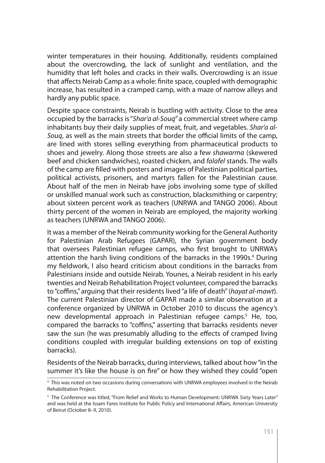winter temperatures in their housing. Additionally, residents complained about the overcrowding, the lack of sunlight and ventilation, and the humidity that left holes and cracks in their walls. Overcrowding is an issue that affects Neirab Camp as a whole: finite space, coupled with demographic increase, has resulted in a cramped camp, with a maze of narrow alleys and hardly any public space.

Despite space constraints, Neirab is bustling with activity. Close to the area occupied by the barracks is "*Shar'a al-Souq*" a commercial street where camp inhabitants buy their daily supplies of meat, fruit, and vegetables. *Shar'a al-Souq*, as well as the main streets that border the official limits of the camp, are lined with stores selling everything from pharmaceutical products to shoes and jewelry. Along those streets are also a few *shawarma* (skewered beef and chicken sandwiches), roasted chicken, and *falafel* stands. The walls of the camp are filled with posters and images of Palestinian political parties, political activists, prisoners, and martyrs fallen for the Palestinian cause. About half of the men in Neirab have jobs involving some type of skilled or unskilled manual work such as construction, blacksmithing or carpentry; about sixteen percent work as teachers (UNRWA and TANGO 2006). About thirty percent of the women in Neirab are employed, the majority working as teachers (UNRWA and TANGO 2006).

It was a member of the Neirab community working for the General Authority for Palestinian Arab Refugees (GAPAR), the Syrian government body that oversees Palestinian refugee camps, who first brought to UNRWA's attention the harsh living conditions of the barracks in the 1990s.<sup>4</sup> During my fieldwork, I also heard criticism about conditions in the barracks from Palestinians inside and outside Neirab. Younes, a Neirab resident in his early twenties and Neirab Rehabilitation Project volunteer, compared the barracks to "coffins," arguing that their residents lived "a life of death" (*hayat al-mawt*). The current Palestinian director of GAPAR made a similar observation at a conference organized by UNRWA in October 2010 to discuss the agency's new developmental approach in Palestinian refugee camps.<sup>5</sup> He, too, compared the barracks to "coffins," asserting that barracks residents never saw the sun (he was presumably alluding to the effects of cramped living conditions coupled with irregular building extensions on top of existing barracks).

Residents of the Neirab barracks, during interviews, talked about how "in the summer it's like the house is on fire" or how they wished they could "open

<sup>4</sup> This was noted on two occasions during conversations with UNRWA employees involved in the Neirab Rehabilitation Project.

<sup>&</sup>lt;sup>5</sup> The Conference was titled, "From Relief and Works to Human Development: UNRWA Sixty Years Later" and was held at the Issam Fares Institute for Public Policy and International Affairs, American University of Beirut (October 8–9, 2010).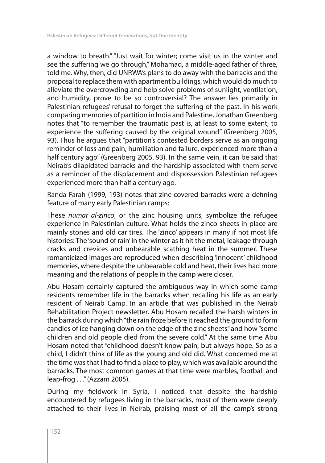a window to breath." "Just wait for winter; come visit us in the winter and see the suffering we go through," Mohamad, a middle-aged father of three, told me. Why, then, did UNRWA's plans to do away with the barracks and the proposal to replace them with apartment buildings, which would do much to alleviate the overcrowding and help solve problems of sunlight, ventilation, and humidity, prove to be so controversial? The answer lies primarily in Palestinian refugees' refusal to forget the suffering of the past. In his work comparing memories of partition in India and Palestine, Jonathan Greenberg notes that "to remember the traumatic past is, at least to some extent, to experience the suffering caused by the original wound" (Greenberg 2005, 93). Thus he argues that "partition's contested borders serve as an ongoing reminder of loss and pain, humiliation and failure, experienced more than a half century ago" (Greenberg 2005, 93). In the same vein, it can be said that Neirab's dilapidated barracks and the hardship associated with them serve as a reminder of the displacement and dispossession Palestinian refugees experienced more than half a century ago.

Randa Farah (1999, 193) notes that zinc-covered barracks were a defining feature of many early Palestinian camps:

These *numar al-zinco*, or the zinc housing units, symbolize the refugee experience in Palestinian culture. What holds the zinco sheets in place are mainly stones and old car tires. The 'zinco' appears in many if not most life histories: The 'sound of rain' in the winter as it hit the metal, leakage through cracks and crevices and unbearable scathing heat in the summer. These romanticized images are reproduced when describing 'innocent' childhood memories, where despite the unbearable cold and heat, their lives had more meaning and the relations of people in the camp were closer.

Abu Hosam certainly captured the ambiguous way in which some camp residents remember life in the barracks when recalling his life as an early resident of Neirab Camp. In an article that was published in the Neirab Rehabilitation Project newsletter, Abu Hosam recalled the harsh winters in the barrack during which "the rain froze before it reached the ground to form candles of ice hanging down on the edge of the zinc sheets" and how "some children and old people died from the severe cold." At the same time Abu Hosam noted that "childhood doesn't know pain, but always hope. So as a child, I didn't think of life as the young and old did. What concerned me at the time was that I had to find a place to play, which was available around the barracks. The most common games at that time were marbles, football and leap-frog . . ." (Azzam 2005).

During my fieldwork in Syria, I noticed that despite the hardship encountered by refugees living in the barracks, most of them were deeply attached to their lives in Neirab, praising most of all the camp's strong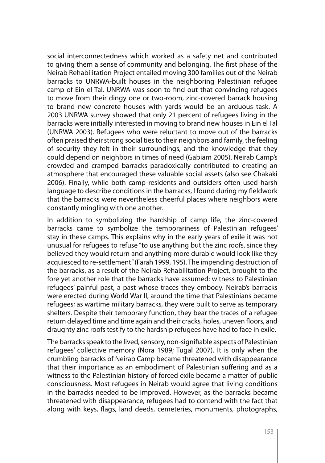social interconnectedness which worked as a safety net and contributed to giving them a sense of community and belonging. The first phase of the Neirab Rehabilitation Project entailed moving 300 families out of the Neirab barracks to UNRWA-built houses in the neighboring Palestinian refugee camp of Ein el Tal. UNRWA was soon to find out that convincing refugees to move from their dingy one or two-room, zinc-covered barrack housing to brand new concrete houses with yards would be an arduous task. A 2003 UNRWA survey showed that only 21 percent of refugees living in the barracks were initially interested in moving to brand new houses in Ein el Tal (UNRWA 2003). Refugees who were reluctant to move out of the barracks often praised their strong social ties to their neighbors and family, the feeling of security they felt in their surroundings, and the knowledge that they could depend on neighbors in times of need (Gabiam 2005). Neirab Camp's crowded and cramped barracks paradoxically contributed to creating an atmosphere that encouraged these valuable social assets (also see Chakaki 2006). Finally, while both camp residents and outsiders often used harsh language to describe conditions in the barracks, I found during my fieldwork that the barracks were nevertheless cheerful places where neighbors were constantly mingling with one another.

In addition to symbolizing the hardship of camp life, the zinc-covered barracks came to symbolize the temporariness of Palestinian refugees' stay in these camps. This explains why in the early years of exile it was not unusual for refugees to refuse "to use anything but the zinc roofs, since they believed they would return and anything more durable would look like they acquiesced to re-settlement" (Farah 1999, 195). The impending destruction of the barracks, as a result of the Neirab Rehabilitation Project, brought to the fore yet another role that the barracks have assumed: witness to Palestinian refugees' painful past, a past whose traces they embody. Neirab's barracks were erected during World War II, around the time that Palestinians became refugees; as wartime military barracks, they were built to serve as temporary shelters. Despite their temporary function, they bear the traces of a refugee return delayed time and time again and their cracks, holes, uneven floors, and draughty zinc roofs testify to the hardship refugees have had to face in exile.

The barracks speak to the lived, sensory, non-signifiable aspects of Palestinian refugees' collective memory (Nora 1989; Tugal 2007). It is only when the crumbling barracks of Neirab Camp became threatened with disappearance that their importance as an embodiment of Palestinian suffering and as a witness to the Palestinian history of forced exile became a matter of public consciousness. Most refugees in Neirab would agree that living conditions in the barracks needed to be improved. However, as the barracks became threatened with disappearance, refugees had to contend with the fact that along with keys, flags, land deeds, cemeteries, monuments, photographs,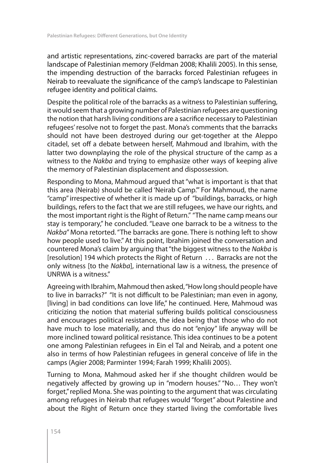and artistic representations, zinc-covered barracks are part of the material landscape of Palestinian memory (Feldman 2008; Khalili 2005). In this sense, the impending destruction of the barracks forced Palestinian refugees in Neirab to reevaluate the significance of the camp's landscape to Palestinian refugee identity and political claims.

Despite the political role of the barracks as a witness to Palestinian suffering, it would seem that a growing number of Palestinian refugees are questioning the notion that harsh living conditions are a sacrifice necessary to Palestinian refugees' resolve not to forget the past. Mona's comments that the barracks should not have been destroyed during our get-together at the Aleppo citadel, set off a debate between herself, Mahmoud and Ibrahim, with the latter two downplaying the role of the physical structure of the camp as a witness to the *Nakba* and trying to emphasize other ways of keeping alive the memory of Palestinian displacement and dispossession.

Responding to Mona, Mahmoud argued that "what is important is that that this area (Neirab) should be called 'Neirab Camp.'" For Mahmoud, the name "camp" irrespective of whether it is made up of "buildings, barracks, or high buildings, refers to the fact that we are still refugees, we have our rights, and the most important right is the Right of Return." "The name camp means our stay is temporary," he concluded. "Leave one barrack to be a witness to the *Nakba*" Mona retorted. "The barracks are gone. There is nothing left to show how people used to live." At this point, Ibrahim joined the conversation and countered Mona's claim by arguing that "the biggest witness to the *Nakba* is [resolution] 194 which protects the Right of Return . . . Barracks are not the only witness [to the *Nakba*], international law is a witness, the presence of UNRWA is a witness."

Agreeing with Ibrahim, Mahmoud then asked, "How long should people have to live in barracks?" "It is not difficult to be Palestinian; man even in agony, [living] in bad conditions can love life," he continued. Here, Mahmoud was criticizing the notion that material suffering builds political consciousness and encourages political resistance, the idea being that those who do not have much to lose materially, and thus do not "enjoy" life anyway will be more inclined toward political resistance. This idea continues to be a potent one among Palestinian refugees in Ein el Tal and Neirab, and a potent one also in terms of how Palestinian refugees in general conceive of life in the camps (Agier 2008; Parminter 1994; Farah 1999; Khalili 2005).

Turning to Mona, Mahmoud asked her if she thought children would be negatively affected by growing up in "modern houses." "No… They won't forget," replied Mona. She was pointing to the argument that was circulating among refugees in Neirab that refugees would "forget" about Palestine and about the Right of Return once they started living the comfortable lives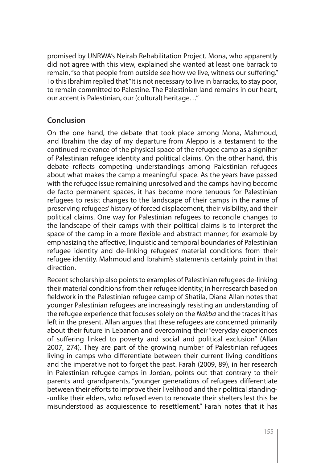promised by UNRWA's Neirab Rehabilitation Project. Mona, who apparently did not agree with this view, explained she wanted at least one barrack to remain, "so that people from outside see how we live, witness our suffering." To this Ibrahim replied that "It is not necessary to live in barracks, to stay poor, to remain committed to Palestine. The Palestinian land remains in our heart, our accent is Palestinian, our (cultural) heritage…"

## **Conclusion**

On the one hand, the debate that took place among Mona, Mahmoud, and Ibrahim the day of my departure from Aleppo is a testament to the continued relevance of the physical space of the refugee camp as a signifier of Palestinian refugee identity and political claims. On the other hand, this debate reflects competing understandings among Palestinian refugees about what makes the camp a meaningful space. As the years have passed with the refugee issue remaining unresolved and the camps having become de facto permanent spaces, it has become more tenuous for Palestinian refugees to resist changes to the landscape of their camps in the name of preserving refugees' history of forced displacement, their visibility, and their political claims. One way for Palestinian refugees to reconcile changes to the landscape of their camps with their political claims is to interpret the space of the camp in a more flexible and abstract manner, for example by emphasizing the affective, linguistic and temporal boundaries of Palestinian refugee identity and de-linking refugees' material conditions from their refugee identity. Mahmoud and Ibrahim's statements certainly point in that direction.

Recent scholarship also points to examples of Palestinian refugees de-linking their material conditions from their refugee identity; in her research based on fieldwork in the Palestinian refugee camp of Shatila, Diana Allan notes that younger Palestinian refugees are increasingly resisting an understanding of the refugee experience that focuses solely on the *Nakba* and the traces it has left in the present. Allan argues that these refugees are concerned primarily about their future in Lebanon and overcoming their "everyday experiences of suffering linked to poverty and social and political exclusion" (Allan 2007, 274). They are part of the growing number of Palestinian refugees living in camps who differentiate between their current living conditions and the imperative not to forget the past. Farah (2009, 89), in her research in Palestinian refugee camps in Jordan, points out that contrary to their parents and grandparents, "younger generations of refugees differentiate between their efforts to improve their livelihood and their political standing- -unlike their elders, who refused even to renovate their shelters lest this be misunderstood as acquiescence to resettlement." Farah notes that it has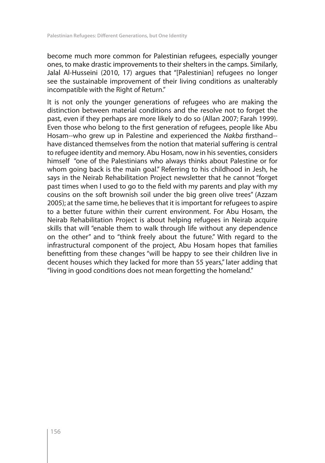become much more common for Palestinian refugees, especially younger ones, to make drastic improvements to their shelters in the camps. Similarly, Jalal Al-Husseini (2010, 17) argues that "[Palestinian] refugees no longer see the sustainable improvement of their living conditions as unalterably incompatible with the Right of Return."

It is not only the younger generations of refugees who are making the distinction between material conditions and the resolve not to forget the past, even if they perhaps are more likely to do so (Allan 2007; Farah 1999). Even those who belong to the first generation of refugees, people like Abu Hosam--who grew up in Palestine and experienced the *Nakba* firsthand- have distanced themselves from the notion that material suffering is central to refugee identity and memory. Abu Hosam, now in his seventies, considers himself "one of the Palestinians who always thinks about Palestine or for whom going back is the main goal." Referring to his childhood in Jesh, he says in the Neirab Rehabilitation Project newsletter that he cannot "forget past times when I used to go to the field with my parents and play with my cousins on the soft brownish soil under the big green olive trees" (Azzam 2005); at the same time, he believes that it is important for refugees to aspire to a better future within their current environment. For Abu Hosam, the Neirab Rehabilitation Project is about helping refugees in Neirab acquire skills that will "enable them to walk through life without any dependence on the other" and to "think freely about the future." With regard to the infrastructural component of the project, Abu Hosam hopes that families benefitting from these changes "will be happy to see their children live in decent houses which they lacked for more than 55 years," later adding that "living in good conditions does not mean forgetting the homeland."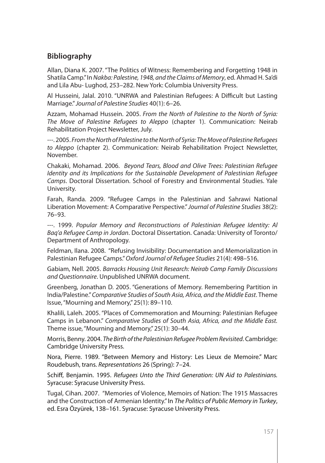## **Bibliography**

Allan, Diana K. 2007. "The Politics of Witness: Remembering and Forgetting 1948 in Shatila Camp." In *Nakba: Palestine, 1948, and the Claims of Memory*, ed. Ahmad H. Sa'di and Lila Abu- Lughod, 253–282. New York: Columbia University Press.

Al Husseini, Jalal. 2010. "UNRWA and Palestinian Refugees: A Difficult but Lasting Marriage." *Journal of Palestine Studies* 40(1): 6–26.

Azzam, Mohamad Hussein. 2005. *From the North of Palestine to the North of Syria: The Move of Palestine Refugees to Aleppo* (chapter 1). Communication: Neirab Rehabilitation Project Newsletter, July.

---. 2005. *From the North of Palestine to the North of Syria: The Move of Palestine Refugees to Aleppo* (chapter 2). Communication: Neirab Rehabilitation Project Newsletter, November.

Chakaki, Mohamad. 2006. *Beyond Tears, Blood and Olive Trees: Palestinian Refugee Identity and its Implications for the Sustainable Development of Palestinian Refugee Camps*. Doctoral Dissertation. School of Forestry and Environmental Studies. Yale University.

Farah, Randa. 2009. "Refugee Camps in the Palestinian and Sahrawi National Liberation Movement: A Comparative Perspective." *Journal of Palestine Studies* 38(2): 76–93.

---. 1999. *Popular Memory and Reconstructions of Palestinian Refugee Identity: Al Baq'a Refugee Camp in Jordan*. Doctoral Dissertation. Canada: University of Toronto/ Department of Anthropology.

Feldman, Ilana. 2008. "Refusing Invisibility: Documentation and Memorialization in Palestinian Refugee Camps." *Oxford Journal of Refugee Studies* 21(4): 498–516.

Gabiam, Nell. 2005. *Barracks Housing Unit Research: Neirab Camp Family Discussions and Questionnaire*. Unpublished UNRWA document.

Greenberg, Jonathan D. 2005. "Generations of Memory. Remembering Partition in India/Palestine." *Comparative Studies of South Asia, Africa, and the Middle East*. Theme Issue, "Mourning and Memory," 25(1): 89–110.

Khalili, Laleh. 2005. "Places of Commemoration and Mourning: Palestinian Refugee Camps in Lebanon." *Comparative Studies of South Asia, Africa, and the Middle East.* Theme issue, "Mourning and Memory," 25(1): 30–44.

Morris, Benny. 2004. *The Birth of the Palestinian Refugee Problem Revisited*. Cambridge: Cambridge University Press.

Nora, Pierre. 1989. "Between Memory and History: Les Lieux de Memoire." Marc Roudebush, trans. *Representations* 26 (Spring): 7–24.

Schiff, Benjamin. 1995. *Refugees Unto the Third Generation: UN Aid to Palestinians.* Syracuse: Syracuse University Press.

Tugal, Cihan. 2007. "Memories of Violence, Memoirs of Nation: The 1915 Massacres and the Construction of Armenian Identity." In *The Politics of Public Memory in Turkey*, ed. Esra Özyürek, 138–161. Syracuse: Syracuse University Press.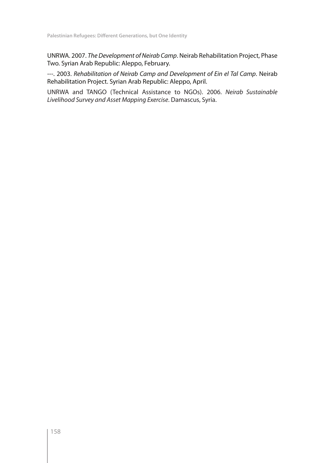UNRWA. 2007. *The Development of Neirab Camp*. Neirab Rehabilitation Project, Phase Two. Syrian Arab Republic: Aleppo, February.

---. 2003. *Rehabilitation of Neirab Camp and Development of Ein el Tal Camp*. Neirab Rehabilitation Project. Syrian Arab Republic: Aleppo, April.

UNRWA and TANGO (Technical Assistance to NGOs). 2006. *Neirab Sustainable Livelihood Survey and Asset Mapping Exercise*. Damascus, Syria.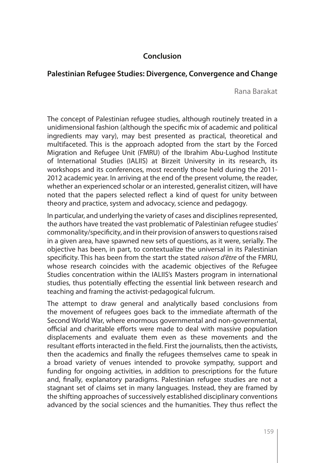## **Conclusion**

# **Palestinian Refugee Studies: Divergence, Convergence and Change**

Rana Barakat

The concept of Palestinian refugee studies, although routinely treated in a unidimensional fashion (although the specific mix of academic and political ingredients may vary), may best presented as practical, theoretical and multifaceted. This is the approach adopted from the start by the Forced Migration and Refugee Unit (FMRU) of the Ibrahim Abu-Lughod Institute of International Studies (IALIIS) at Birzeit University in its research, its workshops and its conferences, most recently those held during the 2011- 2012 academic year. In arriving at the end of the present volume, the reader, whether an experienced scholar or an interested, generalist citizen, will have noted that the papers selected reflect a kind of quest for unity between theory and practice, system and advocacy, science and pedagogy.

In particular, and underlying the variety of cases and disciplines represented, the authors have treated the vast problematic of Palestinian refugee studies' commonality/specificity, and in their provision of answers to questions raised in a given area, have spawned new sets of questions, as it were, serially. The objective has been, in part, to contextualize the universal in its Palestinian specificity. This has been from the start the stated *raison d'être* of the FMRU, whose research coincides with the academic objectives of the Refugee Studies concentration within the IALIIS's Masters program in international studies, thus potentially effecting the essential link between research and teaching and framing the activist-pedagogical fulcrum.

The attempt to draw general and analytically based conclusions from the movement of refugees goes back to the immediate aftermath of the Second World War, where enormous governmental and non-governmental, official and charitable efforts were made to deal with massive population displacements and evaluate them even as these movements and the resultant efforts interacted in the field. First the journalists, then the activists, then the academics and finally the refugees themselves came to speak in a broad variety of venues intended to provoke sympathy, support and funding for ongoing activities, in addition to prescriptions for the future and, finally, explanatory paradigms. Palestinian refugee studies are not a stagnant set of claims set in many languages. Instead, they are framed by the shifting approaches of successively established disciplinary conventions advanced by the social sciences and the humanities. They thus reflect the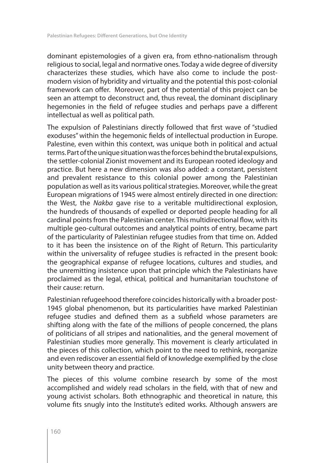dominant epistemologies of a given era, from ethno-nationalism through religious to social, legal and normative ones. Today a wide degree of diversity characterizes these studies, which have also come to include the postmodern vision of hybridity and virtuality and the potential this post-colonial framework can offer. Moreover, part of the potential of this project can be seen an attempt to deconstruct and, thus reveal, the dominant disciplinary hegemonies in the field of refugee studies and perhaps pave a different intellectual as well as political path.

The expulsion of Palestinians directly followed that first wave of "studied exoduses" within the hegemonic fields of intellectual production in Europe. Palestine, even within this context, was unique both in political and actual terms. Part of the unique situation was the forces behind the brutal expulsions, the settler-colonial Zionist movement and its European rooted ideology and practice. But here a new dimension was also added: a constant, persistent and prevalent resistance to this colonial power among the Palestinian population as well as its various political strategies. Moreover, while the great European migrations of 1945 were almost entirely directed in one direction: the West, the *Nakba* gave rise to a veritable multidirectional explosion, the hundreds of thousands of expelled or deported people heading for all cardinal points from the Palestinian center. This multidirectional flow, with its multiple geo-cultural outcomes and analytical points of entry, became part of the particularity of Palestinian refugee studies from that time on. Added to it has been the insistence on of the Right of Return. This particularity within the universality of refugee studies is refracted in the present book: the geographical expanse of refugee locations, cultures and studies, and the unremitting insistence upon that principle which the Palestinians have proclaimed as the legal, ethical, political and humanitarian touchstone of their cause: return.

Palestinian refugeehood therefore coincides historically with a broader post-1945 global phenomenon, but its particularities have marked Palestinian refugee studies and defined them as a subfield whose parameters are shifting along with the fate of the millions of people concerned, the plans of politicians of all stripes and nationalities, and the general movement of Palestinian studies more generally. This movement is clearly articulated in the pieces of this collection, which point to the need to rethink, reorganize and even rediscover an essential field of knowledge exemplified by the close unity between theory and practice.

The pieces of this volume combine research by some of the most accomplished and widely read scholars in the field, with that of new and young activist scholars. Both ethnographic and theoretical in nature, this volume fits snugly into the Institute's edited works. Although answers are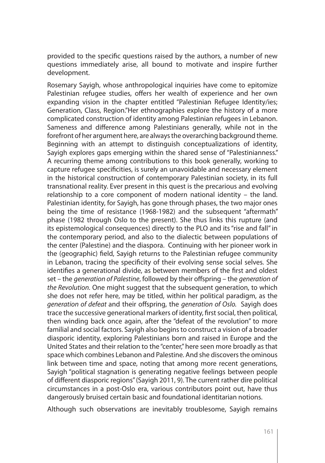provided to the specific questions raised by the authors, a number of new questions immediately arise, all bound to motivate and inspire further development.

Rosemary Sayigh, whose anthropological inquiries have come to epitomize Palestinian refugee studies, offers her wealth of experience and her own expanding vision in the chapter entitled "Palestinian Refugee Identity/ies; Generation, Class, Region."Her ethnographies explore the history of a more complicated construction of identity among Palestinian refugees in Lebanon. Sameness and difference among Palestinians generally, while not in the forefront of her argument here, are always the overarching background theme. Beginning with an attempt to distinguish conceptualizations of identity, Sayigh explores gaps emerging within the shared sense of "Palestinianness." A recurring theme among contributions to this book generally, working to capture refugee specificities, is surely an unavoidable and necessary element in the historical construction of contemporary Palestinian society, in its full transnational reality. Ever present in this quest is the precarious and evolving relationship to a core component of modern national identity – the land. Palestinian identity, for Sayigh, has gone through phases, the two major ones being the time of resistance (1968-1982) and the subsequent "aftermath" phase (1982 through Oslo to the present). She thus links this rupture (and its epistemological consequences) directly to the PLO and its "rise and fall" in the contemporary period, and also to the dialectic between populations of the center (Palestine) and the diaspora. Continuing with her pioneer work in the (geographic) field, Sayigh returns to the Palestinian refugee community in Lebanon, tracing the specificity of their evolving sense social selves. She identifies a generational divide, as between members of the first and oldest set – the *generation of Palestine*, followed by their offspring – the *generation of the Revolution.* One might suggest that the subsequent generation, to which she does not refer here, may be titled, within her political paradigm, as the *generation of defeat* and their offspring, the *generation of Oslo.* Sayigh does trace the successive generational markers of identity, first social, then political, then winding back once again, after the "defeat of the revolution" to more familial and social factors. Sayigh also begins to construct a vision of a broader diasporic identity, exploring Palestinians born and raised in Europe and the United States and their relation to the "center," here seen more broadly as that space which combines Lebanon and Palestine. And she discovers the ominous link between time and space, noting that among more recent generations, Sayigh "political stagnation is generating negative feelings between people of different diasporic regions" (Sayigh 2011, 9). The current rather dire political circumstances in a post-Oslo era, various contributors point out, have thus dangerously bruised certain basic and foundational identitarian notions.

Although such observations are inevitably troublesome, Sayigh remains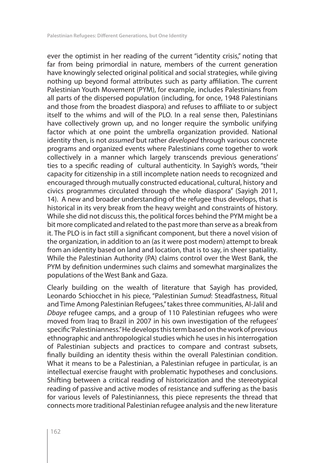ever the optimist in her reading of the current "identity crisis," noting that far from being primordial in nature, members of the current generation have knowingly selected original political and social strategies, while giving nothing up beyond formal attributes such as party affiliation. The current Palestinian Youth Movement (PYM), for example, includes Palestinians from all parts of the dispersed population (including, for once, 1948 Palestinians and those from the broadest diaspora) and refuses to affiliate to or subject itself to the whims and will of the PLO. In a real sense then, Palestinians have collectively grown up, and no longer require the symbolic unifying factor which at one point the umbrella organization provided. National identity then, is not *assumed* but rather *developed* through various concrete programs and organized events where Palestinians come together to work collectively in a manner which largely transcends previous generations' ties to a specific reading of cultural authenticity. In Sayigh's words, "their capacity for citizenship in a still incomplete nation needs to recognized and encouraged through mutually constructed educational, cultural, history and civics programmes circulated through the whole diaspora" (Sayigh 2011, 14). A new and broader understanding of the refugee thus develops, that is historical in its very break from the heavy weight and constraints of history. While she did not discuss this, the political forces behind the PYM might be a bit more complicated and related to the past more than serve as a break from it. The PLO is in fact still a significant component, but there a novel vision of the organization, in addition to an (as it were post modern) attempt to break from an identity based on land and location, that is to say, in sheer spatiality. While the Palestinian Authority (PA) claims control over the West Bank, the PYM by definition undermines such claims and somewhat marginalizes the populations of the West Bank and Gaza.

Clearly building on the wealth of literature that Sayigh has provided, Leonardo Schiocchet in his piece, "Palestinian *Sumud*: Steadfastness, Ritual and Time Among Palestinian Refugees," takes three communities, Al-Jalil and *Dbaye* refugee camps, and a group of 110 Palestinian refugees who were moved from Iraq to Brazil in 2007 in his own investigation of the refugees' specific 'Palestinianness." He develops this term based on the work of previous ethnographic and anthropological studies which he uses in his interrogation of Palestinian subjects and practices to compare and contrast subsets, finally building an identity thesis within the overall Palestinian condition. What it means to be a Palestinian, a Palestinian refugee in particular, is an intellectual exercise fraught with problematic hypotheses and conclusions. Shifting between a critical reading of historicization and the stereotypical reading of passive and active modes of resistance and suffering as the basis for various levels of Palestinianness, this piece represents the thread that connects more traditional Palestinian refugee analysis and the new literature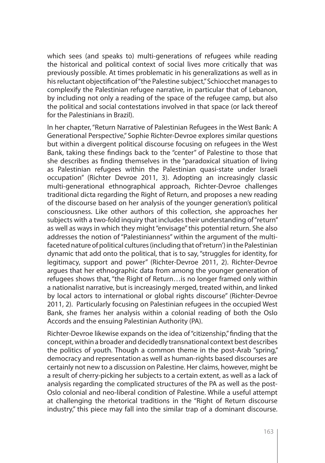which sees (and speaks to) multi-generations of refugees while reading the historical and political context of social lives more critically that was previously possible. At times problematic in his generalizations as well as in his reluctant objectification of "the Palestine subject," Schiocchet manages to complexify the Palestinian refugee narrative, in particular that of Lebanon, by including not only a reading of the space of the refugee camp, but also the political and social contestations involved in that space (or lack thereof for the Palestinians in Brazil).

In her chapter, "Return Narrative of Palestinian Refugees in the West Bank: A Generational Perspective," Sophie Richter-Devroe explores similar questions but within a divergent political discourse focusing on refugees in the West Bank, taking these findings back to the "center" of Palestine to those that she describes as finding themselves in the "paradoxical situation of living as Palestinian refugees within the Palestinian quasi-state under Israeli occupation" (Richter Devroe 2011, 3). Adopting an increasingly classic multi-generational ethnographical approach, Richter-Devroe challenges traditional dicta regarding the Right of Return, and proposes a new reading of the discourse based on her analysis of the younger generation's political consciousness. Like other authors of this collection, she approaches her subjects with a two-fold inquiry that includes their understanding of "return" as well as ways in which they might "envisage" this potential return. She also addresses the notion of "Palestinianness" within the argument of the multifaceted nature of political cultures (including that of 'return') in the Palestinian dynamic that add onto the political, that is to say, "struggles for identity, for legitimacy, support and power" (Richter-Devroe 2011, 2). Richter-Devroe argues that her ethnographic data from among the younger generation of refugees shows that, "the Right of Return…is no longer framed only within a nationalist narrative, but is increasingly merged, treated within, and linked by local actors to international or global rights discourse" (Richter-Devroe 2011, 2). Particularly focusing on Palestinian refugees in the occupied West Bank, she frames her analysis within a colonial reading of both the Oslo Accords and the ensuing Palestinian Authority (PA).

Richter-Devroe likewise expands on the idea of "citizenship," finding that the concept, within a broader and decidedly transnational context best describes the politics of youth. Though a common theme in the post-Arab "spring," democracy and representation as well as human-rights based discourses are certainly not new to a discussion on Palestine. Her claims, however, might be a result of cherry-picking her subjects to a certain extent, as well as a lack of analysis regarding the complicated structures of the PA as well as the post-Oslo colonial and neo-liberal condition of Palestine. While a useful attempt at challenging the rhetorical traditions in the "Right of Return discourse industry," this piece may fall into the similar trap of a dominant discourse.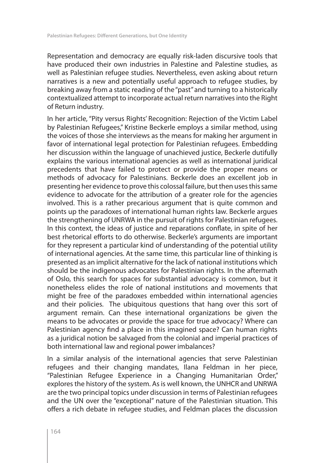Representation and democracy are equally risk-laden discursive tools that have produced their own industries in Palestine and Palestine studies, as well as Palestinian refugee studies. Nevertheless, even asking about return narratives is a new and potentially useful approach to refugee studies, by breaking away from a static reading of the "past" and turning to a historically contextualized attempt to incorporate actual return narratives into the Right of Return industry.

In her article, "Pity versus Rights' Recognition: Rejection of the Victim Label by Palestinian Refugees," Kristine Beckerle employs a similar method, using the voices of those she interviews as the means for making her argument in favor of international legal protection for Palestinian refugees. Embedding her discussion within the language of unachieved justice, Beckerle dutifully explains the various international agencies as well as international juridical precedents that have failed to protect or provide the proper means or methods of advocacy for Palestinians. Beckerle does an excellent job in presenting her evidence to prove this colossal failure, but then uses this same evidence to advocate for the attribution of a greater role for the agencies involved. This is a rather precarious argument that is quite common and points up the paradoxes of international human rights law. Beckerle argues the strengthening of UNRWA in the pursuit of rights for Palestinian refugees. In this context, the ideas of justice and reparations conflate, in spite of her best rhetorical efforts to do otherwise. Beckerle's arguments are important for they represent a particular kind of understanding of the potential utility of international agencies. At the same time, this particular line of thinking is presented as an implicit alternative for the lack of national institutions which should be the indigenous advocates for Palestinian rights. In the aftermath of Oslo, this search for spaces for substantial advocacy is common, but it nonetheless elides the role of national institutions and movements that might be free of the paradoxes embedded within international agencies and their policies. The ubiquitous questions that hang over this sort of argument remain. Can these international organizations be given the means to be advocates or provide the space for true advocacy? Where can Palestinian agency find a place in this imagined space? Can human rights as a juridical notion be salvaged from the colonial and imperial practices of both international law and regional power imbalances?

In a similar analysis of the international agencies that serve Palestinian refugees and their changing mandates, Ilana Feldman in her piece, "Palestinian Refugee Experience in a Changing Humanitarian Order," explores the history of the system. As is well known, the UNHCR and UNRWA are the two principal topics under discussion in terms of Palestinian refugees and the UN over the "exceptional" nature of the Palestinian situation. This offers a rich debate in refugee studies, and Feldman places the discussion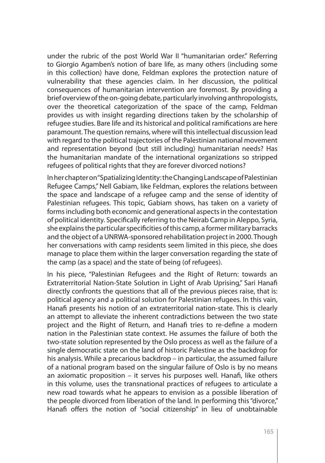under the rubric of the post World War II "humanitarian order." Referring to Giorgio Agamben's notion of bare life, as many others (including some in this collection) have done, Feldman explores the protection nature of vulnerability that these agencies claim. In her discussion, the political consequences of humanitarian intervention are foremost. By providing a brief overview of the on-going debate, particularly involving anthropologists, over the theoretical categorization of the space of the camp, Feldman provides us with insight regarding directions taken by the scholarship of refugee studies. Bare life and its historical and political ramifications are here paramount. The question remains, where will this intellectual discussion lead with regard to the political trajectories of the Palestinian national movement and representation beyond (but still including) humanitarian needs? Has the humanitarian mandate of the international organizations so stripped refugees of political rights that they are forever divorced notions?

In her chapter on "Spatializing Identity: the Changing Landscape of Palestinian Refugee Camps," Nell Gabiam, like Feldman, explores the relations between the space and landscape of a refugee camp and the sense of identity of Palestinian refugees. This topic, Gabiam shows, has taken on a variety of forms including both economic and generational aspects in the contestation of political identity. Specifically referring to the Neirab Camp in Aleppo, Syria, she explains the particular specificities of this camp, a former military barracks and the object of a UNRWA-sponsored rehabilitation project in 2000. Though her conversations with camp residents seem limited in this piece, she does manage to place them within the larger conversation regarding the state of the camp (as a space) and the state of being (of refugees).

In his piece, "Palestinian Refugees and the Right of Return: towards an Extraterritorial Nation-State Solution in Light of Arab Uprising," Sari Hanafi directly confronts the questions that all of the previous pieces raise, that is: political agency and a political solution for Palestinian refugees. In this vain, Hanafi presents his notion of an extraterritorial nation-state. This is clearly an attempt to alleviate the inherent contradictions between the two state project and the Right of Return, and Hanafi tries to re-define a modern nation in the Palestinian state context. He assumes the failure of both the two-state solution represented by the Oslo process as well as the failure of a single democratic state on the land of historic Palestine as the backdrop for his analysis. While a precarious backdrop – in particular, the assumed failure of a national program based on the singular failure of Oslo is by no means an axiomatic proposition – it serves his purposes well. Hanafi, like others in this volume, uses the transnational practices of refugees to articulate a new road towards what he appears to envision as a possible liberation of the people divorced from liberation of the land. In performing this "divorce," Hanafi offers the notion of "social citizenship" in lieu of unobtainable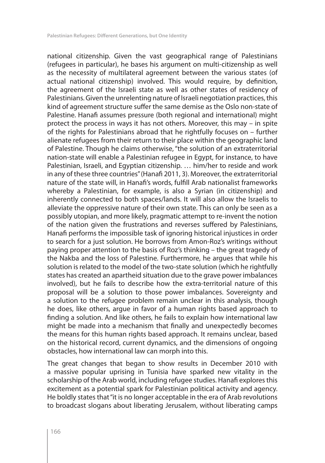national citizenship. Given the vast geographical range of Palestinians (refugees in particular), he bases his argument on multi-citizenship as well as the necessity of multilateral agreement between the various states (of actual national citizenship) involved. This would require, by definition, the agreement of the Israeli state as well as other states of residency of Palestinians. Given the unrelenting nature of Israeli negotiation practices, this kind of agreement structure suffer the same demise as the Oslo non-state of Palestine. Hanafi assumes pressure (both regional and international) might protect the process in ways it has not others. Moreover, this may – in spite of the rights for Palestinians abroad that he rightfully focuses on – further alienate refugees from their return to their place within the geographic land of Palestine. Though he claims otherwise, "the solution of an extraterritorial nation-state will enable a Palestinian refugee in Egypt, for instance, to have Palestinian, Israeli, and Egyptian citizenship. … him/her to reside and work in any of these three countries" (Hanafi 2011, 3). Moreover, the extraterritorial nature of the state will, in Hanafi's words, fulfill Arab nationalist frameworks whereby a Palestinian, for example, is also a Syrian (in citizenship) and inherently connected to both spaces/lands. It will also allow the Israelis to alleviate the oppressive nature of their own state. This can only be seen as a possibly utopian, and more likely, pragmatic attempt to re-invent the notion of the nation given the frustrations and reverses suffered by Palestinians, Hanafi performs the impossible task of ignoring historical injustices in order to search for a just solution. He borrows from Amon-Roz's writings without paying proper attention to the basis of Roz's thinking – the great tragedy of the Nakba and the loss of Palestine. Furthermore, he argues that while his solution is related to the model of the two-state solution (which he rightfully states has created an apartheid situation due to the grave power imbalances involved), but he fails to describe how the extra-territorial nature of this proposal will be a solution to those power imbalances. Sovereignty and a solution to the refugee problem remain unclear in this analysis, though he does, like others, argue in favor of a human rights based approach to finding a solution. And like others, he fails to explain how international law might be made into a mechanism that finally and unexpectedly becomes the means for this human rights based approach. It remains unclear, based on the historical record, current dynamics, and the dimensions of ongoing obstacles, how international law can morph into this.

The great changes that began to show results in December 2010 with a massive popular uprising in Tunisia have sparked new vitality in the scholarship of the Arab world, including refugee studies. Hanafi explores this excitement as a potential spark for Palestinian political activity and agency. He boldly states that "it is no longer acceptable in the era of Arab revolutions to broadcast slogans about liberating Jerusalem, without liberating camps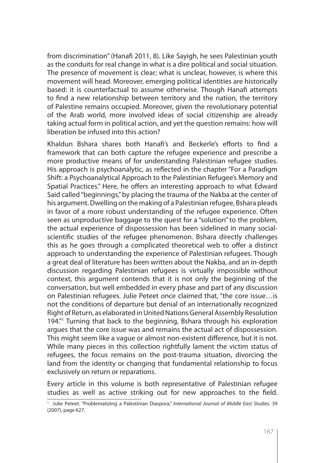from discrimination" (Hanafi 2011, 8). Like Sayigh, he sees Palestinian youth as the conduits for real change in what is a dire political and social situation. The presence of movement is clear; what is unclear, however, is where this movement will head. Moreover, emerging political identities are historically based: it is counterfactual to assume otherwise. Though Hanafi attempts to find a new relationship between territory and the nation, the territory of Palestine remains occupied. Moreover, given the revolutionary potential of the Arab world, more involved ideas of social citizenship are already taking actual form in political action, and yet the question remains: how will liberation be infused into this action?

Khaldun Bshara shares both Hanafi's and Beckerle's efforts to find a framework that can both capture the refugee experience and prescribe a more productive means of for understanding Palestinian refugee studies. His approach is psychoanalytic, as reflected in the chapter "For a Paradigm Shift: a Psychoanalytical Approach to the Palestinian Refugee's Memory and Spatial Practices." Here, he offers an interesting approach to what Edward Said called "beginnings," by placing the trauma of the Nakba at the center of his argument. Dwelling on the making of a Palestinian refugee, Bshara pleads in favor of a more robust understanding of the refugee experience. Often seen as unproductive baggage to the quest for a "solution" to the problem, the actual experience of dispossession has been sidelined in many socialscientific studies of the refugee phenomenon. Bshara directly challenges this as he goes through a complicated theoretical web to offer a distinct approach to understanding the experience of Palestinian refugees. Though a great deal of literature has been written about the Nakba, and an in-depth discussion regarding Palestinian refugees is virtually impossible without context, this argument contends that it is not only the beginning of the conversation, but well embedded in every phase and part of any discussion on Palestinian refugees. Julie Peteet once claimed that, "the core issue…is not the conditions of departure but denial of an internationally recognized Right of Return, as elaborated in United Nations General Assembly Resolution 194."1 Turning that back to the beginning, Bshara through his exploration argues that the core issue was and remains the actual act of dispossession. This might seem like a vague or almost non-existent difference, but it is not. While many pieces in this collection rightfully lament the victim status of refugees, the focus remains on the post-trauma situation, divorcing the land from the identity or changing that fundamental relationship to focus exclusively on return or reparations.

Every article in this volume is both representative of Palestinian refugee studies as well as active striking out for new approaches to the field.

<sup>1</sup> Julie Peteet. "Problematizing a Palestinian Diaspora," *International Journal of Middle East Studies*, 39 (2007), page 627.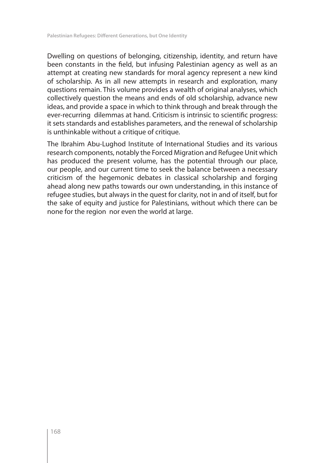Dwelling on questions of belonging, citizenship, identity, and return have been constants in the field, but infusing Palestinian agency as well as an attempt at creating new standards for moral agency represent a new kind of scholarship. As in all new attempts in research and exploration, many questions remain. This volume provides a wealth of original analyses, which collectively question the means and ends of old scholarship, advance new ideas, and provide a space in which to think through and break through the ever-recurring dilemmas at hand. Criticism is intrinsic to scientific progress: it sets standards and establishes parameters, and the renewal of scholarship is unthinkable without a critique of critique.

The Ibrahim Abu-Lughod Institute of International Studies and its various research components, notably the Forced Migration and Refugee Unit which has produced the present volume, has the potential through our place, our people, and our current time to seek the balance between a necessary criticism of the hegemonic debates in classical scholarship and forging ahead along new paths towards our own understanding, in this instance of refugee studies, but always in the quest for clarity, not in and of itself, but for the sake of equity and justice for Palestinians, without which there can be none for the region nor even the world at large.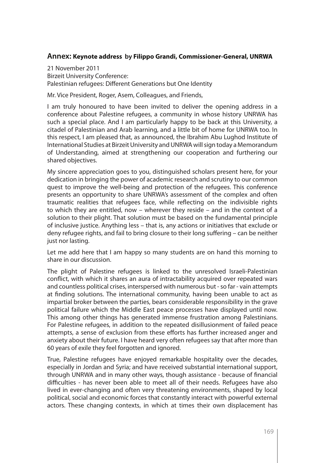#### **Annex: Keynote address by Filippo Grandi, Commissioner-General, UNRWA**

21 November 2011 Birzeit University Conference: Palestinian refugees: Different Generations but One Identity

Mr. Vice President, Roger, Asem, Colleagues, and Friends,

I am truly honoured to have been invited to deliver the opening address in a conference about Palestine refugees, a community in whose history UNRWA has such a special place. And I am particularly happy to be back at this University, a citadel of Palestinian and Arab learning, and a little bit of home for UNRWA too. In this respect, I am pleased that, as announced, the Ibrahim Abu Lughod Institute of International Studies at Birzeit University and UNRWA will sign today a Memorandum of Understanding, aimed at strengthening our cooperation and furthering our shared objectives.

My sincere appreciation goes to you, distinguished scholars present here, for your dedication in bringing the power of academic research and scrutiny to our common quest to improve the well-being and protection of the refugees. This conference presents an opportunity to share UNRWA's assessment of the complex and often traumatic realities that refugees face, while reflecting on the indivisible rights to which they are entitled, now – wherever they reside – and in the context of a solution to their plight. That solution must be based on the fundamental principle of inclusive justice. Anything less – that is, any actions or initiatives that exclude or deny refugee rights, and fail to bring closure to their long suffering – can be neither just nor lasting.

Let me add here that I am happy so many students are on hand this morning to share in our discussion.

The plight of Palestine refugees is linked to the unresolved Israeli-Palestinian conflict, with which it shares an aura of intractability acquired over repeated wars and countless political crises, interspersed with numerous but - so far - vain attempts at finding solutions. The international community, having been unable to act as impartial broker between the parties, bears considerable responsibility in the grave political failure which the Middle East peace processes have displayed until now. This among other things has generated immense frustration among Palestinians. For Palestine refugees, in addition to the repeated disillusionment of failed peace attempts, a sense of exclusion from these efforts has further increased anger and anxiety about their future. I have heard very often refugees say that after more than 60 years of exile they feel forgotten and ignored.

True, Palestine refugees have enjoyed remarkable hospitality over the decades, especially in Jordan and Syria; and have received substantial international support, through UNRWA and in many other ways, though assistance - because of financial difficulties - has never been able to meet all of their needs. Refugees have also lived in ever-changing and often very threatening environments, shaped by local political, social and economic forces that constantly interact with powerful external actors. These changing contexts, in which at times their own displacement has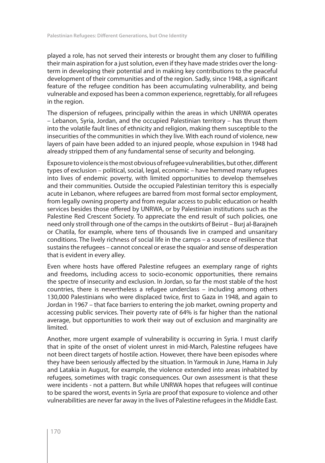played a role, has not served their interests or brought them any closer to fulfilling their main aspiration for a just solution, even if they have made strides over the longterm in developing their potential and in making key contributions to the peaceful development of their communities and of the region. Sadly, since 1948, a significant feature of the refugee condition has been accumulating vulnerability, and being vulnerable and exposed has been a common experience, regrettably, for all refugees in the region.

The dispersion of refugees, principally within the areas in which UNRWA operates – Lebanon, Syria, Jordan, and the occupied Palestinian territory – has thrust them into the volatile fault lines of ethnicity and religion, making them susceptible to the insecurities of the communities in which they live. With each round of violence, new layers of pain have been added to an injured people, whose expulsion in 1948 had already stripped them of any fundamental sense of security and belonging.

Exposure to violence is the most obvious of refugee vulnerabilities, but other, different types of exclusion – political, social, legal, economic – have hemmed many refugees into lives of endemic poverty, with limited opportunities to develop themselves and their communities. Outside the occupied Palestinian territory this is especially acute in Lebanon, where refugees are barred from most formal sector employment, from legally owning property and from regular access to public education or health services besides those offered by UNRWA, or by Palestinian institutions such as the Palestine Red Crescent Society. To appreciate the end result of such policies, one need only stroll through one of the camps in the outskirts of Beirut – Burj al-Barajneh or Chatila, for example, where tens of thousands live in cramped and unsanitary conditions. The lively richness of social life in the camps – a source of resilience that sustains the refugees – cannot conceal or erase the squalor and sense of desperation that is evident in every alley.

Even where hosts have offered Palestine refugees an exemplary range of rights and freedoms, including access to socio-economic opportunities, there remains the spectre of insecurity and exclusion. In Jordan, so far the most stable of the host countries, there is nevertheless a refugee underclass – including among others 130,000 Palestinians who were displaced twice, first to Gaza in 1948, and again to Jordan in 1967 – that face barriers to entering the job market, owning property and accessing public services. Their poverty rate of 64% is far higher than the national average, but opportunities to work their way out of exclusion and marginality are limited.

Another, more urgent example of vulnerability is occurring in Syria. I must clarify that in spite of the onset of violent unrest in mid-March, Palestine refugees have not been direct targets of hostile action. However, there have been episodes where they have been seriously affected by the situation. In Yarmouk in June, Hama in July and Latakia in August, for example, the violence extended into areas inhabited by refugees, sometimes with tragic consequences. Our own assessment is that these were incidents - not a pattern. But while UNRWA hopes that refugees will continue to be spared the worst, events in Syria are proof that exposure to violence and other vulnerabilities are never far away in the lives of Palestine refugees in the Middle East.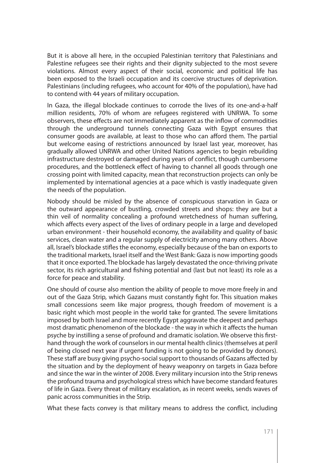But it is above all here, in the occupied Palestinian territory that Palestinians and Palestine refugees see their rights and their dignity subjected to the most severe violations. Almost every aspect of their social, economic and political life has been exposed to the Israeli occupation and its coercive structures of deprivation. Palestinians (including refugees, who account for 40% of the population), have had to contend with 44 years of military occupation.

In Gaza, the illegal blockade continues to corrode the lives of its one-and-a-half million residents, 70% of whom are refugees registered with UNRWA. To some observers, these effects are not immediately apparent as the inflow of commodities through the underground tunnels connecting Gaza with Egypt ensures that consumer goods are available, at least to those who can afford them. The partial but welcome easing of restrictions announced by Israel last year, moreover, has gradually allowed UNRWA and other United Nations agencies to begin rebuilding infrastructure destroyed or damaged during years of conflict, though cumbersome procedures, and the bottleneck effect of having to channel all goods through one crossing point with limited capacity, mean that reconstruction projects can only be implemented by international agencies at a pace which is vastly inadequate given the needs of the population.

Nobody should be misled by the absence of conspicuous starvation in Gaza or the outward appearance of bustling, crowded streets and shops: they are but a thin veil of normality concealing a profound wretchedness of human suffering, which affects every aspect of the lives of ordinary people in a large and developed urban environment - their household economy, the availability and quality of basic services, clean water and a regular supply of electricity among many others. Above all, Israel's blockade stifles the economy, especially because of the ban on exports to the traditional markets, Israel itself and the West Bank: Gaza is now importing goods that it once exported. The blockade has largely devastated the once-thriving private sector, its rich agricultural and fishing potential and (last but not least) its role as a force for peace and stability.

One should of course also mention the ability of people to move more freely in and out of the Gaza Strip, which Gazans must constantly fight for. This situation makes small concessions seem like major progress, though freedom of movement is a basic right which most people in the world take for granted. The severe limitations imposed by both Israel and more recently Egypt aggravate the deepest and perhaps most dramatic phenomenon of the blockade - the way in which it affects the human psyche by instilling a sense of profound and dramatic isolation. We observe this firsthand through the work of counselors in our mental health clinics (themselves at peril of being closed next year if urgent funding is not going to be provided by donors). These staff are busy giving psycho-social support to thousands of Gazans affected by the situation and by the deployment of heavy weaponry on targets in Gaza before and since the war in the winter of 2008. Every military incursion into the Strip renews the profound trauma and psychological stress which have become standard features of life in Gaza. Every threat of military escalation, as in recent weeks, sends waves of panic across communities in the Strip.

What these facts convey is that military means to address the conflict, including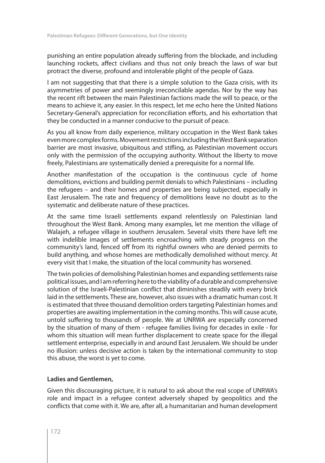punishing an entire population already suffering from the blockade, and including launching rockets, affect civilians and thus not only breach the laws of war but protract the diverse, profound and intolerable plight of the people of Gaza.

I am not suggesting that that there is a simple solution to the Gaza crisis, with its asymmetries of power and seemingly irreconcilable agendas. Nor by the way has the recent rift between the main Palestinian factions made the will to peace, or the means to achieve it, any easier. In this respect, let me echo here the United Nations Secretary-General's appreciation for reconciliation efforts, and his exhortation that they be conducted in a manner conducive to the pursuit of peace.

As you all know from daily experience, military occupation in the West Bank takes even more complex forms. Movement restrictions including the West Bank separation barrier are most invasive, ubiquitous and stifling, as Palestinian movement occurs only with the permission of the occupying authority. Without the liberty to move freely, Palestinians are systematically denied a prerequisite for a normal life.

Another manifestation of the occupation is the continuous cycle of home demolitions, evictions and building permit denials to which Palestinians – including the refugees – and their homes and properties are being subjected, especially in East Jerusalem. The rate and frequency of demolitions leave no doubt as to the systematic and deliberate nature of these practices.

At the same time Israeli settlements expand relentlessly on Palestinian land throughout the West Bank. Among many examples, let me mention the village of Walajeh, a refugee village in southern Jerusalem. Several visits there have left me with indelible images of settlements encroaching with steady progress on the community's land, fenced off from its rightful owners who are denied permits to build anything, and whose homes are methodically demolished without mercy. At every visit that I make, the situation of the local community has worsened.

The twin policies of demolishing Palestinian homes and expanding settlements raise political issues, and I am referring here to the viability of a durable and comprehensive solution of the Israeli-Palestinian conflict that diminishes steadily with every brick laid in the settlements. These are, however, also issues with a dramatic human cost. It is estimated that three thousand demolition orders targeting Palestinian homes and properties are awaiting implementation in the coming months. This will cause acute, untold suffering to thousands of people. We at UNRWA are especially concerned by the situation of many of them - refugee families living for decades in exile - for whom this situation will mean further displacement to create space for the illegal settlement enterprise, especially in and around East Jerusalem. We should be under no illusion: unless decisive action is taken by the international community to stop this abuse, the worst is yet to come.

#### **Ladies and Gentlemen,**

Given this discouraging picture, it is natural to ask about the real scope of UNRWA's role and impact in a refugee context adversely shaped by geopolitics and the conflicts that come with it. We are, after all, a humanitarian and human development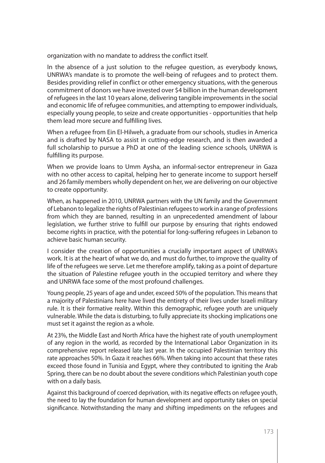organization with no mandate to address the conflict itself.

In the absence of a just solution to the refugee question, as everybody knows, UNRWA's mandate is to promote the well-being of refugees and to protect them. Besides providing relief in conflict or other emergency situations, with the generous commitment of donors we have invested over \$4 billion in the human development of refugees in the last 10 years alone, delivering tangible improvements in the social and economic life of refugee communities, and attempting to empower individuals, especially young people, to seize and create opportunities - opportunities that help them lead more secure and fulfilling lives.

When a refugee from Ein El-Hilweh, a graduate from our schools, studies in America and is drafted by NASA to assist in cutting-edge research, and is then awarded a full scholarship to pursue a PhD at one of the leading science schools, UNRWA is fulfilling its purpose.

When we provide loans to Umm Aysha, an informal-sector entrepreneur in Gaza with no other access to capital, helping her to generate income to support herself and 26 family members wholly dependent on her, we are delivering on our objective to create opportunity.

When, as happened in 2010, UNRWA partners with the UN family and the Government of Lebanon to legalize the rights of Palestinian refugees to work in a range of professions from which they are banned, resulting in an unprecedented amendment of labour legislation, we further strive to fulfill our purpose by ensuring that rights endowed become rights in practice, with the potential for long-suffering refugees in Lebanon to achieve basic human security.

I consider the creation of opportunities a crucially important aspect of UNRWA's work. It is at the heart of what we do, and must do further, to improve the quality of life of the refugees we serve. Let me therefore amplify, taking as a point of departure the situation of Palestine refugee youth in the occupied territory and where they and UNRWA face some of the most profound challenges.

Young people, 25 years of age and under, exceed 50% of the population. This means that a majority of Palestinians here have lived the entirety of their lives under Israeli military rule. It is their formative reality. Within this demographic, refugee youth are uniquely vulnerable. While the data is disturbing, to fully appreciate its shocking implications one must set it against the region as a whole.

At 23%, the Middle East and North Africa have the highest rate of youth unemployment of any region in the world, as recorded by the International Labor Organization in its comprehensive report released late last year. In the occupied Palestinian territory this rate approaches 50%. In Gaza it reaches 66%. When taking into account that these rates exceed those found in Tunisia and Egypt, where they contributed to igniting the Arab Spring, there can be no doubt about the severe conditions which Palestinian youth cope with on a daily basis.

Against this background of coerced deprivation, with its negative effects on refugee youth, the need to lay the foundation for human development and opportunity takes on special significance. Notwithstanding the many and shifting impediments on the refugees and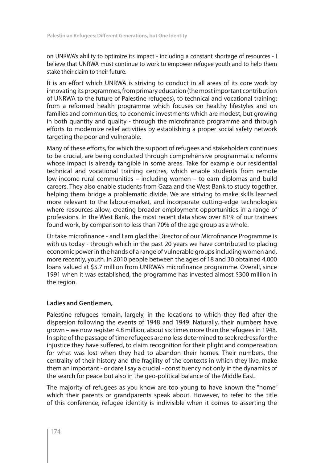on UNRWA's ability to optimize its impact - including a constant shortage of resources - I believe that UNRWA must continue to work to empower refugee youth and to help them stake their claim to their future.

It is an effort which UNRWA is striving to conduct in all areas of its core work by innovating its programmes, from primary education (the most important contribution of UNRWA to the future of Palestine refugees), to technical and vocational training; from a reformed health programme which focuses on healthy lifestyles and on families and communities, to economic investments which are modest, but growing in both quantity and quality - through the microfinance programme and through efforts to modernize relief activities by establishing a proper social safety network targeting the poor and vulnerable.

Many of these efforts, for which the support of refugees and stakeholders continues to be crucial, are being conducted through comprehensive programmatic reforms whose impact is already tangible in some areas. Take for example our residential technical and vocational training centres, which enable students from remote low-income rural communities – including women – to earn diplomas and build careers. They also enable students from Gaza and the West Bank to study together, helping them bridge a problematic divide. We are striving to make skills learned more relevant to the labour-market, and incorporate cutting-edge technologies where resources allow, creating broader employment opportunities in a range of professions. In the West Bank, the most recent data show over 81% of our trainees found work, by comparison to less than 70% of the age group as a whole.

Or take microfinance - and I am glad the Director of our Microfinance Programme is with us today - through which in the past 20 years we have contributed to placing economic power in the hands of a range of vulnerable groups including women and, more recently, youth. In 2010 people between the ages of 18 and 30 obtained 4,000 loans valued at \$5.7 million from UNRWA's microfinance programme. Overall, since 1991 when it was established, the programme has invested almost \$300 million in the region.

#### **Ladies and Gentlemen,**

Palestine refugees remain, largely, in the locations to which they fled after the dispersion following the events of 1948 and 1949. Naturally, their numbers have grown – we now register 4.8 million, about six times more than the refugees in 1948. In spite of the passage of time refugees are no less determined to seek redress for the injustice they have suffered, to claim recognition for their plight and compensation for what was lost when they had to abandon their homes. Their numbers, the centrality of their history and the fragility of the contexts in which they live, make them an important - or dare I say a crucial - constituency not only in the dynamics of the search for peace but also in the geo-political balance of the Middle East.

The majority of refugees as you know are too young to have known the "home" which their parents or grandparents speak about. However, to refer to the title of this conference, refugee identity is indivisible when it comes to asserting the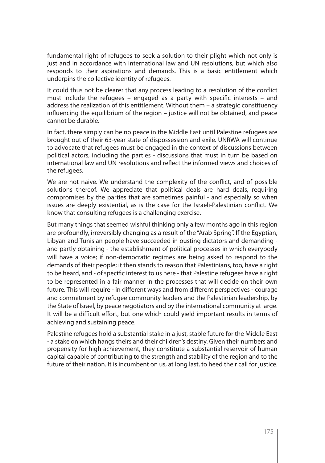fundamental right of refugees to seek a solution to their plight which not only is just and in accordance with international law and UN resolutions, but which also responds to their aspirations and demands. This is a basic entitlement which underpins the collective identity of refugees.

It could thus not be clearer that any process leading to a resolution of the conflict must include the refugees – engaged as a party with specific interests – and address the realization of this entitlement. Without them – a strategic constituency influencing the equilibrium of the region – justice will not be obtained, and peace cannot be durable.

In fact, there simply can be no peace in the Middle East until Palestine refugees are brought out of their 63-year state of dispossession and exile. UNRWA will continue to advocate that refugees must be engaged in the context of discussions between political actors, including the parties - discussions that must in turn be based on international law and UN resolutions and reflect the informed views and choices of the refugees.

We are not naive. We understand the complexity of the conflict, and of possible solutions thereof. We appreciate that political deals are hard deals, requiring compromises by the parties that are sometimes painful - and especially so when issues are deeply existential, as is the case for the Israeli-Palestinian conflict. We know that consulting refugees is a challenging exercise.

But many things that seemed wishful thinking only a few months ago in this region are profoundly, irreversibly changing as a result of the "Arab Spring". If the Egyptian, Libyan and Tunisian people have succeeded in ousting dictators and demanding and partly obtaining - the establishment of political processes in which everybody will have a voice; if non-democratic regimes are being asked to respond to the demands of their people; it then stands to reason that Palestinians, too, have a right to be heard, and - of specific interest to us here - that Palestine refugees have a right to be represented in a fair manner in the processes that will decide on their own future. This will require - in different ways and from different perspectives - courage and commitment by refugee community leaders and the Palestinian leadership, by the State of Israel, by peace negotiators and by the international community at large. It will be a difficult effort, but one which could yield important results in terms of achieving and sustaining peace.

Palestine refugees hold a substantial stake in a just, stable future for the Middle East - a stake on which hangs theirs and their children's destiny. Given their numbers and propensity for high achievement, they constitute a substantial reservoir of human capital capable of contributing to the strength and stability of the region and to the future of their nation. It is incumbent on us, at long last, to heed their call for justice.